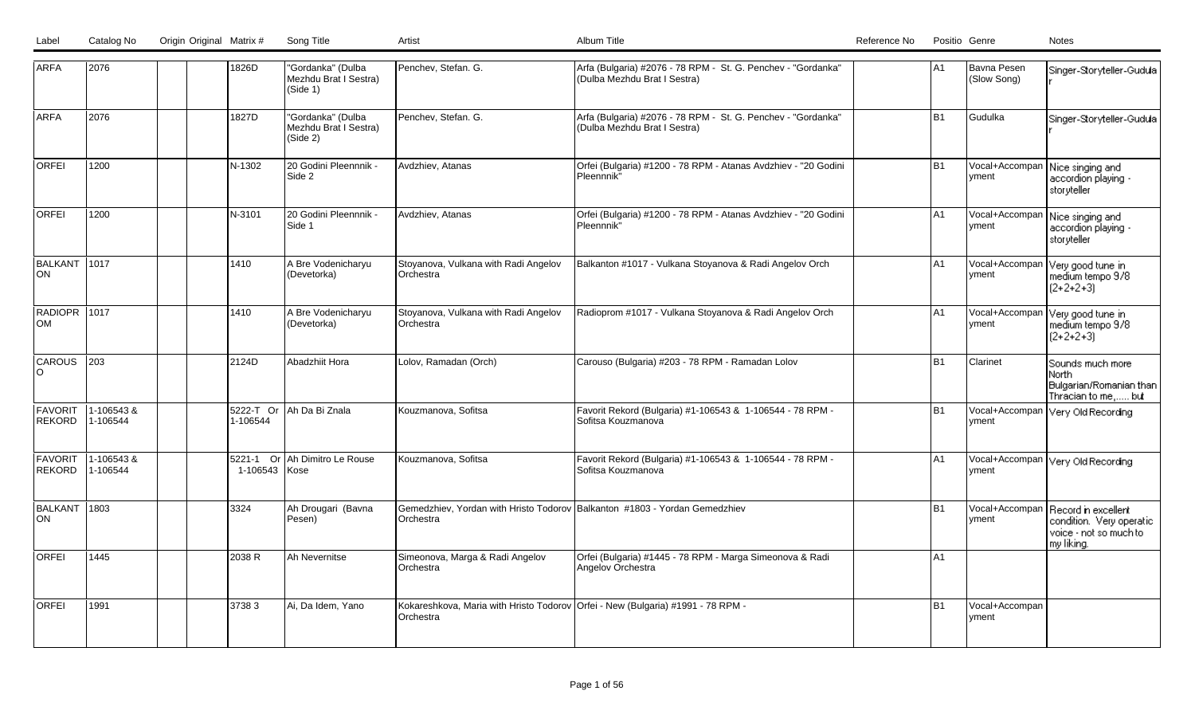| Label | Catalog No | Origin Original Matrix # | Song Title |  |
|-------|------------|--------------------------|------------|--|
|       |            |                          |            |  |

| <b>ARFA</b>                     | 2076                  |  | 1826D                 | "Gordanka" (Dulba<br>Mezhdu Brat I Sestra)<br>(Side 1) | Penchev, Stefan. G.                                                                          | Arfa (Bulgaria) #2076 - 78 RPM - St. G. Penchev - "Gordanka"<br>(Dulba Mezhdu Brat I Sestra) | A <sub>1</sub> | Bavna Pesen<br>(Slow Song)     | Singer-Storyteller-Gudula                                                               |
|---------------------------------|-----------------------|--|-----------------------|--------------------------------------------------------|----------------------------------------------------------------------------------------------|----------------------------------------------------------------------------------------------|----------------|--------------------------------|-----------------------------------------------------------------------------------------|
| <b>ARFA</b>                     | 2076                  |  | 1827D                 | "Gordanka" (Dulba<br>Mezhdu Brat I Sestra)<br>(Side 2) | Penchev, Stefan. G.                                                                          | Arfa (Bulgaria) #2076 - 78 RPM - St. G. Penchev - "Gordanka"<br>(Dulba Mezhdu Brat I Sestra) | l B1           | Gudulka                        | Singer-Storyteller-Gudula                                                               |
| <b>ORFEI</b>                    | 1200                  |  | N-1302                | 20 Godini Pleennnik -<br>Side 2                        | Avdzhiev, Atanas                                                                             | Orfei (Bulgaria) #1200 - 78 RPM - Atanas Avdzhiev - "20 Godini<br>Pleennnik"                 | lB1            | Vocal+Accompan<br>yment        | Nice singing and<br>accordion playing -<br>storyteller                                  |
| <b>ORFEI</b>                    | 1200                  |  | N-3101                | 120 Godini Pleennnik -<br>Side 1                       | Avdzhiev, Atanas                                                                             | Orfei (Bulgaria) #1200 - 78 RPM - Atanas Avdzhiev - "20 Godini<br>Pleennnik"                 | A <sub>1</sub> | Vocal+Accompan<br><i>vment</i> | Nice singing and<br>accordion playing -<br>storyteller                                  |
| <b>BALKANT</b><br><b>ON</b>     | 1017                  |  | 1410                  | A Bre Vodenicharyu<br>(Devetorka)                      | Stoyanova, Vulkana with Radi Angelov<br>Orchestra                                            | Balkanton #1017 - Vulkana Stoyanova & Radi Angelov Orch                                      | A <sub>1</sub> | Vocal+Accompan<br> vment       | Very good tune in<br>medium tempo 9/8<br>$[2+2+2+3]$                                    |
| RADIOPR 1017<br><b>OM</b>       |                       |  | 1410                  | A Bre Vodenicharyu<br>(Devetorka)                      | Stoyanova, Vulkana with Radi Angelov<br>Orchestra                                            | Radioprom #1017 - Vulkana Stoyanova & Radi Angelov Orch                                      | A <sub>1</sub> | Vocal+Accompar<br> vment       | Very good tune in<br>medium tempo 9/8<br>$[2+2+2+3]$                                    |
| <b>CAROUS</b><br>റ              | 1203                  |  | 2124D                 | Abadzhiit Hora                                         | Lolov, Ramadan (Orch)                                                                        | Carouso (Bulgaria) #203 - 78 RPM - Ramadan Lolov                                             | B <sub>1</sub> | Clarinet                       | Sounds much more<br>North.<br>Bulgarian/Romanian than<br>Thracian to me, but            |
| <b>FAVORIT</b><br><b>REKORD</b> | 1-106543&<br>1-106544 |  | 5222-T Or<br>1-106544 | Ah Da Bi Znala                                         | Kouzmanova, Sofitsa                                                                          | Favorit Rekord (Bulgaria) #1-106543 & 1-106544 - 78 RPM -<br>Sofitsa Kouzmanova              | B <sub>1</sub> | yment                          | Vocal+Accompan Very Old Recording                                                       |
| <b>FAVORIT</b><br><b>REKORD</b> | 1-106543&<br>1-106544 |  | 1-106543 Kose         | 5221-1 Or Ah Dimitro Le Rouse                          | Kouzmanova, Sofitsa                                                                          | Favorit Rekord (Bulgaria) #1-106543 & 1-106544 - 78 RPM -<br>Sofitsa Kouzmanova              | A <sub>1</sub> | <b>I</b> yment                 | Vocal+Accompan Very Old Recording                                                       |
| <b>BALKANT</b><br><b>ON</b>     | 11803                 |  | 3324                  | Ah Drougari (Bavna<br>Pesen)                           | Gemedzhiev, Yordan with Hristo Todorov Balkanton #1803 - Yordan Gemedzhiev<br>Orchestra      |                                                                                              | <b>B1</b>      | Vocal+Accompan<br> vment       | Record in excellent<br>condition. Very operatic<br>voice - not so much to<br>my liking. |
| <b>ORFEI</b>                    | 1445                  |  | 2038 R                | Ah Nevernitse                                          | Simeonova, Marga & Radi Angelov<br>Orchestra                                                 | Orfei (Bulgaria) #1445 - 78 RPM - Marga Simeonova & Radi<br>Angelov Orchestra                | A <sub>1</sub> |                                |                                                                                         |
| <b>ORFEI</b>                    | 1991                  |  | 37383                 | Ai, Da Idem, Yano                                      | Kokareshkova, Maria with Hristo Todorov Orfei - New (Bulgaria) #1991 - 78 RPM -<br>Orchestra |                                                                                              | B <sub>1</sub> | Vocal+Accompan<br>yment        |                                                                                         |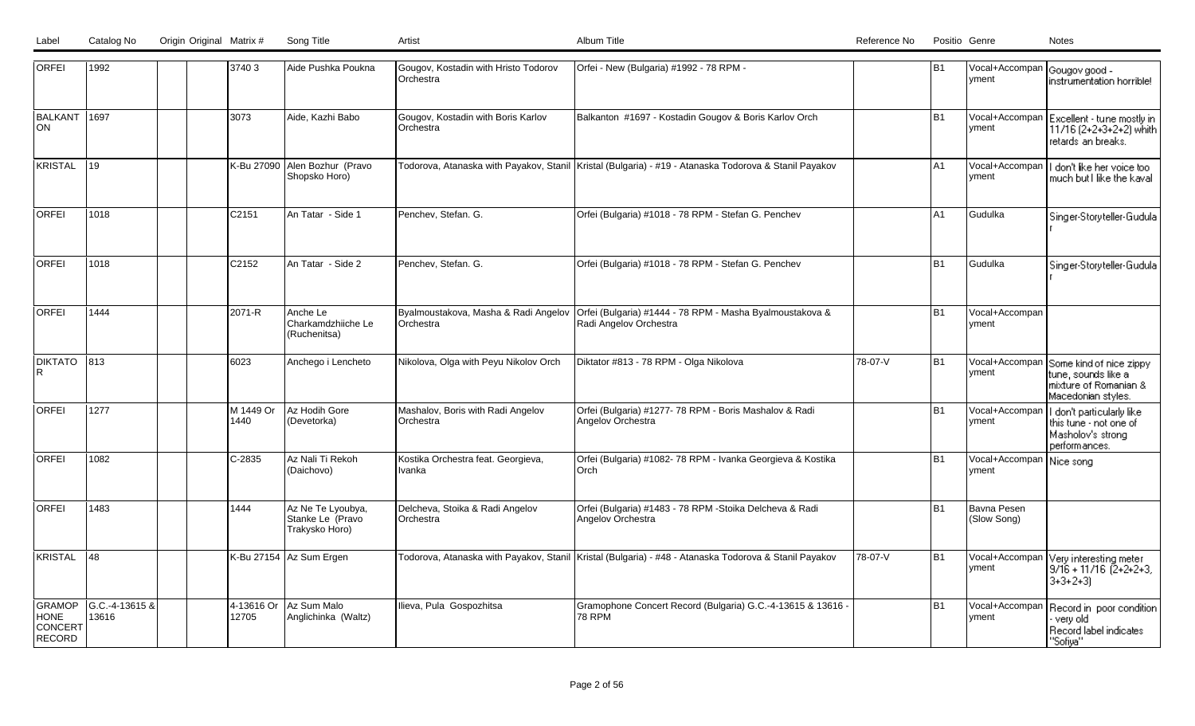| <b>ORFEI</b>                                      | 1992                    | 37403    |            | Aide Pushka Poukna                                      | Gougov, Kostadin with Hristo Todorov<br>Orchestra | Orfei - New (Bulgaria) #1992 - 78 RPM -                                                                 |         | IB1            | Vocal+Accompan Gougov good -<br><b>Ivment</b> | instrumentation horrible!                                                                      |
|---------------------------------------------------|-------------------------|----------|------------|---------------------------------------------------------|---------------------------------------------------|---------------------------------------------------------------------------------------------------------|---------|----------------|-----------------------------------------------|------------------------------------------------------------------------------------------------|
| BALKANT 1697<br>ON                                |                         | 3073     |            | Aide, Kazhi Babo                                        | Gougov, Kostadin with Boris Karlov<br>Orchestra   | Balkanton #1697 - Kostadin Gougov & Boris Karlov Orch                                                   |         | B <sub>1</sub> | Vocal+Accompan<br>vment                       | Excellent - tune mostly in<br>11/16 (2+2+3+2+2) whith<br>retards an breaks.                    |
| KRISTAL                                           | 119                     |          | K-Bu 27090 | Alen Bozhur (Pravo<br>Shopsko Horo)                     |                                                   | Todorova, Atanaska with Payakov, Stanil   Kristal (Bulgaria) - #19 - Atanaska Todorova & Stanil Payakov |         | A1             | Vocal+Accompan<br>vment                       | don't like her voice too<br>much but I like the kaval                                          |
| <b>ORFEI</b>                                      | 1018                    | C2151    |            | An Tatar - Side 1                                       | Penchev, Stefan. G.                               | Orfei (Bulgaria) #1018 - 78 RPM - Stefan G. Penchev                                                     |         | A <sub>1</sub> | Gudulka                                       | Singer-Storyteller-Gudula                                                                      |
| <b>ORFEI</b>                                      | 1018                    | C2152    |            | An Tatar - Side 2                                       | Penchev, Stefan. G.                               | Orfei (Bulgaria) #1018 - 78 RPM - Stefan G. Penchev                                                     |         | B <sub>1</sub> | Gudulka                                       | Singer-Storyteller-Gudula                                                                      |
| <b>ORFEI</b>                                      | 1444                    | 2071-R   |            | Anche Le<br>Charkamdzhiiche Le<br>(Ruchenitsa)          | Byalmoustakova, Masha & Radi Angelov<br>Orchestra | Orfei (Bulgaria) #1444 - 78 RPM - Masha Byalmoustakova &<br>Radi Angelov Orchestra                      |         | B <sub>1</sub> | Vocal+Accompan<br>vment                       |                                                                                                |
| <b>DIKTATO</b>                                    | 1813                    | 6023     |            | Anchego i Lencheto                                      | Nikolova, Olga with Peyu Nikolov Orch             | Diktator #813 - 78 RPM - Olga Nikolova                                                                  | 78-07-V | B <sub>1</sub> | Vocal+Accompan<br>vment                       | Some kind of nice zippy<br>tune, sounds like al<br>mixture of Romanian &<br>Macedonian styles. |
| <b>ORFEI</b>                                      | 1277                    | 1440     | M 1449 Or  | Az Hodih Gore<br>(Devetorka)                            | Mashalov, Boris with Radi Angelov<br>Orchestra    | Orfei (Bulgaria) #1277- 78 RPM - Boris Mashalov & Radi<br>Angelov Orchestra                             |         | B <sub>1</sub> | Vocal+Accompan<br>vment                       | don't particularly like<br>this tune - not one of<br>Masholov's strong<br>performances.        |
| <b>ORFEI</b>                                      | 1082                    | $C-2835$ |            | Az Nali Ti Rekoh<br>(Daichovo)                          | Kostika Orchestra feat. Georgieva,<br>Ivanka      | Orfei (Bulgaria) #1082- 78 RPM - Ivanka Georgieva & Kostika<br>Orch                                     |         | B <sub>1</sub> | Vocal+Accompan<br>Ivment                      | Nice song                                                                                      |
| <b>ORFEI</b>                                      | 1483                    | 1444     |            | Az Ne Te Lyoubya,<br>Stanke Le (Pravo<br>Trakysko Horo) | Delcheva, Stoika & Radi Angelov<br>Orchestra      | Orfei (Bulgaria) #1483 - 78 RPM -Stoika Delcheva & Radi<br>Angelov Orchestra                            |         | B <sub>1</sub> | Bavna Pesen<br>(Slow Song)                    |                                                                                                |
| KRISTAL                                           | 48                      |          |            | K-Bu 27154 Az Sum Ergen                                 |                                                   | Todorova, Atanaska with Payakov, Stanil   Kristal (Bulgaria) - #48 - Atanaska Todorova & Stanil Payakov | 78-07-V | B <sub>1</sub> | Vocal+Accompan<br><u>lvment</u>               | Very interesting meter<br>$9/16 + 11/16$ (2+2+2+3)<br>$3+3+2+3$                                |
| GRAMOP<br><b>HONE</b><br><b>CONCERT</b><br>RECORD | G.C.-4-13615 &<br>13616 | 12705    | 4-13616 Or | Az Sum Malo<br>Anglichinka (Waltz)                      | Ilieva, Pula Gospozhitsa                          | Gramophone Concert Record (Bulgaria) G.C.-4-13615 & 13616 -<br><b>78 RPM</b>                            |         | B <sub>1</sub> | Vocal+Accompan<br>vment                       | Record in poor condition<br>verv old<br>Record label indicates<br>"Sofiya"                     |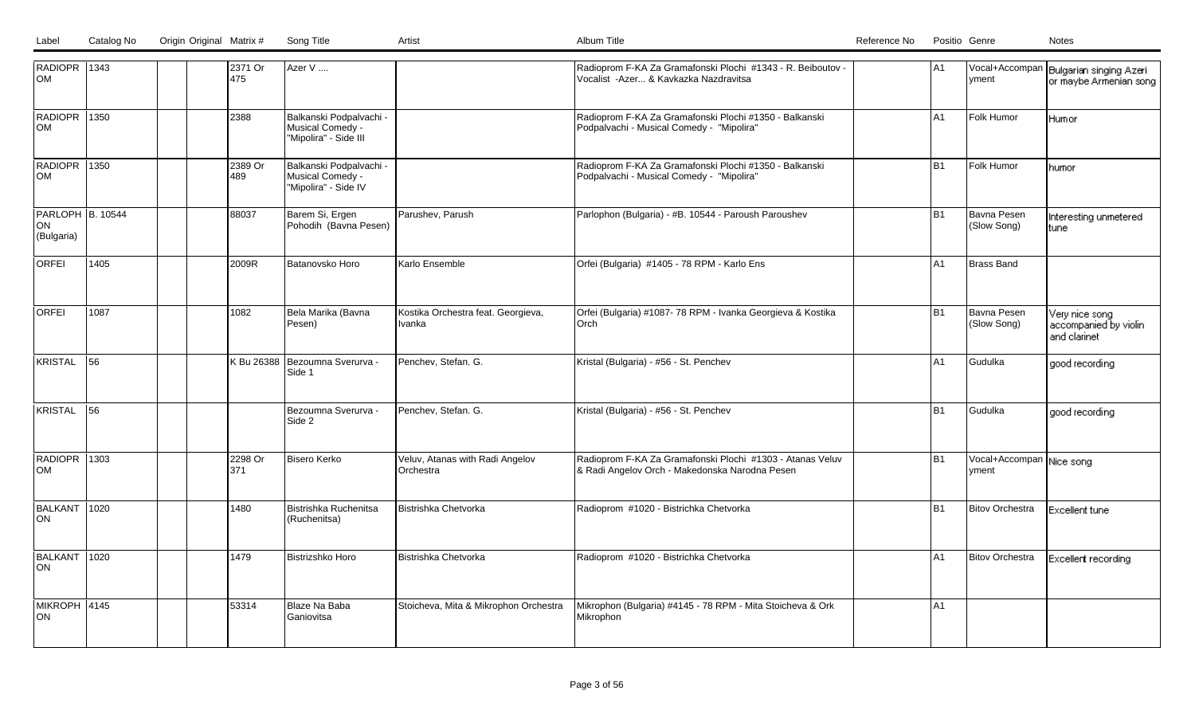| RADIOPR 1343<br>lom       |      | 2371 Or<br>475 | Azer V                                      |                                              | Radioprom F-KA Za Gramafonski Plochi #1343 - R. Beiboutov -<br>Vocalist - Azer & Kavkazka Nazdravitsa       | IA1            | Vocal+Accompan                    | Bulgarian singing Azeri                 |
|---------------------------|------|----------------|---------------------------------------------|----------------------------------------------|-------------------------------------------------------------------------------------------------------------|----------------|-----------------------------------|-----------------------------------------|
|                           |      |                |                                             |                                              |                                                                                                             |                | yment                             | or maybe Armenian song                  |
| RADIOPR 1350<br><b>OM</b> |      | 2388           | Balkanski Podpalvachi -<br>Musical Comedy - |                                              | Radioprom F-KA Za Gramafonski Plochi #1350 - Balkanski<br>Podpalvachi - Musical Comedy - "Mipolira"         | A1             | Folk Humor                        | Humor                                   |
|                           |      |                | "Mipolira" - Side III                       |                                              |                                                                                                             |                |                                   |                                         |
| RADIOPR 1350<br>lom       |      | 2389 Or<br>489 | Balkanski Podpalvachi -<br>Musical Comedy - |                                              | Radioprom F-KA Za Gramafonski Plochi #1350 - Balkanski<br>Podpalvachi - Musical Comedy - "Mipolira"         | B <sub>1</sub> | Folk Humor                        | humor                                   |
|                           |      |                | "Mipolira" - Side IV                        |                                              |                                                                                                             |                |                                   |                                         |
| PARLOPH B. 10544<br>ON    |      | 88037          | Barem Si, Ergen<br>Pohodih (Bavna Pesen)    | Parushev, Parush                             | Parlophon (Bulgaria) - #B. 10544 - Paroush Paroushev                                                        | lB1            | Bavna Pesen<br>(Slow Song)        | Interesting unmetered<br>tune           |
| (Bulgaria)                |      |                |                                             |                                              |                                                                                                             |                |                                   |                                         |
| <b>ORFEI</b>              | 1405 | 2009R          | Batanovsko Horo                             | Karlo Ensemble                               | Orfei (Bulgaria) #1405 - 78 RPM - Karlo Ens                                                                 | lA1            | <b>Brass Band</b>                 |                                         |
|                           |      |                |                                             |                                              |                                                                                                             |                |                                   |                                         |
| lorfei                    | 1087 | 1082           | Bela Marika (Bavna<br>Pesen)                | Kostika Orchestra feat. Georgieva,<br>Ivanka | Orfei (Bulgaria) #1087- 78 RPM - Ivanka Georgieva & Kostika<br>Orch                                         | l B1           | Bavna Pesen<br>(Slow Song)        | Very nice song<br>accompanied by violin |
|                           |      |                |                                             |                                              |                                                                                                             |                |                                   | and clarinet                            |
| KRISTAL                   | 56   |                | K Bu 26388   Bezoumna Sverurva -<br>Side 1  | Penchev, Stefan. G.                          | Kristal (Bulgaria) - #56 - St. Penchev                                                                      | lA1            | Gudulka                           | good recording                          |
|                           |      |                |                                             |                                              |                                                                                                             |                |                                   |                                         |
| IKRISTAL                  | 56   |                | Bezoumna Sverurva -<br>Side 2               | Penchev, Stefan. G.                          | Kristal (Bulgaria) - #56 - St. Penchev                                                                      | lB1            | Gudulka                           | good recording                          |
|                           |      |                |                                             |                                              |                                                                                                             |                |                                   |                                         |
| RADIOPR 1303<br>lOM       |      | 2298 Or<br>371 | Bisero Kerko                                | Veluv, Atanas with Radi Angelov<br>Orchestra | Radioprom F-KA Za Gramafonski Plochi #1303 - Atanas Veluv<br>& Radi Angelov Orch - Makedonska Narodna Pesen | B1             | Vocal+Accompan Nice song<br>vment |                                         |
|                           |      |                |                                             |                                              |                                                                                                             |                |                                   |                                         |
| BALKANT 1020<br>ION.      |      | 1480           | Bistrishka Ruchenitsa<br>(Ruchenitsa)       | Bistrishka Chetvorka                         | Radioprom #1020 - Bistrichka Chetvorka                                                                      | lB1            | <b>Bitov Orchestra</b>            | Excellent tune                          |
|                           |      |                |                                             |                                              |                                                                                                             |                |                                   |                                         |
| BALKANT 1020<br>ON.       |      | 1479           | Bistrizshko Horo                            | Bistrishka Chetvorka                         | Radioprom #1020 - Bistrichka Chetvorka                                                                      | IA1            | Bitov Orchestra                   | Excellent recording                     |
|                           |      |                |                                             |                                              |                                                                                                             |                |                                   |                                         |
| MIKROPH 4145<br>ION.      |      | 53314          | Blaze Na Baba<br>Ganiovitsa                 | Stoicheva, Mita & Mikrophon Orchestra        | Mikrophon (Bulgaria) #4145 - 78 RPM - Mita Stoicheva & Ork<br>Mikrophon                                     | IA1            |                                   |                                         |
|                           |      |                |                                             |                                              |                                                                                                             |                |                                   |                                         |

Catalog No Origin Original Matrix # Song Title Artist Artist Album Title Album Title Catalog No Positio Genre No Positio Genre Notes

Label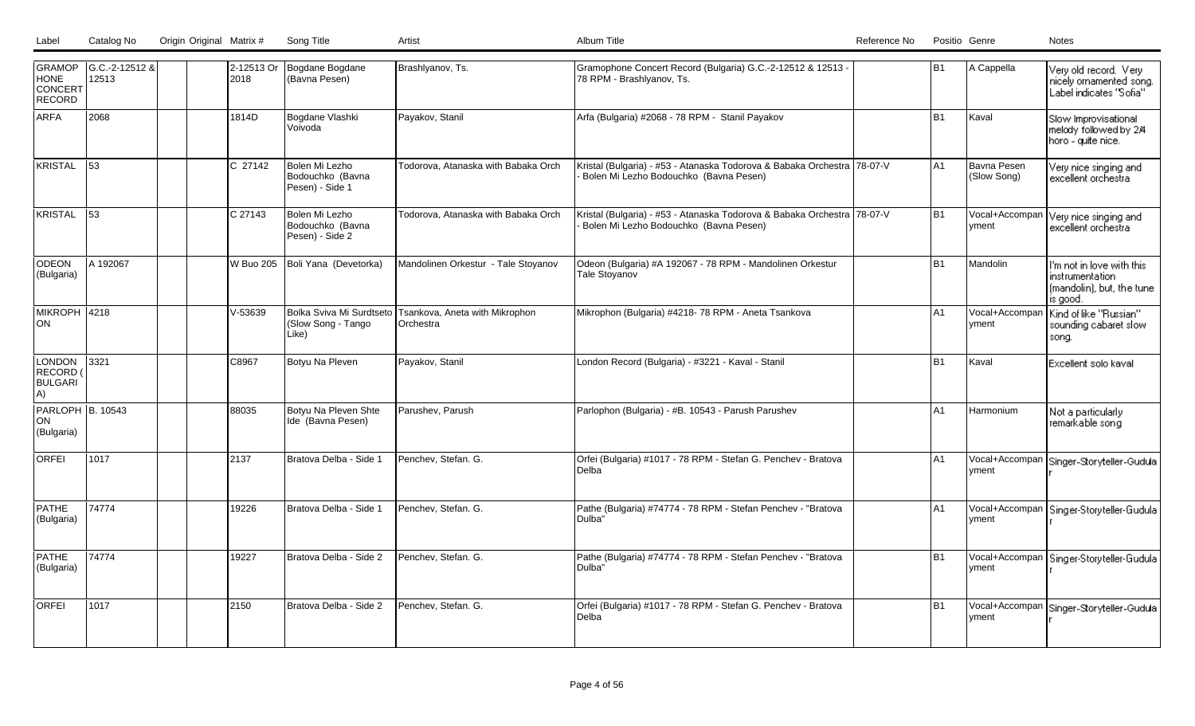| Label | Catalog No | Origin Original Matrix # | Song Title |  |
|-------|------------|--------------------------|------------|--|
|       |            |                          |            |  |

| <b>GRAMOP</b><br>HONE<br>CONCERT<br>RECORD        | G.C.-2-12512 &<br>12513 | 2018      | 2-12513 Or Bogdane Bogdane<br>(Bavna Pesen)             | Brashlyanov, Ts.                            | Gramophone Concert Record (Bulgaria) G.C.-2-12512 & 12513 -<br>78 RPM - Brashlyanov, Ts.                          | B <sub>1</sub> | A Cappella                 | Very old record. Very<br>nicely ornamented song.<br>Label indicates "Sofia"            |
|---------------------------------------------------|-------------------------|-----------|---------------------------------------------------------|---------------------------------------------|-------------------------------------------------------------------------------------------------------------------|----------------|----------------------------|----------------------------------------------------------------------------------------|
| <b>ARFA</b>                                       | 2068                    | 1814D     | Bogdane Vlashki<br>l Voivoda                            | Payakov, Stanil                             | Arfa (Bulgaria) #2068 - 78 RPM - Stanil Payakov                                                                   | B1             | Kaval                      | Slow Improvisational<br>melody followed by 2/4<br>horo - quite nice.                   |
| KRISTAL                                           | 53                      | C 27142   | Bolen Mi Lezho<br>Bodouchko (Bavna<br>Pesen) - Side 1   | Todorova, Atanaska with Babaka Orch         | Kristal (Bulgaria) - #53 - Atanaska Todorova & Babaka Orchestra 78-07-V<br>Bolen Mi Lezho Bodouchko (Bavna Pesen) | A <sub>1</sub> | Bavna Pesen<br>(Slow Song) | Very nice singing and<br>excellent orchestra                                           |
| KRISTAL                                           | 53                      | C 27143   | Bolen Mi Lezho<br>Bodouchko (Bavna<br>Pesen) - Side 2   | Todorova, Atanaska with Babaka Orch         | Kristal (Bulgaria) - #53 - Atanaska Todorova & Babaka Orchestra 78-07-V<br>Bolen Mi Lezho Bodouchko (Bavna Pesen) | l B1           | Vocal+Accompan<br>vment    | Very nice singing and<br>excellent orchestra                                           |
| <b>ODEON</b><br>(Bulgaria)                        | A 192067                | W Buo 205 | Boli Yana (Devetorka)                                   | Mandolinen Orkestur - Tale Stoyanov         | Odeon (Bulgaria) #A 192067 - 78 RPM - Mandolinen Orkestur<br><b>Tale Stoyanov</b>                                 | lB1            | Mandolin                   | I'm not in love with this<br>instrumentation.<br>(mandolin), but, the tune<br>is good. |
| MIKROPH 4218<br>lon                               |                         | $V-53639$ | Bolka Sviva Mi Surdtseto<br>(Slow Song - Tango<br>Like) | Tsankova, Aneta with Mikrophon<br>Orchestra | Mikrophon (Bulgaria) #4218-78 RPM - Aneta Tsankova                                                                | A <sub>1</sub> | Vocal+Accompan<br>yment    | Kind of like "Russian"<br>sounding cabaret slow<br>song.                               |
| <b>LONDON</b><br>RECORD (<br><b>BULGARI</b><br>A) | 3321                    | C8967     | Botyu Na Pleven                                         | Payakov, Stanil                             | London Record (Bulgaria) - #3221 - Kaval - Stanil                                                                 | B <sub>1</sub> | Kaval                      | Excellent solo kaval                                                                   |
| PARLOPH B. 10543<br>ON<br>(Bulgaria)              |                         | 88035     | Botyu Na Pleven Shte<br>Ide (Bavna Pesen)               | Parushev, Parush                            | Parlophon (Bulgaria) - #B. 10543 - Parush Parushev                                                                | A <sub>1</sub> | Harmonium                  | Not a particularly<br>remarkable song                                                  |
| <b>ORFEI</b>                                      | 1017                    | 2137      | Bratova Delba - Side 1                                  | Penchev. Stefan. G.                         | Orfei (Bulgaria) #1017 - 78 RPM - Stefan G. Penchev - Bratova<br>Delba                                            | A <sub>1</sub> | Vocal+Accompan<br>Ivment   | Singer-Storyteller-Gudula                                                              |
| PATHE<br>(Bulgaria)                               | 74774                   | 19226     | Bratova Delba - Side 1                                  | Penchev, Stefan. G.                         | Pathe (Bulgaria) #74774 - 78 RPM - Stefan Penchev - "Bratova<br>lDulba"                                           | A <sub>1</sub> | Vocal+Accompan<br>yment    | Singer-Storyteller-Gudula                                                              |
| <b>PATHE</b><br>(Bulgaria)                        | 74774                   | 19227     | Bratova Delba - Side 2                                  | Penchev, Stefan. G.                         | Pathe (Bulgaria) #74774 - 78 RPM - Stefan Penchev - "Bratova<br>lDulba"                                           | B <sub>1</sub> | Vocal+Accompan<br>Ivment   | Singer-Storyteller-Gudula                                                              |
| <b>ORFEI</b>                                      | 1017                    | 2150      | Bratova Delba - Side 2                                  | Penchev. Stefan. G.                         | Orfei (Bulgaria) #1017 - 78 RPM - Stefan G. Penchev - Bratova<br>l Delba                                          | l B1           | Vocal+Accompan<br>yment    | Singer-Storyteller-Gudula                                                              |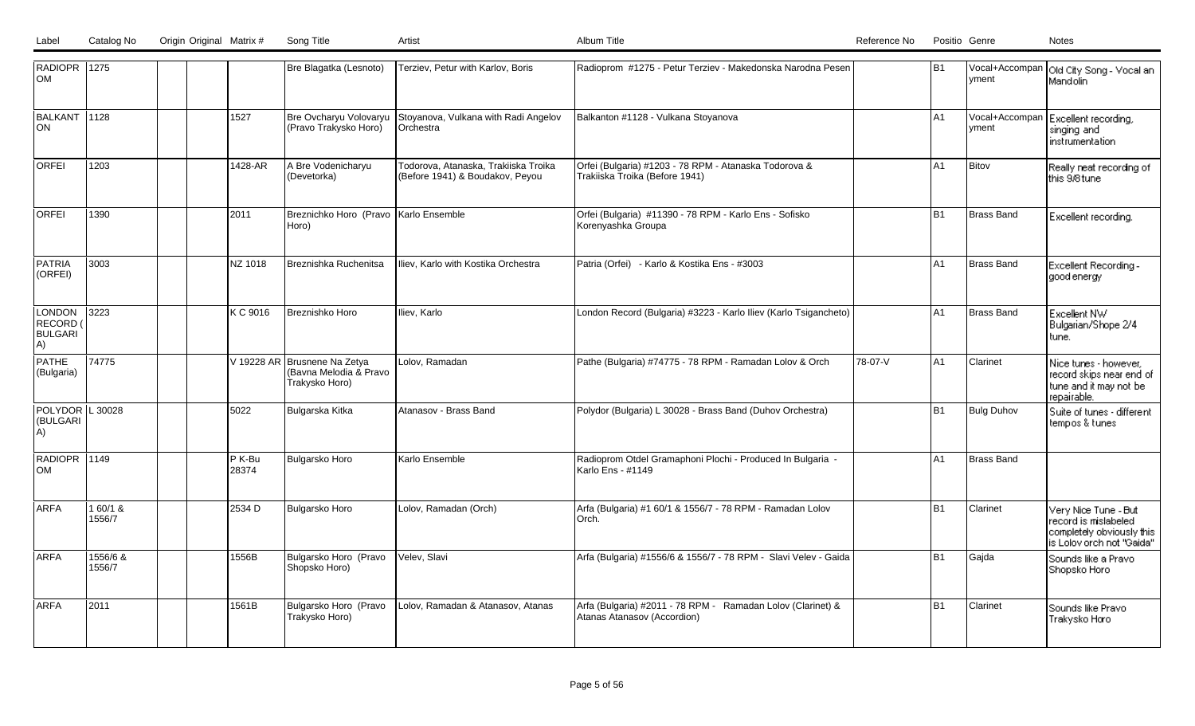| RADIOPR 1275<br><b>OM</b>           |                    |  |                 | Bre Blagatka (Lesnoto)                                                   | Terziev, Petur with Karlov, Boris                                       | Radioprom #1275 - Petur Terziev - Makedonska Narodna Pesen                                 |         | B <sub>1</sub> | Ivment                  | Vocal+Accompan   Old City Song - Vocal an<br>Mandolin                                                   |
|-------------------------------------|--------------------|--|-----------------|--------------------------------------------------------------------------|-------------------------------------------------------------------------|--------------------------------------------------------------------------------------------|---------|----------------|-------------------------|---------------------------------------------------------------------------------------------------------|
| BALKANT 1128<br>ON                  |                    |  | 1527            | Bre Ovcharyu Volovaryu<br>(Pravo Trakysko Horo)                          | Stoyanova, Vulkana with Radi Angelov<br>Orchestra                       | Balkanton #1128 - Vulkana Stoyanova                                                        |         | IA1            | Vocal+Accompan<br>vment | Excellent recording,<br>singing and<br>instrumentation.                                                 |
| <b>ORFEI</b>                        | 1203               |  | 1428-AR         | A Bre Vodenicharyu<br>(Devetorka)                                        | Todorova, Atanaska, Trakiiska Troika<br>(Before 1941) & Boudakov, Peyou | Orfei (Bulgaria) #1203 - 78 RPM - Atanaska Todorova &<br>Trakiiska Troika (Before 1941)    |         | A1             | Bitov                   | Really neat recording of<br>this 9/8 tune                                                               |
| <b>ORFEI</b>                        | 1390               |  | 2011            | Breznichko Horo (Pravo Karlo Ensemble<br>Horo)                           |                                                                         | Orfei (Bulgaria) #11390 - 78 RPM - Karlo Ens - Sofisko<br>Korenyashka Groupa               |         | B <sub>1</sub> | Brass Band              | Excellent recording.                                                                                    |
| PATRIA<br>(ORFEI)                   | 3003               |  | NZ 1018         | Breznishka Ruchenitsa                                                    | Iliev, Karlo with Kostika Orchestra                                     | Patria (Orfei) - Karlo & Kostika Ens - #3003                                               |         | A <sub>1</sub> | Brass Band              | Excellent Recording -<br>good energy                                                                    |
| LONDON<br>RECORD (<br>BULGARI<br>A) | 3223               |  | K C 9016        | Breznishko Horo                                                          | Iliev, Karlo                                                            | London Record (Bulgaria) #3223 - Karlo Iliev (Karlo Tsigancheto)                           |         | lA1            | Brass Band              | Excellent NW<br>Bulgarian/Shope 2/4<br>tune.                                                            |
| PATHE<br>(Bulgaria)                 | 74775              |  |                 | V 19228 AR Brusnene Na Zetya<br>(Bavna Melodia & Pravo<br>Trakysko Horo) | Lolov, Ramadan                                                          | Pathe (Bulgaria) #74775 - 78 RPM - Ramadan Lolov & Orch                                    | 78-07-V | lA1            | Clarinet                | Nice tunes - however,<br>record skips near end of<br>tune and it may not be<br>repairable.              |
| POLYDOR L 30028<br>(BULGARI<br>A)   |                    |  | 5022            | Bulgarska Kitka                                                          | Atanasov - Brass Band                                                   | Polydor (Bulgaria) L 30028 - Brass Band (Duhov Orchestra)                                  |         | B <sub>1</sub> | <b>Bulg Duhov</b>       | Suite of tunes - different<br>tempos & tunes                                                            |
| RADIOPR 1149<br>OM                  |                    |  | P K-Bu<br>28374 | Bulgarsko Horo                                                           | Karlo Ensemble                                                          | Radioprom Otdel Gramaphoni Plochi - Produced In Bulgaria -<br>Karlo Ens - #1149            |         | A <sub>1</sub> | Brass Band              |                                                                                                         |
| <b>ARFA</b>                         | 1 60/1 &<br>1556/7 |  | 2534 D          | Bulgarsko Horo                                                           | Lolov, Ramadan (Orch)                                                   | Arfa (Bulgaria) #1 60/1 & 1556/7 - 78 RPM - Ramadan Lolov<br>Orch.                         |         | B <sub>1</sub> | Clarinet                | Very Nice Tune - But<br>record is mislabeled.<br>completely obviously this<br>is Lolov orch not "Gaida" |
| <b>ARFA</b>                         | 1556/6 &<br>1556/7 |  | 1556B           | Bulgarsko Horo (Pravo<br>Shopsko Horo)                                   | Velev, Slavi                                                            | Arfa (Bulgaria) #1556/6 & 1556/7 - 78 RPM - Slavi Velev - Gaida                            |         | B <sub>1</sub> | Gajda                   | Sounds like a Pravo<br>Shopsko Horo                                                                     |
| <b>ARFA</b>                         | 2011               |  | 1561B           | Bulgarsko Horo (Pravo<br>Trakysko Horo)                                  | Lolov, Ramadan & Atanasov, Atanas                                       | Arfa (Bulgaria) #2011 - 78 RPM - Ramadan Lolov (Clarinet) &<br>Atanas Atanasov (Accordion) |         | B1             | Clarinet                | Sounds like Pravo<br>Trakysko Horo                                                                      |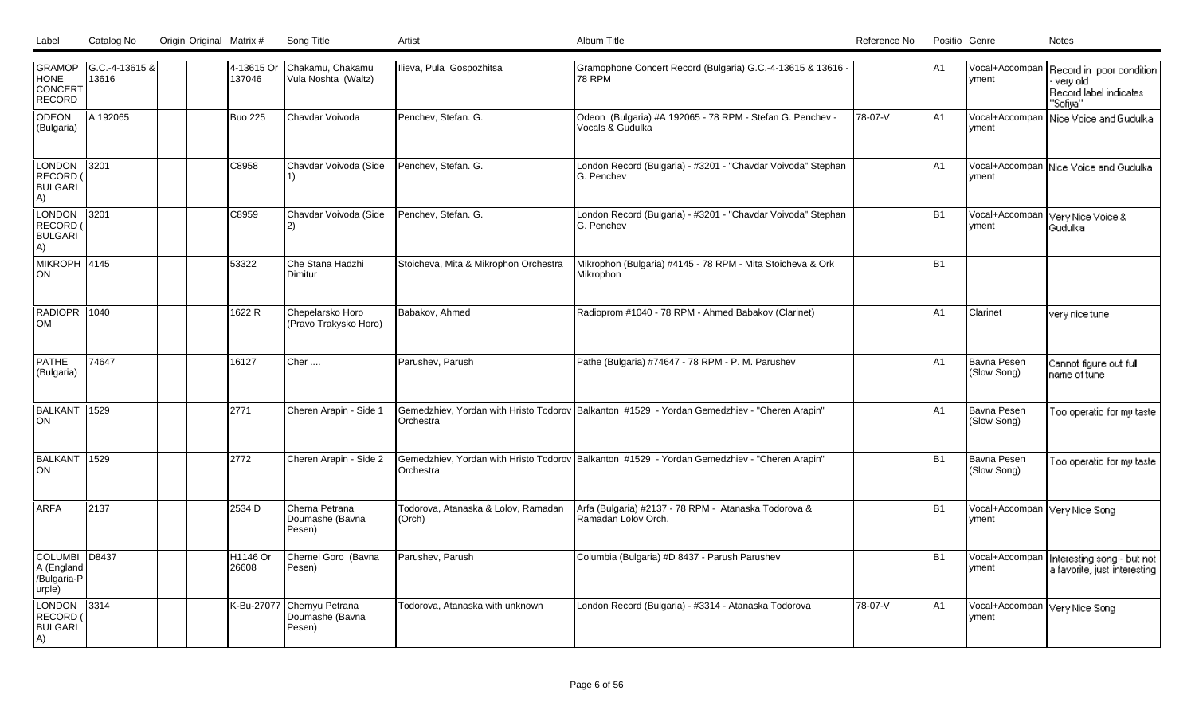| Label | Catalog No | Origin Original Matrix # Song Title |  | Album Title | Reference No | Positio Genre | Notes |
|-------|------------|-------------------------------------|--|-------------|--------------|---------------|-------|
|       |            |                                     |  |             |              |               |       |

| <b>HONE</b><br>CONCERT<br>RECORD                     | GRAMOP   G.C.-4-13615 &<br>13616 | 4-13615 Or<br>137046          | Chakamu, Chakamu<br>Vula Noshta (Waltz)      | Ilieva, Pula Gospozhitsa                      | Gramophone Concert Record (Bulgaria) G.C.-4-13615 & 13616 -<br><b>78 RPM</b>                 |         | IA1            | <b>Ivment</b>                          | Vocal+Accompan Record in poor condition<br>very old<br>Record label indicates<br>"Sofiya" |
|------------------------------------------------------|----------------------------------|-------------------------------|----------------------------------------------|-----------------------------------------------|----------------------------------------------------------------------------------------------|---------|----------------|----------------------------------------|-------------------------------------------------------------------------------------------|
| ODEON<br>(Bulgaria)                                  | A 192065                         | <b>Buo 225</b>                | Chavdar Voivoda                              | Penchev, Stefan. G.                           | Odeon (Bulgaria) #A 192065 - 78 RPM - Stefan G. Penchev -<br>Vocals & Gudulka                | 78-07-V | A1             | yment                                  | Vocal+Accompan   Nice Voice and Gudulka                                                   |
| <b>LONDON</b><br>RECORD<br><b>BULGARI</b><br>A)      | $3201$                           | C8958                         | Chavdar Voivoda (Side                        | Penchev, Stefan. G.                           | London Record (Bulgaria) - #3201 - "Chavdar Voivoda" Stephan<br><b>G. Penchev</b>            |         | A1             | vment                                  | Vocal+Accompan Nice Voice and Gudulka                                                     |
| LONDON<br>RECORD<br><b>BULGARI</b><br>A)             | 3201                             | C8959                         | Chavdar Voivoda (Side<br>$\mathbf{2}$        | Penchev, Stefan. G.                           | London Record (Bulgaria) - #3201 - "Chavdar Voivoda" Stephan<br><b>G. Penchev</b>            |         | <b>B1</b>      | yment                                  | Vocal+Accompan Very Nice Voice &<br>Gudulka.                                              |
| MIKROPH 4145<br>ON                                   |                                  | 53322                         | Che Stana Hadzhi<br>Dimitur                  | Stoicheva, Mita & Mikrophon Orchestra         | Mikrophon (Bulgaria) #4145 - 78 RPM - Mita Stoicheva & Ork<br>Mikrophon                      |         | <b>B1</b>      |                                        |                                                                                           |
| RADIOPR 1040<br>OM                                   |                                  | 1622 R                        | Chepelarsko Horo<br>(Pravo Trakysko Horo)    | Babakov, Ahmed                                | Radioprom #1040 - 78 RPM - Ahmed Babakov (Clarinet)                                          |         | A1             | Clarinet                               | very nice tune.                                                                           |
| <b>PATHE</b><br>(Bulgaria)                           | 74647                            | 16127                         | Cher                                         | Parushev, Parush                              | Pathe (Bulgaria) #74647 - 78 RPM - P. M. Parushev                                            |         | A <sub>1</sub> | Bavna Pesen<br>(Slow Song)             | Cannot figure out full<br>name of tune                                                    |
| BALKANT<br><b>ON</b>                                 | 1529                             | 2771                          | Cheren Arapin - Side 1                       | Orchestra                                     | Gemedzhiev, Yordan with Hristo Todorov Balkanton #1529 - Yordan Gemedzhiev - "Cheren Arapin" |         | A1             | Bavna Pesen<br>(Slow Song)             | Too operatic for my taste                                                                 |
| BALKANT 1529<br>ON                                   |                                  | 2772                          | Cheren Arapin - Side 2                       | Orchestra                                     | Gemedzhiev, Yordan with Hristo Todorov Balkanton #1529 - Yordan Gemedzhiev - "Cheren Arapin" |         | <b>B1</b>      | Bavna Pesen<br>(Slow Song)             | Too operatic for my taste                                                                 |
| <b>ARFA</b>                                          | 2137                             | 2534 D                        | Cherna Petrana<br>Doumashe (Bavna<br>Pesen)  | Todorova, Atanaska & Lolov, Ramadan<br>(Orch) | Arfa (Bulgaria) #2137 - 78 RPM - Atanaska Todorova &<br>Ramadan Lolov Orch.                  |         | <b>B1</b>      | Vocal+Accompan Very Nice Song<br>vment |                                                                                           |
| COLUMBI D8437<br>A (England<br>/Bulgaria-P<br>urple) |                                  | H <sub>1146</sub> Or<br>26608 | Chernei Goro (Bavna<br>Pesen)                | Parushev, Parush                              | Columbia (Bulgaria) #D 8437 - Parush Parushev                                                |         | <b>B1</b>      | Vocal+Accompan<br>yment                | Interesting song - but not<br>a favorite, just interesting                                |
| LONDON<br><b>RECORD</b><br><b>BULGARI</b><br>A)      | $ 3314\rangle$                   | K-Bu-27077                    | Chernyu Petrana<br>Doumashe (Bavna<br>Pesen) | Todorova, Atanaska with unknown               | London Record (Bulgaria) - #3314 - Atanaska Todorova                                         | 78-07-V | A1             | Vocal+Accompan Very Nice Song<br>vment |                                                                                           |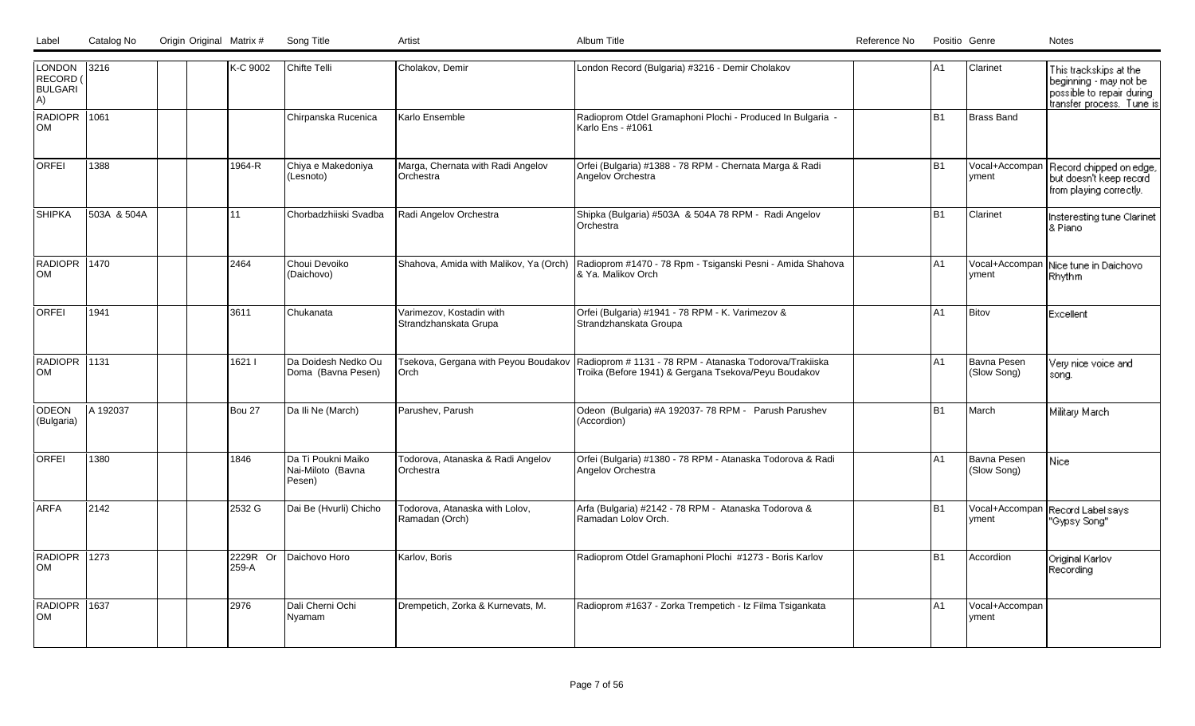| LONDON<br>RECORD (<br><b>BULGARI</b><br>A) | 3216        |  | K-C 9002          | Chifte Telli                                      | Cholakov, Demir                                   | London Record (Bulgaria) #3216 - Demir Cholakov                                                                                                        | lA1            | Clarinet                   | This trackskips at the<br>beginning - may not be<br>possible to repair during<br>transfer process. Tune is |
|--------------------------------------------|-------------|--|-------------------|---------------------------------------------------|---------------------------------------------------|--------------------------------------------------------------------------------------------------------------------------------------------------------|----------------|----------------------------|------------------------------------------------------------------------------------------------------------|
| RADIOPR 1061<br>lom                        |             |  |                   | Chirpanska Rucenica                               | Karlo Ensemble                                    | Radioprom Otdel Gramaphoni Plochi - Produced In Bulgaria -<br>Karlo Ens - #1061                                                                        | B1             | <b>Brass Band</b>          |                                                                                                            |
| <b>ORFEI</b>                               | 1388        |  | 1964-R            | Chiya e Makedoniya<br>(Lesnoto)                   | Marga, Chernata with Radi Angelov<br>Orchestra    | Orfei (Bulgaria) #1388 - 78 RPM - Chernata Marga & Radi<br>Angelov Orchestra                                                                           | B <sub>1</sub> | Vocal+Accompan<br>yment    | Record chipped on edge,<br>but doesn't keep record<br>from playing correctly.                              |
| <b>SHIPKA</b>                              | 503A & 504A |  | 11                | Chorbadzhiiski Svadba                             | Radi Angelov Orchestra                            | Shipka (Bulgaria) #503A & 504A 78 RPM - Radi Angelov<br><b>Orchestra</b>                                                                               | B <sub>1</sub> | Clarinet                   | Insteresting tune Clarinet<br>& Piano                                                                      |
| RADIOPR 1470<br>lom                        |             |  | 2464              | Choui Devoiko<br>(Daichovo)                       | Shahova, Amida with Malikov, Ya (Orch)            | Radioprom #1470 - 78 Rpm - Tsiganski Pesni - Amida Shahova<br>I& Ya. Malikov Orch                                                                      | lA1            | Vocal+Accompan<br>vment    | Nice tune in Daichovo<br>Rhythm                                                                            |
| <b>ORFEI</b>                               | 1941        |  | 3611              | Chukanata                                         | Varimezov, Kostadin with<br>Strandzhanskata Grupa | Orfei (Bulgaria) #1941 - 78 RPM - K. Varimezov &<br>Strandzhanskata Groupa                                                                             | lA1            | Bitov                      | Excellent                                                                                                  |
| <b>RADIOPR 1131</b><br><b>OM</b>           |             |  | 1621              | Da Doidesh Nedko Ou<br>Doma (Bavna Pesen)         | Orch                                              | Tsekova, Gergana with Peyou Boudakov   Radioprom # 1131 - 78 RPM - Atanaska Todorova/Trakiiska<br>Troika (Before 1941) & Gergana Tsekova/Peyu Boudakov | A <sub>1</sub> | Bavna Pesen<br>(Slow Song) | Very nice voice and<br>song.                                                                               |
| ODEON<br>(Bulgaria)                        | A 192037    |  | Bou 27            | Da Ili Ne (March)                                 | Parushev, Parush                                  | Odeon (Bulgaria) #A 192037-78 RPM - Parush Parushev<br>(Accordion)                                                                                     | B <sub>1</sub> | March                      | Military March                                                                                             |
| lorfei                                     | 1380        |  | 1846              | Da Ti Poukni Maiko<br>Nai-Miloto (Bavna<br>Pesen) | Todorova, Atanaska & Radi Angelov<br>Orchestra    | Orfei (Bulgaria) #1380 - 78 RPM - Atanaska Todorova & Radi<br>Angelov Orchestra                                                                        | lA1            | Bavna Pesen<br>(Slow Song) | Nice                                                                                                       |
| <b>ARFA</b>                                | 2142        |  | 2532 G            | Dai Be (Hvurli) Chicho                            | Todorova, Atanaska with Lolov,<br>Ramadan (Orch)  | Arfa (Bulgaria) #2142 - 78 RPM - Atanaska Todorova &<br>Ramadan Lolov Orch.                                                                            | B <sub>1</sub> | Vocal+Accompan<br>yment    | Record Label says<br>"Gypsy Song"                                                                          |
| RADIOPR 1273<br>lom                        |             |  | 2229R Or<br>259-A | Daichovo Horo                                     | Karlov, Boris                                     | Radioprom Otdel Gramaphoni Plochi #1273 - Boris Karlov                                                                                                 | B1             | Accordion                  | Original Karlov<br>Recording                                                                               |
| RADIOPR 1637<br>lOM                        |             |  | 2976              | Dali Cherni Ochi<br>Nyamam                        | Drempetich, Zorka & Kurnevats, M.                 | Radioprom #1637 - Zorka Trempetich - Iz Filma Tsigankata                                                                                               | A1             | Vocal+Accompan<br>yment    |                                                                                                            |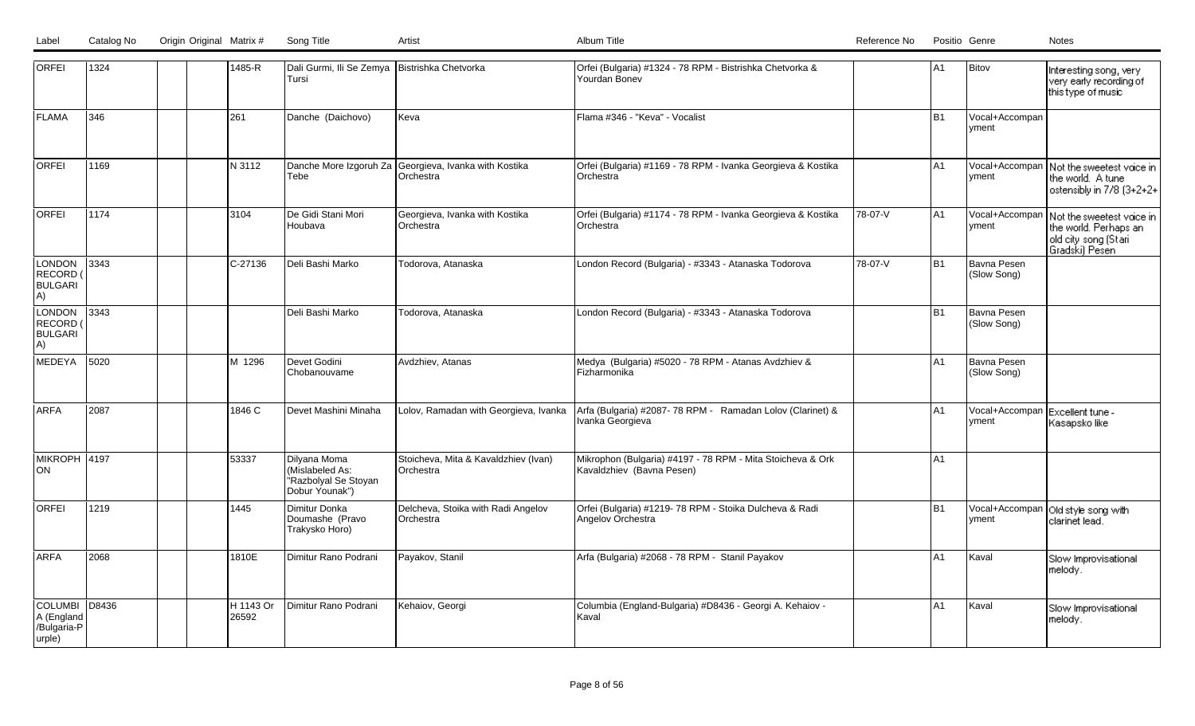| Label | Catalog No | Origin Original Matrix # | Song Title |  |
|-------|------------|--------------------------|------------|--|
|       |            |                          |            |  |

| <b>ORFEI</b>                                           | 1324  | 1485-R             | Dali Gurmi, Ili Se Zemya   Bistrishka Chetvorka<br><b>Tursi</b>           |                                                                    | Orfei (Bulgaria) #1324 - 78 RPM - Bistrishka Chetvorka &<br>Yourdan Bonev               |         | A <sub>1</sub> | Bitov                                    | Interesting song, very<br>very early recording of<br>this type of music                                           |
|--------------------------------------------------------|-------|--------------------|---------------------------------------------------------------------------|--------------------------------------------------------------------|-----------------------------------------------------------------------------------------|---------|----------------|------------------------------------------|-------------------------------------------------------------------------------------------------------------------|
| <b>FLAMA</b>                                           | 346   | 261                | Danche (Daichovo)                                                         | Keva                                                               | Flama #346 - "Keva" - Vocalist                                                          |         | <b>B1</b>      | Vocal+Accompan<br>yment                  |                                                                                                                   |
| <b>ORFEI</b>                                           | 1169  | N 3112             | Tebe                                                                      | Danche More Izgoruh Za Georgieva, Ivanka with Kostika<br>Orchestra | Orfei (Bulgaria) #1169 - 78 RPM - Ivanka Georgieva & Kostika<br>Orchestra               |         | A1             | yment                                    | Vocal+Accompan   Not the sweetest voice in<br>the world. A tune<br>ostensibly in 7/8 (3+2+2+                      |
| <b>ORFEI</b>                                           | 1174  | 3104               | De Gidi Stani Mori<br>Houbava                                             | Georgieva, Ivanka with Kostika<br>Orchestra                        | Orfei (Bulgaria) #1174 - 78 RPM - Ivanka Georgieva & Kostika<br>Orchestra               | 78-07-V | lA1            | yment                                    | Vocal+Accompan   Not the sweetest voice in<br>the world. Perhaps an<br>  old city song (Stari<br>  Gradski) Pesen |
| <b>LONDON</b><br>RECORD (<br><b>BULGARI</b><br>A)      | 3343  | $C-27136$          | Deli Bashi Marko                                                          | Todorova, Atanaska                                                 | London Record (Bulgaria) - #3343 - Atanaska Todorova                                    | 78-07-V | <b>B1</b>      | Bavna Pesen<br>(Slow Song)               |                                                                                                                   |
| <b>LONDON</b><br><b>RECORD</b><br><b>BULGARI</b><br>A) | 3343  |                    | Deli Bashi Marko                                                          | Todorova, Atanaska                                                 | London Record (Bulgaria) - #3343 - Atanaska Todorova                                    |         | <b>B1</b>      | Bavna Pesen<br>(Slow Song)               |                                                                                                                   |
| MEDEYA                                                 | 5020  | M 1296             | Devet Godini<br>Chobanouvame                                              | Avdzhiev, Atanas                                                   | Medya (Bulgaria) #5020 - 78 RPM - Atanas Avdzhiev &<br>Fizharmonika                     |         | A1             | Bavna Pesen<br>(Slow Song)               |                                                                                                                   |
| <b>ARFA</b>                                            | 2087  | 1846 C             | Devet Mashini Minaha                                                      | Lolov, Ramadan with Georgieva, Ivanka                              | Arfa (Bulgaria) #2087-78 RPM - Ramadan Lolov (Clarinet) &<br>Ivanka Georgieva           |         | A1             | Vocal+Accompan Excellent tune -<br>yment | Kasapsko like                                                                                                     |
| MIKROPH 4197<br>lon                                    |       | 53337              | Dilyana Moma<br>(Mislabeled As:<br>"Razbolyal Se Stoyan<br>Dobur Younak") | Stoicheva, Mita & Kavaldzhiev (Ivan)<br>Orchestra                  | Mikrophon (Bulgaria) #4197 - 78 RPM - Mita Stoicheva & Ork<br>Kavaldzhiev (Bavna Pesen) |         | A1             |                                          |                                                                                                                   |
| <b>ORFEI</b>                                           | 1219  | 1445               | Dimitur Donka<br>Doumashe (Pravo<br>Trakysko Horo)                        | Delcheva, Stoika with Radi Angelov<br>Orchestra                    | Orfei (Bulgaria) #1219- 78 RPM - Stoika Dulcheva & Radi<br>Angelov Orchestra            |         | <b>B1</b>      | yment                                    | Vocal+Accompan   Old style song with<br>clarinet lead.                                                            |
| <b>ARFA</b>                                            | 2068  | 1810E              | Dimitur Rano Podrani                                                      | Payakov, Stanil                                                    | Arfa (Bulgaria) #2068 - 78 RPM - Stanil Payakov                                         |         | A1             | Kaval                                    | Slow Improvisational<br>melody.                                                                                   |
| <b>COLUMBI</b><br>A (England<br>/Bulgaria-P<br>urple)  | D8436 | H 1143 Or<br>26592 | Dimitur Rano Podrani                                                      | Kehaiov, Georgi                                                    | Columbia (England-Bulgaria) #D8436 - Georgi A. Kehaiov -<br>Kaval                       |         | A1             | Kaval                                    | Slow Improvisational<br>melody.                                                                                   |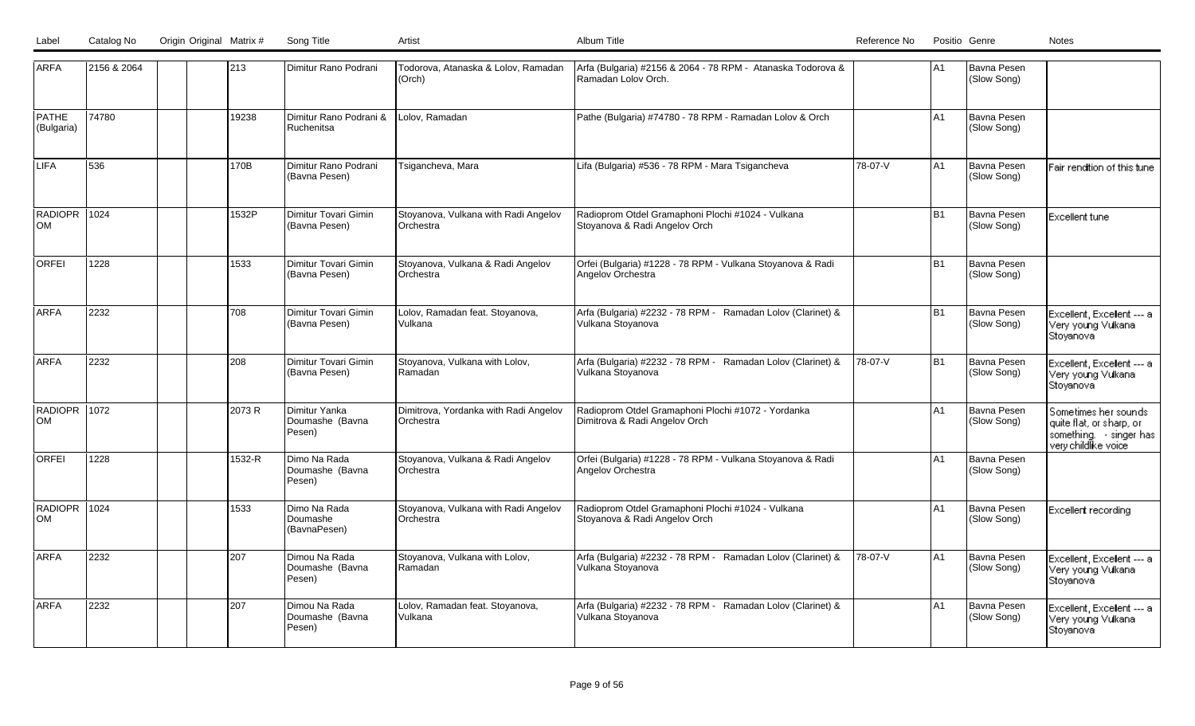| <b>ARFA</b>               | 2156 & 2064 |  | 213    | Dimitur Rano Podrani                       | Todorova, Atanaska & Lolov, Ramadan<br>(Orch)            | Arfa (Bulgaria) #2156 & 2064 - 78 RPM - Atanaska Todorova &<br>Ramadan Lolov Orch.  |         | lA1            | Bavna Pesen<br>(Slow Song) |                                                                                                   |
|---------------------------|-------------|--|--------|--------------------------------------------|----------------------------------------------------------|-------------------------------------------------------------------------------------|---------|----------------|----------------------------|---------------------------------------------------------------------------------------------------|
| PATHE<br>(Bulgaria)       | 74780       |  | 19238  | Dimitur Rano Podrani &<br>Ruchenitsa       | Lolov, Ramadan                                           | Pathe (Bulgaria) #74780 - 78 RPM - Ramadan Lolov & Orch                             |         | A1             | Bavna Pesen<br>(Slow Song) |                                                                                                   |
| LIFA                      | 536         |  | 170B   | Dimitur Rano Podrani<br>(Bavna Pesen)      | Tsigancheva, Mara                                        | Lifa (Bulgaria) #536 - 78 RPM - Mara Tsigancheva                                    | 78-07-V | A1             | Bavna Pesen<br>(Slow Song) | Fair rendition of this tune                                                                       |
| RADIOPR 1024<br><b>OM</b> |             |  | 1532P  | Dimitur Tovari Gimin<br>(Bavna Pesen)      | Stoyanova, Vulkana with Radi Angelov<br><b>Orchestra</b> | Radioprom Otdel Gramaphoni Plochi #1024 - Vulkana<br>Stoyanova & Radi Angelov Orch  |         | B <sub>1</sub> | Bavna Pesen<br>(Slow Song) | Excellent tune                                                                                    |
| <b>ORFEI</b>              | 1228        |  | 1533   | Dimitur Tovari Gimin<br>(Bavna Pesen)      | Stoyanova, Vulkana & Radi Angelov<br>Orchestra           | Orfei (Bulgaria) #1228 - 78 RPM - Vulkana Stoyanova & Radi<br>Angelov Orchestra     |         | B <sub>1</sub> | Bavna Pesen<br>(Slow Song) |                                                                                                   |
| <b>ARFA</b>               | 2232        |  | 1708   | Dimitur Tovari Gimin<br>(Bavna Pesen)      | Lolov, Ramadan feat. Stoyanova,<br>Vulkana               | Arfa (Bulgaria) #2232 - 78 RPM - Ramadan Lolov (Clarinet) &<br>Vulkana Stoyanova    |         | B <sub>1</sub> | Bavna Pesen<br>(Slow Song) | Excellent, Excellent --- a<br>Very young Vulkana<br>Stoyanova                                     |
| <b>ARFA</b>               | 2232        |  | 1208   | Dimitur Tovari Gimin<br>(Bavna Pesen)      | Stoyanova, Vulkana with Lolov,<br><b>IRamadan</b>        | Arfa (Bulgaria) #2232 - 78 RPM - Ramadan Lolov (Clarinet) &<br>Vulkana Stoyanova    | 78-07-V | <b>B1</b>      | Bavna Pesen<br>(Slow Song) | Excellent, Excellent --- a<br>Very young Vulkana<br>Stoyanova                                     |
| RADIOPR 1072<br><b>OM</b> |             |  | 2073 R | Dimitur Yanka<br>Doumashe (Bavna<br>Pesen) | Dimitrova, Yordanka with Radi Angelov<br>IOrchestra      | Radioprom Otdel Gramaphoni Plochi #1072 - Yordanka<br>Dimitrova & Radi Angelov Orch |         | A1             | Bavna Pesen<br>(Slow Song) | Sometimes her sounds<br>quite flat, or sharp, or<br>something. singer has<br>very childlike voice |
| ORFEI                     | 1228        |  | 1532-R | Dimo Na Rada<br>Doumashe (Bavna<br>Pesen)  | Stoyanova, Vulkana & Radi Angelov<br><b>Orchestra</b>    | Orfei (Bulgaria) #1228 - 78 RPM - Vulkana Stoyanova & Radi<br>Angelov Orchestra     |         | A1             | Bavna Pesen<br>(Slow Song) |                                                                                                   |
| RADIOPR 1024<br><b>OM</b> |             |  | 1533   | Dimo Na Rada<br>Doumashe<br>(BavnaPesen)   | Stoyanova, Vulkana with Radi Angelov<br>Orchestra        | Radioprom Otdel Gramaphoni Plochi #1024 - Vulkana<br>Stoyanova & Radi Angelov Orch  |         | A1             | Bavna Pesen<br>(Slow Song) | Excellent recording                                                                               |
| ARFA                      | 2232        |  | 207    | Dimou Na Rada<br>Doumashe (Bavna<br>Pesen) | Stoyanova, Vulkana with Lolov,<br><b>Ramadan</b>         | Arfa (Bulgaria) #2232 - 78 RPM - Ramadan Lolov (Clarinet) &<br>Vulkana Stoyanova    | 78-07-V | A1             | Bavna Pesen<br>(Slow Song) | Excellent, Excellent --- a<br>Very young Vulkana.<br>Stoyanova                                    |
| <b>ARFA</b>               | 2232        |  | 207    | Dimou Na Rada<br>Doumashe (Bavna<br>Pesen) | Lolov, Ramadan feat. Stoyanova,<br>Vulkana               | Arfa (Bulgaria) #2232 - 78 RPM - Ramadan Lolov (Clarinet) &<br>Vulkana Stoyanova    |         | A1             | Bavna Pesen<br>(Slow Song) | Excellent, Excellent --- a<br>Very young Vulkana<br>Stoyanova                                     |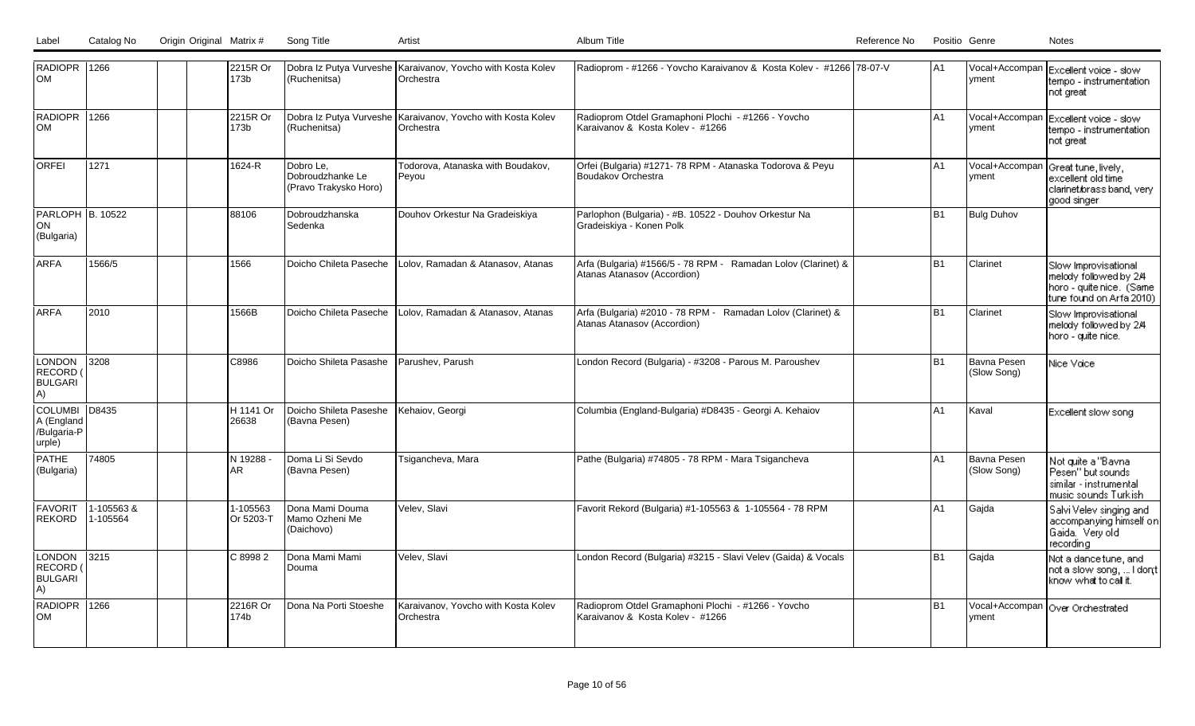| RADIOPR 1266<br>lом                                    |                        | 2215R Or<br>173b       | (Ruchenitsa)                                           | Dobra Iz Putya Vurveshe Karaivanov, Yovcho with Kosta Kolev<br>Orchestra | Radioprom - #1266 - Yovcho Karaivanov & Kosta Kolev - #1266 78-07-V                          | IA1             | Ivment                     | Vocal+Accompan Excellent voice - slow<br>tempo - instrumentation<br>not great                          |
|--------------------------------------------------------|------------------------|------------------------|--------------------------------------------------------|--------------------------------------------------------------------------|----------------------------------------------------------------------------------------------|-----------------|----------------------------|--------------------------------------------------------------------------------------------------------|
| RADIOPR<br><b>OM</b>                                   | 1266                   | 2215R Or<br>173b       | (Ruchenitsa)                                           | Dobra Iz Putya Vurveshe Karaivanov, Yovcho with Kosta Kolev<br>Orchestra | Radioprom Otdel Gramaphoni Plochi - #1266 - Yovcho<br>Karaivanov & Kosta Kolev - #1266       | A1              | Vocal+Accompan<br> vment   | Excellent voice - slow<br>tempo - instrumentation<br>not great                                         |
| <b>ORFEI</b>                                           | 1271                   | 1624-R                 | Dobro Le.<br>Dobroudzhanke Le<br>(Pravo Trakysko Horo) | Todorova, Atanaska with Boudakov,<br>Peyou                               | Orfei (Bulgaria) #1271-78 RPM - Atanaska Todorova & Peyu<br>Boudakov Orchestra               | lA1             | Vocal+Accompan<br> vment   | Great tune, lively,<br>excellent old time<br>clarinet.brass.band, very<br>good singer                  |
| PARLOPH B. 10522<br>ON<br>(Bulgaria)                   |                        | 88106                  | Dobroudzhanska<br>Sedenka                              | Douhov Orkestur Na Gradeiskiya                                           | Parlophon (Bulgaria) - #B. 10522 - Douhov Orkestur Na<br>Gradeiskiya - Konen Polk            | lB <sub>1</sub> | <b>Bulg Duhov</b>          |                                                                                                        |
| <b>ARFA</b>                                            | 1566/5                 | 1566                   | Doicho Chileta Paseche                                 | Lolov, Ramadan & Atanasov, Atanas                                        | Arfa (Bulgaria) #1566/5 - 78 RPM - Ramadan Lolov (Clarinet) &<br>Atanas Atanasov (Accordion) | IB <sub>1</sub> | Clarinet                   | Slow Improvisational<br>melody followed by 2/4<br>horo - quite nice. (Same<br>tune found on Arfa 2010) |
| <b>ARFA</b>                                            | 2010                   | 1566B                  | Doicho Chileta Paseche                                 | Lolov, Ramadan & Atanasov, Atanas                                        | Arfa (Bulgaria) #2010 - 78 RPM - Ramadan Lolov (Clarinet) &<br>Atanas Atanasov (Accordion)   | IB1             | <b>Clarinet</b>            | Slow Improvisational<br>melody followed by 2/4<br>horo - quite nice.                                   |
| <b>LONDON</b><br>RECORD<br><b>BULGARI</b><br>A)        | 3208                   | C8986                  | Doicho Shileta Pasashe                                 | Parushev, Parush                                                         | London Record (Bulgaria) - #3208 - Parous M. Paroushev                                       | lB1             | Bavna Pesen<br>(Slow Song) | Nice Voice                                                                                             |
| COLUMBI D8435<br>A (England<br>/Bulgaria-P<br>urple)   |                        | 1H 1141 Or<br>26638    | Doicho Shileta Paseshe<br>(Bavna Pesen)                | Kehaiov, Georgi                                                          | Columbia (England-Bulgaria) #D8435 - Georgi A. Kehaiov                                       | A1              | Kaval                      | Excellent slow song                                                                                    |
| <b>PATHE</b><br>(Bulgaria)                             | 74805                  | N 19288 -<br> AR       | Doma Li Si Sevdo<br>(Bavna Pesen)                      | Tsigancheva, Mara                                                        | Pathe (Bulgaria) #74805 - 78 RPM - Mara Tsigancheva                                          | lA1             | Bavna Pesen<br>(Slow Song) | Not quite a "Bavna<br>Pesen" but sounds<br>similar - instrumental<br>music sounds Turkish              |
| FAVORIT<br><b>REKORD</b>                               | 1-105563 &<br>1-105564 | 1-105563<br>IOr 5203-T | Dona Mami Douma<br>lMamo Ozheni Me<br>(Daichovo)       | Velev. Slavi                                                             | Favorit Rekord (Bulgaria) #1-105563 & 1-105564 - 78 RPM                                      | lA1             | Gajda                      | Salvi Velev singing and<br>accompanying himself on<br>Gaida. Very old<br>recording                     |
| <b>LONDON</b><br><b>RECORD</b><br><b>BULGARI</b><br>A) | 3215                   | C 8998 2               | Dona Mami Mami<br>Douma                                | Velev, Slavi                                                             | London Record (Bulgaria) #3215 - Slavi Velev (Gaida) & Vocals                                | lB1             | Gajda                      | Not a dance tune, and<br>not a slow song,  I dont<br>know what to call it.                             |
| RADIOPR 1266<br><b>OM</b>                              |                        | 2216R Or<br>174b       | Dona Na Porti Stoeshe                                  | Karaivanov, Yovcho with Kosta Kolev<br>Orchestra                         | Radioprom Otdel Gramaphoni Plochi - #1266 - Yovcho<br>Karaivanov & Kosta Kolev - #1266       | lB1             | Ivment                     | Vocal+Accompan   Over Orchestrated                                                                     |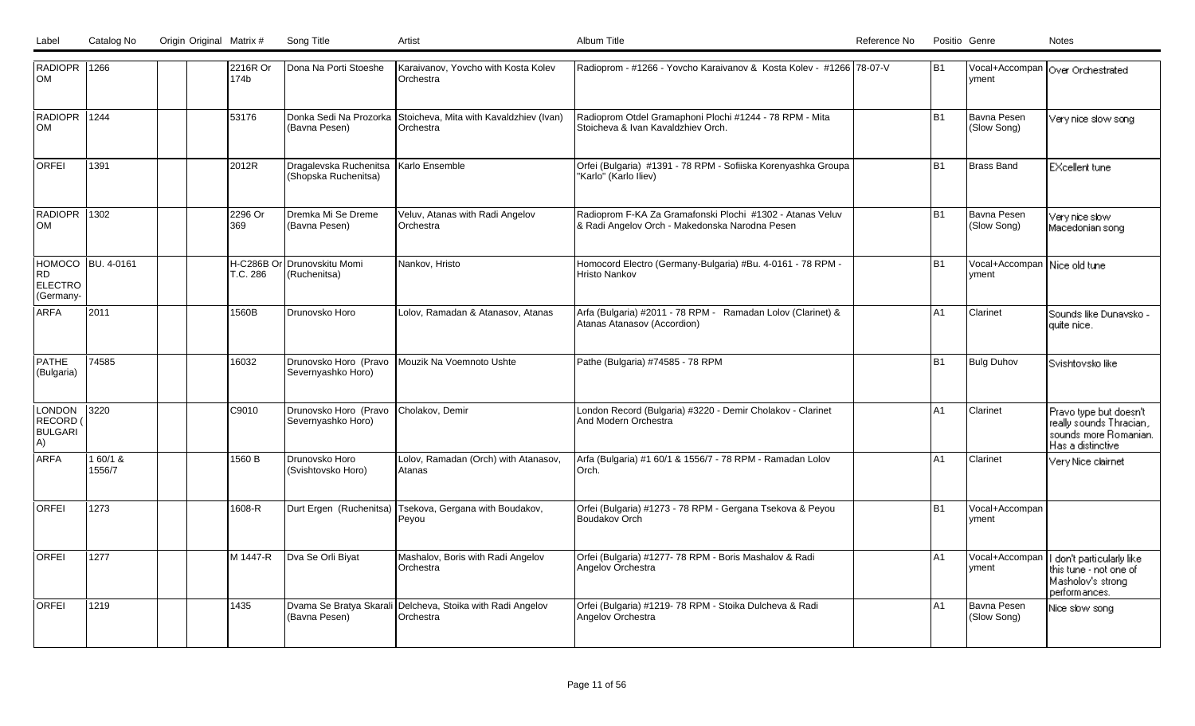| RADIOPR 1266<br>Іом                               |                    |  | 2216R Or<br>174b | Dona Na Porti Stoeshe                          | Karaivanov, Yovcho with Kosta Kolev<br>Orchestra     | Radioprom - #1266 - Yovcho Karaivanov & Kosta Kolev - #1266 78-07-V                                         | lB1            | Ivment                                        | Vocal+Accompan   Over Orchestrated                                                              |
|---------------------------------------------------|--------------------|--|------------------|------------------------------------------------|------------------------------------------------------|-------------------------------------------------------------------------------------------------------------|----------------|-----------------------------------------------|-------------------------------------------------------------------------------------------------|
| RADIOPR 1244<br>lом                               |                    |  | 53176            | Donka Sedi Na Prozorka<br>(Bavna Pesen)        | Stoicheva, Mita with Kavaldzhiev (Ivan)<br>Orchestra | Radioprom Otdel Gramaphoni Plochi #1244 - 78 RPM - Mita<br>Stoicheva & Ivan Kavaldzhiev Orch.               | <b>B1</b>      | Bavna Pesen<br>(Slow Song)                    | Very nice slow song                                                                             |
| <b>ORFEI</b>                                      | 1391               |  | 2012R            | Dragalevska Ruchenitsa<br>(Shopska Ruchenitsa) | Karlo Ensemble                                       | Orfei (Bulgaria) #1391 - 78 RPM - Sofiiska Korenyashka Groupa<br>"Karlo" (Karlo Iliev)                      | <b>B1</b>      | Brass Band                                    | <b>EXcellent tune</b>                                                                           |
| RADIOPR<br><b>OM</b>                              | 1302               |  | 2296 Or<br>369   | Dremka Mi Se Dreme<br>(Bavna Pesen)            | Veluv, Atanas with Radi Angelov<br>Orchestra         | Radioprom F-KA Za Gramafonski Plochi #1302 - Atanas Veluv<br>& Radi Angelov Orch - Makedonska Narodna Pesen | <b>B1</b>      | Bavna Pesen<br>(Slow Song)                    | Very nice slow-<br>Macedonian song                                                              |
| HOMOCO  BU. 4-0161<br>RD<br>ELECTRO<br>(Germany-  |                    |  | T.C. 286         | H-C286B Or Drunovskitu Momi<br>(Ruchenitsa)    | Nankov, Hristo                                       | Homocord Electro (Germany-Bulgaria) #Bu. 4-0161 - 78 RPM -<br>Hristo Nankov                                 | <b>B1</b>      | Vocal+Accompan Nice old tune<br><b>Ivment</b> |                                                                                                 |
| <b>ARFA</b>                                       | 2011               |  | 1560B            | Drunovsko Horo                                 | Lolov, Ramadan & Atanasov, Atanas                    | Arfa (Bulgaria) #2011 - 78 RPM - Ramadan Lolov (Clarinet) &<br>Atanas Atanasov (Accordion)                  | A1             | Clarinet                                      | Sounds like Dunavsko -<br>quite nice.                                                           |
| PATHE<br>(Bulgaria)                               | 74585              |  | 16032            | Drunovsko Horo (Pravo<br>Severnyashko Horo)    | Mouzik Na Voemnoto Ushte                             | Pathe (Bulgaria) #74585 - 78 RPM                                                                            | <b>B1</b>      | Bulg Duhov                                    | Svishtovsko like                                                                                |
| <b>LONDON</b><br>RECORD (<br><b>BULGARI</b><br>A) | 3220               |  | C9010            | Drunovsko Horo (Pravo<br>Severnyashko Horo)    | Cholakov, Demir                                      | London Record (Bulgaria) #3220 - Demir Cholakov - Clarinet<br>And Modern Orchestra                          | A <sub>1</sub> | Clarinet                                      | Pravo type but doesn't<br>really sounds Thracian,<br>sounds more Romanian.<br>Has a distinctive |
| ARFA                                              | 1 60/1 &<br>1556/7 |  | 1560 B           | Drunovsko Horo<br>(Svishtovsko Horo)           | Lolov, Ramadan (Orch) with Atanasov,<br>Atanas       | Arfa (Bulgaria) #1 60/1 & 1556/7 - 78 RPM - Ramadan Lolov<br>Orch.                                          | A <sub>1</sub> | Clarinet                                      | Very Nice clairnet                                                                              |
| <b>ORFEI</b>                                      | 1273               |  | 1608-R           | Durt Ergen (Ruchenitsa)                        | Tsekova, Gergana with Boudakov,<br>Peyou             | Orfei (Bulgaria) #1273 - 78 RPM - Gergana Tsekova & Peyou<br><b>Boudakov Orch</b>                           | <b>B1</b>      | Vocal+Accompan<br>Ivment                      |                                                                                                 |
| lorfei                                            | 1277               |  | M 1447-R         | Dva Se Orli Biyat                              | Mashalov, Boris with Radi Angelov<br>Orchestra       | Orfei (Bulgaria) #1277- 78 RPM - Boris Mashalov & Radi<br>Angelov Orchestra                                 | A <sub>1</sub> | Vocal+Accompan<br>vment                       | don't particularly like<br>this tune - not one of<br>Masholov's strong<br>performances.         |
| <b>ORFEI</b>                                      | 1219               |  | 1435             | Dvama Se Bratya Skarali<br>(Bavna Pesen)       | Delcheva, Stoika with Radi Angelov<br>Orchestra      | Orfei (Bulgaria) #1219- 78 RPM - Stoika Dulcheva & Radi<br>Angelov Orchestra                                | A1             | Bavna Pesen<br>(Slow Song)                    | Nice slow song                                                                                  |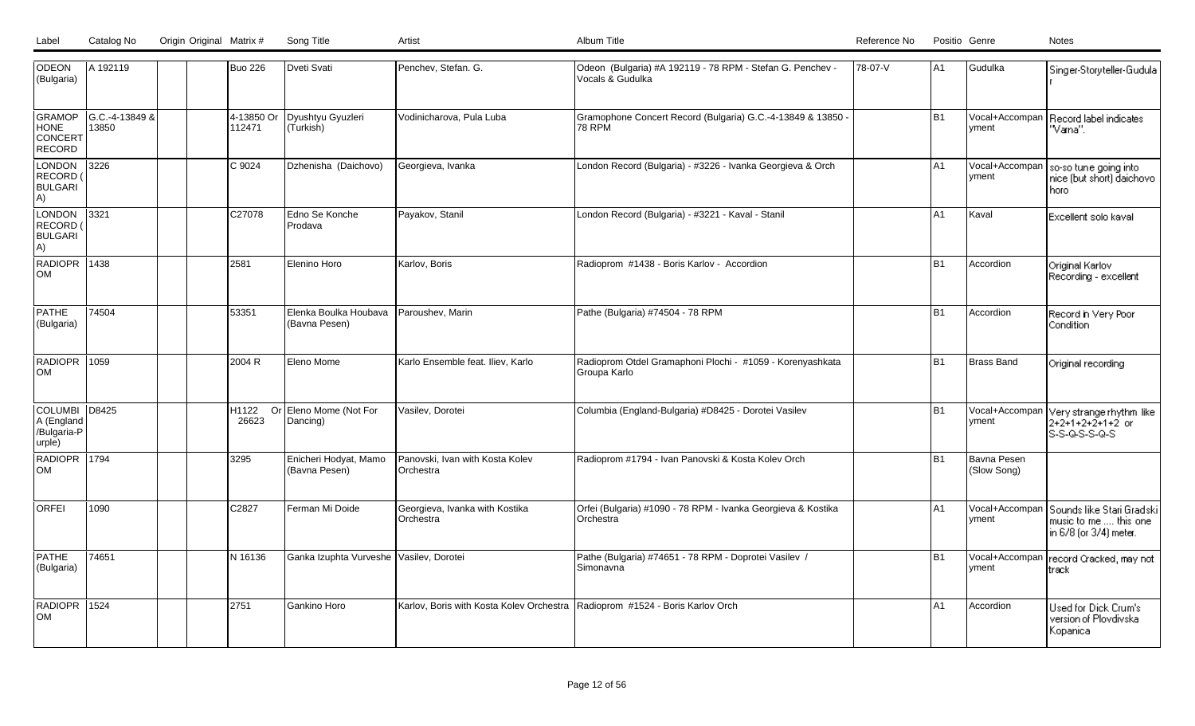|  | Label Catalog No Origin Original Matrix # | Sona Title | Album Title | Reference No | Positio Genre | Notes |
|--|-------------------------------------------|------------|-------------|--------------|---------------|-------|
|  |                                           |            |             |              |               |       |

| <b>ODEON</b><br>(Bulgaria)                            | A 192119                |  | <b>Buo 226</b>       | Dveti Svati                             | Penchev, Stefan. G.                                                          | Odeon (Bulgaria) #A 192119 - 78 RPM - Stefan G. Penchev -<br>Vocals & Gudulka | 78-07-V | A1.            | Gudulka                    | Singer-Storyteller-Gudula                                                     |
|-------------------------------------------------------|-------------------------|--|----------------------|-----------------------------------------|------------------------------------------------------------------------------|-------------------------------------------------------------------------------|---------|----------------|----------------------------|-------------------------------------------------------------------------------|
| <b>GRAMOP</b><br><b>HONE</b><br>CONCERT<br>RECORD     | G.C.-4-13849 &<br>13850 |  | 4-13850 Or<br>112471 | Dyushtyu Gyuzleri<br>(Turkish)          | Vodinicharova, Pula Luba                                                     | Gramophone Concert Record (Bulgaria) G.C.-4-13849 & 13850 -<br><b>78 RPM</b>  |         | B <sub>1</sub> | Vocal+Accompan<br>yment    | Record label indicates<br>"Vana".                                             |
| LONDON<br>RECORD<br><b>BULGARI</b><br>A)              | 3226                    |  | C 9024               | Dzhenisha (Daichovo)                    | Georgieva, Ivanka                                                            | London Record (Bulgaria) - #3226 - Ivanka Georgieva & Orch                    |         | A <sub>1</sub> | Vocal+Accompan<br>yment    | so-so tune going into<br>nice (but short) daichovo<br>horo                    |
| <b>LONDON</b><br>RECORD<br><b>BULGARI</b><br>A)       | 3321                    |  | C27078               | Edno Se Konche<br>Prodava               | Payakov, Stanil                                                              | London Record (Bulgaria) - #3221 - Kaval - Stanil                             |         | A <sub>1</sub> | Kaval                      | Excellent solo kaval.                                                         |
| <b>RADIOPR</b><br><b>OM</b>                           | 1438                    |  | 2581                 | Elenino Horo                            | Karlov, Boris                                                                | Radioprom #1438 - Boris Karlov - Accordion                                    |         | B <sub>1</sub> | Accordion                  | Original Karlov<br>Recording - excellent                                      |
| <b>PATHE</b><br>(Bulgaria)                            | 74504                   |  | 53351                | Elenka Boulka Houbava<br>(Bavna Pesen)  | Paroushev, Marin                                                             | Pathe (Bulgaria) #74504 - 78 RPM                                              |         | B <sub>1</sub> | <b>Accordion</b>           | Record in Very Poor<br>Condition                                              |
| RADIOPR<br><b>OM</b>                                  | 1059                    |  | 2004 R               | Eleno Mome                              | Karlo Ensemble feat. Iliev, Karlo                                            | Radioprom Otdel Gramaphoni Plochi - #1059 - Korenyashkata<br>Groupa Karlo     |         | B <sub>1</sub> | Brass Band                 | Original recording                                                            |
| <b>COLUMBI</b><br>A (England<br>/Bulgaria-P<br>urple) | D8425                   |  | H1122<br>26623       | Or Eleno Mome (Not For<br>Dancing)      | Vasilev. Dorotei                                                             | Columbia (England-Bulgaria) #D8425 - Dorotei Vasilev                          |         | <b>B1</b>      | Vocal+Accompar<br>yment    | Very strange rhythm like<br>$2+2+1+2+2+1+2$ or<br>S-S-Q-S-S-Q-S               |
| <b>RADIOPR</b><br><b>OM</b>                           | 1794                    |  | 3295                 | Enicheri Hodyat, Mamo<br>(Bavna Pesen)  | Panovski, Ivan with Kosta Kolev<br><b>Orchestra</b>                          | Radioprom #1794 - Ivan Panovski & Kosta Kolev Orch                            |         | B <sub>1</sub> | Bavna Pesen<br>(Slow Song) |                                                                               |
| <b>ORFEI</b>                                          | 1090                    |  | C2827                | Ferman Mi Doide                         | Georgieva, Ivanka with Kostika<br><b>Orchestra</b>                           | Orfei (Bulgaria) #1090 - 78 RPM - Ivanka Georgieva & Kostika<br>Orchestra     |         | A1             | Vocal+Accompan<br>yment    | Sounds like Stari Gradski<br>music to me  this one.<br>in 6/8 (or 3/4) meter. |
| <b>PATHE</b><br>(Bulgaria)                            | 74651                   |  | N 16136              | Ganka Izuphta Vurveshe Vasilev, Dorotei |                                                                              | Pathe (Bulgaria) #74651 - 78 RPM - Doprotei Vasilev /<br>Simonavna            |         | B <sub>1</sub> | Vocal+Accompan<br>vment    | record Cracked, may not<br>track                                              |
| RADIOPR  <br><b>OM</b>                                | 1524                    |  | 2751                 | Gankino Horo                            | Karlov, Boris with Kosta Kolev Orchestra Radioprom #1524 - Boris Karlov Orch |                                                                               |         | A1             | Accordion                  | Used for Dick Crum's<br>version of Plovdivska<br>Kopanica                     |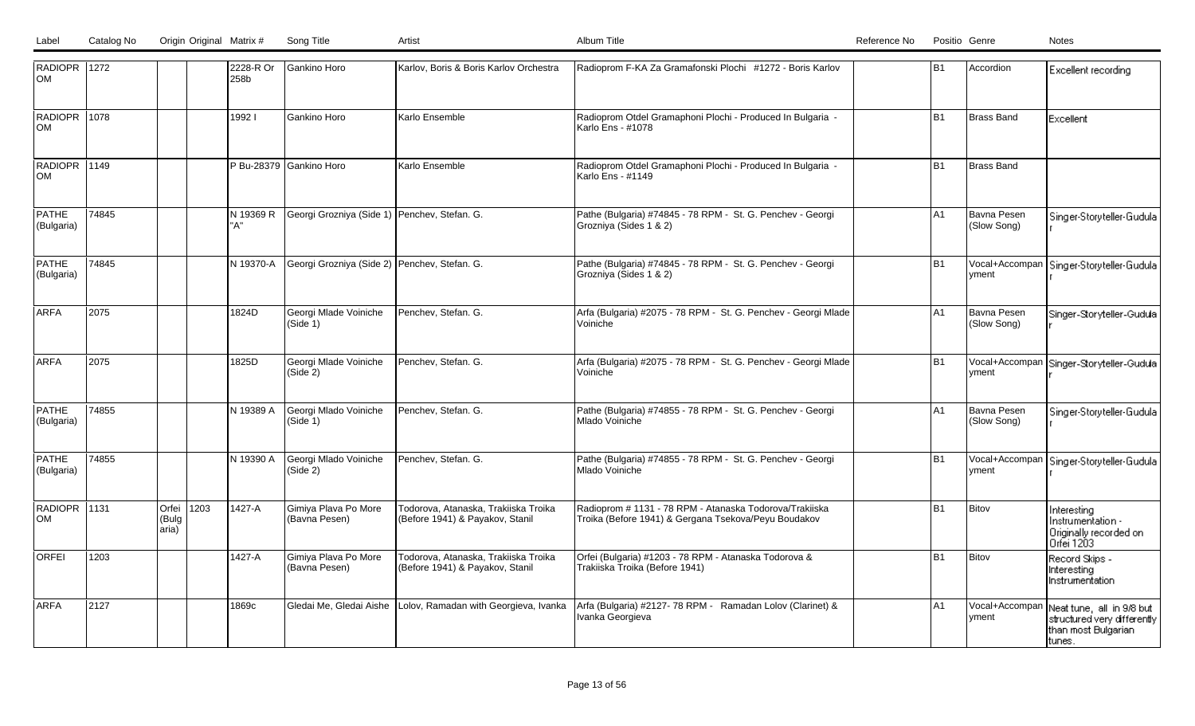| RADIOPR 1272<br>Іом        |       |                             |      | 2228-R Or<br>258b | Gankino Horo                                 | Karlov, Boris & Boris Karlov Orchestra                                  | Radioprom F-KA Za Gramafonski Plochi #1272 - Boris Karlov                                                       | lB1  | Accordion                  | Excellent recording                                                                        |
|----------------------------|-------|-----------------------------|------|-------------------|----------------------------------------------|-------------------------------------------------------------------------|-----------------------------------------------------------------------------------------------------------------|------|----------------------------|--------------------------------------------------------------------------------------------|
| RADIOPR 1078<br><b>OM</b>  |       |                             |      | 19921             | Gankino Horo                                 | Karlo Ensemble                                                          | Radioprom Otdel Gramaphoni Plochi - Produced In Bulgaria -<br>Karlo Ens - #1078                                 | lB1  | <b>Brass Band</b>          | Excellent                                                                                  |
| RADIOPR 1149<br>Іом        |       |                             |      |                   | P Bu-28379 Gankino Horo                      | Karlo Ensemble                                                          | Radioprom Otdel Gramaphoni Plochi - Produced In Bulgaria -<br>Karlo Ens - #1149                                 | lB1  | Brass Band                 |                                                                                            |
| PATHE<br>(Bulgaria)        | 74845 |                             |      | N 19369 R<br>"A"  | Georgi Grozniya (Side 1) Penchev, Stefan. G. |                                                                         | Pathe (Bulgaria) #74845 - 78 RPM - St. G. Penchev - Georgi<br>Grozniya (Sides 1 & 2)                            | lA1  | Bavna Pesen<br>(Slow Song) | Singer-Storyteller-Gudula                                                                  |
| <b>PATHE</b><br>(Bulgaria) | 74845 |                             |      | IN 19370-A        | Georgi Grozniya (Side 2) Penchev, Stefan. G. |                                                                         | Pathe (Bulgaria) #74845 - 78 RPM - St. G. Penchev - Georgi<br>Grozniya (Sides 1 & 2)                            | l B1 | Vocal+Accompan<br>yment    | Singer-Storyteller-Gudula                                                                  |
| <b>ARFA</b>                | 2075  |                             |      | 1824D             | Georgi Mlade Voiniche<br>(Side 1)            | Penchev, Stefan. G.                                                     | Arfa (Bulgaria) #2075 - 78 RPM - St. G. Penchev - Georgi Mlade<br>Voiniche                                      | lA1  | Bavna Pesen<br>(Slow Song) | Singer-Storyteller-Gudula                                                                  |
| larfa                      | 2075  |                             |      | 1825D             | Georgi Mlade Voiniche<br>(Side 2)            | Penchev, Stefan. G.                                                     | Arfa (Bulgaria) #2075 - 78 RPM - St. G. Penchev - Georgi Mlade<br>Voiniche                                      | B1   | Vocal+Accompan<br>vment    | Singer-Storyteller-Gudula                                                                  |
| <b>PATHE</b><br>(Bulgaria) | 74855 |                             |      | N 19389 A         | Georgi Mlado Voiniche<br>(Side 1)            | Penchev, Stefan. G.                                                     | Pathe (Bulgaria) #74855 - 78 RPM - St. G. Penchev - Georgi<br>Mlado Voiniche                                    | lA1  | Bavna Pesen<br>(Slow Song) | Singer-Storyteller-Gudula                                                                  |
| PATHE<br>(Bulgaria)        | 74855 |                             |      | N 19390 A         | Georgi Mlado Voiniche<br>(Side 2)            | Penchev, Stefan. G.                                                     | Pathe (Bulgaria) #74855 - 78 RPM - St. G. Penchev - Georgi<br>Mlado Voiniche                                    | lB1  | Vocal+Accompan<br>yment    | Singer-Storyteller-Gudula                                                                  |
| RADIOPR 1131<br>lom        |       | Orfei<br>(Bulg<br>$ $ aria) | 1203 | 1427-A            | Gimiya Plava Po More<br>(Bavna Pesen)        | Todorova, Atanaska, Trakiiska Troika<br>(Before 1941) & Payakov, Stanil | Radioprom # 1131 - 78 RPM - Atanaska Todorova/Trakiiska<br>Troika (Before 1941) & Gergana Tsekova/Peyu Boudakov | lB1  | Bitov                      | Interesting<br>Instrumentation -<br>Originally recorded on<br>Orfei 1203                   |
| lorfei                     | 1203  |                             |      | 1427-A            | Gimiya Plava Po More<br>(Bavna Pesen)        | Todorova, Atanaska, Trakiiska Troika<br>(Before 1941) & Payakov, Stanil | Orfei (Bulgaria) #1203 - 78 RPM - Atanaska Todorova &<br>Trakiiska Troika (Before 1941)                         | lB1  | Bitov                      | Record Skips -<br>Interesting<br>Instrumentation                                           |
| ARFA                       | 2127  |                             |      | 1869c             | Gledai Me, Gledai Aishe                      | Lolov, Ramadan with Georgieva, Ivanka                                   | Arfa (Bulgaria) #2127-78 RPM - Ramadan Lolov (Clarinet) &<br>Ivanka Georgieva                                   | lA1  | Vocal+Accompan<br>yment    | Neat tune, all in 9/8 but<br>structured very differently<br>than most Bulgarian<br>ltunes. |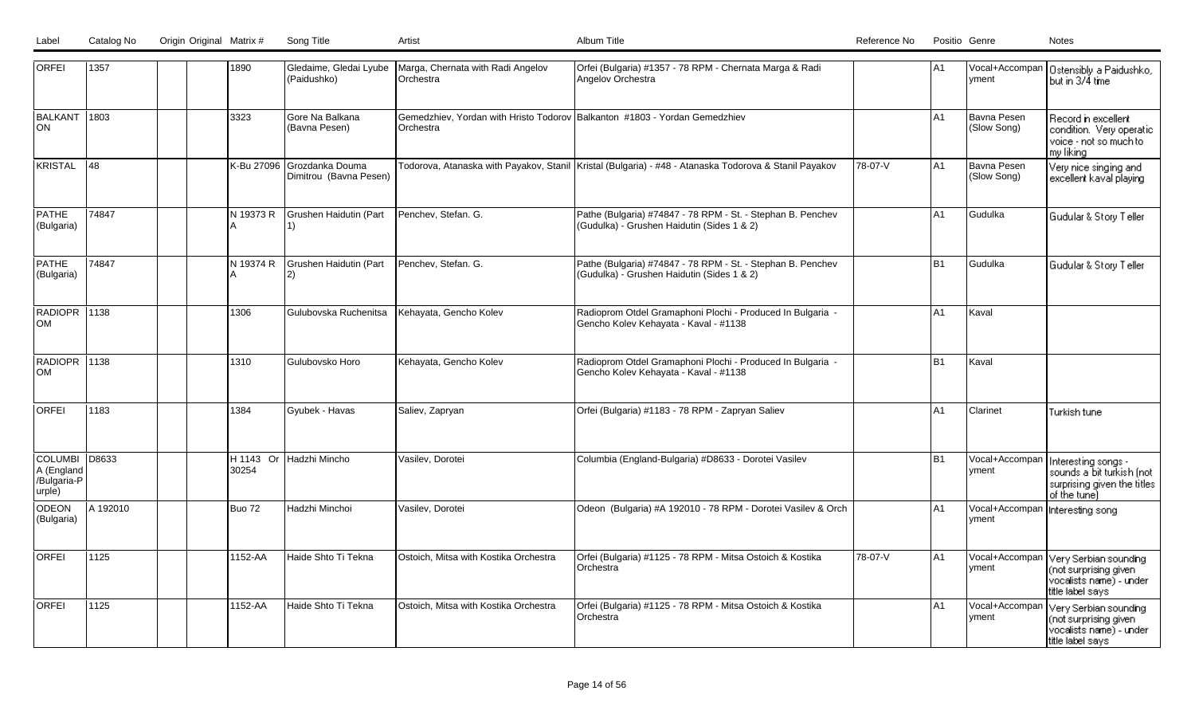| ORFEI                                                | 1357     | 1890       | Gledaime, Gledai Lyube<br>(Paidushko)     | Marga, Chernata with Radi Angelov<br>Orchestra                                          | Orfei (Bulgaria) #1357 - 78 RPM - Chernata Marga & Radi<br>Angelov Orchestra                              |         | lA1            | vment                      | Vocal+Accompan   Ostensibly a Paidushko,<br>but in 3/4 time                                     |
|------------------------------------------------------|----------|------------|-------------------------------------------|-----------------------------------------------------------------------------------------|-----------------------------------------------------------------------------------------------------------|---------|----------------|----------------------------|-------------------------------------------------------------------------------------------------|
| BALKANT 1803<br><b>ON</b>                            |          | 3323       | Gore Na Balkana<br>(Bavna Pesen)          | Gemedzhiev, Yordan with Hristo Todorov Balkanton #1803 - Yordan Gemedzhiev<br>Orchestra |                                                                                                           |         | A1             | Bavna Pesen<br>(Slow Song) | Record in excellent<br>condition. Very operatic<br>voice - not so much to<br>my liking          |
| <b>KRISTAL</b>                                       | 148      | K-Bu 27096 | Grozdanka Douma<br>Dimitrou (Bavna Pesen) |                                                                                         | Todorova, Atanaska with Payakov, Stanil  Kristal (Bulgaria) - #48 - Atanaska Todorova & Stanil Payakov    | 78-07-V | A1             | Bavna Pesen<br>(Slow Song) | Very nice singing and<br>excellent kaval playing                                                |
| PATHE<br>(Bulgaria)                                  | 74847    | N 19373 R  | Grushen Haidutin (Part<br>1)              | Penchev, Stefan. G.                                                                     | Pathe (Bulgaria) #74847 - 78 RPM - St. - Stephan B. Penchev<br>(Gudulka) - Grushen Haidutin (Sides 1 & 2) |         | A <sub>1</sub> | Gudulka                    | Gudular & Story Teller                                                                          |
| <b>PATHE</b><br>(Bulgaria)                           | 74847    | N 19374 R  | Grushen Haidutin (Part<br>12)             | Penchev, Stefan. G.                                                                     | Pathe (Bulgaria) #74847 - 78 RPM - St. - Stephan B. Penchev<br>(Gudulka) - Grushen Haidutin (Sides 1 & 2) |         | <b>B1</b>      | Gudulka                    | Gudular & Story Teller                                                                          |
| RADIOPR 1138<br><b>OM</b>                            |          | 1306       | Gulubovska Ruchenitsa                     | Kehayata, Gencho Kolev                                                                  | Radioprom Otdel Gramaphoni Plochi - Produced In Bulgaria -<br>Gencho Kolev Kehayata - Kaval - #1138       |         | A <sub>1</sub> | Kaval                      |                                                                                                 |
| RADIOPR 1138<br><b>OM</b>                            |          | 1310       | Gulubovsko Horo                           | Kehayata, Gencho Kolev                                                                  | Radioprom Otdel Gramaphoni Plochi - Produced In Bulgaria -<br>Gencho Kolev Kehayata - Kaval - #1138       |         | <b>B1</b>      | Kaval                      |                                                                                                 |
| <b>ORFEI</b>                                         | 1183     | 1384       | Gyubek - Havas                            | Saliev, Zapryan                                                                         | Orfei (Bulgaria) #1183 - 78 RPM - Zapryan Saliev                                                          |         | A1             | Clarinet                   | Turkish tune                                                                                    |
| COLUMBI D8633<br>A (England<br>/Bulgaria-P<br>urple) |          | 30254      | H 1143 Or Hadzhi Mincho                   | Vasilev, Dorotei                                                                        | Columbia (England-Bulgaria) #D8633 - Dorotei Vasilev                                                      |         | <b>B1</b>      | Vocal+Accompan<br>yment    | Interesting songs -<br>sounds a bit turkish (not<br>surprising given the titles<br>of the tune) |
| <b>ODEON</b><br>(Bulgaria)                           | A 192010 | Buo 72     | Hadzhi Minchoi                            | Vasilev, Dorotei                                                                        | Odeon (Bulgaria) #A 192010 - 78 RPM - Dorotei Vasilev & Orch                                              |         | A1             | Vocal+Accompan<br>yment    | Interesting song                                                                                |
| <b>ORFEI</b>                                         | 1125     | 1152-AA    | Haide Shto Ti Tekna                       | Ostoich, Mitsa with Kostika Orchestra                                                   | Orfei (Bulgaria) #1125 - 78 RPM - Mitsa Ostoich & Kostika<br>Orchestra                                    | 78-07-V | A1             | Vocal+Accompan<br>vment    | Very Serbian sounding<br>(not surprising given<br>vocalists name) - under i<br>title label says |
| <b>ORFEI</b>                                         | 1125     | 1152-AA    | Haide Shto Ti Tekna                       | Ostoich, Mitsa with Kostika Orchestra                                                   | Orfei (Bulgaria) #1125 - 78 RPM - Mitsa Ostoich & Kostika<br>Orchestra                                    |         | A1             | Vocal+Accompan<br>vment    | Very Serbian sounding<br>(not surprising given<br>vocalists name) - under<br>title label says   |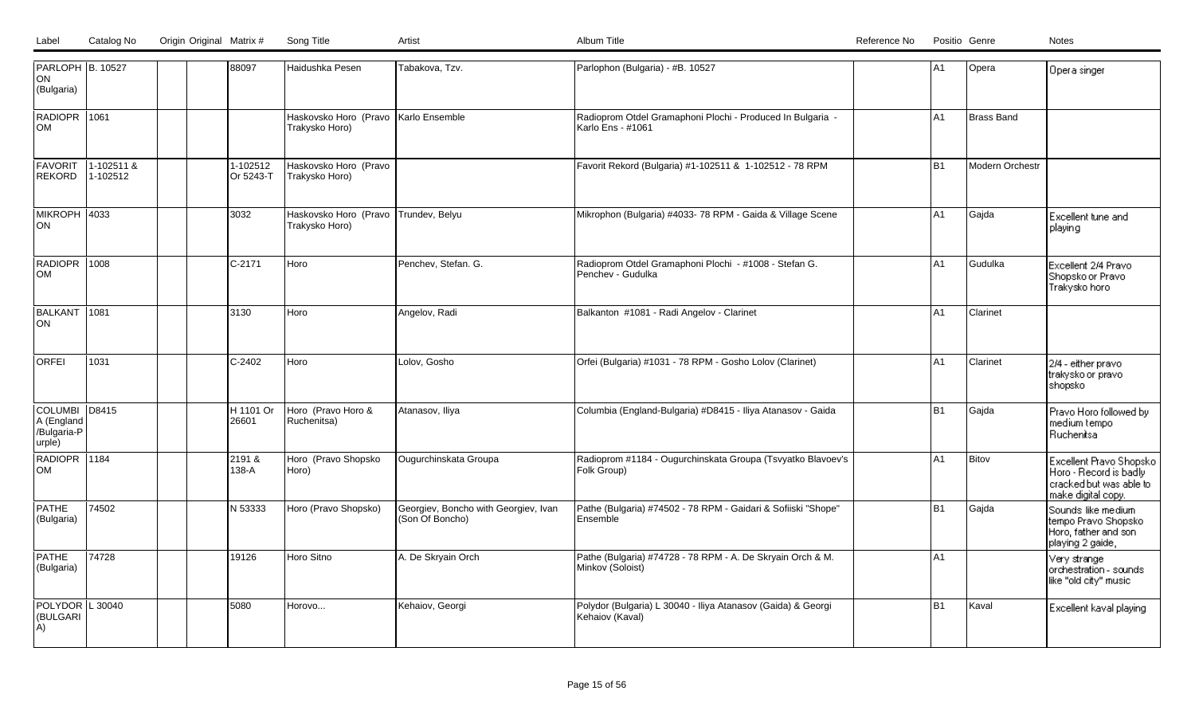| PARLOPH B. 10527<br>ON<br>(Bulgaria)                 |                        |  | 88097                 | Haidushka Pesen                                        | Tabakova, Tzv.                                          | Parlophon (Bulgaria) - #B. 10527                                                | A <sub>1</sub> | Opera           | Opera singer                                                                                       |
|------------------------------------------------------|------------------------|--|-----------------------|--------------------------------------------------------|---------------------------------------------------------|---------------------------------------------------------------------------------|----------------|-----------------|----------------------------------------------------------------------------------------------------|
| RADIOPR 1061<br>OM                                   |                        |  |                       | Haskovsko Horo (Pravo Karlo Ensemble<br>Trakysko Horo) |                                                         | Radioprom Otdel Gramaphoni Plochi - Produced In Bulgaria -<br>Karlo Ens - #1061 | A1             | Brass Band      |                                                                                                    |
| <b>FAVORIT</b><br><b>REKORD</b>                      | 1-102511 &<br>1-102512 |  | 1-102512<br>Or 5243-T | Haskovsko Horo (Pravo<br>Trakysko Horo)                |                                                         | Favorit Rekord (Bulgaria) #1-102511 & 1-102512 - 78 RPM                         | B <sub>1</sub> | Modern Orchestr |                                                                                                    |
| MIKROPH 4033<br>ON                                   |                        |  | 3032                  | Haskovsko Horo (Pravo Trundev, Belyu<br>Trakysko Horo) |                                                         | Mikrophon (Bulgaria) #4033-78 RPM - Gaida & Village Scene                       | A <sub>1</sub> | Gajda           | Excellent tune and<br>playing                                                                      |
| RADIOPR 1008<br><b>OM</b>                            |                        |  | C-2171                | l Horo                                                 | Penchev, Stefan. G.                                     | Radioprom Otdel Gramaphoni Plochi - #1008 - Stefan G.<br>Penchev - Gudulka      | lA1            | İGudulka        | Excellent 2/4 Pravo<br>Shopsko or Pravo<br>Trakysko horo                                           |
| BALKANT 1081<br>ON                                   |                        |  | 3130                  | Horo                                                   | Angelov, Radi                                           | Balkanton #1081 - Radi Angelov - Clarinet                                       | A1             | <b>Clarinet</b> |                                                                                                    |
| <b>ORFEI</b>                                         | 1031                   |  | $C-2402$              | Horo                                                   | Lolov, Gosho                                            | Orfei (Bulgaria) #1031 - 78 RPM - Gosho Lolov (Clarinet)                        | A1             | Clarinet        | 2/4 - either pravo<br>trakysko or pravo<br>shopsko                                                 |
| COLUMBI D8415<br>A (England<br>/Bulgaria-P<br>urple) |                        |  | H 1101 Or<br>26601    | Horo (Pravo Horo &<br>Ruchenitsa)                      | Atanasov, Iliya                                         | Columbia (England-Bulgaria) #D8415 - Iliya Atanasov - Gaida                     | B <sub>1</sub> | Gajda           | Pravo Horo followed by<br>medium tempo<br>Ruchentsa                                                |
| RADIOPR 1184<br>OM                                   |                        |  | 2191 &<br>138-A       | Horo (Pravo Shopsko<br>Horo)                           | Ougurchinskata Groupa                                   | Radioprom #1184 - Ougurchinskata Groupa (Tsvyatko Blavoev's<br>Folk Group)      | A <sub>1</sub> | Bitov           | Excellent Pravo Shopsko<br>Horo - Record is badly<br>cracked but was able to<br>make digital copy. |
| <b>PATHE</b><br>(Bulgaria)                           | 74502                  |  | IN 53333              | Horo (Pravo Shopsko)                                   | Georgiev, Boncho with Georgiev, Ivan<br>(Son Of Boncho) | Pathe (Bulgaria) #74502 - 78 RPM - Gaidari & Sofiiski "Shope"<br>Ensemble       | B <sub>1</sub> | Gajda           | Sounds like medium<br>tempo Pravo Shopsko<br>Horo, father and son<br>playing 2 gaide,              |
| <b>PATHE</b><br>(Bulgaria)                           | 74728                  |  | 19126                 | Horo Sitno                                             | A. De Skryain Orch                                      | Pathe (Bulgaria) #74728 - 78 RPM - A. De Skryain Orch & M.<br>Minkov (Soloist)  | lA1            |                 | Very strange<br>orchestration - sounds<br>like "old city" music                                    |
| POLYDOR   L 30040<br>(BULGARI<br>A)                  |                        |  | 5080                  | Horovo                                                 | Kehaiov, Georgi                                         | Polydor (Bulgaria) L 30040 - Iliya Atanasov (Gaida) & Georgi<br>Kehaiov (Kaval) | B <sub>1</sub> | Kaval           | Excellent kaval playing                                                                            |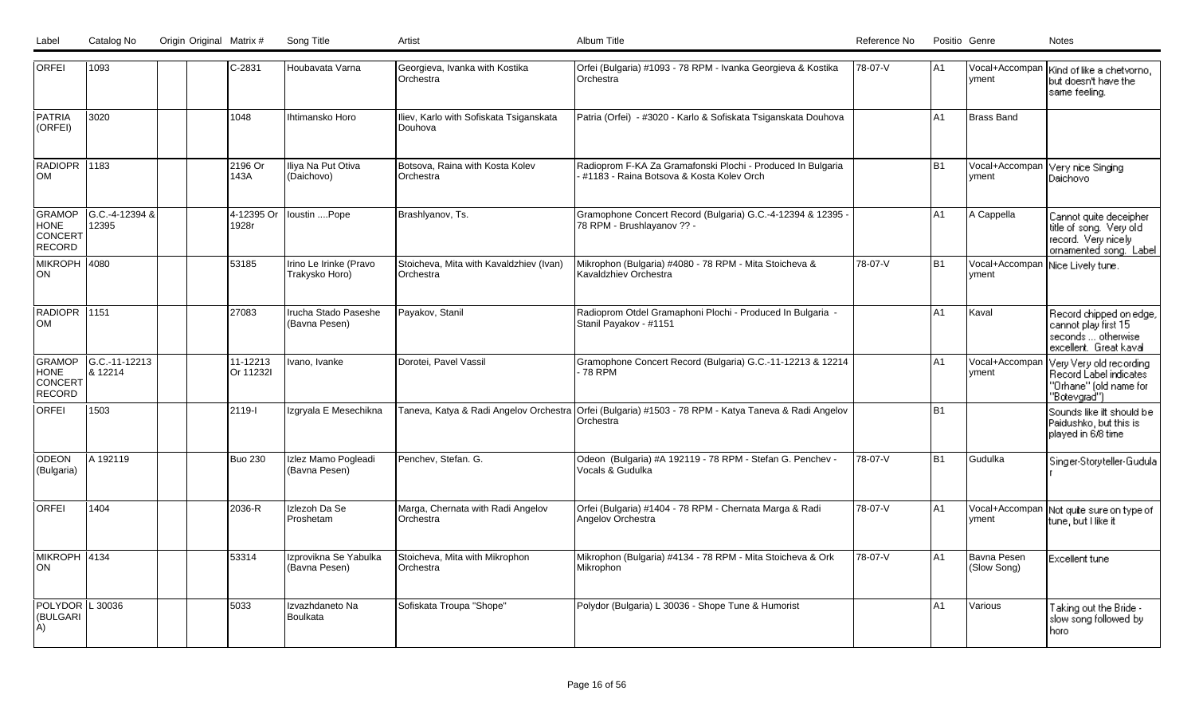| <b>ORFEI</b>                               | 1093                     | C-2831                | Houbavata Varna                          | Georgieva, Ivanka with Kostika<br>Orchestra          | Orfei (Bulgaria) #1093 - 78 RPM - Ivanka Georgieva & Kostika<br><b>Orchestra</b>                                   | 78-07-V | IA1            | vment                      | Vocal+Accompan   Kind of like a chetvorno,<br>but doesn't have the<br>same feeling.                |
|--------------------------------------------|--------------------------|-----------------------|------------------------------------------|------------------------------------------------------|--------------------------------------------------------------------------------------------------------------------|---------|----------------|----------------------------|----------------------------------------------------------------------------------------------------|
| <b>PATRIA</b><br>(ORFEI)                   | 3020                     | 1048                  | Ihtimansko Horo                          | Iliev, Karlo with Sofiskata Tsiganskata<br>Douhova   | Patria (Orfei) - #3020 - Karlo & Sofiskata Tsiganskata Douhova                                                     |         | lA1            | <b>Brass Band</b>          |                                                                                                    |
| RADIOPR 1183<br>lOM                        |                          | 2196 Or<br>143A       | Iliya Na Put Otiva<br>(Daichovo)         | Botsova, Raina with Kosta Kolev<br>Orchestra         | Radioprom F-KA Za Gramafonski Plochi - Produced In Bulgaria<br>#1183 - Raina Botsova & Kosta Koley Orch            |         | B <sub>1</sub> | Vocal+Accompan<br>vment    | Very nice Singing<br>Daichovo                                                                      |
| GRAMOP<br><b>HONE</b><br>CONCERT<br>RECORD | G.C.-4-12394 &<br>12395  | 4-12395 Or<br>1928r   | loustin Pope                             | Brashlyanov, Ts.                                     | Gramophone Concert Record (Bulgaria) G.C.-4-12394 & 12395<br>78 RPM - Brushlayanov ?? -                            |         | lA1            | A Cappella                 | Cannot quite deceipher<br>title of song. Very old<br>record. Very nicely<br>ornamented song. Label |
| MIKROPH 4080<br>ON                         |                          | 53185                 | Irino Le Irinke (Pravo<br>Trakysko Horo) | Stoicheva, Mita with Kavaldzhiev (Ivan)<br>Orchestra | Mikrophon (Bulgaria) #4080 - 78 RPM - Mita Stoicheva &<br>Kavaldzhiev Orchestra                                    | 78-07-V | B <sub>1</sub> | Vocal+Accompan<br>yment    | Nice Lively tune.                                                                                  |
| RADIOPR 1151<br>lom                        |                          | 27083                 | Irucha Stado Paseshe<br>(Bavna Pesen)    | Payakov, Stanil                                      | Radioprom Otdel Gramaphoni Plochi - Produced In Bulgaria -<br>Stanil Payakov - #1151                               |         | lA1            | Kaval                      | Record chipped on edge,<br>cannot play first 15<br>seconds  otherwise<br>excellent. Great kaval    |
| GRAMOP<br><b>HONE</b><br>CONCERT<br>RECORD | G.C.-11-12213<br>8 12214 | 11-12213<br>Or 11232I | Ivano, Ivanke                            | Dorotei. Pavel Vassil                                | Gramophone Concert Record (Bulgaria) G.C.-11-12213 & 12214<br>- 78 RPM                                             |         | A1             | Vocal+Accompan<br>yment    | Very Very old recording<br>Record Label indicates<br>"Orhane" (old name for<br>"Botevgrad")        |
| <b>ORFEI</b>                               | 1503                     | 2119-1                | Izgryala E Mesechikna                    |                                                      | Taneva, Katya & Radi Angelov Orchestra Orfei (Bulgaria) #1503 - 78 RPM - Katya Taneva & Radi Angelov<br>IOrchestra |         | B <sub>1</sub> |                            | Sounds like ift should be<br>Paidushko, but this is<br>played in 6/8 time                          |
| ODEON<br>(Bulgaria)                        | A 192119                 | <b>Buo 230</b>        | Izlez Mamo Pogleadi<br>(Bavna Pesen)     | Penchev, Stefan. G.                                  | Odeon (Bulgaria) #A 192119 - 78 RPM - Stefan G. Penchev -<br>Vocals & Gudulka                                      | 78-07-V | B <sub>1</sub> | Gudulka                    | Singer-Storyteller-Gudula                                                                          |
| <b>ORFEI</b>                               | 1404                     | 2036-R                | Izlezoh Da Se<br>Proshetam               | Marga, Chernata with Radi Angelov<br>Orchestra       | Orfei (Bulgaria) #1404 - 78 RPM - Chernata Marga & Radi<br>Angelov Orchestra                                       | 78-07-V | lA1            | Vocal+Accompan<br>yment    | Not quite sure on type of<br>tune, but I like it                                                   |
| MIKROPH 4134<br>ION                        |                          | 53314                 | Izprovikna Se Yabulka<br>(Bavna Pesen)   | Stoicheva, Mita with Mikrophon<br>Orchestra          | Mikrophon (Bulgaria) #4134 - 78 RPM - Mita Stoicheva & Ork<br>Mikrophon                                            | 78-07-V | lA1            | Bavna Pesen<br>(Slow Song) | Excellent tune                                                                                     |
| POLYDOR L 30036<br>(BULGARI<br>A)          |                          | 5033                  | Izvazhdaneto Na<br>Boulkata              | Sofiskata Troupa "Shope"                             | Polydor (Bulgaria) L 30036 - Shope Tune & Humorist                                                                 |         | A <sub>1</sub> | Various                    | Taking out the Bride -<br>slow song followed by<br>horo                                            |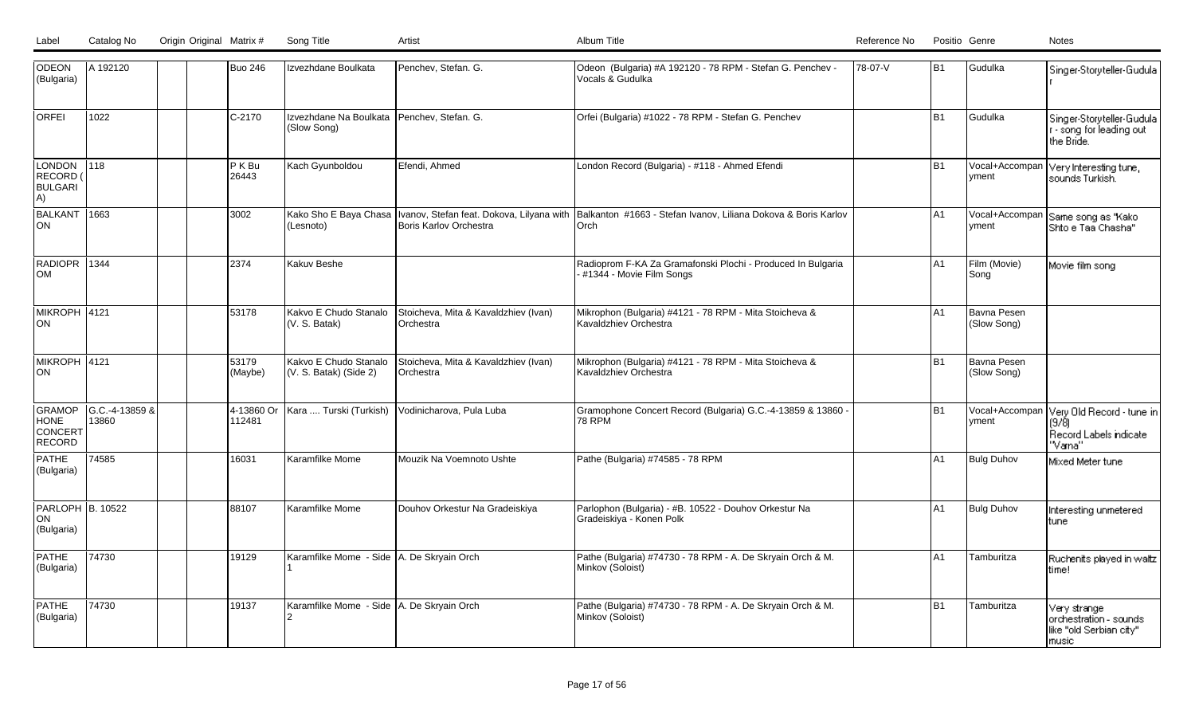| ODEON<br>(Bulgaria)                        | A 192120                |  | <b>Buo 246</b>       | Izvezhdane Boulkata                                         | Penchev, Stefan. G.                                      | Odeon (Bulgaria) #A 192120 - 78 RPM - Stefan G. Penchev -<br>Vocals & Gudulka                                                            | 78-07-V | lB1            | Gudulka                           | Singer-Storyteller-Gudula                                                   |
|--------------------------------------------|-------------------------|--|----------------------|-------------------------------------------------------------|----------------------------------------------------------|------------------------------------------------------------------------------------------------------------------------------------------|---------|----------------|-----------------------------------|-----------------------------------------------------------------------------|
| lorfei                                     | 1022                    |  | C-2170               | Izvezhdane Na Boulkata   Penchev, Stefan. G.<br>(Slow Song) |                                                          | Orfei (Bulgaria) #1022 - 78 RPM - Stefan G. Penchev                                                                                      |         | B <sub>1</sub> | Gudulka                           | Singer-Storyteller-Gudula<br>r - song for leading out<br>the Bride.         |
| LONDON<br>RECORD (<br><b>BULGARI</b><br>A) | $\overline{118}$        |  | P K Bu<br>26443      | Kach Gyunboldou                                             | Efendi, Ahmed                                            | London Record (Bulgaria) - #118 - Ahmed Efendi                                                                                           |         | B <sub>1</sub> | Vocal+Accompan<br>yment           | Very Interesting tune,<br>sounds Turkish.                                   |
| <b>BALKANT</b><br> ON                      | 1663                    |  | 3002                 | (Lesnoto)                                                   | <b>Boris Karlov Orchestra</b>                            | Kako Sho E Baya Chasa  Ivanov, Stefan feat. Dokova, Lilyana with  Balkanton #1663 - Stefan Ivanov, Liliana Dokova & Boris Karlov<br>Orch |         | IA1            | Vocal+Accompan<br>yment           | Same song as "Kako"<br>Shto e Taa Chasha"                                   |
| RADIOPR 1344<br>Іом                        |                         |  | 2374                 | Kakuv Beshe                                                 |                                                          | Radioprom F-KA Za Gramafonski Plochi - Produced In Bulgaria<br>#1344 - Movie Film Songs                                                  |         | IA1            | Film (Movie)<br>Song              | Movie film song                                                             |
| MIKROPH 4121<br><b>ON</b>                  |                         |  | 53178                | Kakvo E Chudo Stanalo<br>(V. S. Batak)                      | Stoicheva, Mita & Kavaldzhiev (Ivan)<br>lOrchestra       | Mikrophon (Bulgaria) #4121 - 78 RPM - Mita Stoicheva &<br>Kavaldzhiev Orchestra                                                          |         | A1             | Bavna Pesen<br>(Slow Song)        |                                                                             |
| MIKROPH 4121<br>ON                         |                         |  | 53179<br>(Maybe)     | Kakvo E Chudo Stanalo<br>(V. S. Batak) (Side 2)             | Stoicheva, Mita & Kavaldzhiev (Ivan)<br><b>Orchestra</b> | Mikrophon (Bulgaria) #4121 - 78 RPM - Mita Stoicheva &<br>Kavaldzhiev Orchestra                                                          |         | B <sub>1</sub> | <b>Bavna Pesen</b><br>(Slow Song) |                                                                             |
| GRAMOP<br><b>HONE</b><br>CONCERT<br>RECORD | G.C.-4-13859 &<br>13860 |  | 4-13860 Or<br>112481 | Kara  Turski (Turkish)                                      | Vodinicharova, Pula Luba                                 | Gramophone Concert Record (Bulgaria) G.C.-4-13859 & 13860 -<br><b>78 RPM</b>                                                             |         | B <sub>1</sub> | Vocal+Accompan<br>yment           | Very Old Record - tune in<br>(9/8)<br>Record Labels indicate<br>"Vana"      |
| <b>PATHE</b><br>(Bulgaria)                 | 74585                   |  | 16031                | Karamfilke Mome                                             | Mouzik Na Voemnoto Ushte                                 | Pathe (Bulgaria) #74585 - 78 RPM                                                                                                         |         | IA1            | <b>Bulg Duhov</b>                 | Mixed Meter tune                                                            |
| PARLOPH B. 10522<br>ON <br>(Bulgaria)      |                         |  | 88107                | Karamfilke Mome                                             | Douhov Orkestur Na Gradeiskiya                           | Parlophon (Bulgaria) - #B. 10522 - Douhov Orkestur Na<br>Gradeiskiya - Konen Polk                                                        |         | A1             | <b>Bulg Duhov</b>                 | Interesting unmetered<br>tune                                               |
| <b>PATHE</b><br>(Bulgaria)                 | 74730                   |  | 19129                | Karamfilke Mome - Side   A. De Skryain Orch                 |                                                          | Pathe (Bulgaria) #74730 - 78 RPM - A. De Skryain Orch & M.<br>Minkov (Soloist)                                                           |         | IA1            | Tamburitza                        | Ruchenits played in waltz<br>time!                                          |
| PATHE<br>(Bulgaria)                        | 74730                   |  | 19137                | Karamfilke Mome - Side   A. De Skryain Orch                 |                                                          | Pathe (Bulgaria) #74730 - 78 RPM - A. De Skryain Orch & M.<br>Minkov (Soloist)                                                           |         | B1             | Tamburitza                        | Very strangel<br>orchestration - sounds<br>like "old Serbian city"<br>music |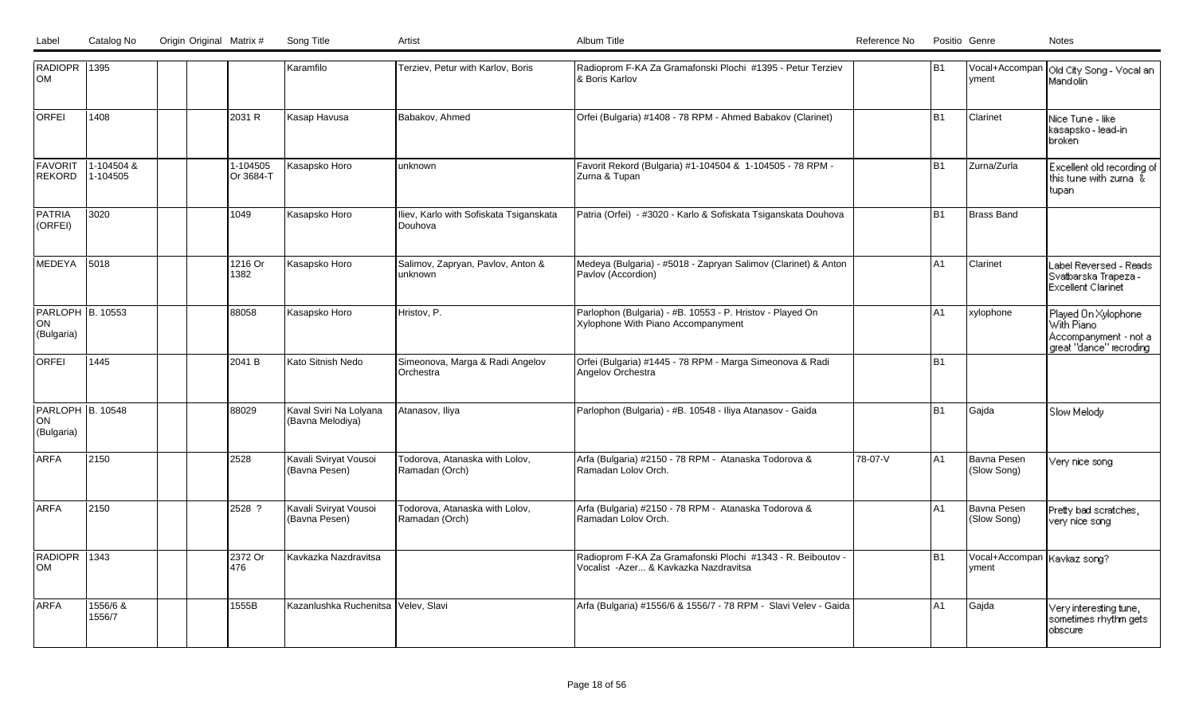| RADIOPR 1395<br>lом                          |                        |                       | Karamfilo                                  | Terziev, Petur with Karlov, Boris                  | Radioprom F-KA Za Gramafonski Plochi #1395 - Petur Terziev<br>& Boris Karlov                         |         | IB1            | yment                                   | Vocal+Accompan   Old City Song - Vocal an<br>Mandolin                                   |
|----------------------------------------------|------------------------|-----------------------|--------------------------------------------|----------------------------------------------------|------------------------------------------------------------------------------------------------------|---------|----------------|-----------------------------------------|-----------------------------------------------------------------------------------------|
| lorfei                                       | 1408                   | 2031 R                | Kasap Havusa                               | Babakov, Ahmed                                     | Orfei (Bulgaria) #1408 - 78 RPM - Ahmed Babakov (Clarinet)                                           |         | lB1            | Clarinet                                | Nice Tune - like<br>kasapsko - lead-in-<br>broken                                       |
| FAVORIT<br><b>REKORD</b>                     | 1-104504 &<br>1-104505 | 1-104505<br>Or 3684-T | Kasapsko Horo                              | unknown                                            | Favorit Rekord (Bulgaria) #1-104504 & 1-104505 - 78 RPM -<br> Zurna & Tupan                          |         | B <sub>1</sub> | Zurna/Zurla                             | Excellent old recording of<br>this tune with zurna $\,\tilde{\!x}$<br>tupan             |
| <b>PATRIA</b><br>(ORFEI)                     | 3020                   | 1049                  | Kasapsko Horo                              | Iliev, Karlo with Sofiskata Tsiganskata<br>Douhova | Patria (Orfei) - #3020 - Karlo & Sofiskata Tsiganskata Douhova                                       |         | lB1            | Brass Band                              |                                                                                         |
| MEDEYA                                       | 5018                   | 1216 Or<br>1382       | Kasapsko Horo                              | Salimov, Zapryan, Pavlov, Anton &<br>unknown       | Medeya (Bulgaria) - #5018 - Zapryan Salimov (Clarinet) & Anton<br>Pavlov (Accordion)                 |         | lA1            | Clarinet                                | Label Reversed - Reads I<br>Svatbarska Trapeza -<br>Excellent Clarinet                  |
| <b>PARLOPH B. 10553</b><br>ON<br>(Bulgaria)  |                        | 88058                 | Kasapsko Horo                              | Hristov, P.                                        | Parlophon (Bulgaria) - #B. 10553 - P. Hristov - Played On<br>Xylophone With Piano Accompanyment      |         | IA1            | xylophone                               | Played On Xylophone<br>With Piano<br>Accompanyment - not a<br>  great "dance" recroding |
| <b>ORFEI</b>                                 | 1445                   | 2041 B                | Kato Sitnish Nedo                          | Simeonova, Marga & Radi Angelov<br>Orchestra       | Orfei (Bulgaria) #1445 - 78 RPM - Marga Simeonova & Radi<br>Angelov Orchestra                        |         | lB1            |                                         |                                                                                         |
| <b>PARLOPH B. 10548</b><br>ON <br>(Bulgaria) |                        | 88029                 | Kaval Sviri Na Lolyana<br>(Bavna Melodiya) | Atanasov, Iliya                                    | Parlophon (Bulgaria) - #B. 10548 - Iliya Atanasov - Gaida                                            |         | B <sub>1</sub> | Gajda                                   | Slow Melody                                                                             |
| <b>ARFA</b>                                  | 2150                   | 2528                  | Kavali Sviryat Vousoi<br>(Bavna Pesen)     | Todorova, Atanaska with Lolov,<br>Ramadan (Orch)   | Arfa (Bulgaria) #2150 - 78 RPM - Atanaska Todorova &<br>Ramadan Lolov Orch.                          | 78-07-V | A <sub>1</sub> | Bavna Pesen<br>(Slow Song)              | Very nice song-                                                                         |
| <b>ARFA</b>                                  | 2150                   | 2528 ?                | Kavali Sviryat Vousoi<br>(Bavna Pesen)     | Todorova, Atanaska with Lolov,<br>Ramadan (Orch)   | Arfa (Bulgaria) #2150 - 78 RPM - Atanaska Todorova &<br>Ramadan Lolov Orch.                          |         | lA1            | Bavna Pesen<br>(Slow Song)              | Pretty bad scratches,<br>very nice song-                                                |
| RADIOPR 1343<br>lom                          |                        | 2372 Or<br>476        | Kavkazka Nazdravitsa                       |                                                    | Radioprom F-KA Za Gramafonski Plochi #1343 - R. Beiboutov -<br>Vocalist -Azer & Kavkazka Nazdravitsa |         | B1             | Vocal+Accompan   Kavkaz song?<br>lyment |                                                                                         |
| <b>ARFA</b>                                  | 1556/6 &<br>1556/7     | 1555B                 | Kazanlushka Ruchenitsa Velev, Slavi        |                                                    | Arfa (Bulgaria) #1556/6 & 1556/7 - 78 RPM - Slavi Velev - Gaida                                      |         | lA1            | Gajda                                   | Very interesting tune,<br>sometimes rhythm gets<br>obscure                              |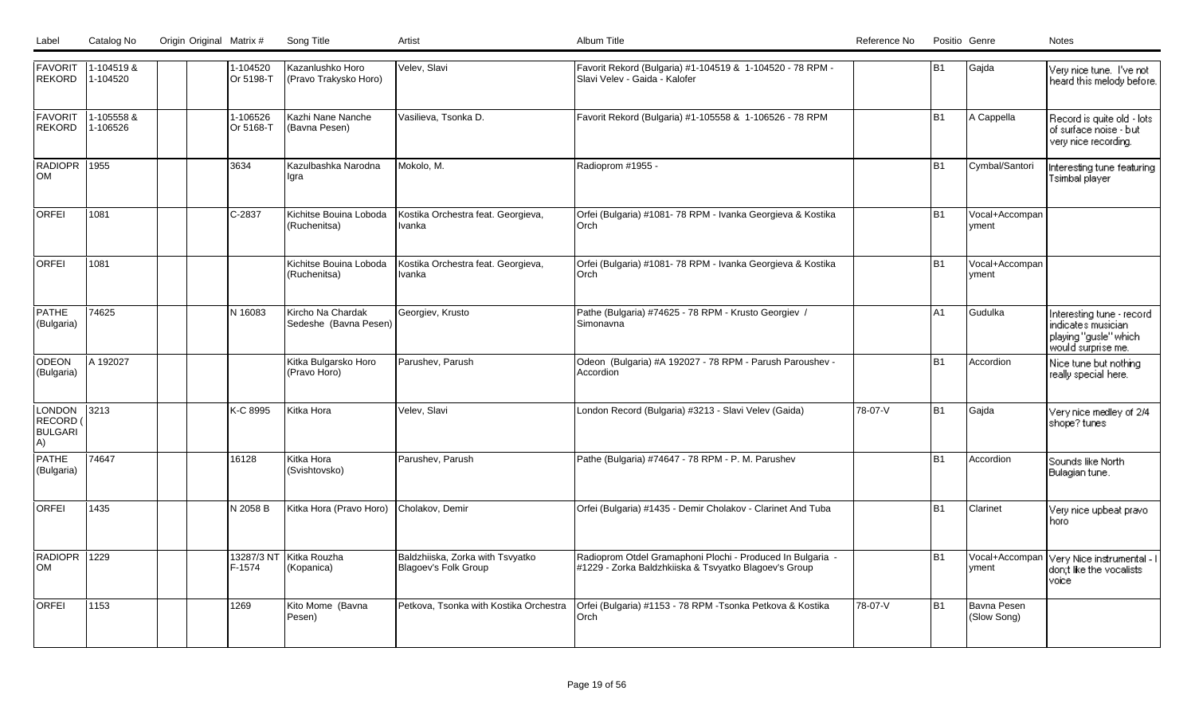| Label | Catalog No | Origin Original Matrix # | Song Title |  |
|-------|------------|--------------------------|------------|--|
|       |            |                          |            |  |

| <b>FAVORIT</b><br><b>REKORD</b>                   | 1-104519 &<br>1-104520 |  | 1-104520<br>Or 5198-T | Kazanlushko Horo<br>(Pravo Trakysko Horo)  | Velev, Slavi                                             | Favorit Rekord (Bulgaria) #1-104519 & 1-104520 - 78 RPM -<br>Slavi Velev - Gaida - Kalofer                          |         | B1             | Gajda                      | Very nice tune. I've not<br>heard this melody before.                                            |
|---------------------------------------------------|------------------------|--|-----------------------|--------------------------------------------|----------------------------------------------------------|---------------------------------------------------------------------------------------------------------------------|---------|----------------|----------------------------|--------------------------------------------------------------------------------------------------|
| FAVORIT<br><b>REKORD</b>                          | 1-105558 &<br>1-106526 |  | 1-106526<br>Or 5168-T | Kazhi Nane Nanche<br>(Bavna Pesen)         | Vasilieva, Tsonka D.                                     | Favorit Rekord (Bulgaria) #1-105558 & 1-106526 - 78 RPM                                                             |         | l B1           | A Cappella                 | Record is quite old - lots<br>of surface noise - but<br>very nice recording.                     |
| RADIOPR 1955<br>lom                               |                        |  | 3634                  | Kazulbashka Narodna<br>llara               | Mokolo, M.                                               | Radioprom #1955 -                                                                                                   |         | B <sub>1</sub> | Cymbal/Santori             | Interesting tune featuring<br>Tsimbal player                                                     |
| <b>ORFEI</b>                                      | 1081                   |  | $ C-2837$             | Kichitse Bouina Loboda<br>(Ruchenitsa)     | Kostika Orchestra feat. Georgieva,<br>Ivanka             | Orfei (Bulgaria) #1081- 78 RPM - Ivanka Georgieva & Kostika<br>Orch                                                 |         | l B1           | Vocal+Accompan<br>yment    |                                                                                                  |
| <b>ORFEI</b>                                      | 1081                   |  |                       | Kichitse Bouina Loboda<br>(Ruchenitsa)     | Kostika Orchestra feat. Georgieva,<br>Ivanka             | Orfei (Bulgaria) #1081- 78 RPM - Ivanka Georgieva & Kostika<br>Orch                                                 |         | lB1            | Vocal+Accompan<br>vment    |                                                                                                  |
| <b>PATHE</b><br>(Bulgaria)                        | 74625                  |  | N 16083               | Kircho Na Chardak<br>Sedeshe (Bavna Pesen) | Georgiev, Krusto                                         | Pathe (Bulgaria) #74625 - 78 RPM - Krusto Georgiev /<br>Simonavna                                                   |         | A1             | Gudulka                    | Interesting tune - record<br>indicates musician :<br>playing "gusle" which<br>would surprise me. |
| <b>ODEON</b><br>(Bulgaria)                        | A 192027               |  |                       | Kitka Bulgarsko Horo<br>(Pravo Horo)       | Parushev, Parush                                         | Odeon (Bulgaria) #A 192027 - 78 RPM - Parush Paroushev -<br>Accordion                                               |         | B <sub>1</sub> | Accordion                  | Nice tune but nothing<br>really special here.                                                    |
| <b>LONDON</b><br>RECORD (<br><b>BULGARI</b><br>A) | 3213                   |  | K-C 8995              | Kitka Hora                                 | Velev, Slavi                                             | London Record (Bulgaria) #3213 - Slavi Velev (Gaida)                                                                | 78-07-V | l B1           | Gajda                      | Very nice medley of 2/4<br>shope?tunes                                                           |
| PATHE<br>(Bulgaria)                               | 74647                  |  | 16128                 | Kitka Hora<br>(Svishtovsko)                | Parushev, Parush                                         | Pathe (Bulgaria) #74647 - 78 RPM - P. M. Parushev                                                                   |         | B <sub>1</sub> | Accordion                  | Sounds like North<br>Bulagian tune.                                                              |
| <b>ORFEI</b>                                      | 1435                   |  | N 2058 B              | Kitka Hora (Pravo Horo)                    | Cholakov, Demir                                          | Orfei (Bulgaria) #1435 - Demir Cholakov - Clarinet And Tuba                                                         |         | B <sub>1</sub> | Clarinet                   | Very nice upbeat pravo<br>horo                                                                   |
| RADIOPR 1229<br><b>OM</b>                         |                        |  | 13287/3 NT<br>F-1574  | Kitka Rouzha<br>(Kopanica)                 | Baldzhiiska, Zorka with Tsvyatko<br>Blagoev's Folk Group | Radioprom Otdel Gramaphoni Plochi - Produced In Bulgaria -<br>#1229 - Zorka Baldzhkiiska & Tsvyatko Blagoev's Group |         | lB1            | Vocal+Accompan<br>vment    | Very Nice instrumental - I<br>don;t like the vocalists<br>voice                                  |
| <b>ORFEI</b>                                      | 1153                   |  | 1269                  | Kito Mome (Bavna<br>Pesen)                 | Petkova, Tsonka with Kostika Orchestra                   | Orfei (Bulgaria) #1153 - 78 RPM -Tsonka Petkova & Kostika<br>Orch                                                   | 78-07-V | lB1            | Bavna Pesen<br>(Slow Song) |                                                                                                  |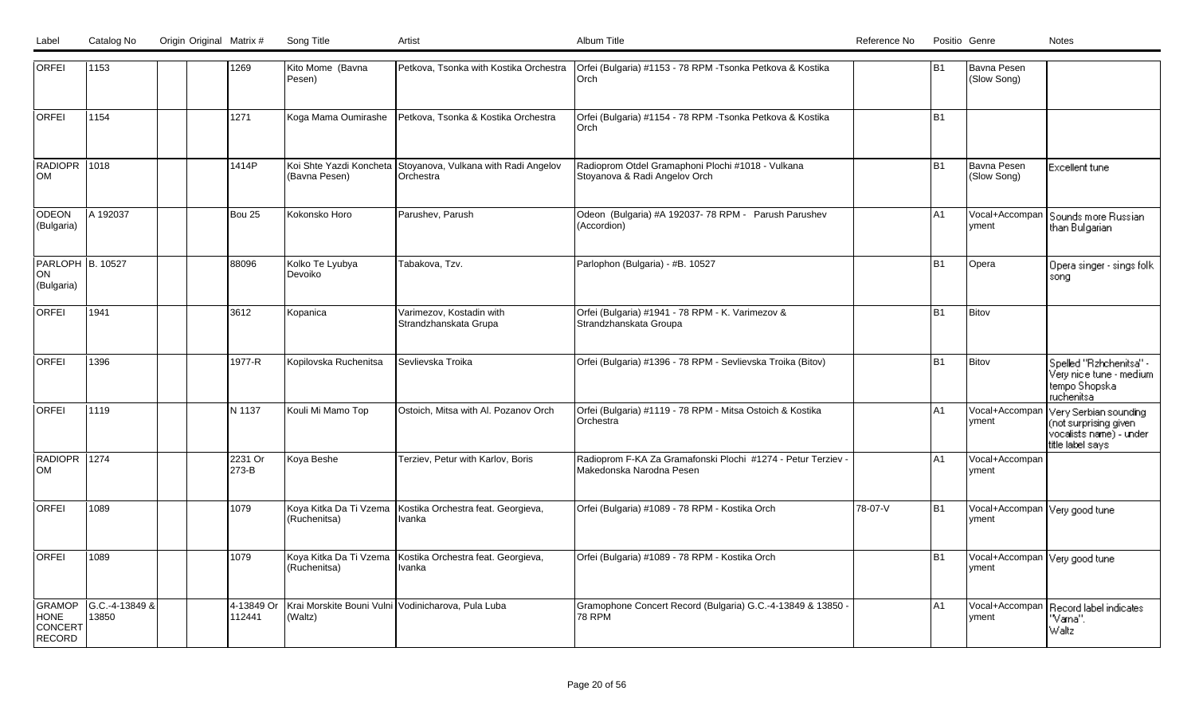|  | Label Catalog No Origin Original Matrix # | Song Title | Artist | Album Title | Positio Genre<br>Reference No<br>Notes |
|--|-------------------------------------------|------------|--------|-------------|----------------------------------------|

| <b>ORFEI</b>                               | 1153                    |  | 1269                 | Kito Mome (Bavna<br>Pesen)               | Petkova, Tsonka with Kostika Orchestra                              | Orfei (Bulgaria) #1153 - 78 RPM -Tsonka Petkova & Kostika<br>Orch                        |         | B <sub>1</sub> | Bavna Pesen<br>(Slow Song)              |                                                                                                  |
|--------------------------------------------|-------------------------|--|----------------------|------------------------------------------|---------------------------------------------------------------------|------------------------------------------------------------------------------------------|---------|----------------|-----------------------------------------|--------------------------------------------------------------------------------------------------|
| <b>ORFEI</b>                               | 1154                    |  | 1271                 | Koga Mama Oumirashe                      | Petkova, Tsonka & Kostika Orchestra                                 | Orfei (Bulgaria) #1154 - 78 RPM -Tsonka Petkova & Kostika<br>Orch                        |         | B1             |                                         |                                                                                                  |
| RADIOPR 1018<br><b>OM</b>                  |                         |  | 1414P                | Koi Shte Yazdi Koncheta<br>(Bavna Pesen) | Stoyanova, Vulkana with Radi Angelov<br>Orchestra                   | Radioprom Otdel Gramaphoni Plochi #1018 - Vulkana<br>Stovanova & Radi Angelov Orch       |         | B <sub>1</sub> | Bavna Pesen<br>(Slow Song)              | <b>Excellent tune</b>                                                                            |
| ODEON<br>(Bulgaria)                        | A 192037                |  | Bou 25               | Kokonsko Horo                            | Parushev, Parush                                                    | Odeon (Bulgaria) #A 192037-78 RPM - Parush Parushev<br>(Accordion)                       |         | A1             | Vocal+Accompan<br>yment                 | Sounds more Russian<br>than Bulgarian                                                            |
| PARLOPH B. 10527<br>ON <br>(Bulgaria)      |                         |  | 88096                | Kolko Te Lyubya<br>Devoiko               | Tabakova, Tzv.                                                      | Parlophon (Bulgaria) - #B. 10527                                                         |         | B <sub>1</sub> | Opera                                   | Opera singer - sings folk<br>sona                                                                |
| ORFEI                                      | 1941                    |  | 3612                 | Kopanica                                 | Varimezov, Kostadin with<br>Strandzhanskata Grupa                   | Orfei (Bulgaria) #1941 - 78 RPM - K. Varimezov &<br>Strandzhanskata Groupa               |         | B <sub>1</sub> | Bitov                                   |                                                                                                  |
| <b>ORFEI</b>                               | 1396                    |  | 1977-R               | Kopilovska Ruchenitsa                    | Sevlievska Troika                                                   | Orfei (Bulgaria) #1396 - 78 RPM - Sevlievska Troika (Bitov)                              |         | B <sub>1</sub> | Bitov                                   | Spelled "Rzhchenitsa" -<br>Very nice tune - medium<br>tempo Shopska<br>ruchenitsa                |
| <b>ORFEI</b>                               | 1119                    |  | N 1137               | Kouli Mi Mamo Top                        | Ostoich, Mitsa with Al. Pozanov Orch                                | Orfei (Bulgaria) #1119 - 78 RPM - Mitsa Ostoich & Kostika<br>Orchestra                   |         | A <sub>1</sub> | Vocal+Accompar<br>yment                 | Very Serbian sounding<br>(not surprising given<br>∣vocalists name) - under i<br>title label says |
| RADIOPR 1274<br><b>OM</b>                  |                         |  | 2231 Or<br>273-B     | Koya Beshe                               | Terziev, Petur with Karlov, Boris                                   | Radioprom F-KA Za Gramafonski Plochi #1274 - Petur Terziev -<br>Makedonska Narodna Pesen |         | A1             | Vocal+Accompan<br>lyment                |                                                                                                  |
| <b>ORFEI</b>                               | 1089                    |  | 1079                 | Koya Kitka Da Ti Vzema<br>(Ruchenitsa)   | Kostika Orchestra feat. Georgieva,<br>Ivanka                        | Orfei (Bulgaria) #1089 - 78 RPM - Kostika Orch                                           | 78-07-V | B <sub>1</sub> | Vocal+Accompan Very good tune<br>vment  |                                                                                                  |
| <b>ORFEI</b>                               | 1089                    |  | 1079                 | (Ruchenitsa)                             | Koya Kitka Da Ti Vzema Kostika Orchestra feat. Georgieva,<br>Ivanka | Orfei (Bulgaria) #1089 - 78 RPM - Kostika Orch                                           |         | B <sub>1</sub> | Vocal+Accompan Very good tune<br> vment |                                                                                                  |
| GRAMOP<br><b>HONE</b><br>CONCERT<br>RECORD | G.C.-4-13849 &<br>13850 |  | 4-13849 Or<br>112441 | (Waltz)                                  | Krai Morskite Bouni Vulni Vodinicharova, Pula Luba                  | Gramophone Concert Record (Bulgaria) G.C.-4-13849 & 13850 -<br><b>78 RPM</b>             |         | A <sub>1</sub> | Vocal+Accompan<br>yment                 | Record label indicates<br>'Vana''.<br>Waltz                                                      |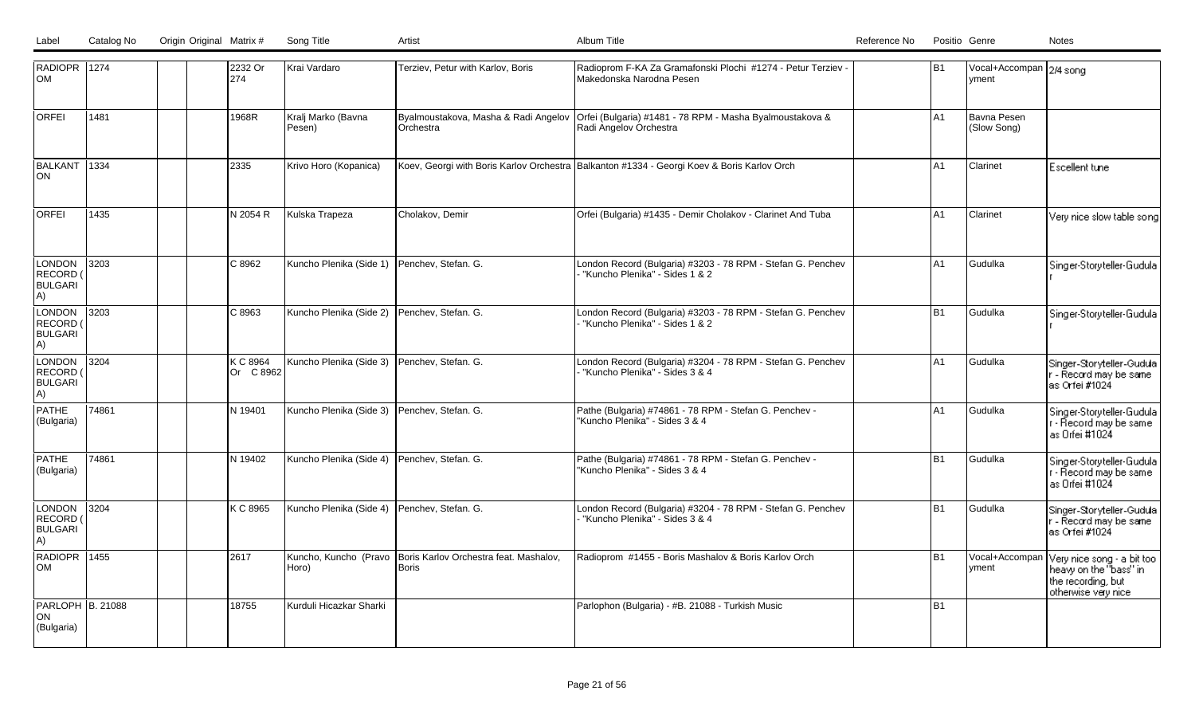| Label | Catalog No | Origin Original Matrix # | Song Title |  |
|-------|------------|--------------------------|------------|--|
|       |            |                          |            |  |

| RADIOPR 1274<br>lом                               |       | 2232 Or<br>274        | Krai Vardaro                                | Terziev, Petur with Karlov, Boris                                     | Radioprom F-KA Za Gramafonski Plochi #1274 - Petur Terziev -<br>Makedonska Narodna Pesen                                | IB1            | Vocal+Accompan 2/4 song<br> vment |                                                                                                   |
|---------------------------------------------------|-------|-----------------------|---------------------------------------------|-----------------------------------------------------------------------|-------------------------------------------------------------------------------------------------------------------------|----------------|-----------------------------------|---------------------------------------------------------------------------------------------------|
| <b>ORFEI</b>                                      | 1481  | 1968R                 | Kralj Marko (Bavna<br>Pesen)                | Orchestra                                                             | Byalmoustakova, Masha & Radi Angelov Orfei (Bulgaria) #1481 - 78 RPM - Masha Byalmoustakova &<br>Radi Angelov Orchestra | A <sub>1</sub> | Bavna Pesen<br>(Slow Song)        |                                                                                                   |
| BALKANT<br>ON                                     | 1334  | 2335                  | Krivo Horo (Kopanica)                       |                                                                       | Koev, Georgi with Boris Karlov Orchestra Balkanton #1334 - Georgi Koev & Boris Karlov Orch                              | A <sub>1</sub> | Clarinet                          | Escellent tune                                                                                    |
| <b>ORFEI</b>                                      | 1435  | IN 2054 R             | Kulska Trapeza                              | Cholakov, Demir                                                       | Orfei (Bulgaria) #1435 - Demir Cholakov - Clarinet And Tuba                                                             | lA1            | Clarinet                          | Very nice slow table song                                                                         |
| <b>LONDON</b><br>RECORD<br><b>BULGARI</b><br>A)   | 3203  | C 8962                | Kuncho Plenika (Side 1) Penchev, Stefan. G. |                                                                       | London Record (Bulgaria) #3203 - 78 RPM - Stefan G. Penchev<br>"Kuncho Plenika" - Sides 1 & 2                           | A1             | Gudulka                           | Singer-Storyteller-Gudula                                                                         |
| LONDON<br>RECORD<br><b>BULGARI</b><br>A)          | 3203  | C 8963                | Kuncho Plenika (Side 2)                     | Penchev. Stefan. G.                                                   | London Record (Bulgaria) #3203 - 78 RPM - Stefan G. Penchev<br>"Kuncho Plenika" - Sides 1 & 2                           | l B1           | l Gudulka                         | Singer-Storyteller-Gudula                                                                         |
| <b>LONDON</b><br>RECORD (<br><b>BULGARI</b><br>A) | 3204  | K C 8964<br>Or C 8962 | Kuncho Plenika (Side 3)                     | Penchev, Stefan. G.                                                   | London Record (Bulgaria) #3204 - 78 RPM - Stefan G. Penchev<br>"Kuncho Plenika" - Sides 3 & 4                           | A <sub>1</sub> | Gudulka                           | Singer-Storyteller-Gudula<br>r - Record may be same<br>as Orfei #1024                             |
| <b>PATHE</b><br>(Bulgaria)                        | 74861 | N 19401               | Kuncho Plenika (Side 3) Penchev, Stefan. G. |                                                                       | Pathe (Bulgaria) #74861 - 78 RPM - Stefan G. Penchev -<br>"Kuncho Plenika" - Sides 3 & 4                                | lA1            | Gudulka                           | Singer-Storyteller-Gudula<br>r - Record may be same<br>as Orfei #1024                             |
| <b>PATHE</b><br>(Bulgaria)                        | 74861 | N 19402               | Kuncho Plenika (Side 4) Penchev, Stefan. G. |                                                                       | Pathe (Bulgaria) #74861 - 78 RPM - Stefan G. Penchev -<br>"Kuncho Plenika" - Sides 3 & 4                                | l B1           | Gudulka                           | Singer-Storyteller-Gudula<br>r - Record may be same<br>as Orfei #1024                             |
| LONDON 3204<br>RECORD (<br><b>BULGARI</b><br>A)   |       | K C 8965              | Kuncho Plenika (Side 4)                     | Penchev, Stefan. G.                                                   | London Record (Bulgaria) #3204 - 78 RPM - Stefan G. Penchev<br>"Kuncho Plenika" - Sides 3 & 4                           | B1             | Gudulka                           | Singer-Storyteller-Gudula<br>r - Record may be same<br>as Orfei#1024                              |
| RADIOPR 1455<br> OM                               |       | 2617                  | Horo)                                       | Kuncho, Kuncho (Pravo Boris Karlov Orchestra feat. Mashalov,<br>Boris | Radioprom #1455 - Boris Mashalov & Boris Karlov Orch                                                                    | l B1           | Vocal+Accompan<br>yment           | Very nice song - a bit too<br>heavy on the "bass" in<br>the recording, but<br>otherwise very nice |
| PARLOPH B. 21088<br>ON <br>(Bulgaria)             |       | 18755                 | Kurduli Hicazkar Sharki                     |                                                                       | Parlophon (Bulgaria) - #B. 21088 - Turkish Music                                                                        | l B1           |                                   |                                                                                                   |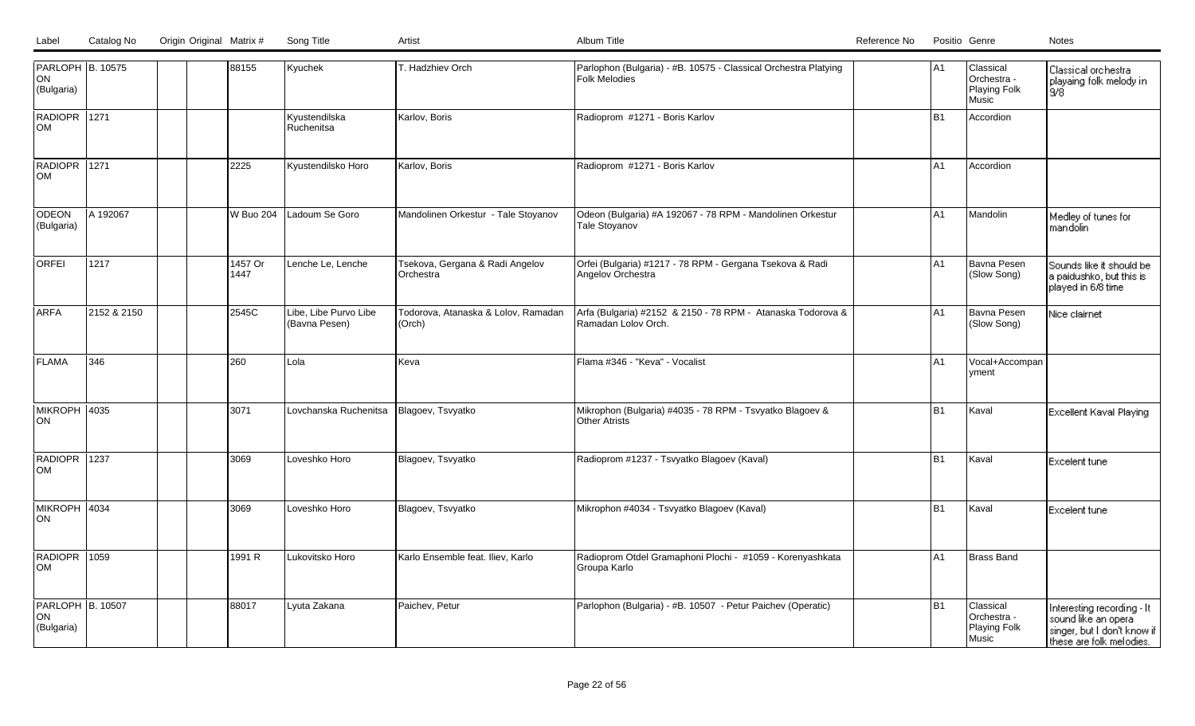| PARLOPH B. 10575<br>ON<br>(Bulgaria)         |             |  | 88155            | Kyuchek                                | T. Hadzhiev Orch                              | Parlophon (Bulgaria) - #B. 10575 - Classical Orchestra Platying<br>Folk Melodies   | A <sub>1</sub> | Classical<br>Orchestra -<br>Playing Folk<br>Music | Classical orchestra<br>playaing folk melody in<br>9/8                                                        |
|----------------------------------------------|-------------|--|------------------|----------------------------------------|-----------------------------------------------|------------------------------------------------------------------------------------|----------------|---------------------------------------------------|--------------------------------------------------------------------------------------------------------------|
| RADIOPR 1271<br>lом                          |             |  |                  | Kyustendilska<br>Ruchenitsa            | Karlov, Boris                                 | Radioprom #1271 - Boris Karlov                                                     | IB1            | Accordion                                         |                                                                                                              |
| RADIOPR 1271<br><b>OM</b>                    |             |  | 2225             | Kyustendilsko Horo                     | Karlov, Boris                                 | Radioprom #1271 - Boris Karlov                                                     | A1             | Accordion                                         |                                                                                                              |
| ODEON<br>(Bulgaria)                          | A 192067    |  | <b>W Buo 204</b> | Ladoum Se Goro                         | Mandolinen Orkestur - Tale Stoyanov           | Odeon (Bulgaria) #A 192067 - 78 RPM - Mandolinen Orkestur<br><b>Tale Stovanov</b>  | lA1            | Mandolin                                          | Medley of tunes for<br>mandolin                                                                              |
| <b>ORFEI</b>                                 | 1217        |  | 1457 Or<br>1447  | Lenche Le, Lenche                      | Tsekova, Gergana & Radi Angelov<br>Orchestra  | Orfei (Bulgaria) #1217 - 78 RPM - Gergana Tsekova & Radi<br>Angelov Orchestra      | IA1            | Bavna Pesen<br>(Slow Song)                        | Sounds like it should be<br>a paidushko, but this is l<br>played in 6/8 time                                 |
| <b>ARFA</b>                                  | 2152 & 2150 |  | 2545C            | Libe, Libe Purvo Libe<br>(Bavna Pesen) | Todorova, Atanaska & Lolov, Ramadan<br>(Orch) | Arfa (Bulgaria) #2152 & 2150 - 78 RPM - Atanaska Todorova &<br>Ramadan Lolov Orch. | lA1            | Bavna Pesen<br>(Slow Song)                        | Nice clairnet                                                                                                |
| <b>IFLAMA</b>                                | 346         |  | 260              | Lola                                   | Keva                                          | Flama #346 - "Keva" - Vocalist                                                     | lA1            | Vocal+Accompan<br>vment                           |                                                                                                              |
| MIKROPH 4035<br>ION.                         |             |  | 3071             | Lovchanska Ruchenitsa                  | Blagoev, Tsvyatko                             | Mikrophon (Bulgaria) #4035 - 78 RPM - Tsvyatko Blagoev &<br><b>Other Atrists</b>   | IB1            | Kaval                                             | Excellent Kaval Playing                                                                                      |
| RADIOPR 1237<br><b>OM</b>                    |             |  | 3069             | Loveshko Horo                          | Blagoev, Tsvyatko                             | Radioprom #1237 - Tsvyatko Blagoev (Kaval)                                         | lB1            | İKaval                                            | <b>Excelent tune</b>                                                                                         |
| MIKROPH 4034<br>lon                          |             |  | 3069             | Loveshko Horo                          | Blagoev, Tsvyatko                             | Mikrophon #4034 - Tsvyatko Blagoev (Kaval)                                         | IB1            | Kaval                                             | <b>Excelent tune</b>                                                                                         |
| RADIOPR 1059<br>lom                          |             |  | 1991 R           | Lukovitsko Horo                        | Karlo Ensemble feat. Iliev, Karlo             | Radioprom Otdel Gramaphoni Plochi - #1059 - Korenyashkata<br>Groupa Karlo          | IA1            | Brass Band                                        |                                                                                                              |
| <b>PARLOPH B. 10507</b><br>ON <br>(Bulgaria) |             |  | 88017            | Lyuta Zakana                           | Paichev, Petur                                | Parlophon (Bulgaria) - #B. 10507 - Petur Paichev (Operatic)                        | IB1            | Classical<br>Orchestra -<br>Playing Folk<br>Music | Interesting recording - It<br>sound like an opera<br>singer, but I don't know if<br>these are folk melodies. |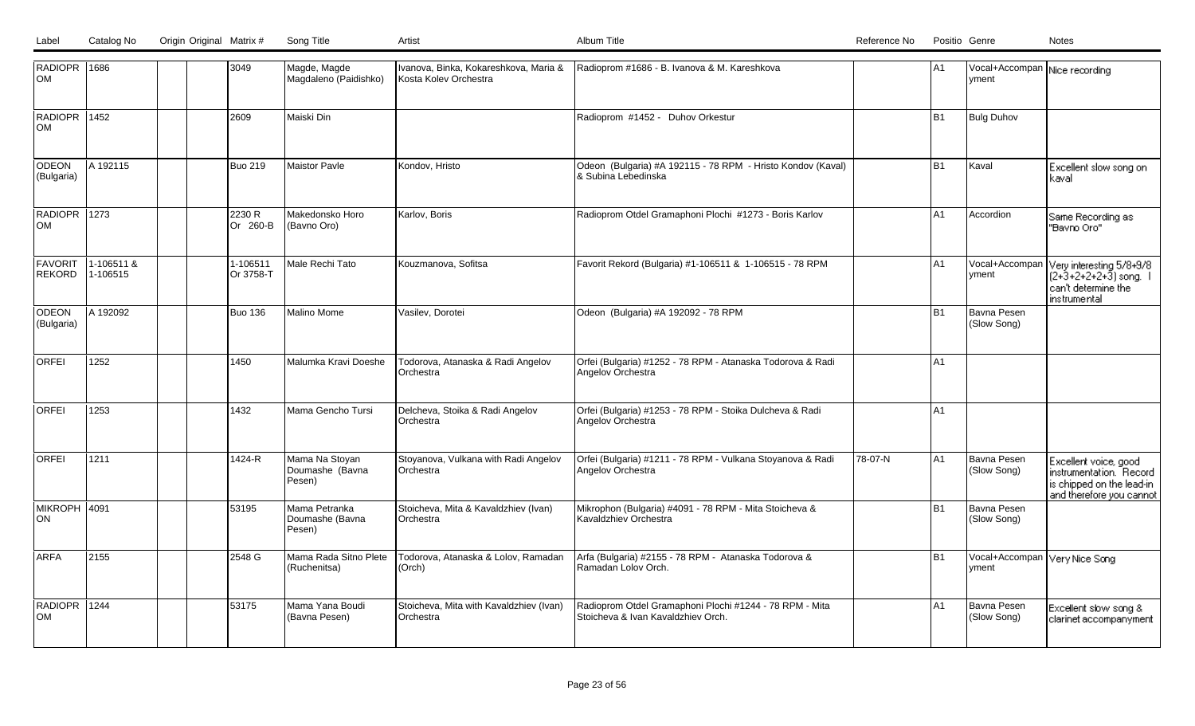| RADIOPR 1686<br>OM              |                        |  | 3049                  | Magde, Magde<br>Magdaleno (Paidishko)       | Ivanova, Binka, Kokareshkova, Maria &<br>Kosta Kolev Orchestra | Radioprom #1686 - B. Ivanova & M. Kareshkova                                                  |         | IA1            | Vocal+Accompan Nice recording<br>vment   |                                                                                                           |
|---------------------------------|------------------------|--|-----------------------|---------------------------------------------|----------------------------------------------------------------|-----------------------------------------------------------------------------------------------|---------|----------------|------------------------------------------|-----------------------------------------------------------------------------------------------------------|
| RADIOPR 1452<br>OM              |                        |  | 2609                  | Maiski Din                                  |                                                                | Radioprom #1452 - Duhov Orkestur                                                              |         | B <sub>1</sub> | <b>Bulg Duhov</b>                        |                                                                                                           |
| ODEON<br>(Bulgaria)             | A 192115               |  | <b>Buo 219</b>        | <b>Maistor Pavle</b>                        | Kondov, Hristo                                                 | Odeon (Bulgaria) #A 192115 - 78 RPM - Hristo Kondov (Kaval)<br>8 Subina Lebedinska            |         | B1             | Kaval                                    | Excellent slow song on<br>kaval                                                                           |
| RADIOPR 1273<br><b>OM</b>       |                        |  | 2230 R<br>lOr 260-B   | Makedonsko Horo<br>(Bavno Oro)              | Karlov, Boris                                                  | Radioprom Otdel Gramaphoni Plochi #1273 - Boris Karlov                                        |         | lA1            | Accordion                                | Same Recording as<br>"Bavno Oro"                                                                          |
| <b>FAVORIT</b><br><b>REKORD</b> | 1-106511 &<br>1-106515 |  | 1-106511<br>Or 3758-T | Male Rechi Tato                             | Kouzmanova, Sofitsa                                            | Favorit Rekord (Bulgaria) #1-106511 & 1-106515 - 78 RPM                                       |         | A1             | Vocal+Accompan<br>yment                  | Very interesting 5/8+9/8<br>$(2+3+2+2+2+3)$ song.<br>can't determine the<br>instrumental                  |
| <b>ODEON</b><br>(Bulgaria)      | A 192092               |  | <b>Buo 136</b>        | <b>Malino Mome</b>                          | Vasilev, Dorotei                                               | Odeon (Bulgaria) #A 192092 - 78 RPM                                                           |         | B <sub>1</sub> | Bavna Pesen<br>(Slow Song)               |                                                                                                           |
| <b>ORFEI</b>                    | 1252                   |  | 1450                  | Malumka Kravi Doeshe                        | Todorova, Atanaska & Radi Angelov<br>Orchestra                 | Orfei (Bulgaria) #1252 - 78 RPM - Atanaska Todorova & Radi<br>Angelov Orchestra               |         | IA1            |                                          |                                                                                                           |
| <b>ORFEI</b>                    | 1253                   |  | 1432                  | Mama Gencho Tursi                           | Delcheva, Stoika & Radi Angelov<br>Orchestra                   | Orfei (Bulgaria) #1253 - 78 RPM - Stoika Dulcheva & Radi<br>Angelov Orchestra                 |         | A1             |                                          |                                                                                                           |
| <b>ORFEI</b>                    | 1211                   |  | 1424-R                | Mama Na Stoyan<br>Doumashe (Bavna<br>Pesen) | Stoyanova, Vulkana with Radi Angelov<br>Orchestra              | Orfei (Bulgaria) #1211 - 78 RPM - Vulkana Stoyanova & Radi<br>Angelov Orchestra               | 78-07-N | lA1            | Bavna Pesen<br>(Slow Song)               | Excellent voice, good<br>instrumentation. Record<br>is chipped on the lead-in<br>and therefore you cannot |
| MIKROPH 4091<br>ON              |                        |  | 53195                 | Mama Petranka<br>Doumashe (Bavna<br>Pesen)  | Stoicheva, Mita & Kavaldzhiev (Ivan)<br>Orchestra              | Mikrophon (Bulgaria) #4091 - 78 RPM - Mita Stoicheva &<br>Kavaldzhiev Orchestra               |         | lB1            | Bavna Pesen<br>(Slow Song)               |                                                                                                           |
| <b>ARFA</b>                     | 2155                   |  | 2548 G                | Mama Rada Sitno Plete<br>(Ruchenitsa)       | Todorova, Atanaska & Lolov, Ramadan<br>(Orch)                  | Arfa (Bulgaria) #2155 - 78 RPM - Atanaska Todorova &<br>Ramadan Lolov Orch.                   |         | B1             | Vocal+Accompan   Very Nice Song<br>yment |                                                                                                           |
| RADIOPR 1244<br>OM              |                        |  | 53175                 | Mama Yana Boudi<br>(Bavna Pesen)            | Stoicheva, Mita with Kavaldzhiev (Ivan)<br>Orchestra           | Radioprom Otdel Gramaphoni Plochi #1244 - 78 RPM - Mita<br>Stoicheva & Ivan Kavaldzhiev Orch. |         | A1             | Bavna Pesen<br>(Slow Song)               | Excellent slow song &<br>clarinet accompanyment                                                           |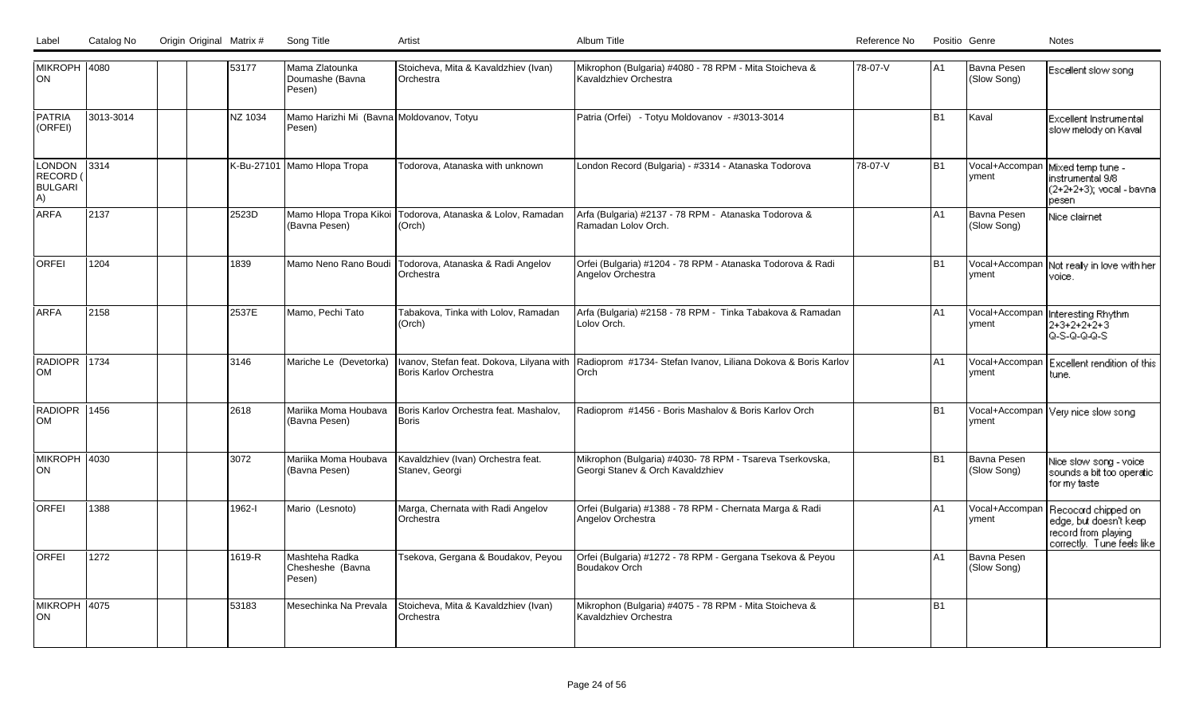| Label | Catalog No | Origin Original Matrix # | Song Title |  |
|-------|------------|--------------------------|------------|--|

| MIKROPH  4080<br>ON                        |           |  | 53177      | Mama Zlatounka<br>Doumashe (Bavna<br>Pesen)        | Stoicheva, Mita & Kavaldzhiev (Ivan)<br>Orchestra    | Mikrophon (Bulgaria) #4080 - 78 RPM - Mita Stoicheva &<br>Kavaldzhiev Orchestra                                 | 78-07-V | lA1            | Bavna Pesen<br>(Slow Song)      | Escellent slow song                                                                                |
|--------------------------------------------|-----------|--|------------|----------------------------------------------------|------------------------------------------------------|-----------------------------------------------------------------------------------------------------------------|---------|----------------|---------------------------------|----------------------------------------------------------------------------------------------------|
| <b>PATRIA</b><br>(ORFEI)                   | 3013-3014 |  | NZ 1034    | Mamo Harizhi Mi (Bavna Moldovanov, Totyu<br>Pesen) |                                                      | Patria (Orfei) - Totyu Moldovanov - #3013-3014                                                                  |         | B <sub>1</sub> | Kaval                           | <b>Excellent Instrumental</b><br>slow melody on Kaval                                              |
| LONDON<br>RECORD (<br><b>BULGARI</b><br>A) | 3314      |  | K-Bu-27101 | Mamo Hlopa Tropa                                   | Todorova, Atanaska with unknown                      | London Record (Bulgaria) - #3314 - Atanaska Todorova                                                            | 78-07-V | B <sub>1</sub> | Vocal+Accompan<br>yment         | Mixed temp tune -<br>instrumental 9/8<br>(2+2+2+3); vocal - bavna<br>pesen                         |
| ARFA                                       | 2137      |  | 2523D      | Mamo Hlopa Tropa Kikoi<br>(Bavna Pesen)            | Todorova, Atanaska & Lolov, Ramadan<br>(Orch)        | Arfa (Bulgaria) #2137 - 78 RPM - Atanaska Todorova &<br>Ramadan Lolov Orch.                                     |         | A <sub>1</sub> | Bavna Pesen<br>(Slow Song)      | Nice clairnet                                                                                      |
| <b>ORFEI</b>                               | 1204      |  | 1839       | Mamo Neno Rano Boudi                               | Todorova, Atanaska & Radi Angelov<br>Orchestra       | Orfei (Bulgaria) #1204 - 78 RPM - Atanaska Todorova & Radi<br>Angelov Orchestra                                 |         | B <sub>1</sub> | Vocal+Accompan<br><u>lvment</u> | Not realy in love with her<br>voice.                                                               |
| <b>ARFA</b>                                | 2158      |  | 2537E      | Mamo, Pechi Tato                                   | Tabakova, Tinka with Lolov, Ramadan<br>(Orch)        | Arfa (Bulgaria) #2158 - 78 RPM - Tinka Tabakova & Ramadan<br>Lolov Orch.                                        |         | A1             | Vocal+Accompan<br>vment         | Interesting Rhythm<br>$2+3+2+2+2+3$<br>Q-S-Q-Q-Q-S                                                 |
| RADIOPR 1734<br><b>OM</b>                  |           |  | 3146       | Mariche Le (Devetorka)                             | <b>Boris Karlov Orchestra</b>                        | Ivanov, Stefan feat. Dokova, Lilyana with Radioprom #1734- Stefan Ivanov, Liliana Dokova & Boris Karlov<br>Orch |         | A1             | Vocal+Accompan<br><b>Ivment</b> | Excellent rendition of this<br>tune.                                                               |
| RADIOPR 1456<br><b>OM</b>                  |           |  | 2618       | Mariika Moma Houbava<br>(Bavna Pesen)              | Boris Karlov Orchestra feat. Mashalov,<br>Boris      | Radioprom #1456 - Boris Mashalov & Boris Karlov Orch                                                            |         | B <sub>1</sub> | Ivment                          | Vocal+Accompan   Very nice slow song                                                               |
| MIKROPH 4030<br>ON                         |           |  | 3072       | Mariika Moma Houbava<br>(Bavna Pesen)              | Kavaldzhiev (Ivan) Orchestra feat.<br>Stanev, Georgi | Mikrophon (Bulgaria) #4030-78 RPM - Tsareva Tserkovska,<br>Georgi Stanev & Orch Kavaldzhiev                     |         | B <sub>1</sub> | Bavna Pesen<br>(Slow Song)      | Nice slow song - voice<br>sounds a bit too operatic<br>formytaste                                  |
| <b>ORFEI</b>                               | 1388      |  | 1962-l     | Mario (Lesnoto)                                    | Marga, Chernata with Radi Angelov<br>Orchestra       | Orfei (Bulgaria) #1388 - 78 RPM - Chernata Marga & Radi<br>Angelov Orchestra                                    |         | A <sub>1</sub> | Vocal+Accompan<br>vment         | Recocard chipped on<br>edge, but doesn't keep<br>record from playing<br>correctly. Tune feels like |
| <b>ORFEI</b>                               | 1272      |  | 1619-R     | Mashteha Radka<br>Chesheshe (Bavna<br>Pesen)       | Tsekova, Gergana & Boudakov, Peyou                   | Orfei (Bulgaria) #1272 - 78 RPM - Gergana Tsekova & Peyou<br>Boudakov Orch                                      |         | A <sub>1</sub> | Bavna Pesen<br>(Slow Song)      |                                                                                                    |
| MIKROPH 4075<br>ON                         |           |  | 53183      | Mesechinka Na Prevala                              | Stoicheva, Mita & Kavaldzhiev (Ivan)<br>Orchestra    | Mikrophon (Bulgaria) #4075 - 78 RPM - Mita Stoicheva &<br>Kavaldzhiev Orchestra                                 |         | B <sub>1</sub> |                                 |                                                                                                    |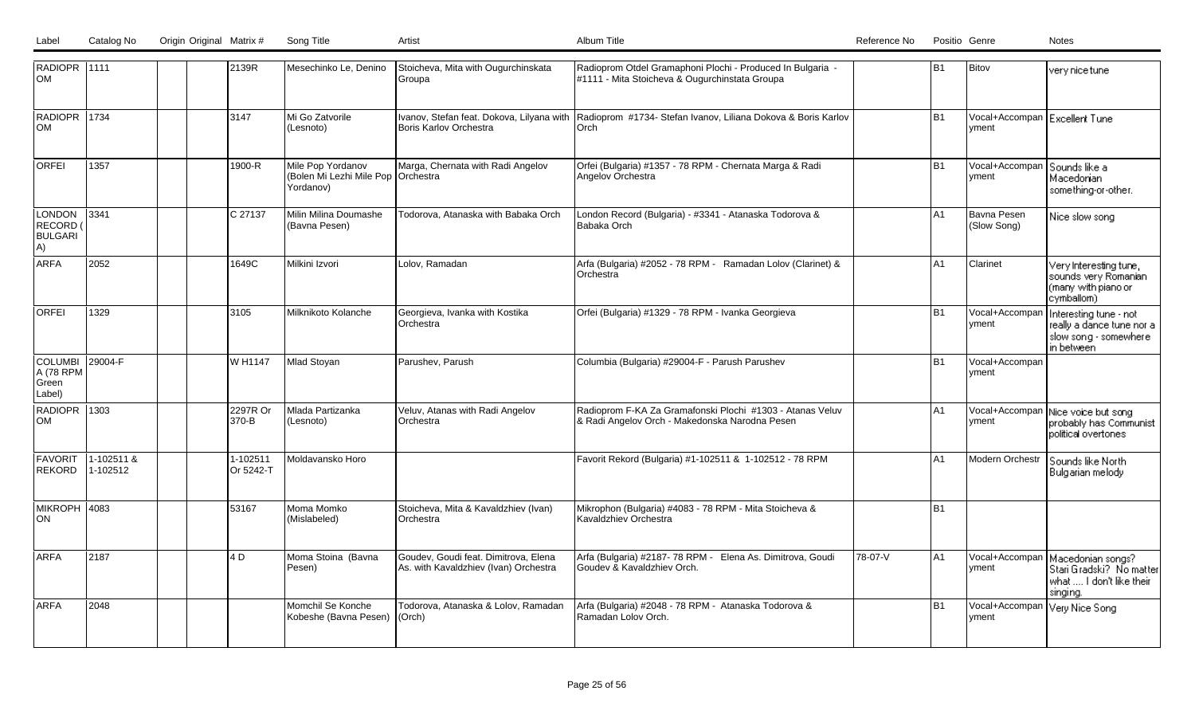| RADIOPR 1111<br>Іом                            |                        |  | 2139R                 | Mesechinko Le, Denino                                                  | Stoicheva, Mita with Ougurchinskata<br>Groupa                                 | Radioprom Otdel Gramaphoni Plochi - Produced In Bulgaria -<br>#1111 - Mita Stoicheva & Ougurchinstata Groupa    |         | B <sub>1</sub> | Bitov                                  | very nice tune                                                                             |
|------------------------------------------------|------------------------|--|-----------------------|------------------------------------------------------------------------|-------------------------------------------------------------------------------|-----------------------------------------------------------------------------------------------------------------|---------|----------------|----------------------------------------|--------------------------------------------------------------------------------------------|
| RADIOPR 1734<br>lom                            |                        |  | 3147                  | Mi Go Zatvorile<br>(Lesnoto)                                           | Boris Karlov Orchestra                                                        | Ivanov, Stefan feat. Dokova, Lilyana with Radioprom #1734- Stefan Ivanov, Liliana Dokova & Boris Karlov<br>Orch |         | B <sub>1</sub> | Vocal+Accompan Excellent Tune<br>yment |                                                                                            |
| <b>ORFEI</b>                                   | 1357                   |  | 1900-R                | Mile Pop Yordanov<br>(Bolen Mi Lezhi Mile Pop   Orchestra<br>Yordanov) | Marga, Chernata with Radi Angelov                                             | Orfei (Bulgaria) #1357 - 78 RPM - Chernata Marga & Radi<br>Angelov Orchestra                                    |         | B <sub>1</sub> | Vocal+Accompan<br>yment                | Sounds like a<br>Macedonian<br>something-or-other.                                         |
| LONDON<br>RECORD (<br><b>BULGARI</b><br>A)     | 3341                   |  | C 27137               | Milin Milina Doumashe<br>(Bavna Pesen)                                 | Todorova, Atanaska with Babaka Orch                                           | London Record (Bulgaria) - #3341 - Atanaska Todorova &<br>Babaka Orch                                           |         | A1             | Bavna Pesen<br>(Slow Song)             | Nice slow song                                                                             |
| <b>ARFA</b>                                    | 2052                   |  | 1649C                 | Milkini Izvori                                                         | Lolov, Ramadan                                                                | Arfa (Bulgaria) #2052 - 78 RPM - Ramadan Lolov (Clarinet) &<br>Orchestra                                        |         | A1             | Clarinet                               | Very Interesting tune,<br>sounds very Romanian<br>(many with piano or<br>cymballom)        |
| <b>ORFEI</b>                                   | 1329                   |  | 3105                  | Milknikoto Kolanche                                                    | Georgieva, Ivanka with Kostika<br>lOrchestra                                  | Orfei (Bulgaria) #1329 - 78 RPM - Ivanka Georgieva                                                              |         | B <sub>1</sub> | Vocal+Accompar<br>yment                | Interesting tune - not<br>really a dance tune nor a<br>slow song - somewhere<br>in between |
| <b>COLUMBI</b><br>A (78 RPM<br>Green<br>Label) | $ 29004-F$             |  | W H1147               | Mlad Stoyan                                                            | Parushev. Parush                                                              | Columbia (Bulgaria) #29004-F - Parush Parushev                                                                  |         | B <sub>1</sub> | Vocal+Accompan<br>yment                |                                                                                            |
| <b>RADIOPR 1303</b><br>lom                     |                        |  | 2297R Or<br>370-B     | Mlada Partizanka<br>(Lesnoto)                                          | Veluv, Atanas with Radi Angelov<br>lOrchestra                                 | Radioprom F-KA Za Gramafonski Plochi #1303 - Atanas Veluv<br>& Radi Angelov Orch - Makedonska Narodna Pesen     |         | IA1            | Vocal+Accompan<br>yment                | Nice voice but song<br>probably has Communist<br>political overtones                       |
| <b>FAVORIT</b><br>REKORD                       | 1-102511 &<br>1-102512 |  | 1-102511<br>Or 5242-T | Moldavansko Horo                                                       |                                                                               | Favorit Rekord (Bulgaria) #1-102511 & 1-102512 - 78 RPM                                                         |         | A1             | <b>Modern Orchestr</b>                 | Sounds like North<br>Bulgarian melody                                                      |
| MIKROPH 4083<br> ON                            |                        |  | 53167                 | Moma Momko<br>(Mislabeled)                                             | Stoicheva, Mita & Kavaldzhiev (Ivan)<br>lOrchestra                            | Mikrophon (Bulgaria) #4083 - 78 RPM - Mita Stoicheva &<br>Kavaldzhiev Orchestra                                 |         | B <sub>1</sub> |                                        |                                                                                            |
| larfa                                          | 2187                   |  | 4 D                   | Moma Stoina (Bavna<br>Pesen)                                           | Goudev, Goudi feat. Dimitrova, Elena<br>As. with Kavaldzhiev (Ivan) Orchestra | Arfa (Bulgaria) #2187-78 RPM - Elena As. Dimitrova, Goudi<br>Goudev & Kavaldzhiev Orch.                         | 78-07-V | A1             | Vocal+Accompan<br>yment                | Macedonian songs?<br>Stari Gradski? No matter<br>what  I don't like their<br>singing.      |
| <b>ARFA</b>                                    | 2048                   |  |                       | Momchil Se Konche<br>Kobeshe (Bavna Pesen)   (Orch)                    | Todorova, Atanaska & Lolov, Ramadan                                           | Arfa (Bulgaria) #2048 - 78 RPM - Atanaska Todorova &<br>Ramadan Lolov Orch.                                     |         | B <sub>1</sub> | Vocal+Accompan<br>vment                | Very Nice Song                                                                             |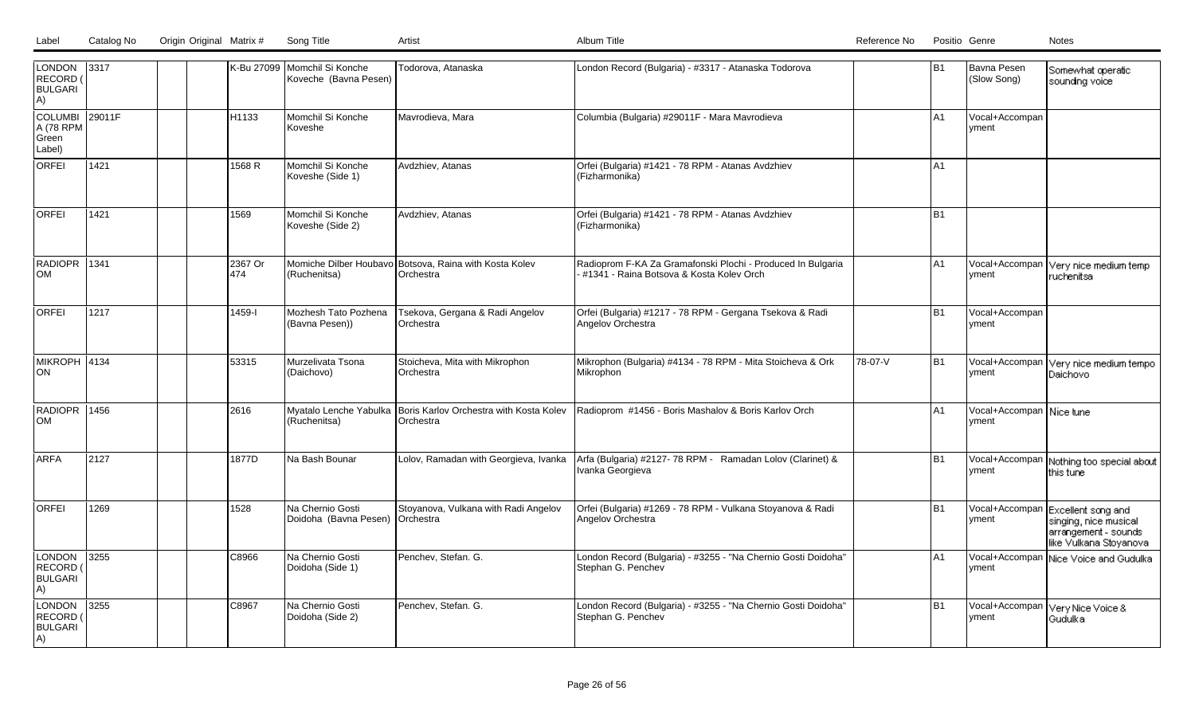| LONDON<br>RECORD (<br><b>BULGARI</b><br>A)        | 3317   |  |                   | K-Bu 27099 Momchil Si Konche<br>Koveche (Bavna Pesen) | Todorova, Atanaska                                                  | London Record (Bulgaria) - #3317 - Atanaska Todorova                                                    |         | lB1            | Bavna Pesen<br>(Slow Song)        | Somewhat operatic<br>sounding voice                                                            |
|---------------------------------------------------|--------|--|-------------------|-------------------------------------------------------|---------------------------------------------------------------------|---------------------------------------------------------------------------------------------------------|---------|----------------|-----------------------------------|------------------------------------------------------------------------------------------------|
| COLUMBI<br>A (78 RPM<br>Green<br>Label)           | 29011F |  | H <sub>1133</sub> | Momchil Si Konche<br>Koveshe                          | Mavrodieva, Mara                                                    | Columbia (Bulgaria) #29011F - Mara Mavrodieva                                                           |         | A <sub>1</sub> | Vocal+Accompan<br>vment           |                                                                                                |
| <b>ORFEI</b>                                      | 1421   |  | 1568 R            | Momchil Si Konche<br>Koveshe (Side 1)                 | Avdzhiev, Atanas                                                    | Orfei (Bulgaria) #1421 - 78 RPM - Atanas Avdzhiev<br>(Fizharmonika)                                     |         | A <sub>1</sub> |                                   |                                                                                                |
| <b>ORFEI</b>                                      | 1421   |  | 1569              | Momchil Si Konche<br>Koveshe (Side 2)                 | Avdzhiev, Atanas                                                    | Orfei (Bulgaria) #1421 - 78 RPM - Atanas Avdzhiev<br>(Fizharmonika)                                     |         | B <sub>1</sub> |                                   |                                                                                                |
| RADIOPR 1341<br><b>OM</b>                         |        |  | 2367 Or<br>474    | (Ruchenitsa)                                          | Momiche Dilber Houbavo Botsova, Raina with Kosta Kolev<br>Orchestra | Radioprom F-KA Za Gramafonski Plochi - Produced In Bulgaria<br>#1341 - Raina Botsova & Kosta Kolev Orch |         | A1             | Vocal+Accompan<br>Ivment          | Very nice medium temp<br>ruchenitsa                                                            |
| <b>ORFEI</b>                                      | 1217   |  | 1459-l            | Mozhesh Tato Pozhena<br>(Bavna Pesen))                | Tsekova, Gergana & Radi Angelov<br>Orchestra                        | Orfei (Bulgaria) #1217 - 78 RPM - Gergana Tsekova & Radi<br>Angelov Orchestra                           |         | B <sub>1</sub> | Vocal+Accompan<br>vment           |                                                                                                |
| MIKROPH 4134<br>ON                                |        |  | 53315             | Murzelivata Tsona<br>(Daichovo)                       | Stoicheva, Mita with Mikrophon<br>Orchestra                         | Mikrophon (Bulgaria) #4134 - 78 RPM - Mita Stoicheva & Ork<br>Mikrophon                                 | 78-07-V | B <sub>1</sub> | Vocal+Accompan<br>vment           | Very nice medium tempo<br>Daichovo                                                             |
| RADIOPR 1456<br><b>OM</b>                         |        |  | 2616              | Myatalo Lenche Yabulka<br>(Ruchenitsa)                | Boris Karlov Orchestra with Kosta Kolev<br>Orchestra                | Radioprom #1456 - Boris Mashalov & Boris Karlov Orch                                                    |         | A <sub>1</sub> | Vocal+Accompan Nice tune<br>vment |                                                                                                |
| ARFA                                              | 2127   |  | 1877D             | Na Bash Bounar                                        | Lolov, Ramadan with Georgieva, Ivanka                               | Arfa (Bulgaria) #2127-78 RPM - Ramadan Lolov (Clarinet) &<br>Ivanka Georgieva                           |         | B <sub>1</sub> | Vocal+Accompan<br><b>Ivment</b>   | Nothing too special about<br>this tune                                                         |
| <b>ORFEI</b>                                      | 1269   |  | 1528              | Na Chernio Gosti<br>Doidoha (Bavna Pesen) Orchestra   | Stoyanova, Vulkana with Radi Angelov                                | Orfei (Bulgaria) #1269 - 78 RPM - Vulkana Stoyanova & Radi<br>Angelov Orchestra                         |         | B <sub>1</sub> | Vocal+Accompan<br><u>lvment</u>   | Excellent song and<br>singing, nice musical<br>arrangement - sounds<br>like Vulkana Stoyanoval |
| <b>LONDON</b><br>RECORD (<br><b>BULGARI</b><br>A) | 3255   |  | C8966             | Na Chernio Gosti<br>Doidoha (Side 1)                  | Penchev, Stefan. G.                                                 | London Record (Bulgaria) - #3255 - "Na Chernio Gosti Doidoha"<br>Stephan G. Penchev                     |         | A1             | Vocal+Accompan<br>vment           | Nice Voice and Gudulka                                                                         |
| <b>LONDON</b><br>RECORD (<br><b>BULGARI</b><br>A) | 3255   |  | C8967             | Na Chernio Gosti<br>Doidoha (Side 2)                  | Penchev, Stefan. G.                                                 | London Record (Bulgaria) - #3255 - "Na Chernio Gosti Doidoha"<br>Stephan G. Penchev                     |         | B <sub>1</sub> | Vocal+Accompan<br>yment           | Very Nice Voice &<br>Gudulka                                                                   |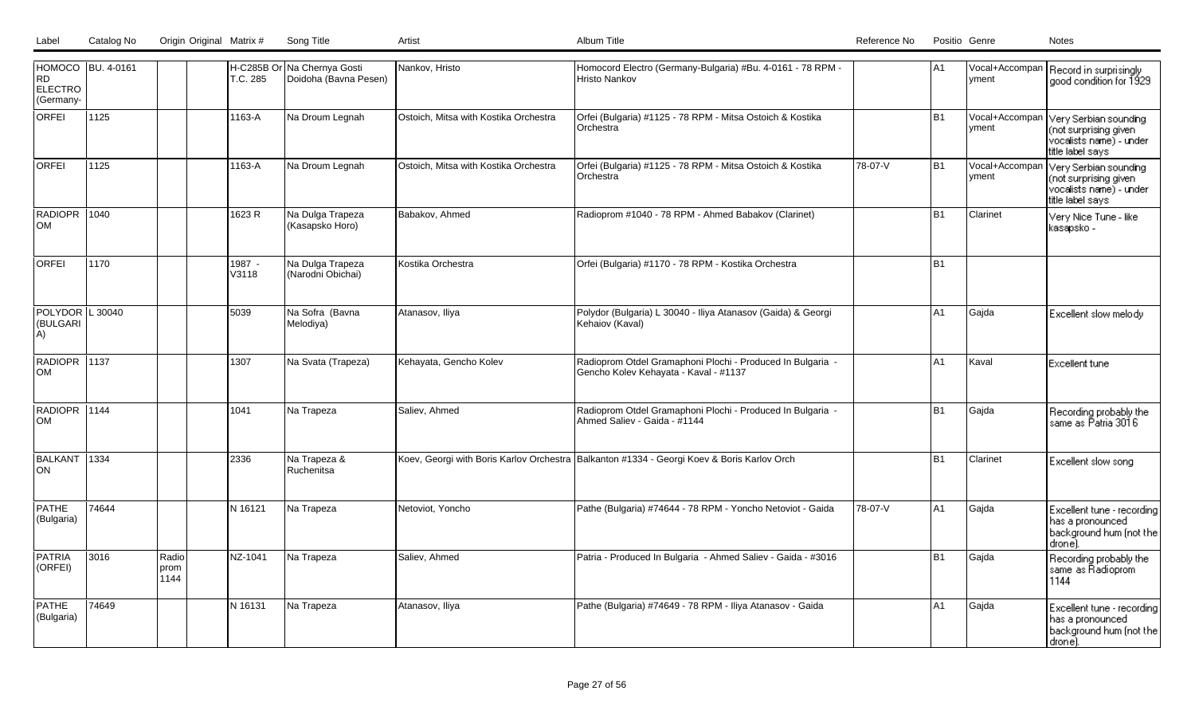| HOMOCO BU. 4-0161<br><b>RD</b><br><b>ELECTRO</b><br>(Germany- |       |                       | T.C. 285        | H-C285B Or Na Chernya Gosti<br>Doidoha (Bavna Pesen) | Nankov, Hristo                        | Homocord Electro (Germany-Bulgaria) #Bu. 4-0161 - 78 RPM -<br>Hristo Nankov                         |         | A1             | vment                   | Vocal+Accompan   Record in surprisingly<br>good condition for 1929                            |
|---------------------------------------------------------------|-------|-----------------------|-----------------|------------------------------------------------------|---------------------------------------|-----------------------------------------------------------------------------------------------------|---------|----------------|-------------------------|-----------------------------------------------------------------------------------------------|
| ORFEI                                                         | 1125  |                       | 1163-A          | Na Droum Legnah                                      | Ostoich, Mitsa with Kostika Orchestra | Orfei (Bulgaria) #1125 - 78 RPM - Mitsa Ostoich & Kostika<br><b>Orchestra</b>                       |         | <b>B1</b>      | Vocal+Accompan<br>yment | Very Serbian sounding<br>(not surprising given<br>vocalists name) - under<br>title label says |
| <b>ORFEI</b>                                                  | 1125  |                       | 1163-A          | Na Droum Legnah                                      | Ostoich, Mitsa with Kostika Orchestra | Orfei (Bulgaria) #1125 - 78 RPM - Mitsa Ostoich & Kostika<br><b>Orchestra</b>                       | 78-07-V | <b>B1</b>      | Vocal+Accompan<br>yment | Very Serbian sounding<br>(not surprising given<br>vocalists name) - under<br>title label says |
| RADIOPR 1040<br><b>OM</b>                                     |       |                       | 1623 R          | Na Dulga Trapeza<br>(Kasapsko Horo)                  | Babakov, Ahmed                        | Radioprom #1040 - 78 RPM - Ahmed Babakov (Clarinet)                                                 |         | B <sub>1</sub> | Clarinet                | Very Nice Tune - like<br>kasapsko -                                                           |
| <b>ORFEI</b>                                                  | 1170  |                       | 1987 -<br>V3118 | Na Dulga Trapeza<br>(Narodni Obichai)                | Kostika Orchestra                     | Orfei (Bulgaria) #1170 - 78 RPM - Kostika Orchestra                                                 |         | <b>B1</b>      |                         |                                                                                               |
| POLYDOR L 30040<br>(BULGARI<br>A)                             |       |                       | 5039            | Na Sofra (Bavna<br>Melodiya)                         | Atanasov, Iliya                       | Polydor (Bulgaria) L 30040 - Iliya Atanasov (Gaida) & Georgi<br>Kehaiov (Kaval)                     |         | A1             | Gajda                   | Excellent slow melody                                                                         |
| RADIOPR 1137<br><b>OM</b>                                     |       |                       | 1307            | Na Svata (Trapeza)                                   | Kehayata, Gencho Kolev                | Radioprom Otdel Gramaphoni Plochi - Produced In Bulgaria -<br>Gencho Kolev Kehayata - Kaval - #1137 |         | A1             | Kaval                   | <b>Excellent tune</b>                                                                         |
| RADIOPR 1144<br><b>OM</b>                                     |       |                       | 1041            | Na Trapeza                                           | Saliev, Ahmed                         | Radioprom Otdel Gramaphoni Plochi - Produced In Bulgaria -<br>Ahmed Saliev - Gaida - #1144          |         | <b>B1</b>      | Gajda                   | Recording probably the<br>same as Patria 3016                                                 |
| BALKANT 1334<br>ON                                            |       |                       | 2336            | Na Trapeza &<br>Ruchenitsa                           |                                       | Koev, Georgi with Boris Karlov Orchestra Balkanton #1334 - Georgi Koev & Boris Karlov Orch          |         | <b>B1</b>      | Clarinet                | Excellent slow song                                                                           |
| <b>PATHE</b><br>(Bulgaria)                                    | 74644 |                       | N 16121         | Na Trapeza                                           | Netoviot, Yoncho                      | Pathe (Bulgaria) #74644 - 78 RPM - Yoncho Netoviot - Gaida                                          | 78-07-V | A1             | Gajda                   | Excellent tune - recording<br>has a pronounced<br>background hum (not the<br>drone).          |
| <b>PATRIA</b><br>(ORFEI)                                      | 3016  | Radio<br>prom<br>1144 | NZ-1041         | Na Trapeza                                           | Saliev, Ahmed                         | Patria - Produced In Bulgaria - Ahmed Saliev - Gaida - #3016                                        |         | <b>B1</b>      | Gajda                   | Recording probably the<br>same as Radioprom<br>1144                                           |
| <b>PATHE</b><br>(Bulgaria)                                    | 74649 |                       | N 16131         | Na Trapeza                                           | Atanasov, Iliya                       | Pathe (Bulgaria) #74649 - 78 RPM - Iliya Atanasov - Gaida                                           |         | A1             | Gajda                   | Excellent tune - recording<br>l has a pronounced<br>background hum (not the<br>drone).        |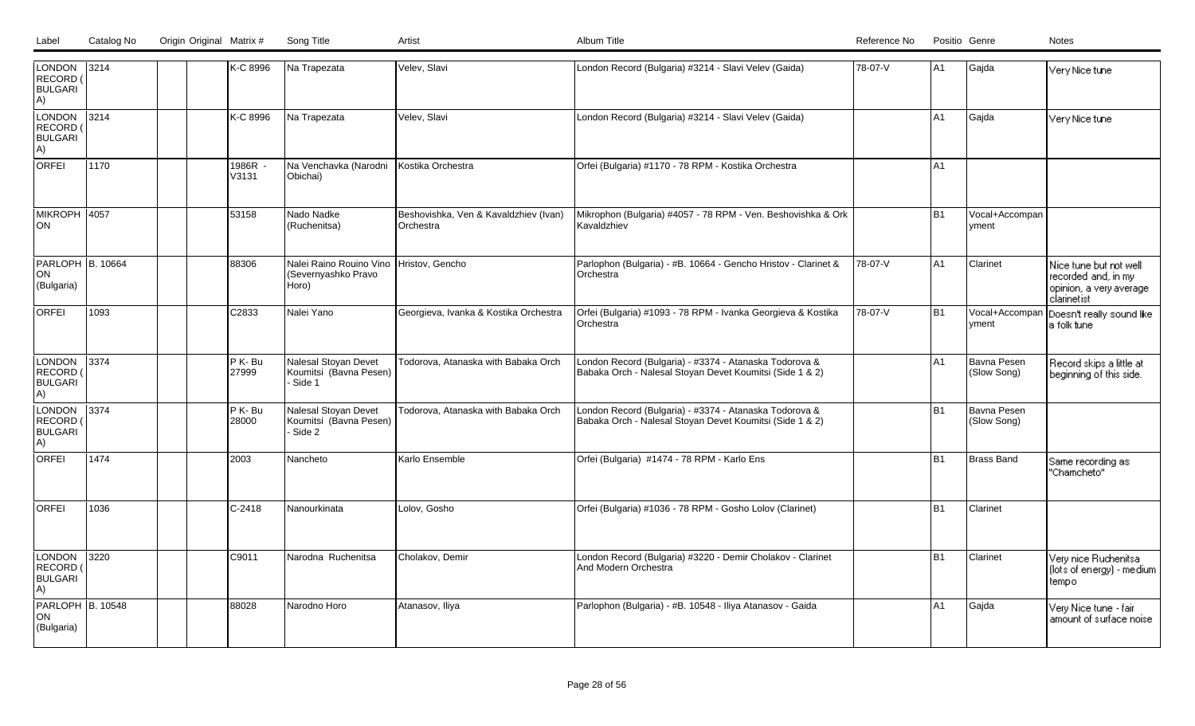| Label | Catalog No | Origin Original Matrix # | Song Title |  |
|-------|------------|--------------------------|------------|--|
|       |            |                          |            |  |

| LONDON 3214<br>RECORD (<br><b>BULGARI</b><br>A)   |                |  | K-C 8996         | Na Trapezata                                                            | Velev, Slavi                                       | London Record (Bulgaria) #3214 - Slavi Velev (Gaida)                                                               | 78-07-V | A1        | Gaida                       | Very Nice tune                                                                          |
|---------------------------------------------------|----------------|--|------------------|-------------------------------------------------------------------------|----------------------------------------------------|--------------------------------------------------------------------------------------------------------------------|---------|-----------|-----------------------------|-----------------------------------------------------------------------------------------|
| LONDON<br>RECORD<br><b>BULGARI</b><br>A)          | $ 3214\rangle$ |  | K-C 8996         | Na Trapezata                                                            | Velev, Slavi                                       | London Record (Bulgaria) #3214 - Slavi Velev (Gaida)                                                               |         | A1        | Gajda                       | Very Nice tune                                                                          |
| <b>ORFEI</b>                                      | 1170           |  | 1986R<br>V3131   | Na Venchavka (Narodni<br>Obichai)                                       | Kostika Orchestra                                  | Orfei (Bulgaria) #1170 - 78 RPM - Kostika Orchestra                                                                |         | A1        |                             |                                                                                         |
| <b>MIKROPH 4057</b><br>ION                        |                |  | 53158            | Nado Nadke<br>(Ruchenitsa)                                              | Beshovishka, Ven & Kavaldzhiev (Ivan)<br>Orchestra | Mikrophon (Bulgaria) #4057 - 78 RPM - Ven. Beshovishka & Ork<br>Kavaldzhiev                                        |         | <b>B1</b> | Vocal+Accompan<br>yment     |                                                                                         |
| PARLOPH B. 10664<br>ON<br>(Bulgaria)              |                |  | 88306            | Nalei Raino Rouino Vino Hristov, Gencho<br>(Severnyashko Pravo<br>Horo) |                                                    | Parlophon (Bulgaria) - #B. 10664 - Gencho Hristov - Clarinet &<br>Orchestra                                        | 78-07-V | A1        | Clarinet                    | Nice tune but not well<br>recorded and, in my<br>opinion, a very average<br>clarinetist |
| <b>ORFEI</b>                                      | 1093           |  | C2833            | Nalei Yano                                                              | Georgieva, Ivanka & Kostika Orchestra              | Orfei (Bulgaria) #1093 - 78 RPM - Ivanka Georgieva & Kostika<br>IOrchestra                                         | 78-07-V | <b>B1</b> | Vocal+Accompan<br>vment     | Doesn't really sound like<br>a folk tune                                                |
| LONDON<br>RECORD (<br><b>BULGARI</b><br>A)        | 3374           |  | P K-Bu<br>27999  | Nalesal Stoyan Devet<br>Koumitsi (Bavna Pesen)<br>Side 1                | Todorova, Atanaska with Babaka Orch                | London Record (Bulgaria) - #3374 - Atanaska Todorova &<br>Babaka Orch - Nalesal Stoyan Devet Koumitsi (Side 1 & 2) |         | A1        | Bavna Pesen<br>(Slow Song)  | Record skips a little at<br>beginning of this side.                                     |
| <b>LONDON</b><br>RECORD (<br><b>BULGARI</b><br>A) | 3374           |  | P K- Bu<br>28000 | Nalesal Stoyan Devet<br>Koumitsi (Bavna Pesen)<br>Side 2                | Todorova, Atanaska with Babaka Orch                | London Record (Bulgaria) - #3374 - Atanaska Todorova &<br>Babaka Orch - Nalesal Stoyan Devet Koumitsi (Side 1 & 2) |         | <b>B1</b> | IBavna Pesen<br>(Slow Song) |                                                                                         |
| ORFEI                                             | 1474           |  | 2003             | Nancheto                                                                | Karlo Ensemble                                     | Orfei (Bulgaria) #1474 - 78 RPM - Karlo Ens                                                                        |         | <b>B1</b> | Brass Band                  | Same recording as<br>"Chamcheto"                                                        |
| <b>ORFEI</b>                                      | 1036           |  | $C-2418$         | Nanourkinata                                                            | Lolov, Gosho                                       | Orfei (Bulgaria) #1036 - 78 RPM - Gosho Lolov (Clarinet)                                                           |         | <b>B1</b> | <b>Clarinet</b>             |                                                                                         |
| <b>LONDON</b><br>RECORD (<br><b>BULGARI</b><br>A) | 3220           |  | C9011            | Narodna Ruchenitsa                                                      | Cholakov, Demir                                    | London Record (Bulgaria) #3220 - Demir Cholakov - Clarinet<br>And Modern Orchestra                                 |         | <b>B1</b> | Clarinet                    | Very nice Ruchenitsa<br>(lots of energy) - medium<br>tempo                              |
| <b>PARLOPH B. 10548</b><br>ON<br>(Bulgaria)       |                |  | 88028            | Narodno Horo                                                            | Atanasov, Iliya                                    | Parlophon (Bulgaria) - #B. 10548 - Iliya Atanasov - Gaida                                                          |         | A1        | Gaida                       | Very Nice tune - fair<br>amount of surface noise                                        |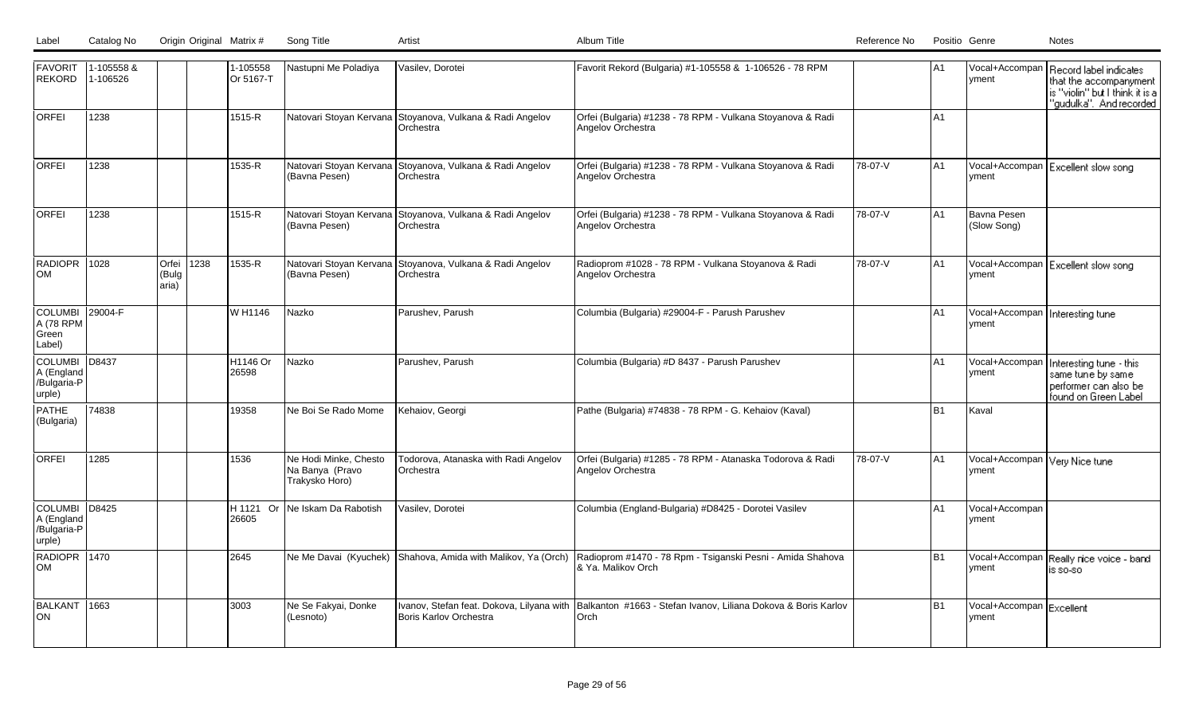| Label | Catalog No | Origin Original Matrix # | Song Title |  |
|-------|------------|--------------------------|------------|--|
|       |            |                          |            |  |

| <b>FAVORIT</b><br>REKORD                              | 1-105558 &<br>1-106526 |                             |     | 1-105558<br>Or 5167-T | Nastupni Me Poladiya                                       | Vasilev, Dorotei                                                              | Favorit Rekord (Bulgaria) #1-105558 & 1-106526 - 78 RPM                                                           |         | IA1            | vment                                      | Vocal+Accompan   Record label indicates<br>that the accompanyment<br>is "violin" but I think it is a<br>"gudulka". And recorded |
|-------------------------------------------------------|------------------------|-----------------------------|-----|-----------------------|------------------------------------------------------------|-------------------------------------------------------------------------------|-------------------------------------------------------------------------------------------------------------------|---------|----------------|--------------------------------------------|---------------------------------------------------------------------------------------------------------------------------------|
| <b>ORFEI</b>                                          | 1238                   |                             |     | 1515-R                |                                                            | Natovari Stoyan Kervana Stoyanova, Vulkana & Radi Angelov<br>Orchestra        | Orfei (Bulgaria) #1238 - 78 RPM - Vulkana Stoyanova & Radi<br>Angelov Orchestra                                   |         | IA1            |                                            |                                                                                                                                 |
| lorfei                                                | 1238                   |                             |     | 1535-R                | Natovari Stoyan Kervana<br>(Bavna Pesen)                   | Stoyanova, Vulkana & Radi Angelov<br>Orchestra                                | Orfei (Bulgaria) #1238 - 78 RPM - Vulkana Stoyanova & Radi<br>Angelov Orchestra                                   | 78-07-V | lA1            | Vocal+Accompan<br>yment                    | Excellent slow song                                                                                                             |
| <b>ORFEI</b>                                          | 1238                   |                             |     | 1515-R                | (Bavna Pesen)                                              | Natovari Stoyan Kervana Stoyanova, Vulkana & Radi Angelov<br>Orchestra        | Orfei (Bulgaria) #1238 - 78 RPM - Vulkana Stoyanova & Radi<br>Angelov Orchestra                                   | 78-07-V | A1             | Bavna Pesen<br>(Slow Song)                 |                                                                                                                                 |
| RADIOPR 1028<br>lom                                   |                        | Orfei<br>(Bulg<br>$\arctan$ | 238 | 1535-R                | (Bavna Pesen)                                              | Natovari Stoyan Kervana Stoyanova, Vulkana & Radi Angelov<br><b>Orchestra</b> | Radioprom #1028 - 78 RPM - Vulkana Stoyanova & Radi<br>Angelov Orchestra                                          | 78-07-V | lA1            | yment                                      | Vocal+Accompan   Excellent slow song                                                                                            |
| <b>COLUMBI</b><br>A (78 RPM<br>Green<br>Label)        | 29004-F                |                             |     | W H1146               | Nazko                                                      | Parushev, Parush                                                              | Columbia (Bulgaria) #29004-F - Parush Parushev                                                                    |         | IA1            | Vocal+Accompan   Interesting tune<br>vment |                                                                                                                                 |
| <b>COLUMBI</b><br>A (England<br>/Bulgaria-P<br>urple) | D8437                  |                             |     | H1146 Or<br>26598     | Nazko                                                      | Parushev, Parush                                                              | Columbia (Bulgaria) #D 8437 - Parush Parushev                                                                     |         | IA1            | Vocal+Accompan<br>yment                    | Interesting tune - this<br>same tune by same<br>performer can also be<br>found on Green Label                                   |
| PATHE<br>(Bulgaria)                                   | 74838                  |                             |     | 19358                 | Ne Boi Se Rado Mome                                        | Kehaiov, Georgi                                                               | Pathe (Bulgaria) #74838 - 78 RPM - G. Kehaiov (Kaval)                                                             |         | B <sub>1</sub> | Kaval                                      |                                                                                                                                 |
| <b>ORFEI</b>                                          | 1285                   |                             |     | 1536                  | Ne Hodi Minke, Chesto<br>Na Banya (Pravo<br>Trakysko Horo) | <b>Fodorova, Atanaska with Radi Angelov</b><br>Orchestra                      | Orfei (Bulgaria) #1285 - 78 RPM - Atanaska Todorova & Radi<br>Angelov Orchestra                                   | 78-07-V | A <sub>1</sub> | Vocal+Accompan Very Nice tune<br>yment     |                                                                                                                                 |
| COLUMBI<br>A (England<br>/Bulgaria-P<br>urple)        | D8425                  |                             |     | H 1121 Or<br>26605    | Ne Iskam Da Rabotish                                       | Vasilev, Dorotei                                                              | Columbia (England-Bulgaria) #D8425 - Dorotei Vasilev                                                              |         | A <sub>1</sub> | Vocal+Accompan<br>yment                    |                                                                                                                                 |
| RADIOPR 1470<br>lom                                   |                        |                             |     | 2645                  |                                                            | Ne Me Davai (Kyuchek) Shahova, Amida with Malikov, Ya (Orch)                  | Radioprom #1470 - 78 Rpm - Tsiganski Pesni - Amida Shahova<br>& Ya. Malikov Orch                                  |         | B <sub>1</sub> | Vocal+Accompan<br>vment                    | Really rice voice - band<br>is so-sol                                                                                           |
| BALKANT<br>ION.                                       | 1663                   |                             |     | 3003                  | Ne Se Fakyai, Donke<br>(Lesnoto)                           | Boris Karlov Orchestra                                                        | Ivanov, Stefan feat. Dokova, Lilyana with Balkanton #1663 - Stefan Ivanov, Liliana Dokova & Boris Karlov<br>lOrch |         | B <sub>1</sub> | Vocal+Accompan Excellent<br>vment          |                                                                                                                                 |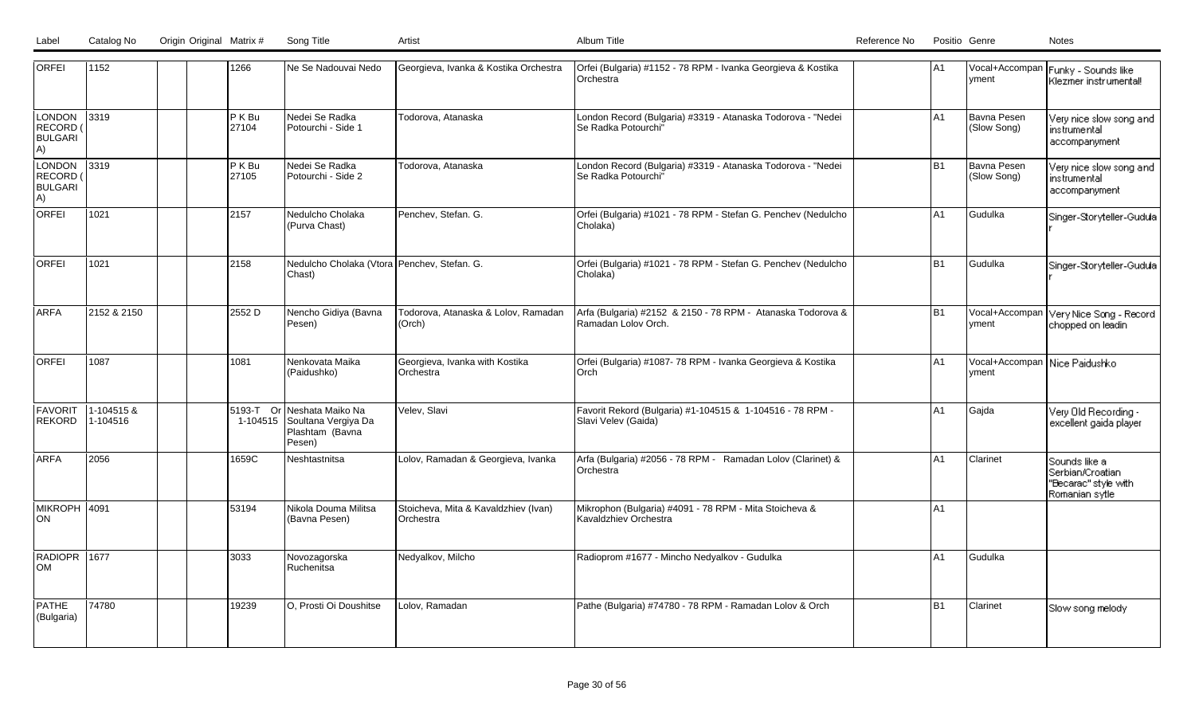| <b>ORFEI</b>                             | 1152                  |  | 1266                  | Ne Se Nadouvai Nedo                                                  | Georgieva, Ivanka & Kostika Orchestra             | Orfei (Bulgaria) #1152 - 78 RPM - Ivanka Georgieva & Kostika<br>Orchestra          | IA1            | yment                                    | Vocal+Accompan Funky - Sounds like<br>l Klezmer instrumenta‼                     |
|------------------------------------------|-----------------------|--|-----------------------|----------------------------------------------------------------------|---------------------------------------------------|------------------------------------------------------------------------------------|----------------|------------------------------------------|----------------------------------------------------------------------------------|
| LONDON<br>RECORD<br><b>BULGARI</b><br>A) | $ 3319\rangle$        |  | P K B u<br>27104      | Nedei Se Radka<br>Potourchi - Side 1                                 | Todorova, Atanaska                                | London Record (Bulgaria) #3319 - Atanaska Todorova - "Nedei<br>Se Radka Potourchi" | lA1            | Bavna Pesen<br>(Slow Song)               | Very nice slow song and<br>l instrumental :<br>accompanyment                     |
| LONDON<br>RECORD<br><b>BULGARI</b><br>A) | 3319                  |  | P K B u<br>27105      | Nedei Se Radka<br>Potourchi - Side 2                                 | Todorova, Atanaska                                | London Record (Bulgaria) #3319 - Atanaska Todorova - "Nedei<br>Se Radka Potourchi" | B1             | Bavna Pesen<br>(Slow Song)               | Very nice slow song and<br>l instrumental :<br>  accompanyment_                  |
| <b>ORFEI</b>                             | 1021                  |  | 2157                  | Nedulcho Cholaka<br>(Purva Chast)                                    | Penchev, Stefan. G.                               | Orfei (Bulgaria) #1021 - 78 RPM - Stefan G. Penchev (Nedulcho<br>Cholaka)          | A1             | Gudulka                                  | Singer-Storyteller-Gudula                                                        |
| <b>ORFEI</b>                             | 1021                  |  | 2158                  | Nedulcho Cholaka (Vtora Penchev, Stefan. G.<br>Chast)                |                                                   | Orfei (Bulgaria) #1021 - 78 RPM - Stefan G. Penchev (Nedulcho<br>Cholaka)          | lB1            | Gudulka                                  | Singer-Storyteller-Gudula                                                        |
| ARFA                                     | 2152 & 2150           |  | 2552 D                | Nencho Gidiya (Bavna<br>Pesen)                                       | Todorova, Atanaska & Lolov, Ramadan<br>(Orch)     | Arfa (Bulgaria) #2152 & 2150 - 78 RPM - Atanaska Todorova &<br>Ramadan Lolov Orch. | lB1            | Vocal+Accompan<br>yment                  | Very Nice Song - Record<br>chopped on leadin                                     |
| lorfei                                   | 1087                  |  | 1081                  | Nenkovata Maika<br>(Paidushko)                                       | Georgieva, Ivanka with Kostika<br>Orchestra       | Orfei (Bulgaria) #1087- 78 RPM - Ivanka Georgieva & Kostika<br>Orch                | lA1            | Vocal+Accompan   Nice Paidushko<br>yment |                                                                                  |
| <b>FAVORIT</b><br>REKORD                 | 1-104515&<br>1-104516 |  | 5193-T Or<br>1-104515 | Neshata Maiko Na<br>Soultana Vergiya Da<br>Plashtam (Bavna<br>Pesen) | Velev, Slavi                                      | Favorit Rekord (Bulgaria) #1-104515 & 1-104516 - 78 RPM -<br>Slavi Velev (Gaida)   | IA1            | Gajda                                    | Very Old Recording -<br>excellent gaida player                                   |
| <b>ARFA</b>                              | 2056                  |  | 1659C                 | Neshtastnitsa                                                        | Lolov, Ramadan & Georgieva, Ivanka                | Arfa (Bulgaria) #2056 - 78 RPM - Ramadan Lolov (Clarinet) &<br>Orchestra           | A <sub>1</sub> | Clarinet                                 | Sounds like a<br>l Serbian/Croatian ∶<br>"Becarac" style with<br>∏Romanian sγtle |
| MIKROPH 4091<br> ON                      |                       |  | 53194                 | Nikola Douma Militsa<br>(Bavna Pesen)                                | Stoicheva, Mita & Kavaldzhiev (Ivan)<br>Orchestra | Mikrophon (Bulgaria) #4091 - 78 RPM - Mita Stoicheva &<br>Kavaldzhiev Orchestra    | A <sub>1</sub> |                                          |                                                                                  |
| RADIOPR 1677<br><b>OM</b>                |                       |  | 3033                  | Novozagorska<br>Ruchenitsa                                           | Nedyalkov, Milcho                                 | Radioprom #1677 - Mincho Nedyalkov - Gudulka                                       | A1             | Gudulka                                  |                                                                                  |
| <b>PATHE</b><br>(Bulgaria)               | 74780                 |  | 19239                 | O, Prosti Oi Doushitse                                               | Lolov, Ramadan                                    | Pathe (Bulgaria) #74780 - 78 RPM - Ramadan Lolov & Orch                            | lB1            | Clarinet                                 | Slow song melody                                                                 |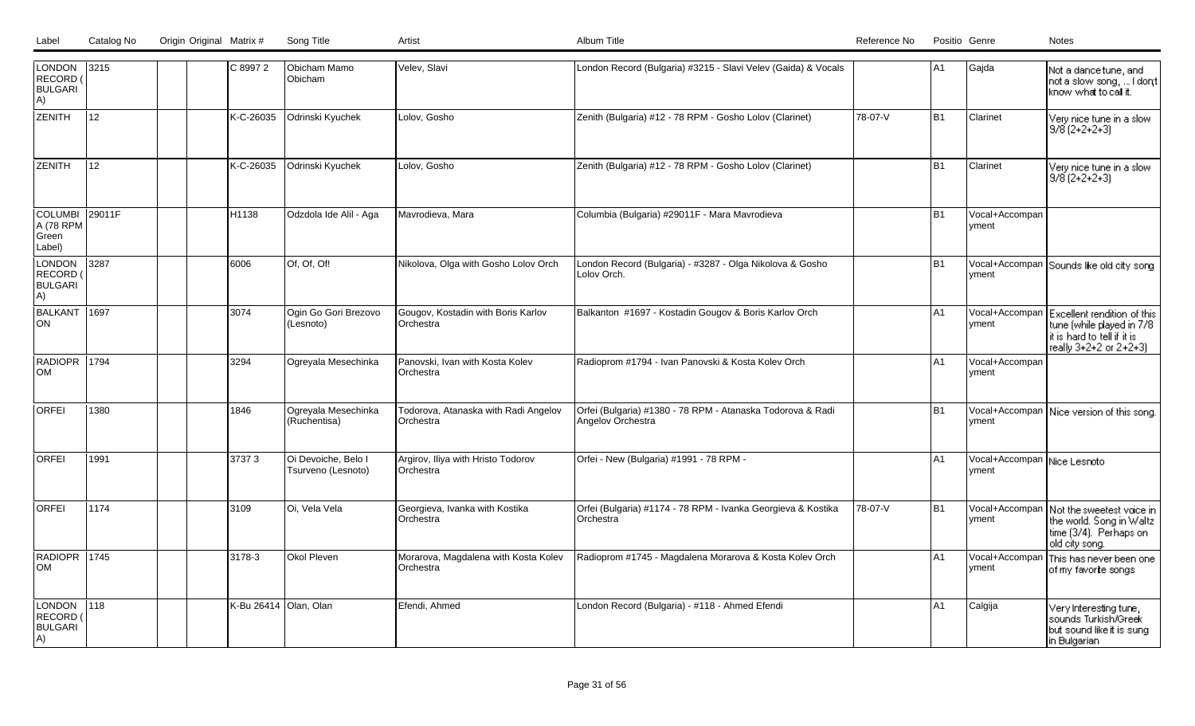| Origin Original Matrix # |  | Song Title |  |  | Catalog No | Label |
|--------------------------|--|------------|--|--|------------|-------|
|--------------------------|--|------------|--|--|------------|-------|

| LONDON<br><b>RECORD</b><br><b>BULGARI</b><br>A)        | 3215   | C 8997 2  | Obicham Mamo<br>Obicham                   | Velev, Slavi                                      | London Record (Bulgaria) #3215 - Slavi Velev (Gaida) & Vocals                    |         | A <sub>1</sub> | Gajda                                 | Not a dance tune, and<br>not a slow song,  I dont  <br>know what to call it.                                      |
|--------------------------------------------------------|--------|-----------|-------------------------------------------|---------------------------------------------------|----------------------------------------------------------------------------------|---------|----------------|---------------------------------------|-------------------------------------------------------------------------------------------------------------------|
| <b>ZENITH</b>                                          | 12     | K-C-26035 | Odrinski Kyuchek                          | Lolov, Gosho                                      | Zenith (Bulgaria) #12 - 78 RPM - Gosho Lolov (Clarinet)                          | 78-07-V | B1             | Clarinet                              | Very nice tune in a slow<br>$9/8$ (2+2+2+3)                                                                       |
| <b>ZENITH</b>                                          | 12     | K-C-26035 | Odrinski Kyuchek                          | Lolov, Gosho                                      | Zenith (Bulgaria) #12 - 78 RPM - Gosho Lolov (Clarinet)                          |         | l B1           | Clarinet                              | Very nice tune in a slow<br> 9/8 (2+2+2+3)                                                                        |
| <b>COLUMBI</b><br>A (78 RPM<br>Green<br>Label)         | 29011F | H1138     | Odzdola Ide Alil - Aga                    | Mavrodieva, Mara                                  | Columbia (Bulgaria) #29011F - Mara Mavrodieva                                    |         | l B1           | Vocal+Accompan<br>vment               |                                                                                                                   |
| LONDON<br>RECORD (<br><b>BULGARI</b><br>A)             | 3287   | 6006      | Of, Of, Of!                               | Nikolova, Olga with Gosho Lolov Orch              | London Record (Bulgaria) - #3287 - Olga Nikolova & Gosho<br>Lolov Orch.          |         | IB1            | vment                                 | Vocal+Accompan Sounds like old city song                                                                          |
| BALKANT<br><b>ON</b>                                   | 1697   | 3074      | Ogin Go Gori Brezovo<br>(Lesnoto)         | Gougov, Kostadin with Boris Karlov<br>Orchestra   | Balkanton #1697 - Kostadin Gougov & Boris Karlov Orch                            |         | A <sub>1</sub> | Vocal+Accompan<br>vment               | Excellent rendition of this<br>tune (while played in 7/8<br>it is hard to tell if it is<br>really 3+2+2 or 2+2+3) |
| RADIOPR 1794<br><b>OM</b>                              |        | 3294      | Ogreyala Mesechinka                       | Panovski, Ivan with Kosta Kolev<br>Orchestra      | Radioprom #1794 - Ivan Panovski & Kosta Kolev Orch                               |         | A <sub>1</sub> | Vocal+Accompan<br>yment               |                                                                                                                   |
| <b>ORFEI</b>                                           | 1380   | 1846      | Ogreyala Mesechinka<br>(Ruchentisa)       | Todorova, Atanaska with Radi Angelov<br>Orchestra | Orfei (Bulgaria) #1380 - 78 RPM - Atanaska Todorova & Radi<br>Angelov Orchestra  |         | lB1            | yment                                 | Vocal+Accompan   Nice version of this song.                                                                       |
| <b>ORFEI</b>                                           | 1991   | 37373     | Oi Devoiche, Belo I<br>Tsurveno (Lesnoto) | Argirov, Iliya with Hristo Todorov<br>Orchestra   | Orfei - New (Bulgaria) #1991 - 78 RPM -                                          |         | A <sub>1</sub> | Vocal+Accompan Nice Lesnoto<br> yment |                                                                                                                   |
| <b>ORFEI</b>                                           | 1174   | 3109      | Oi, Vela Vela                             | Georgieva, Ivanka with Kostika<br>Orchestra       | Orfei (Bulgaria) #1174 - 78 RPM - Ivanka Georgieva & Kostika<br><b>Orchestra</b> | 78-07-V | lB1            | Vocal+Accompan<br>yment               | Not the sweetest vaice in<br>the world. Song in Waltz<br>time (3/4). Perhaps on<br>old city song.                 |
| RADIOPR 1745<br><b>OM</b>                              |        | 3178-3    | Okol Pleven                               | Morarova, Magdalena with Kosta Kolev<br>Orchestra | Radioprom #1745 - Magdalena Morarova & Kosta Kolev Orch                          |         | A1             | Vocal+Accompan<br> yment              | This has never been one<br>of my favorite songs                                                                   |
| <b>LONDON</b><br><b>RECORD</b><br><b>BULGARI</b><br>A) | 118    |           | K-Bu 26414 Olan, Olan                     | Efendi, Ahmed                                     | London Record (Bulgaria) - #118 - Ahmed Efendi                                   |         | A <sub>1</sub> | Calgija                               | Very Interesting tune,<br>sounds Turkish/Greek<br>but sound like it is sung<br>in Bulgarian                       |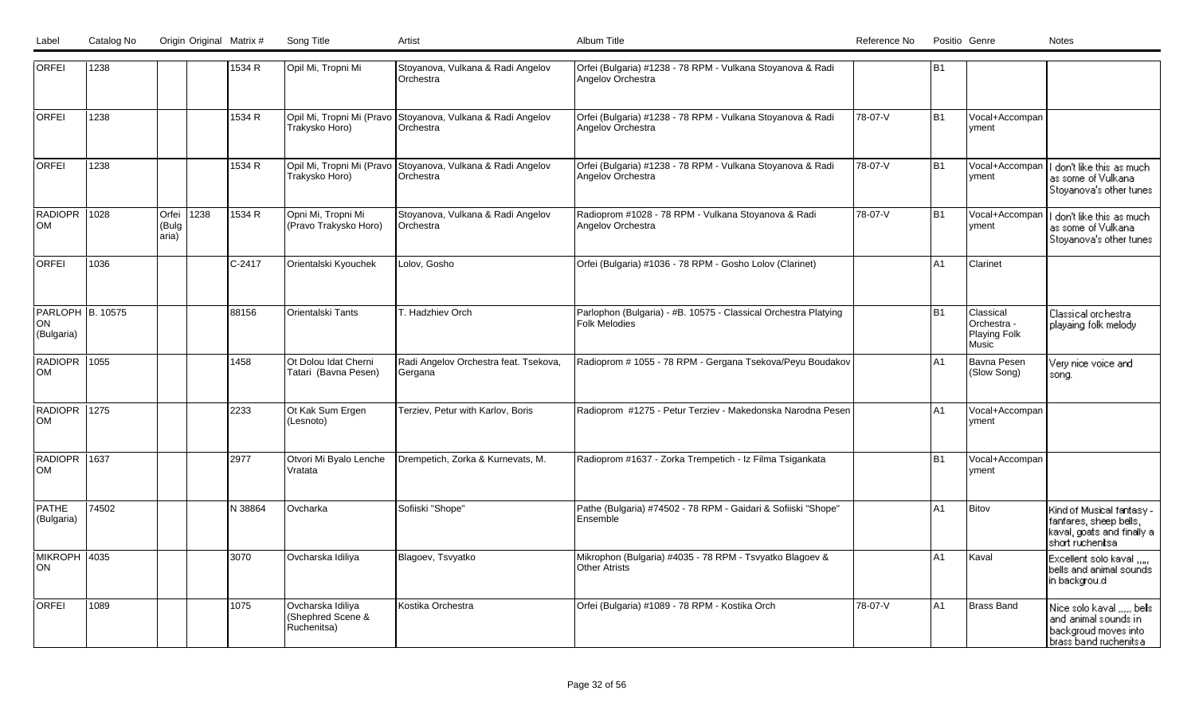| <b>ORFEI</b>                                | 1238  |                         |      | 1534 R   | Opil Mi, Tropni Mi                                    | Stoyanova, Vulkana & Radi Angelov<br>Orchestra                           | Orfei (Bulgaria) #1238 - 78 RPM - Vulkana Stoyanova & Radi<br>Angelov Orchestra         |         | lB1            |                                                   |                                                                                                        |
|---------------------------------------------|-------|-------------------------|------|----------|-------------------------------------------------------|--------------------------------------------------------------------------|-----------------------------------------------------------------------------------------|---------|----------------|---------------------------------------------------|--------------------------------------------------------------------------------------------------------|
| <b>ORFEI</b>                                | 1238  |                         |      | 1534 R   | Trakysko Horo)                                        | Opil Mi, Tropni Mi (Pravo Stoyanova, Vulkana & Radi Angelov<br>Orchestra | Orfei (Bulgaria) #1238 - 78 RPM - Vulkana Stoyanova & Radi<br>Angelov Orchestra         | 78-07-V | l B1           | Vocal+Accompan<br> vment                          |                                                                                                        |
| lorfei                                      | 1238  |                         |      | 1534 R   | Opil Mi, Tropni Mi (Pravo<br>Trakysko Horo)           | Stoyanova, Vulkana & Radi Angelov<br>Orchestra                           | Orfei (Bulgaria) #1238 - 78 RPM - Vulkana Stoyanova & Radi<br>Angelov Orchestra         | 78-07-V | B1             | Vocal+Accompan<br>yment                           | I don't like this as much<br>as some of Vulkana<br>Stoyanova's other tunes                             |
| <b>RADIOPR</b><br>lom                       | 1028  | Orfei<br>(Bulg<br>aria) | 1238 | 1534 R   | Opni Mi, Tropni Mi<br>(Pravo Trakysko Horo)           | Stoyanova, Vulkana & Radi Angelov<br>Orchestra                           | Radioprom #1028 - 78 RPM - Vulkana Stoyanova & Radi<br>Angelov Orchestra                | 78-07-V | B1             | Vocal+Accompan<br>vment                           | I don't like this as much<br>as some of Vulkana<br>Stoyanova's other tunes                             |
| <b>ORFEI</b>                                | 1036  |                         |      | $C-2417$ | Orientalski Kyouchek                                  | Lolov, Gosho                                                             | Orfei (Bulgaria) #1036 - 78 RPM - Gosho Lolov (Clarinet)                                |         | A1             | Clarinet                                          |                                                                                                        |
| <b>PARLOPH B. 10575</b><br>ON<br>(Bulgaria) |       |                         |      | 88156    | <b>Orientalski Tants</b>                              | T. Hadzhiev Orch                                                         | Parlophon (Bulgaria) - #B. 10575 - Classical Orchestra Platying<br><b>Folk Melodies</b> |         | lB1            | Classical<br>Orchestra -<br>Playing Folk<br>Music | Classical orchestra<br>playaing folk melody                                                            |
| <b>RADIOPR</b><br>lom                       | 1055  |                         |      | 1458     | Ot Dolou Idat Cherni<br>Tatari (Bavna Pesen)          | Radi Angelov Orchestra feat. Tsekova,<br>Gergana                         | Radioprom # 1055 - 78 RPM - Gergana Tsekova/Peyu Boudakov                               |         | A <sub>1</sub> | IBavna Pesen<br>(Slow Song)                       | Very nice voice and<br>song.                                                                           |
| RADIOPR<br>lom                              | 1275  |                         |      | 2233     | Ot Kak Sum Ergen<br>(Lesnoto)                         | Terziev, Petur with Karlov, Boris                                        | Radioprom #1275 - Petur Terziev - Makedonska Narodna Pesen                              |         | A <sub>1</sub> | Vocal+Accompan<br>vment                           |                                                                                                        |
| RADIOPR<br><b>OM</b>                        | 1637  |                         |      | 2977     | Otvori Mi Byalo Lenche<br>Vratata                     | Drempetich, Zorka & Kurnevats, M.                                        | Radioprom #1637 - Zorka Trempetich - Iz Filma Tsigankata                                |         | B <sub>1</sub> | Vocal+Accompan<br>vment                           |                                                                                                        |
| <b>PATHE</b><br>(Bulgaria)                  | 74502 |                         |      | N 38864  | Ovcharka                                              | Sofiiski "Shope"                                                         | Pathe (Bulgaria) #74502 - 78 RPM - Gaidari & Sofiiski "Shope"<br>Ensemble               |         | lA1            | Bitov                                             | Kind of Musical fantasy -<br>fanfares, sheep bells,<br>kaval, goats and finally a<br>short ruchenitsal |
| MIKROPH 4035<br>lon                         |       |                         |      | 3070     | Ovcharska Idiliya                                     | Blagoev, Tsvyatko                                                        | Mikrophon (Bulgaria) #4035 - 78 RPM - Tsvyatko Blagoev &<br>Other Atrists               |         | A <sub>1</sub> | Kaval                                             | Excellent solo kaval<br>bells and animal sounds<br>in backgrou.d                                       |
| <b>ORFEI</b>                                | 1089  |                         |      | 1075     | Ovcharska Idiliya<br>(Shephred Scene &<br>Ruchenitsa) | Kostika Orchestra                                                        | Orfei (Bulgaria) #1089 - 78 RPM - Kostika Orch                                          | 78-07-V | A <sub>1</sub> | Brass Band                                        | Nice solo kaval , bels<br>and animal sounds in<br>backgroud moves into<br>brass band ruchenits a       |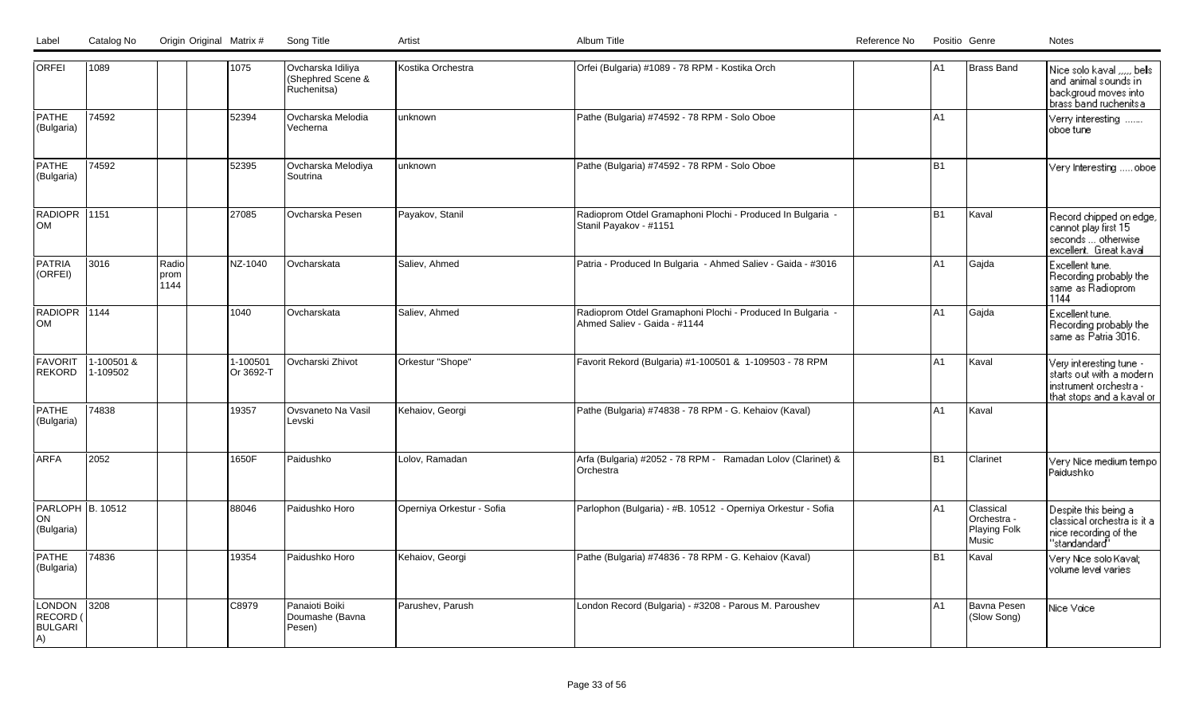| Label | Catalog No | Origin Original Matrix # Song Title |  | Album Title | Reference No | Positio Genre | Notes |
|-------|------------|-------------------------------------|--|-------------|--------------|---------------|-------|
|       |            |                                     |  |             |              |               |       |

| <b>ORFEI</b>                               | 1089                  |                        | 1075                  | Ovcharska Idiliya<br>(Shephred Scene &<br>Ruchenitsa) | Kostika Orchestra         | Orfei (Bulgaria) #1089 - 78 RPM - Kostika Orch                                             | lA1            | Brass Band                                        | Nice solo kaval , bels<br>and animal sounds in<br>backgroud moves into<br>brass band ruchenits a           |
|--------------------------------------------|-----------------------|------------------------|-----------------------|-------------------------------------------------------|---------------------------|--------------------------------------------------------------------------------------------|----------------|---------------------------------------------------|------------------------------------------------------------------------------------------------------------|
| <b>PATHE</b><br>(Bulgaria)                 | 74592                 |                        | 52394                 | Ovcharska Melodia<br>Vecherna                         | unknown                   | Pathe (Bulgaria) #74592 - 78 RPM - Solo Oboe                                               | lA1            |                                                   | Verry interesting<br>oboe tune                                                                             |
| <b>PATHE</b><br>(Bulgaria)                 | 74592                 |                        | 52395                 | Ovcharska Melodiya<br>Soutrina                        | unknown                   | Pathe (Bulgaria) #74592 - 78 RPM - Solo Oboe                                               | lB1            |                                                   | Very Interesting  oboe                                                                                     |
| RADIOPR 1151<br><b>OM</b>                  |                       |                        | 27085                 | Ovcharska Pesen                                       | Payakov, Stanil           | Radioprom Otdel Gramaphoni Plochi - Produced In Bulgaria -<br>Stanil Payakov - #1151       | B1             | Kaval                                             | Record chipped on edge,<br>cannot play first 15<br>seconds  otherwise<br>excellent. Great kaval            |
| <b>PATRIA</b><br>(ORFEI)                   | 3016                  | Radio<br> prom<br>1144 | NZ-1040               | Ovcharskata                                           | Saliev, Ahmed             | Patria - Produced In Bulgaria - Ahmed Saliev - Gaida - #3016                               | lA1            | Gajda                                             | Excellent tune.<br>Recording probably the<br>same as Radioprom<br>1144                                     |
| RADIOPR 1144<br><b>OM</b>                  |                       |                        | 1040                  | Ovcharskata                                           | Saliev, Ahmed             | Radioprom Otdel Gramaphoni Plochi - Produced In Bulgaria -<br>Ahmed Saliev - Gaida - #1144 | lA1            | Gajda                                             | Excellent tune.<br>Recording probably the<br>same as Patria 3016.                                          |
| <b>FAVORIT</b><br>REKORD                   | 1-100501&<br>1-109502 |                        | 1-100501<br>Or 3692-T | Ovcharski Zhivot                                      | Orkestur "Shope"          | Favorit Rekord (Bulgaria) #1-100501 & 1-109503 - 78 RPM                                    | l A1           | Kaval                                             | Very interesting tune -<br>starts out with a modern<br>instrument orchestra -<br>that stops and a kaval or |
| <b>PATHE</b><br>(Bulgaria)                 | 74838                 |                        | 19357                 | Ovsvaneto Na Vasil<br>Levski                          | Kehaiov, Georgi           | Pathe (Bulgaria) #74838 - 78 RPM - G. Kehaiov (Kaval)                                      | A <sub>1</sub> | Kaval                                             |                                                                                                            |
| <b>ARFA</b>                                | 2052                  |                        | 1650F                 | Paidushko                                             | Lolov, Ramadan            | Arfa (Bulgaria) #2052 - 78 RPM - Ramadan Lolov (Clarinet) &<br>Orchestra                   | lB1            | Clarinet                                          | Very Nice medium tempo<br>Paidushko                                                                        |
| PARLOPH B. 10512<br>ON<br>(Bulgaria)       |                       |                        | 88046                 | Paidushko Horo                                        | Operniya Orkestur - Sofia | Parlophon (Bulgaria) - #B. 10512 - Operniya Orkestur - Sofia                               | lA1            | Classical<br>Orchestra -<br>Playing Folk<br>Music | Despite this being a<br>classical orchestra is it a<br>nice recording of the<br>"standandard"              |
| <b>PATHE</b><br>(Bulgaria)                 | 74836                 |                        | 19354                 | Paidushko Horo                                        | Kehaiov, Georgi           | Pathe (Bulgaria) #74836 - 78 RPM - G. Kehaiov (Kaval)                                      | lB1            | Kaval                                             | Very Nice solo Kaval;<br>volume level varies.                                                              |
| LONDON<br>RECORD (<br><b>BULGARI</b><br>A) | $ 3208\rangle$        |                        | C8979                 | Panaioti Boiki<br>Doumashe (Bavna<br>Pesen)           | Parushev, Parush          | London Record (Bulgaria) - #3208 - Parous M. Paroushev                                     | A1             | Bavna Pesen<br>(Slow Song)                        | Nice Voice                                                                                                 |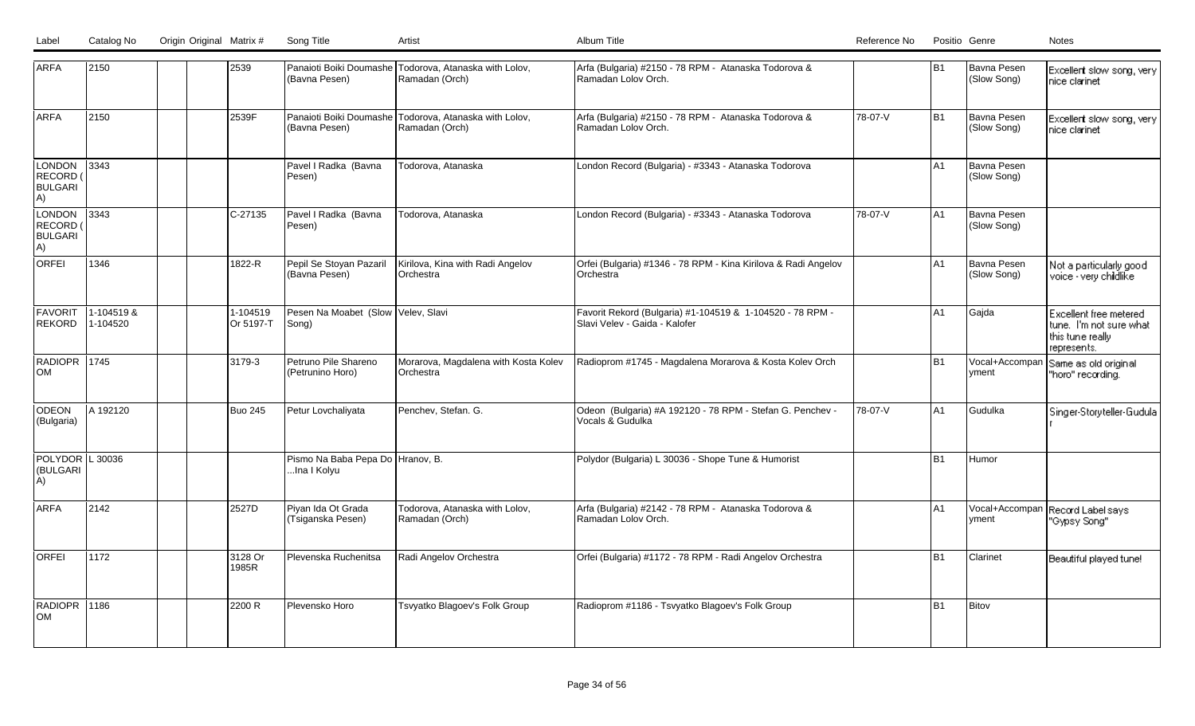| Label | Catalog No | Origin Original Matrix # | Song Title |  |
|-------|------------|--------------------------|------------|--|
|       |            |                          |            |  |

| <b>ARFA</b>                                | 2150                   |  | 2539                  | (Bavna Pesen)                                   | Panaioti Boiki Doumashe Todorova, Atanaska with Lolov,<br>Ramadan (Orch) | Arfa (Bulgaria) #2150 - 78 RPM - Atanaska Todorova &<br>Ramadan Lolov Orch.                |         | B <sub>1</sub> | Bavna Pesen<br>(Slow Song) | Excellent slow song, very<br>nice clarinet                                           |
|--------------------------------------------|------------------------|--|-----------------------|-------------------------------------------------|--------------------------------------------------------------------------|--------------------------------------------------------------------------------------------|---------|----------------|----------------------------|--------------------------------------------------------------------------------------|
| <b>ARFA</b>                                | 2150                   |  | 2539F                 | (Bavna Pesen)                                   | Panaioti Boiki Doumashe Todorova, Atanaska with Lolov,<br>Ramadan (Orch) | Arfa (Bulgaria) #2150 - 78 RPM - Atanaska Todorova &<br>Ramadan Lolov Orch.                | 78-07-V | <b>B1</b>      | Bavna Pesen<br>(Slow Song) | Excellent slow song, very<br>nice clarinet                                           |
| LONDON<br>RECORD (<br><b>BULGARI</b><br>A) | 3343                   |  |                       | Pavel I Radka (Bavna<br>Pesen)                  | Todorova, Atanaska                                                       | London Record (Bulgaria) - #3343 - Atanaska Todorova                                       |         | A1             | Bavna Pesen<br>(Slow Song) |                                                                                      |
| LONDON<br>RECORD (<br><b>BULGARI</b><br>A) | 3343                   |  | $C-27135$             | Pavel I Radka (Bavna<br>Pesen)                  | Todorova, Atanaska                                                       | London Record (Bulgaria) - #3343 - Atanaska Todorova                                       | 78-07-V | A <sub>1</sub> | Bavna Pesen<br>(Slow Song) |                                                                                      |
| <b>ORFEI</b>                               | 1346                   |  | 1822-R                | Pepil Se Stoyan Pazaril<br>(Bavna Pesen)        | Kirilova, Kina with Radi Angelov<br>Orchestra                            | Orfei (Bulgaria) #1346 - 78 RPM - Kina Kirilova & Radi Angelov<br>Orchestra                |         | A1             | Bavna Pesen<br>(Slow Song) | Not a particularly good<br>voice - very chidlike                                     |
| <b>FAVORIT</b><br>REKORD                   | 1-104519 &<br>1-104520 |  | 1-104519<br>Or 5197-T | Pesen Na Moabet (Slow Velev, Slavi<br>Song)     |                                                                          | Favorit Rekord (Bulgaria) #1-104519 & 1-104520 - 78 RPM -<br>Slavi Velev - Gaida - Kalofer |         | A1             | Gajda                      | Excellent free metered<br>tune. I'm not sure what<br>this tune really<br>represents. |
| RADIOPR 1745<br>lom                        |                        |  | 3179-3                | Petruno Pile Shareno<br>(Petrunino Horo)        | Morarova, Magdalena with Kosta Kolev<br><b>IOrchestra</b>                | Radioprom #1745 - Magdalena Morarova & Kosta Kolev Orch                                    |         | <b>B1</b>      | Vocal+Accompan<br>vment    | Same as old original<br>"horo" recording.                                            |
| ODEON<br>(Bulgaria)                        | A 192120               |  | <b>Buo 245</b>        | Petur Lovchaliyata                              | Penchev, Stefan. G.                                                      | Odeon (Bulgaria) #A 192120 - 78 RPM - Stefan G. Penchev -<br>Vocals & Gudulka              | 78-07-V | A1             | Gudulka                    | Singer-Storyteller-Gudula                                                            |
| POLYDOR L 30036<br>(BULGARI<br>A)          |                        |  |                       | Pismo Na Baba Pepa Do Hranov, B.<br>Ina I Kolyu |                                                                          | Polydor (Bulgaria) L 30036 - Shope Tune & Humorist                                         |         | <b>B1</b>      | Humor                      |                                                                                      |
| <b>ARFA</b>                                | 2142                   |  | 2527D                 | Piyan Ida Ot Grada<br>(Tsiganska Pesen)         | Todorova, Atanaska with Lolov,<br>Ramadan (Orch)                         | Arfa (Bulgaria) #2142 - 78 RPM - Atanaska Todorova &<br>Ramadan Lolov Orch.                |         | A1             | Vocal+Accompan<br>yment    | Record Label says<br>"Gypsy Song"                                                    |
| <b>ORFEI</b>                               | 1172                   |  | 3128 Or<br>1985R      | Plevenska Ruchenitsa                            | Radi Angelov Orchestra                                                   | Orfei (Bulgaria) #1172 - 78 RPM - Radi Angelov Orchestra                                   |         | <b>B1</b>      | Clarinet                   | Beautiful played tune!                                                               |
| RADIOPR 1186<br>lOM                        |                        |  | 2200 R                | Plevensko Horo                                  | Tsvyatko Blagoev's Folk Group                                            | Radioprom #1186 - Tsvyatko Blagoev's Folk Group                                            |         | <b>B1</b>      | Bitov                      |                                                                                      |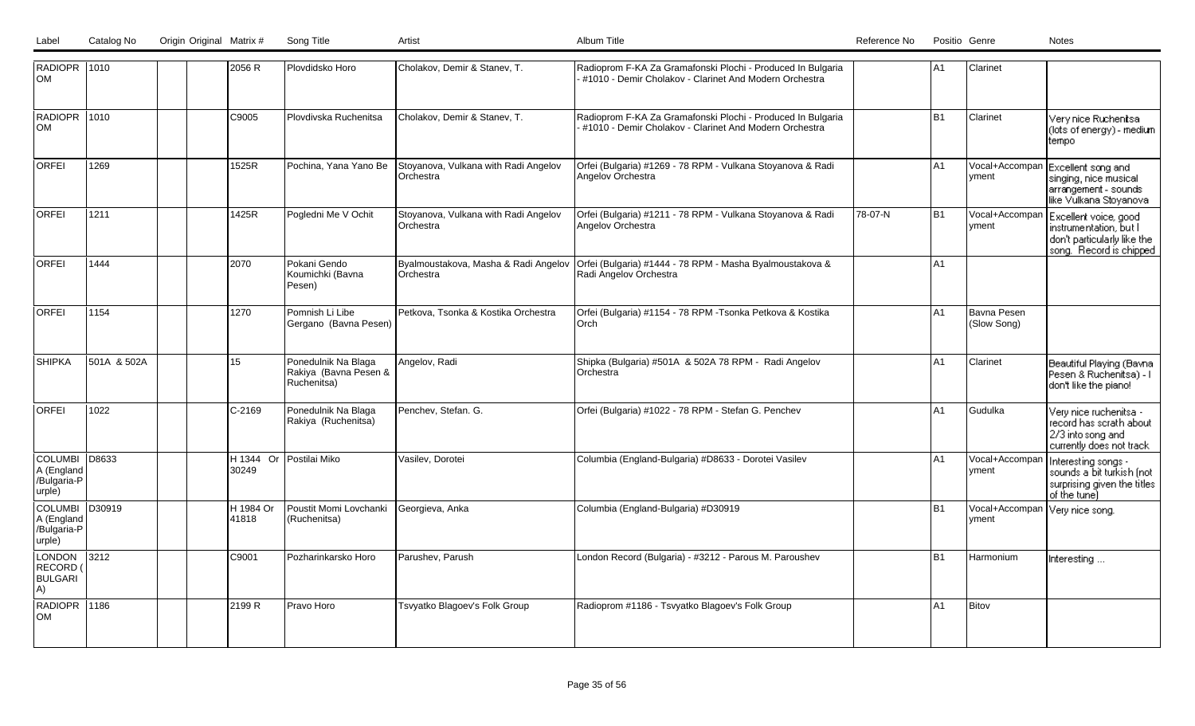| Label | Catalog No | Origin Original Matrix # | Song Title |  |
|-------|------------|--------------------------|------------|--|
|       |            |                          |            |  |

| <b>RADIOPR 1010</b><br><b>OM</b>                      |             |        | 2056 R    | Plovdidsko Horo                                             | Cholakov, Demir & Stanev, T.                      | Radioprom F-KA Za Gramafonski Plochi - Produced In Bulgaria<br>#1010 - Demir Cholakov - Clarinet And Modern Orchestra |         | lA1            | <b>Clarinet</b>                         |                                                                                                               |
|-------------------------------------------------------|-------------|--------|-----------|-------------------------------------------------------------|---------------------------------------------------|-----------------------------------------------------------------------------------------------------------------------|---------|----------------|-----------------------------------------|---------------------------------------------------------------------------------------------------------------|
| RADIOPR 1010<br><b>OM</b>                             |             | C9005  |           | Plovdivska Ruchenitsa                                       | Cholakov, Demir & Stanev, T.                      | Radioprom F-KA Za Gramafonski Plochi - Produced In Bulgaria<br>#1010 - Demir Cholakov - Clarinet And Modern Orchestra |         | B <sub>1</sub> | Clarinet                                | Very nice Ruchenitsa<br>(lots of energy) - medium<br>tempo                                                    |
| <b>ORFEI</b>                                          | 1269        |        | 1525R     | Pochina, Yana Yano Be                                       | Stoyanova, Vulkana with Radi Angelov<br>Orchestra | Orfei (Bulgaria) #1269 - 78 RPM - Vulkana Stoyanova & Radi<br><b>Angelov Orchestra</b>                                |         | lA1            | yment                                   | Vocal+Accompan Excellent song and<br>singing, nice musical<br>arrangement - sounds<br>like Vulkana Stoyanoval |
| <b>ORFEI</b>                                          | 1211        | 1425R  |           | Pogledni Me V Ochit                                         | Stoyanova, Vulkana with Radi Angelov<br>Orchestra | Orfei (Bulgaria) #1211 - 78 RPM - Vulkana Stoyanova & Radi<br>Angelov Orchestra                                       | 78-07-N | lB1            | Vocal+Accompan<br>vment                 | Excellent voice, good<br>instrumentation, but I<br>don't particularly like the<br>song. Record is chipped     |
| <b>ORFEI</b>                                          | 1444        | 2070   |           | Pokani Gendo<br>Koumichki (Bavna<br>Pesen)                  | Byalmoustakova, Masha & Radi Angelov<br>Orchestra | Orfei (Bulgaria) #1444 - 78 RPM - Masha Byalmoustakova &<br>Radi Angelov Orchestra                                    |         | lA1            |                                         |                                                                                                               |
| lorfei                                                | 1154        | 1270   |           | Pomnish Li Libe<br>Gergano (Bavna Pesen)                    | Petkova, Tsonka & Kostika Orchestra               | Orfei (Bulgaria) #1154 - 78 RPM - Tsonka Petkova & Kostika<br>Orch                                                    |         | A1             | Bavna Pesen<br>(Slow Song)              |                                                                                                               |
| <b>SHIPKA</b>                                         | 501A & 502A | 15     |           | Ponedulnik Na Blaga<br>Rakiya (Bavna Pesen &<br>Ruchenitsa) | Angelov, Radi                                     | Shipka (Bulgaria) #501A & 502A 78 RPM - Radi Angelov<br>Orchestra                                                     |         | A <sub>1</sub> | Clarinet                                | Beautiful Playing (Bavna<br>Pesen & Ruchenitsa) - I<br>don't like the piano!                                  |
| <b>ORFEI</b>                                          | 1022        |        | C-2169    | Ponedulnik Na Blaga<br>Rakiya (Ruchenitsa)                  | Penchev, Stefan. G.                               | Orfei (Bulgaria) #1022 - 78 RPM - Stefan G. Penchev                                                                   |         | IA1            | Gudulka                                 | Very nice ruchenitsa -<br>record has scrath about<br>2/3 into song and<br>currently does not track            |
| <b>COLUMBI</b><br>A (England<br>/Bulgaria-P<br>urple) | D8633       | 30249  | H 1344 Or | Postilai Miko                                               | Vasilev, Dorotei                                  | Columbia (England-Bulgaria) #D8633 - Dorotei Vasilev                                                                  |         | A1             | Vocal+Accompan<br>lyment                | Interesting songs -<br>sounds a bit turkish (not<br>surprising given the titles<br>of the tunel               |
| <b>COLUMBI</b><br>A (England<br>/Bulgaria-P<br>urple) | D30919      | 41818  | H 1984 Or | Poustit Momi Lovchanki Georgieva, Anka<br>(Ruchenitsa)      |                                                   | Columbia (England-Bulgaria) #D30919                                                                                   |         | B1             | Vocal+Accompan Very nice song.<br>yment |                                                                                                               |
| LONDON<br>RECORD (<br><b>BULGARI</b><br>A)            | 3212        | C9001  |           | Pozharinkarsko Horo                                         | Parushev, Parush                                  | London Record (Bulgaria) - #3212 - Parous M. Paroushev                                                                |         | B <sub>1</sub> | <b>Harmonium</b>                        | Interesting                                                                                                   |
| RADIOPR 1186<br>lom                                   |             | 2199 R |           | Pravo Horo                                                  | Tsvyatko Blagoev's Folk Group                     | Radioprom #1186 - Tsvyatko Blagoev's Folk Group                                                                       |         | lA1            | Bitov                                   |                                                                                                               |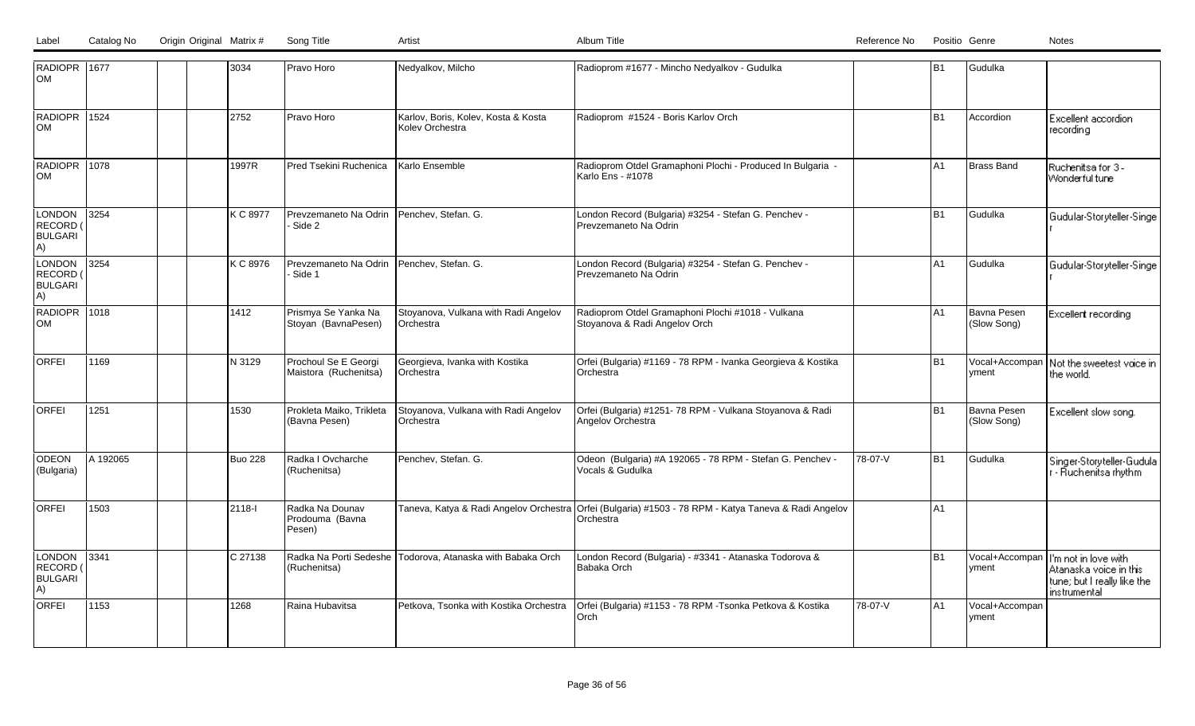| RADIOPR 1677<br>lом                               |          |  | 3034           | Pravo Horo                                          | Nedyalkov, Milcho                                      | Radioprom #1677 - Mincho Nedyalkov - Gudulka                                                                      |         | B <sub>1</sub> | Gudulka                    |                                                                                                                |
|---------------------------------------------------|----------|--|----------------|-----------------------------------------------------|--------------------------------------------------------|-------------------------------------------------------------------------------------------------------------------|---------|----------------|----------------------------|----------------------------------------------------------------------------------------------------------------|
| RADIOPR 1524<br> OM                               |          |  | 2752           | Pravo Horo                                          | Karlov, Boris, Kolev, Kosta & Kosta<br>Kolev Orchestra | Radioprom #1524 - Boris Karlov Orch                                                                               |         | B <sub>1</sub> | Accordion                  | Excellent accordion<br>recordina                                                                               |
| RADIOPR 1078<br><b>OM</b>                         |          |  | 1997R          | Pred Tsekini Ruchenica                              | Karlo Ensemble                                         | Radioprom Otdel Gramaphoni Plochi - Produced In Bulgaria -<br>Karlo Ens - #1078                                   |         | A <sub>1</sub> | <b>Brass Band</b>          | Ruchenitsa for 3-<br>Wonderful tune                                                                            |
| LONDON<br>RECORD (<br><b>BULGARI</b><br>A)        | $3254$   |  | K C 8977       | Prevzemaneto Na Odrin Penchev, Stefan. G.<br>Side 2 |                                                        | London Record (Bulgaria) #3254 - Stefan G. Penchev -<br>Prevzemaneto Na Odrin                                     |         | B <sub>1</sub> | Gudulka                    | Gudular-Storyteller-Singe                                                                                      |
| <b>LONDON</b><br>RECORD (<br><b>BULGARI</b><br>A) | 3254     |  | K C 8976       | Prevzemaneto Na Odrin Penchev, Stefan. G.<br>Side 1 |                                                        | London Record (Bulgaria) #3254 - Stefan G. Penchev -<br>Prevzemaneto Na Odrin                                     |         | A1             | Gudulka                    | Gudular-Storyteller-Singe                                                                                      |
| RADIOPR 1018<br>lом                               |          |  | 1412           | Prismya Se Yanka Na<br>Stoyan (BavnaPesen)          | Stoyanova, Vulkana with Radi Angelov<br>Orchestra      | Radioprom Otdel Gramaphoni Plochi #1018 - Vulkana<br>Stoyanova & Radi Angelov Orch                                |         | A1             | Bavna Pesen<br>(Slow Song) | Excellent recording                                                                                            |
| <b>ORFEI</b>                                      | 1169     |  | N 3129         | Prochoul Se E Georgi<br>Maistora (Ruchenitsa)       | Georgieva, Ivanka with Kostika<br>Orchestra            | Orfei (Bulgaria) #1169 - 78 RPM - Ivanka Georgieva & Kostika<br>Orchestra                                         |         | B1             | Vocal+Accompan<br>yment    | Not the sweetest voice in<br>the world.                                                                        |
| <b>ORFEI</b>                                      | 1251     |  | 1530           | Prokleta Maiko, Trikleta<br>(Bavna Pesen)           | Stoyanova, Vulkana with Radi Angelov<br>Orchestra      | Orfei (Bulgaria) #1251- 78 RPM - Vulkana Stoyanova & Radi<br>Angelov Orchestra                                    |         | B <sub>1</sub> | Bavna Pesen<br>(Slow Song) | Excellent slow song.                                                                                           |
| <b>ODEON</b><br>(Bulgaria)                        | A 192065 |  | <b>Buo 228</b> | Radka I Ovcharche<br>(Ruchenitsa)                   | Penchev, Stefan. G.                                    | Odeon (Bulgaria) #A 192065 - 78 RPM - Stefan G. Penchev -<br>Vocals & Gudulka                                     | 78-07-V | B <sub>1</sub> | Gudulka                    | Singer-Storyteller-Gudula<br>r - Ruchenitsa rhythm                                                             |
| <b>ORFEI</b>                                      | 1503     |  | 2118-1         | Radka Na Dounav<br>Prodouma (Bavna<br>Pesen)        |                                                        | Taneva, Katya & Radi Angelov Orchestra Orfei (Bulgaria) #1503 - 78 RPM - Katya Taneva & Radi Angelov<br>Orchestra |         | A1             |                            |                                                                                                                |
| LONDON<br>RECORD (<br><b>BULGARI</b><br>A)        | 13341    |  | C 27138        | Radka Na Porti Sedeshe<br>(Ruchenitsa)              | Todorova, Atanaska with Babaka Orch                    | London Record (Bulgaria) - #3341 - Atanaska Todorova &<br>Babaka Orch                                             |         | B1             | yment                      | Vocal+Accompan   I'm not in love with<br>Atanaska voice in this<br>tune; but I really like the<br>instrumental |
| ORFEI                                             | 1153     |  | 1268           | Raina Hubavitsa                                     | Petkova, Tsonka with Kostika Orchestra                 | Orfei (Bulgaria) #1153 - 78 RPM -Tsonka Petkova & Kostika<br>Orch                                                 | 78-07-V | lA1            | Vocal+Accompan<br>yment    |                                                                                                                |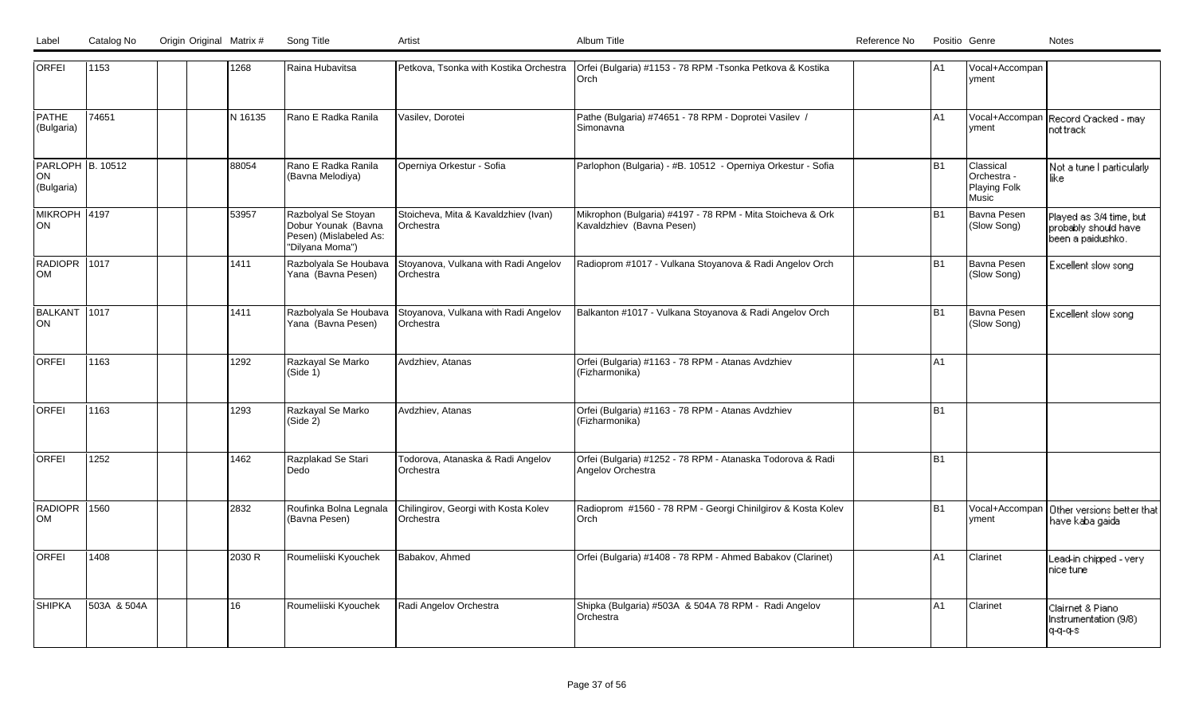| ORFEI                                | 1153        |  | 1268    | Raina Hubavitsa                                                                         |                                                   | Petkova, Tsonka with Kostika Orchestra   Orfei (Bulgaria) #1153 - 78 RPM -Tsonka Petkova & Kostika<br>l Orch | A1        | Vocal+Accompan<br>yment                           |                                                                      |
|--------------------------------------|-------------|--|---------|-----------------------------------------------------------------------------------------|---------------------------------------------------|--------------------------------------------------------------------------------------------------------------|-----------|---------------------------------------------------|----------------------------------------------------------------------|
| <b>PATHE</b><br>(Bulgaria)           | 74651       |  | N 16135 | Rano E Radka Ranila                                                                     | Vasilev, Dorotei                                  | Pathe (Bulgaria) #74651 - 78 RPM - Doprotei Vasilev /<br>l Simonavna                                         | A1        | vment                                             | Vocal+Accompan Record Cracked - may<br>not track                     |
| PARLOPH B. 10512<br>ON<br>(Bulgaria) |             |  | 88054   | Rano E Radka Ranila<br>(Bavna Melodiya)                                                 | Operniya Orkestur - Sofia                         | Parlophon (Bulgaria) - #B. 10512 - Operniya Orkestur - Sofia                                                 | <b>B1</b> | Classical<br>Orchestra -<br>Playing Folk<br>Music | Not a tune I particularly<br>like                                    |
| MIKROPH 4197<br>ON                   |             |  | 53957   | Razbolyal Se Stoyan<br>Dobur Younak (Bavna<br>Pesen) (Mislabeled As:<br>"Dilyana Moma") | Stoicheva, Mita & Kavaldzhiev (Ivan)<br>Orchestra | Mikrophon (Bulgaria) #4197 - 78 RPM - Mita Stoicheva & Ork<br>Kavaldzhiev (Bavna Pesen)                      | <b>B1</b> | Bavna Pesen<br>(Slow Song)                        | Played as 3/4 time, but<br>probably should have<br>been a paidushko. |
| RADIOPR 1017<br><b>OM</b>            |             |  | 1411    | Razbolyala Se Houbava<br>Yana (Bavna Pesen)                                             | Stoyanova, Vulkana with Radi Angelov<br>Orchestra | Radioprom #1017 - Vulkana Stoyanova & Radi Angelov Orch                                                      | <b>B1</b> | Bavna Pesen<br>(Slow Song)                        | Excellent slow song                                                  |
| BALKANT 1017<br>ON                   |             |  | 1411    | Razbolyala Se Houbava<br>Yana (Bavna Pesen)                                             | Stoyanova, Vulkana with Radi Angelov<br>Orchestra | Balkanton #1017 - Vulkana Stoyanova & Radi Angelov Orch                                                      | <b>B1</b> | Bavna Pesen<br>(Slow Song)                        | Excellent slow song                                                  |
| <b>ORFEI</b>                         | 1163        |  | 1292    | Razkayal Se Marko<br>(Side 1)                                                           | Avdzhiev, Atanas                                  | Orfei (Bulgaria) #1163 - 78 RPM - Atanas Avdzhiev<br>(Fizharmonika)                                          | A1        |                                                   |                                                                      |
| <b>ORFEI</b>                         | 1163        |  | 1293    | Razkayal Se Marko<br>(Side 2)                                                           | Avdzhiev, Atanas                                  | Orfei (Bulgaria) #1163 - 78 RPM - Atanas Avdzhiev<br>(Fizharmonika)                                          | <b>B1</b> |                                                   |                                                                      |
| <b>ORFEI</b>                         | 1252        |  | 1462    | Razplakad Se Stari<br>l Dedo                                                            | Todorova, Atanaska & Radi Angelov<br>Orchestra    | Orfei (Bulgaria) #1252 - 78 RPM - Atanaska Todorova & Radi<br>Angelov Orchestra                              | <b>B1</b> |                                                   |                                                                      |
| RADIOPR 1560<br><b>OM</b>            |             |  | 2832    | Roufinka Bolna Legnala<br>(Bavna Pesen)                                                 | Chilingirov, Georgi with Kosta Kolev<br>Orchestra | Radioprom #1560 - 78 RPM - Georgi Chinilgirov & Kosta Kolev<br>lOrch                                         | <b>B1</b> | vment                                             | Vocal+Accompan Dther versions better that<br>have kaba gaida         |
| <b>ORFEI</b>                         | 1408        |  | 2030 R  | Roumeliiski Kyouchek                                                                    | Babakov, Ahmed                                    | Orfei (Bulgaria) #1408 - 78 RPM - Ahmed Babakov (Clarinet)                                                   | A1        | Clarinet                                          | Lead-in chipped - very l<br>nice tune                                |
| <b>SHIPKA</b>                        | 503A & 504A |  | 16      | Roumeliiski Kyouchek                                                                    | Radi Angelov Orchestra                            | Shipka (Bulgaria) #503A & 504A 78 RPM - Radi Angelov<br>lOrchestra                                           | A1        | Clarinet                                          | Clairnet & Piano<br>Instrumentation (9/8)<br>q-q-q-s                 |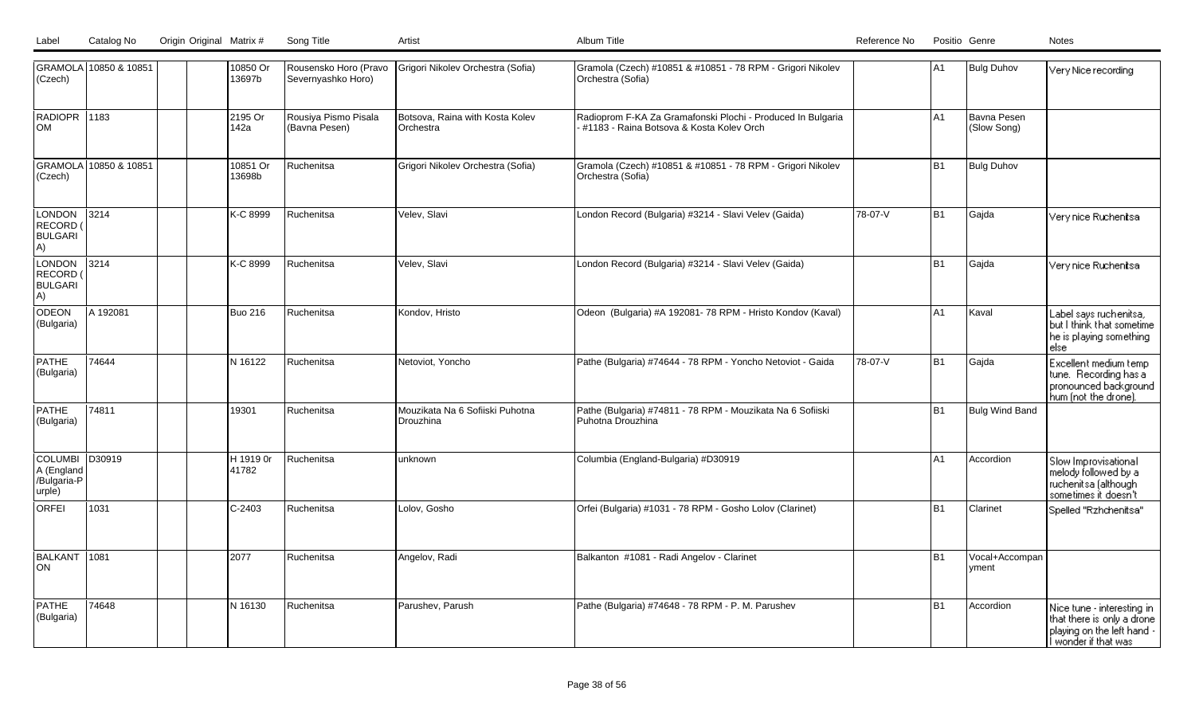|  | Label Catalog No Origin Original Matrix # | Sona Title | Artist | Album Title | Positio Genre<br>Reference No<br>Notes |
|--|-------------------------------------------|------------|--------|-------------|----------------------------------------|

| (Czech)                                               | GRAMOLA 10850 & 10851 |  | 10850 Or<br>13697b | Rousensko Horo (Pravo<br>Severnyashko Horo) | Grigori Nikolev Orchestra (Sofia)                   | Gramola (Czech) #10851 & #10851 - 78 RPM - Grigori Nikolev<br>Orchestra (Sofia)                         |         | A <sub>1</sub> | <b>Bulg Duhov</b>          | Very Nice recording                                                                                          |
|-------------------------------------------------------|-----------------------|--|--------------------|---------------------------------------------|-----------------------------------------------------|---------------------------------------------------------------------------------------------------------|---------|----------------|----------------------------|--------------------------------------------------------------------------------------------------------------|
| RADIOPR 1183<br>lom                                   |                       |  | 2195 Or<br>142a    | Rousiya Pismo Pisala<br>(Bavna Pesen)       | Botsova, Raina with Kosta Kolev<br><b>Orchestra</b> | Radioprom F-KA Za Gramafonski Plochi - Produced In Bulgaria<br>#1183 - Raina Botsova & Kosta Koley Orch |         | A1             | Bavna Pesen<br>(Slow Song) |                                                                                                              |
| (Czech)                                               | GRAMOLA 10850 & 10851 |  | 10851 Or<br>13698b | Ruchenitsa                                  | Grigori Nikolev Orchestra (Sofia)                   | Gramola (Czech) #10851 & #10851 - 78 RPM - Grigori Nikolev<br>Orchestra (Sofia)                         |         | B <sub>1</sub> | <b>Bulg Duhov</b>          |                                                                                                              |
| LONDON<br>RECORD (<br><b>BULGARI</b><br>A)            | 3214                  |  | K-C 8999           | Ruchenitsa                                  | Velev, Slavi                                        | London Record (Bulgaria) #3214 - Slavi Velev (Gaida)                                                    | 78-07-V | B <sub>1</sub> | Gajda                      | Very nice Ruchenitsa                                                                                         |
| LONDON<br><b>RECORD</b><br><b>BULGARI</b><br>A)       | 3214                  |  | K-C 8999           | Ruchenitsa                                  | Velev, Slavi                                        | London Record (Bulgaria) #3214 - Slavi Velev (Gaida)                                                    |         | B <sub>1</sub> | Gajda                      | Very nice Ruchenitsa                                                                                         |
| <b>ODEON</b><br>(Bulgaria)                            | A 192081              |  | <b>Buo 216</b>     | Ruchenitsa                                  | Kondov, Hristo                                      | Odeon (Bulgaria) #A 192081- 78 RPM - Hristo Kondov (Kaval)                                              |         | A1             | Kaval                      | Label says ruchenitsa,<br>but I think that sometime<br>he is playing something<br>else                       |
| PATHE<br>(Bulgaria)                                   | 74644                 |  | N 16122            | Ruchenitsa                                  | Netoviot, Yoncho                                    | Pathe (Bulgaria) #74644 - 78 RPM - Yoncho Netoviot - Gaida                                              | 78-07-V | B <sub>1</sub> | Gajda                      | Excellent medium temp<br>tune. Recording has a<br>pronounced background<br>hum (not the drone).              |
| <b>PATHE</b><br>(Bulgaria)                            | 74811                 |  | 19301              | Ruchenitsa                                  | Mouzikata Na 6 Sofiiski Puhotna<br>Drouzhina        | Pathe (Bulgaria) #74811 - 78 RPM - Mouzikata Na 6 Sofiiski<br>Puhotna Drouzhina                         |         | B <sub>1</sub> | Bulg Wind Band             |                                                                                                              |
| <b>COLUMBI</b><br>A (England<br>/Bulgaria-P<br>urple) | D30919                |  | H 1919 0r<br>41782 | Ruchenitsa                                  | unknown                                             | Columbia (England-Bulgaria) #D30919                                                                     |         | A1             | Accordion                  | Slow Improvisational<br>melody followed by a<br>ruchenitsa (although<br>sometimes it doesn't                 |
| <b>ORFEI</b>                                          | 1031                  |  | $C-2403$           | Ruchenitsa                                  | Lolov, Gosho                                        | Orfei (Bulgaria) #1031 - 78 RPM - Gosho Lolov (Clarinet)                                                |         | B <sub>1</sub> | Clarinet                   | Spelled "Rzhchenitsa"                                                                                        |
| BALKANT<br> ON                                        | 1081                  |  | 2077               | Ruchenitsa                                  | Angelov, Radi                                       | Balkanton #1081 - Radi Angelov - Clarinet                                                               |         | B <sub>1</sub> | Vocal+Accompan<br>yment    |                                                                                                              |
| <b>PATHE</b><br>(Bulgaria)                            | 74648                 |  | N 16130            | Ruchenitsa                                  | Parushev, Parush                                    | Pathe (Bulgaria) #74648 - 78 RPM - P. M. Parushev                                                       |         | B <sub>1</sub> | Accordion                  | Nice tune - interesting in<br>that there is only a drone<br>playing on the left hand -<br>wonder if that was |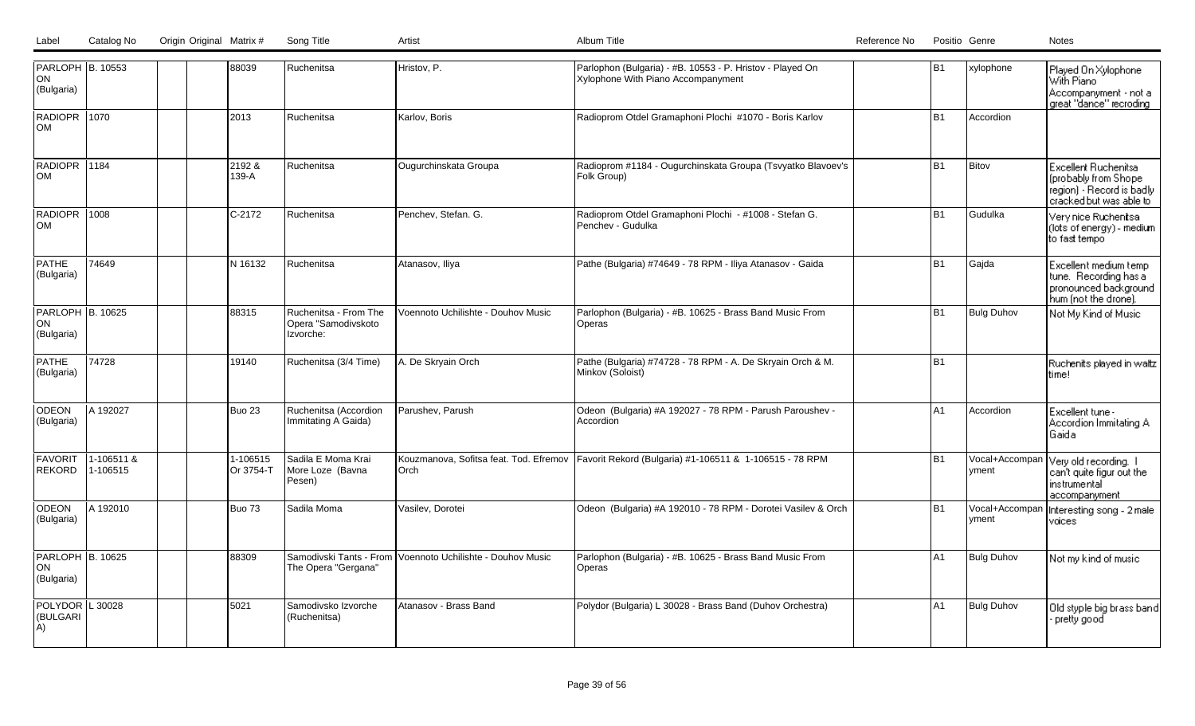| Label | Catalog No | Origin Original Matrix # | Song Title |  |
|-------|------------|--------------------------|------------|--|
|       |            |                          |            |  |

| PARLOPH B. 10553<br>ON<br>(Bulgaria) |                        | 88039                 | <b>Ruchenitsa</b>                                         | Hristov, P.                                      | Parlophon (Bulgaria) - #B. 10553 - P. Hristov - Played On<br>Xylophone With Piano Accompanyment | B1             | xylophone               | Played On Xylophone<br>With Piano<br>Accompanyment - not a<br>great "dance" recroding                 |
|--------------------------------------|------------------------|-----------------------|-----------------------------------------------------------|--------------------------------------------------|-------------------------------------------------------------------------------------------------|----------------|-------------------------|-------------------------------------------------------------------------------------------------------|
| RADIOPR<br><b>OM</b>                 | 11070                  | 2013                  | Ruchenitsa                                                | Karlov, Boris                                    | Radioprom Otdel Gramaphoni Plochi #1070 - Boris Karlov                                          | B <sub>1</sub> | Accordion               |                                                                                                       |
| RADIOPR 1184<br><b>OM</b>            |                        | 2192&<br>139-A        | Ruchenitsa                                                | Ougurchinskata Groupa                            | Radioprom #1184 - Ougurchinskata Groupa (Tsvyatko Blavoev's<br>Folk Group)                      | B1             | Bitov                   | Excellent Ruchenitsa<br>(probably from Shope)<br>region) - Record is badly<br>cracked but was able to |
| <b>RADIOPR</b><br><b>OM</b>          | 1008                   | C-2172                | Ruchenitsa                                                | Penchev, Stefan. G.                              | Radioprom Otdel Gramaphoni Plochi - #1008 - Stefan G.<br>Penchev - Gudulka                      | B1             | Gudulka                 | Very nice Ruchenitsa<br>(lots of energy) - medium<br>to fast tempo                                    |
| <b>PATHE</b><br>(Bulgaria)           | 74649                  | IN 16132              | <b>Ruchenitsa</b>                                         | Atanasov, Iliya                                  | Pathe (Bulgaria) #74649 - 78 RPM - Iliya Atanasov - Gaida                                       | B <sub>1</sub> | Gajda                   | Excellent medium temp<br>tune. Recording has a<br>pronounced background<br>hum (not the drone).       |
| PARLOPH B. 10625<br>ON<br>(Bulgaria) |                        | 88315                 | Ruchenitsa - From The<br>Opera "Samodivskoto<br>Izvorche: | Voennoto Uchilishte - Douhov Music               | Parlophon (Bulgaria) - #B. 10625 - Brass Band Music From<br>Operas                              | B <sub>1</sub> | <b>Bulg Duhov</b>       | Not My Kind of Music                                                                                  |
| <b>PATHE</b><br>(Bulgaria)           | 74728                  | 19140                 | Ruchenitsa (3/4 Time)                                     | A. De Skryain Orch                               | Pathe (Bulgaria) #74728 - 78 RPM - A. De Skryain Orch & M.<br>Minkov (Soloist)                  | lB1            |                         | Ruchenits played in waltz<br>time!                                                                    |
| <b>ODEON</b><br>(Bulgaria)           | A 192027               | Buo 23                | Ruchenitsa (Accordion<br>Immitating A Gaida)              | Parushev, Parush                                 | Odeon (Bulgaria) #A 192027 - 78 RPM - Parush Paroushev -<br>Accordion                           | lA1            | Accordion               | Excellent tune -<br>Accordion Immitating A<br>Gaida                                                   |
| <b>FAVORIT</b><br><b>REKORD</b>      | 1-106511 &<br>1-106515 | 1-106515<br>Or 3754-T | Sadila E Moma Krai<br>More Loze (Bavna<br>Pesen)          | Kouzmanova, Sofitsa feat. Tod. Efremov<br>lOrch. | Favorit Rekord (Bulgaria) #1-106511 & 1-106515 - 78 RPM                                         | lB1            | yment                   | Vocal+Accompan Very old recording. I<br>can't quite figur out the<br>instrumental<br>accompanyment    |
| ODEON<br>(Bulgaria)                  | A 192010               | Buo 73                | Sadila Moma                                               | Vasilev, Dorotei                                 | Odeon (Bulgaria) #A 192010 - 78 RPM - Dorotei Vasilev & Orch                                    | lB1            | Vocal+Accompan<br>yment | Interesting song - 2 male<br>voices:                                                                  |
| PARLOPH B. 10625<br>ON<br>(Bulgaria) |                        | 88309                 | Samodivski Tants - From<br>The Opera "Gergana"            | Voennoto Uchilishte - Douhov Music               | Parlophon (Bulgaria) - #B. 10625 - Brass Band Music From<br>Operas                              | lA1            | <b>Bulg Duhov</b>       | Not my kind of music                                                                                  |
| POLYDOR L 30028<br>(BULGARI<br>A)    |                        | 5021                  | Samodivsko Izvorche<br>(Ruchenitsa)                       | Atanasov - Brass Band                            | Polydor (Bulgaria) L 30028 - Brass Band (Duhov Orchestra)                                       | IA1            | <b>Bulg Duhov</b>       | Old styple big brass band<br>pretty good                                                              |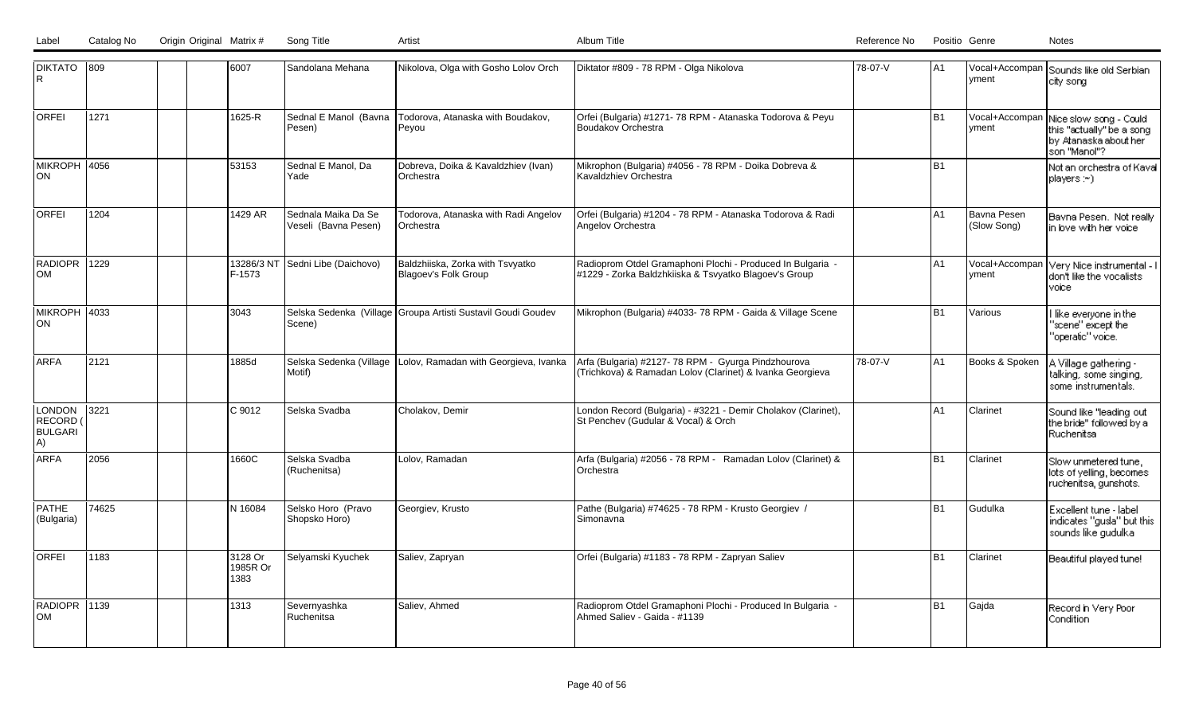| DIKTATO 809<br>IR.                       |       | 6007                        | Sandolana Mehana                            | Nikolova, Olga with Gosho Lolov Orch                            | Diktator #809 - 78 RPM - Olga Nikolova                                                                              | 78-07-V | lA1            | vment                      | Vocal+Accompan Sounds like old Serbian<br>city song                                          |
|------------------------------------------|-------|-----------------------------|---------------------------------------------|-----------------------------------------------------------------|---------------------------------------------------------------------------------------------------------------------|---------|----------------|----------------------------|----------------------------------------------------------------------------------------------|
| <b>ORFEI</b>                             | 1271  | 1625-R                      | Sednal E Manol (Bavna<br>Pesen)             | Todorova, Atanaska with Boudakov,<br>Peyou                      | Orfei (Bulgaria) #1271-78 RPM - Atanaska Todorova & Peyu<br>Boudakov Orchestra                                      |         | <b>B1</b>      | Vocal+Accompan<br>yment    | Nice slow song - Could<br>this "actually" be a song<br>by Atanaska about her<br>son "Manol"? |
| MIKROPH 4056<br>ON                       |       | 53153                       | Sednal E Manol, Da<br>Yade                  | Dobreva, Doika & Kavaldzhiev (Ivan)<br>Orchestra                | Mikrophon (Bulgaria) #4056 - 78 RPM - Doika Dobreva &<br>Kavaldzhiev Orchestra                                      |         | <b>B1</b>      |                            | Not an orchestra of Kaval<br>players : ~)                                                    |
| <b>ORFEI</b>                             | 1204  | 1429 AR                     | Sednala Maika Da Se<br>Veseli (Bavna Pesen) | Todorova, Atanaska with Radi Angelov<br><b>IOrchestra</b>       | Orfei (Bulgaria) #1204 - 78 RPM - Atanaska Todorova & Radi<br>Angelov Orchestra                                     |         | A <sub>1</sub> | Bavna Pesen<br>(Slow Song) | Bavna Pesen. Not really<br>in love with her voice                                            |
| RADIOPR 1229<br>lom                      |       | 13286/3 NT<br>F-1573        | Sedni Libe (Daichovo)                       | Baldzhiiska, Zorka with Tsvyatko<br>Blagoey's Folk Group        | Radioprom Otdel Gramaphoni Plochi - Produced In Bulgaria -<br>#1229 - Zorka Baldzhkiiska & Tsvyatko Blagoev's Group |         | A <sub>1</sub> | Vocal+Accompan<br>vment    | Very Nice instrumental - I<br>don't like the vocalists<br>voicel                             |
| MIKROPH   4033<br>ON                     |       | 3043                        | Scene)                                      | Selska Sedenka (Village Groupa Artisti Sustavil Goudi Goudev    | Mikrophon (Bulgaria) #4033-78 RPM - Gaida & Village Scene                                                           |         | <b>B1</b>      | Various                    | like everyone in the<br>"scene" except the "<br>"operatic" voice.                            |
| <b>ARFA</b>                              | 2121  | 1885d                       | Motif)                                      | Selska Sedenka (Village   Lolov, Ramadan with Georgieva, Ivanka | Arfa (Bulgaria) #2127-78 RPM - Gyurga Pindzhourova<br>(Trichkova) & Ramadan Lolov (Clarinet) & Ivanka Georgieva     | 78-07-V | A <sub>1</sub> | Books & Spoken             | A Village gathering -<br>talking, some singing,<br>some instrumentals.                       |
| LONDON<br>RECORD<br><b>BULGARI</b><br>A) | 3221  | C 9012                      | Selska Svadba                               | Cholakov, Demir                                                 | London Record (Bulgaria) - #3221 - Demir Cholakov (Clarinet),<br>St Penchev (Gudular & Vocal) & Orch                |         | A1             | Clarinet                   | Sound like "leading out<br>the bride" followed by a<br><b>Ruchenitsa</b>                     |
| <b>ARFA</b>                              | 2056  | 1660C                       | Selska Svadba<br>(Ruchenitsa)               | Lolov, Ramadan                                                  | Arfa (Bulgaria) #2056 - 78 RPM - Ramadan Lolov (Clarinet) &<br>Orchestra                                            |         | <b>B1</b>      | Clarinet                   | Slow unmetered tune.<br>lots of yelling, becomes<br>ruchenitsa, gunshots.                    |
| <b>PATHE</b><br>(Bulgaria)               | 74625 | N 16084                     | Selsko Horo (Pravo<br>Shopsko Horo)         | Georgiev, Krusto                                                | Pathe (Bulgaria) #74625 - 78 RPM - Krusto Georgiev /<br>Simonavna                                                   |         | <b>B1</b>      | Gudulka                    | Excellent tune - label<br>indicates "gusla" but this<br>sounds like gudulka                  |
| <b>ORFEI</b>                             | 1183  | 3128 Or<br>1985R Or<br>1383 | Selyamski Kyuchek                           | Saliev, Zapryan                                                 | Orfei (Bulgaria) #1183 - 78 RPM - Zapryan Saliev                                                                    |         | <b>B1</b>      | Clarinet                   | Beautiful played tune!                                                                       |
| RADIOPR 1139<br><b>OM</b>                |       | 1313                        | Severnyashka<br>Ruchenitsa                  | Saliev, Ahmed                                                   | Radioprom Otdel Gramaphoni Plochi - Produced In Bulgaria -<br>Ahmed Saliev - Gaida - #1139                          |         | <b>B1</b>      | Gajda                      | Record in Very Poor<br>Condition                                                             |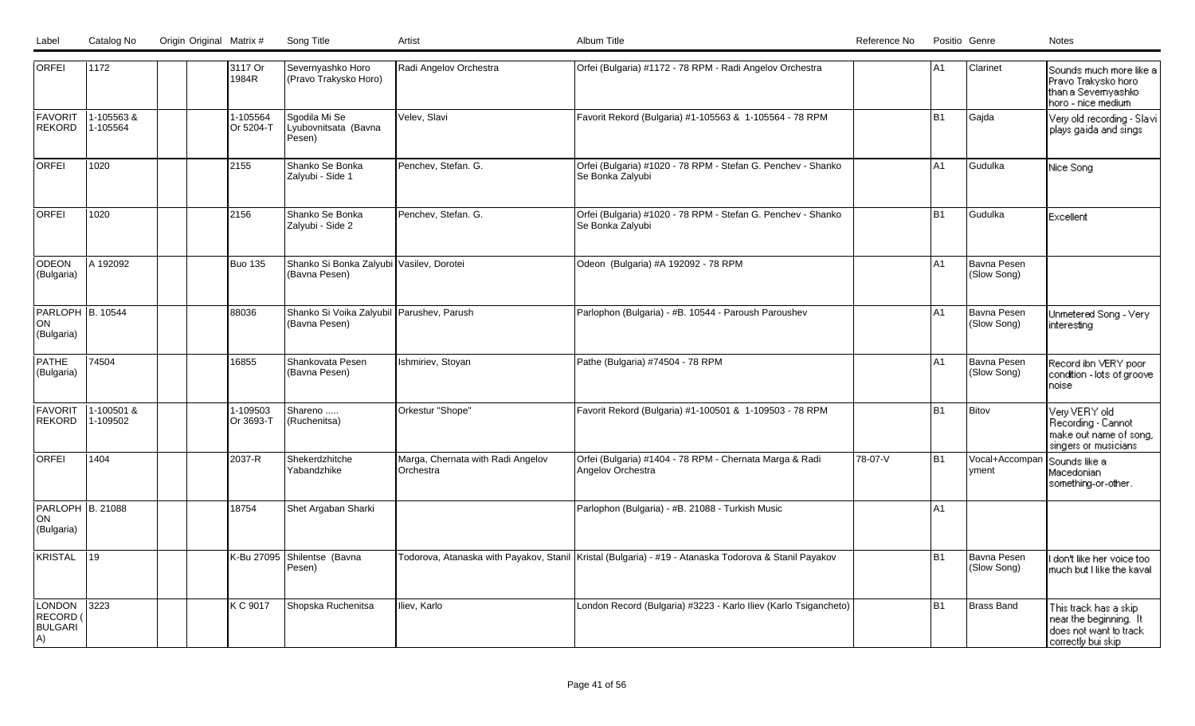| Label | Catalog No | Origin Original Matrix # | Song Title |  |
|-------|------------|--------------------------|------------|--|
|       |            |                          |            |  |

| <b>ORFEI</b>                                      | 1172                   |  | 3117 Or<br>1984R      | Severnyashko Horo<br>(Pravo Trakysko Horo)                 | Radi Angelov Orchestra                         | Orfei (Bulgaria) #1172 - 78 RPM - Radi Angelov Orchestra                                                |         | A1             | Clarinet                              | Sounds much more like a<br>Pravo Trakysko horo<br>than a Severnyashko<br>horo - nice medium     |
|---------------------------------------------------|------------------------|--|-----------------------|------------------------------------------------------------|------------------------------------------------|---------------------------------------------------------------------------------------------------------|---------|----------------|---------------------------------------|-------------------------------------------------------------------------------------------------|
| <b>FAVORIT</b><br><b>REKORD</b>                   | 1-105563&<br>1-105564  |  | 1-105564<br>Or 5204-T | Sgodila Mi Se<br>Lyubovnitsata (Bavna<br>Pesen)            | Velev, Slavi                                   | Favorit Rekord (Bulgaria) #1-105563 & 1-105564 - 78 RPM                                                 |         | <b>B1</b>      | Gajda                                 | Very old recording - Slavi<br>plays gaida and sings                                             |
| <b>ORFEI</b>                                      | 1020                   |  | 2155                  | Shanko Se Bonka<br>Zalyubi - Side 1                        | Penchev, Stefan. G.                            | Orfei (Bulgaria) #1020 - 78 RPM - Stefan G. Penchev - Shanko<br>Se Bonka Zalyubi                        |         | A1             | Gudulka                               | Nice Song                                                                                       |
| <b>ORFEI</b>                                      | 1020                   |  | 2156                  | Shanko Se Bonka<br>Zalyubi - Side 2                        | Penchev, Stefan. G.                            | Orfei (Bulgaria) #1020 - 78 RPM - Stefan G. Penchev - Shanko<br>Se Bonka Zalyubi                        |         | B <sub>1</sub> | Gudulka                               | Excellent                                                                                       |
| ODEON<br>(Bulgaria)                               | A 192092               |  | <b>Buo 135</b>        | Shanko Si Bonka Zalyubi Vasilev, Dorotei<br>(Bavna Pesen)  |                                                | Odeon (Bulgaria) #A 192092 - 78 RPM                                                                     |         | A1             | Bavna Pesen<br>(Slow Song)            |                                                                                                 |
| PARLOPH B. 10544<br>ON <br>(Bulgaria)             |                        |  | 88036                 | Shanko Si Voika Zalyubil Parushev, Parush<br>(Bavna Pesen) |                                                | Parlophon (Bulgaria) - #B. 10544 - Paroush Paroushev                                                    |         | A1             | Bavna Pesen<br>(Slow Song)            | Unmetered Song - Very<br><i>interesting</i>                                                     |
| <b>PATHE</b><br>(Bulgaria)                        | 74504                  |  | 16855                 | Shankovata Pesen<br>(Bavna Pesen)                          | Ishmiriev, Stoyan                              | Pathe (Bulgaria) #74504 - 78 RPM                                                                        |         | A1             | Bavna Pesen<br>(Slow Song)            | Record ibn VERY poor<br>condition - lots of groove<br>noise                                     |
| <b>FAVORIT</b><br><b>REKORD</b>                   | 1-100501 &<br>1-109502 |  | 1-109503<br>Or 3693-T | Shareno<br>(Ruchenitsa)                                    | Orkestur "Shope"                               | Favorit Rekord (Bulgaria) #1-100501 & 1-109503 - 78 RPM                                                 |         | <b>B1</b>      | Bitov                                 | Very VERY old<br>Recording - Cannot<br>make out name of song,<br>singers or musicians           |
| <b>ORFEI</b>                                      | 1404                   |  | 2037-R                | Shekerdzhitche<br>Yabandzhike                              | Marga, Chernata with Radi Angelov<br>Orchestra | Orfei (Bulgaria) #1404 - 78 RPM - Chernata Marga & Radi<br>Angelov Orchestra                            | 78-07-V | <b>B1</b>      | Vocal+Accompan Sounds like a<br>yment | Macedonian<br>something-or-other.                                                               |
| PARLOPH B. 21088<br><b>ON</b><br>(Bulgaria)       |                        |  | 18754                 | Shet Argaban Sharki                                        |                                                | Parlophon (Bulgaria) - #B. 21088 - Turkish Music                                                        |         | A1             |                                       |                                                                                                 |
| <b>KRISTAL</b>                                    | 19                     |  | K-Bu 27095            | Shilentse (Bavna<br>Pesen)                                 |                                                | Todorova, Atanaska with Payakov, Stanil   Kristal (Bulgaria) - #19 - Atanaska Todorova & Stanil Payakov |         | <b>B1</b>      | Bavna Pesen<br>(Slow Song)            | don't like her voice too<br>much but I like the kaval                                           |
| <b>LONDON</b><br>RECORD (<br><b>BULGARI</b><br>A) | $3223$                 |  | K C 9017              | Shopska Ruchenitsa                                         | Iliev, Karlo                                   | London Record (Bulgaria) #3223 - Karlo Iliev (Karlo Tsigancheto)                                        |         | <b>B1</b>      | Brass Band                            | This track has a skip<br>near the beginning. It<br>does not want to track<br>correctly builskip |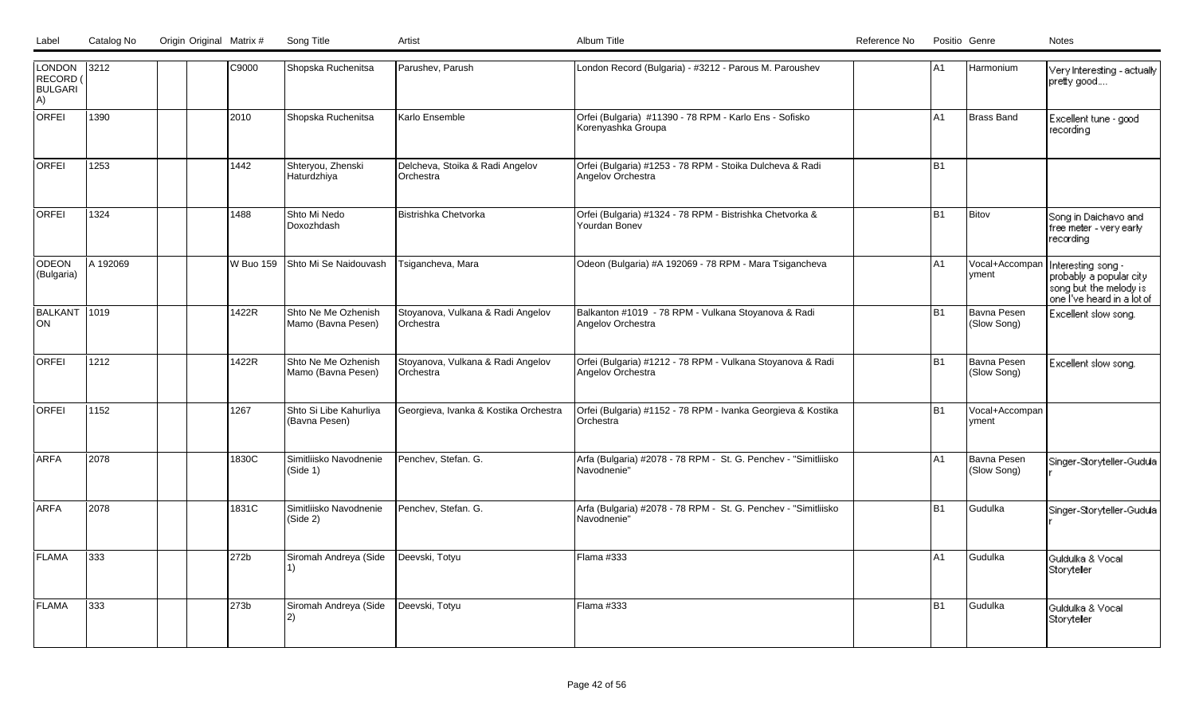| LONDON 3212<br>RECORD (<br><b>BULGARI</b><br>A) |          |  | C9000     | Shopska Ruchenitsa                        | Parushev, Parush                               | London Record (Bulgaria) - #3212 - Parous M. Paroushev                          | A1             | Harmonium                  | Very Interesting - actually<br>pretty good                                                            |
|-------------------------------------------------|----------|--|-----------|-------------------------------------------|------------------------------------------------|---------------------------------------------------------------------------------|----------------|----------------------------|-------------------------------------------------------------------------------------------------------|
| <b>ORFEI</b>                                    | 1390     |  | 2010      | Shopska Ruchenitsa                        | Karlo Ensemble                                 | Orfei (Bulgaria) #11390 - 78 RPM - Karlo Ens - Sofisko<br>Korenyashka Groupa    | A1             | Brass Band                 | Excellent tune - good<br>recording                                                                    |
| <b>ORFEI</b>                                    | 1253     |  | 1442      | Shteryou, Zhenski<br>Haturdzhiya          | Delcheva, Stoika & Radi Angelov<br>Orchestra   | Orfei (Bulgaria) #1253 - 78 RPM - Stoika Dulcheva & Radi<br>Angelov Orchestra   | B <sub>1</sub> |                            |                                                                                                       |
| <b>ORFEI</b>                                    | 1324     |  | 1488      | Shto Mi Nedo<br>Doxozhdash                | Bistrishka Chetvorka                           | Orfei (Bulgaria) #1324 - 78 RPM - Bistrishka Chetvorka &<br>Yourdan Boney       | B <sub>1</sub> | Bitov                      | Song in Daichavo and<br>free meter - very early l<br>recording                                        |
| <b>ODEON</b><br>(Bulgaria)                      | A 192069 |  | W Buo 159 | Shto Mi Se Naidouvash                     | Tsigancheva, Mara                              | Odeon (Bulgaria) #A 192069 - 78 RPM - Mara Tsigancheva                          | A1             | Vocal+Accompan<br> yment   | Interesting song -<br>probably a popular city<br>song but the melody is<br>one I've heard in a lot of |
| BALKANT 1019<br>lon                             |          |  | 1422R     | Shto Ne Me Ozhenish<br>Mamo (Bavna Pesen) | Stoyanova, Vulkana & Radi Angelov<br>Orchestra | Balkanton #1019 - 78 RPM - Vulkana Stoyanova & Radi<br>Angelov Orchestra        | B <sub>1</sub> | Bavna Pesen<br>(Slow Song) | Excellent slow song.                                                                                  |
| <b>ORFEI</b>                                    | 1212     |  | 1422R     | Shto Ne Me Ozhenish<br>Mamo (Bavna Pesen) | Stoyanova, Vulkana & Radi Angelov<br>Orchestra | Orfei (Bulgaria) #1212 - 78 RPM - Vulkana Stoyanova & Radi<br>Angelov Orchestra | B <sub>1</sub> | Bavna Pesen<br>(Slow Song) | Excellent slow song.                                                                                  |
| <b>ORFEI</b>                                    | 1152     |  | 1267      | Shto Si Libe Kahurliya<br>(Bavna Pesen)   | Georgieva, Ivanka & Kostika Orchestra          | Orfei (Bulgaria) #1152 - 78 RPM - Ivanka Georgieva & Kostika<br>Orchestra       | B <sub>1</sub> | Vocal+Accompan<br> yment   |                                                                                                       |
| ARFA                                            | 2078     |  | 1830C     | Simitliisko Navodnenie<br>(Side 1)        | Penchev, Stefan. G.                            | Arfa (Bulgaria) #2078 - 78 RPM - St. G. Penchev - "Simitliisko<br>l Navodnenie" | A1             | Bavna Pesen<br>(Slow Song) | Singer-Storyteller-Gudula                                                                             |
| <b>ARFA</b>                                     | 2078     |  | 1831C     | Simitliisko Navodnenie<br>(Gide 2)        | Penchev, Stefan. G.                            | Arfa (Bulgaria) #2078 - 78 RPM - St. G. Penchev - "Simitliisko<br>Navodnenie"   | B1             | Gudulka                    | Singer-Storyteller-Gudulal                                                                            |
| <b>FLAMA</b>                                    | 333      |  | 272b      | Siromah Andreya (Side                     | Deevski, Totyu                                 | Flama #333                                                                      | A <sub>1</sub> | Gudulka                    | Guldulka & Vocal<br>Storyteler                                                                        |
| FLAMA                                           | 333      |  | 273b      | Siromah Andreya (Side<br> 2)              | Deevski, Totyu                                 | Flama #333                                                                      | B <sub>1</sub> | Gudulka                    | Guldulka & Vocal<br>Storyteler                                                                        |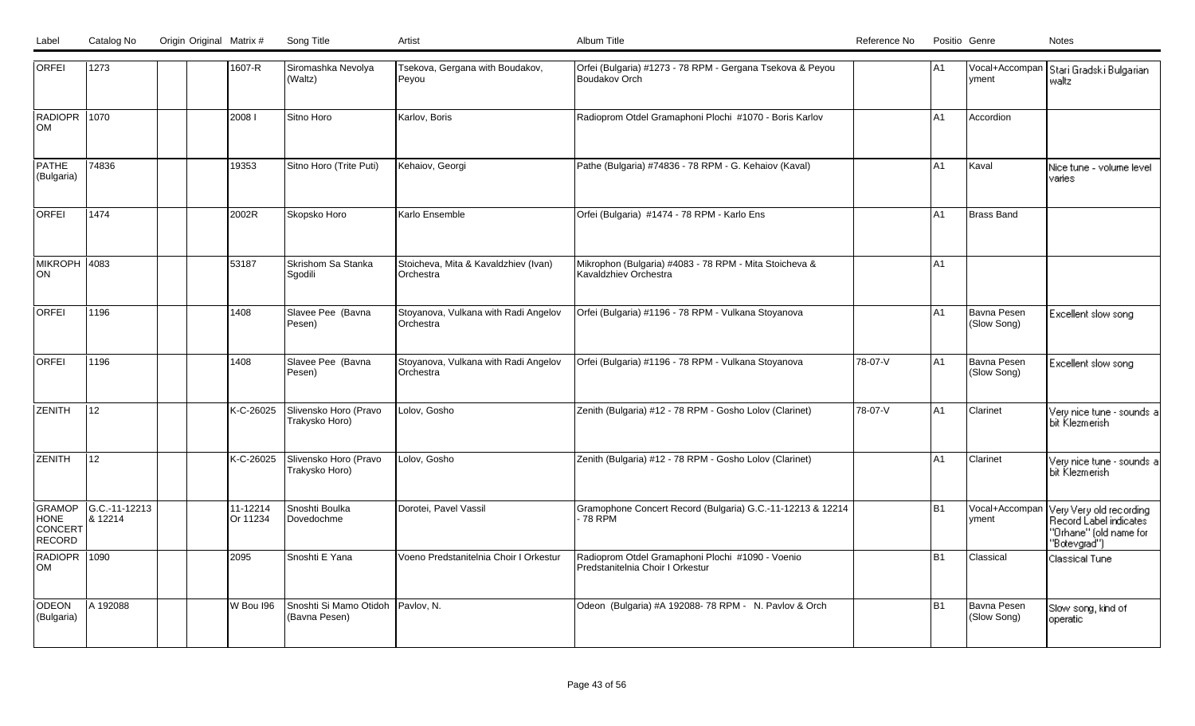| <b>ORFEI</b>                               | 1273                     | 1607-R               | Siromashka Nevolya<br>(Waltz)           | Tsekova, Gergana with Boudakov,<br>Peyou          | Orfei (Bulgaria) #1273 - 78 RPM - Gergana Tsekova & Peyou<br>Boudakov Orch           |         | A <sub>1</sub> | Ivment                     | Vocal+Accompan   Stari Gradski Bulgarian<br>waltz                                           |
|--------------------------------------------|--------------------------|----------------------|-----------------------------------------|---------------------------------------------------|--------------------------------------------------------------------------------------|---------|----------------|----------------------------|---------------------------------------------------------------------------------------------|
| RADIOPR 1070<br>lом                        |                          | 20081                | Sitno Horo                              | Karlov, Boris                                     | Radioprom Otdel Gramaphoni Plochi #1070 - Boris Karlov                               |         | A1             | Accordion                  |                                                                                             |
| <b>PATHE</b><br>(Bulgaria)                 | 74836                    | 19353                | Sitno Horo (Trite Puti)                 | Kehaiov, Georgi                                   | Pathe (Bulgaria) #74836 - 78 RPM - G. Kehaiov (Kaval)                                |         | A <sub>1</sub> | Kaval                      | Nice tune - volume level<br>varies                                                          |
| <b>ORFEI</b>                               | 1474                     | 2002R                | Skopsko Horo                            | Karlo Ensemble                                    | Orfei (Bulgaria) #1474 - 78 RPM - Karlo Ens                                          |         | A <sub>1</sub> | Brass Band                 |                                                                                             |
| MIKROPH 4083<br> ON                        |                          | 53187                | Skrishom Sa Stanka<br>Sgodili           | Stoicheva, Mita & Kavaldzhiev (Ivan)<br>Orchestra | Mikrophon (Bulgaria) #4083 - 78 RPM - Mita Stoicheva &<br>Kavaldzhiev Orchestra      |         | A <sub>1</sub> |                            |                                                                                             |
| <b>ORFEI</b>                               | 1196                     | 1408                 | Slavee Pee (Bavna<br>Pesen)             | Stoyanova, Vulkana with Radi Angelov<br>Orchestra | Orfei (Bulgaria) #1196 - 78 RPM - Vulkana Stoyanova                                  |         | A <sub>1</sub> | Bavna Pesen<br>(Slow Song) | Excellent slow song                                                                         |
| <b>ORFEI</b>                               | 1196                     | 1408                 | Slavee Pee (Bavna<br>Pesen)             | Stoyanova, Vulkana with Radi Angelov<br>Orchestra | Orfei (Bulgaria) #1196 - 78 RPM - Vulkana Stoyanova                                  | 78-07-V | A <sub>1</sub> | Bavna Pesen<br>(Slow Song) | Excellent slow song                                                                         |
| ZENITH                                     | 12                       | K-C-26025            | Slivensko Horo (Pravo<br>Trakysko Horo) | Lolov, Gosho                                      | Zenith (Bulgaria) #12 - 78 RPM - Gosho Lolov (Clarinet)                              | 78-07-V | A <sub>1</sub> | Clarinet                   | Very nice tune - sounds a<br>bit Klezmerish                                                 |
| <b>ZENITH</b>                              | 12                       | K-C-26025            | Slivensko Horo (Pravo<br>Trakysko Horo) | Lolov, Gosho                                      | Zenith (Bulgaria) #12 - 78 RPM - Gosho Lolov (Clarinet)                              |         | A <sub>1</sub> | Clarinet                   | Very nice tune - sounds a<br>bit Klezmerish                                                 |
| GRAMOP<br><b>HONE</b><br>CONCERT<br>RECORD | G.C.-11-12213<br>8 12214 | 11-12214<br>Or 11234 | Snoshti Boulka<br>Dovedochme            | Dorotei, Pavel Vassil                             | Gramophone Concert Record (Bulgaria) G.C.-11-12213 & 12214<br>78 RPM                 |         | B <sub>1</sub> | Vocal+Accompan<br>vment    | Very Very old recording<br>Record Label indicates<br>"Orhane" (old name for<br>"Botevgrad") |
| RADIOPR 1090<br>lом                        |                          | 2095                 | Snoshti E Yana                          | Voeno Predstanitelnia Choir I Orkestur            | Radioprom Otdel Gramaphoni Plochi #1090 - Voenio<br>Predstanitelnia Choir I Orkestur |         | l B1           | Classical                  | Classical Tune                                                                              |
| ODEON<br>(Bulgaria)                        | A 192088                 | W Bou 196            | Snoshti Si Mamo Otidoh<br>(Bavna Pesen) | Pavlov, N.                                        | Odeon (Bulgaria) #A 192088-78 RPM - N. Pavlov & Orch                                 |         | l B1           | Bavna Pesen<br>(Slow Song) | Slow song, kind of<br>operatic                                                              |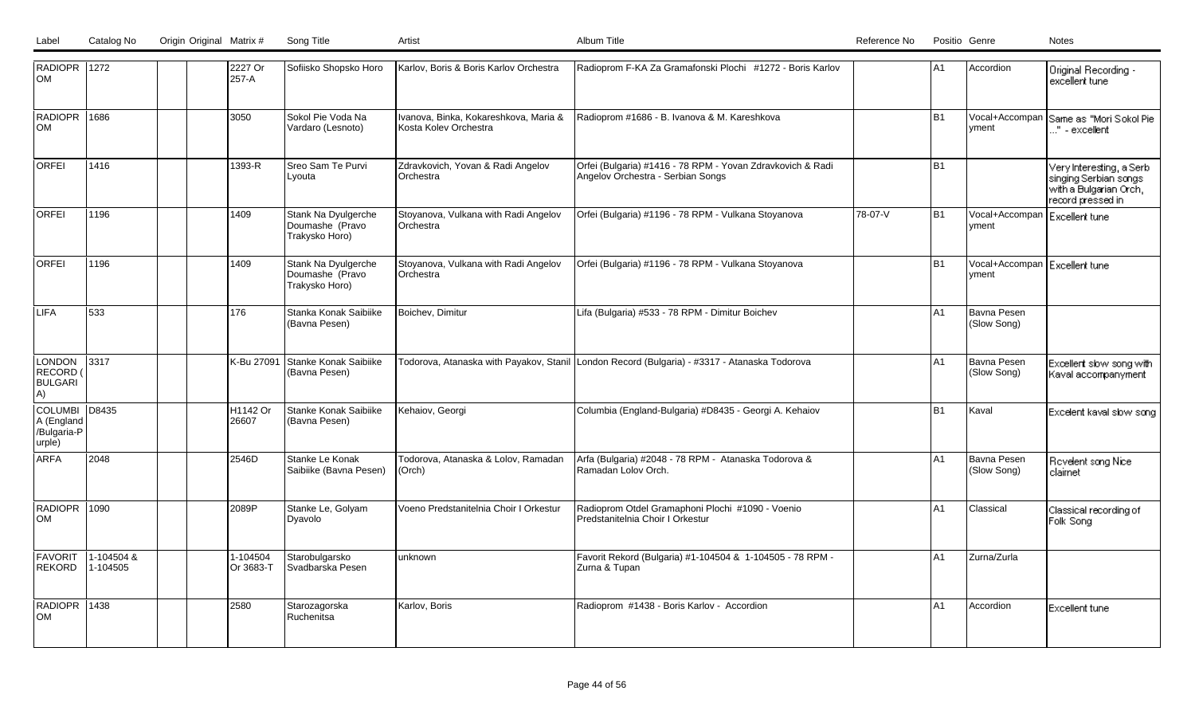| RADIOPR 1272<br><b>OM</b>                             |                        |  | 2227 Or<br>257-A      | Sofiisko Shopsko Horo                                    | Karlov, Boris & Boris Karlov Orchestra                         | Radioprom F-KA Za Gramafonski Plochi #1272 - Boris Karlov                                       |         | A <sub>1</sub> | Accordion                         | Original Recording -<br>excellent tune.                                                           |
|-------------------------------------------------------|------------------------|--|-----------------------|----------------------------------------------------------|----------------------------------------------------------------|-------------------------------------------------------------------------------------------------|---------|----------------|-----------------------------------|---------------------------------------------------------------------------------------------------|
| RADIOPR 1686<br><b>OM</b>                             |                        |  | 3050                  | Sokol Pie Voda Na<br>Vardaro (Lesnoto)                   | Ivanova, Binka, Kokareshkova, Maria &<br>Kosta Kolev Orchestra | Radioprom #1686 - B. Ivanova & M. Kareshkova                                                    |         | <b>B1</b>      | Vocal+Accompan<br>vment           | Same as "Mori Sokol Piel<br>" - excellent                                                         |
| <b>ORFEI</b>                                          | 1416                   |  | 1393-R                | Sreo Sam Te Purvi<br>Lyouta                              | Zdravkovich, Yovan & Radi Angelov<br>Orchestra                 | Orfei (Bulgaria) #1416 - 78 RPM - Yovan Zdravkovich & Radi<br>Angelov Orchestra - Serbian Songs |         | B <sub>1</sub> |                                   | Very Interesting, a Serbi<br>singing Serbian songs<br>with a Bulgarian Orch,<br>record pressed in |
| <b>ORFEI</b>                                          | 1196                   |  | 1409                  | Stank Na Dyulgerche<br>Doumashe (Pravo<br>Trakysko Horo) | Stoyanova, Vulkana with Radi Angelov<br>Orchestra              | Orfei (Bulgaria) #1196 - 78 RPM - Vulkana Stoyanova                                             | 78-07-V | B <sub>1</sub> | Vocal+Accompan<br>yment           | l Excellent tune.                                                                                 |
| <b>ORFEI</b>                                          | 1196                   |  | 1409                  | Stank Na Dyulgerche<br>Doumashe (Pravo<br>Trakysko Horo) | Stoyanova, Vulkana with Radi Angelov<br>Orchestra              | Orfei (Bulgaria) #1196 - 78 RPM - Vulkana Stoyanova                                             |         | <b>B1</b>      | Vocal+Accompan<br>vment           | Excellent tune                                                                                    |
| LIFA                                                  | 533                    |  | 176                   | Stanka Konak Saibiike<br>(Bavna Pesen)                   | Boichev, Dimitur                                               | Lifa (Bulgaria) #533 - 78 RPM - Dimitur Boichev                                                 |         | A1             | <b>Bavna Pesen</b><br>(Slow Song) |                                                                                                   |
| LONDON<br>RECORD (<br><b>BULGARI</b><br>A)            | 3317                   |  | K-Bu 27091            | Stanke Konak Saibiike<br>(Bavna Pesen)                   |                                                                | Todorova, Atanaska with Payakov, Stanil London Record (Bulgaria) - #3317 - Atanaska Todorova    |         | A1             | Bavna Pesen<br>(Slow Song)        | Excellent slow song with<br>Kaval accompanyment                                                   |
| <b>COLUMBI</b><br>A (England<br>/Bulgaria-P<br>urple) | D8435                  |  | H1142 Or<br>26607     | Stanke Konak Saibiike<br>(Bavna Pesen)                   | Kehaiov, Georgi                                                | Columbia (England-Bulgaria) #D8435 - Georgi A. Kehaiov                                          |         | <b>B1</b>      | Kaval                             | Excelent kaval slow song                                                                          |
| <b>ARFA</b>                                           | 2048                   |  | 2546D                 | Stanke Le Konak<br>Saibiike (Bavna Pesen)                | Todorova, Atanaska & Lolov, Ramadan<br>(Orch)                  | Arfa (Bulgaria) #2048 - 78 RPM - Atanaska Todorova &<br>Ramadan Lolov Orch.                     |         | A1             | Bavna Pesen<br>(Slow Song)        | Rovelent song Nice<br>claimet                                                                     |
| RADIOPR 1090<br><b>OM</b>                             |                        |  | 2089P                 | Stanke Le, Golyam<br>Dyavolo                             | Voeno Predstanitelnia Choir I Orkestur                         | Radioprom Otdel Gramaphoni Plochi #1090 - Voenio<br>Predstanitelnia Choir I Orkestur            |         | A <sub>1</sub> | Classical                         | Classical recording of<br>Folk Song                                                               |
| FAVORIT<br>REKORD                                     | 1-104504 &<br>1-104505 |  | 1-104504<br>Or 3683-T | Starobulgarsko<br>Svadbarska Pesen                       | unknown                                                        | Favorit Rekord (Bulgaria) #1-104504 & 1-104505 - 78 RPM -<br>Zurna & Tupan                      |         | A <sub>1</sub> | Zurna/Zurla                       |                                                                                                   |
| RADIOPR 1438<br><b>OM</b>                             |                        |  | 2580                  | Starozagorska<br>Ruchenitsa                              | Karlov, Boris                                                  | Radioprom #1438 - Boris Karlov - Accordion                                                      |         | A1             | Accordion                         | <b>Excellent tune</b>                                                                             |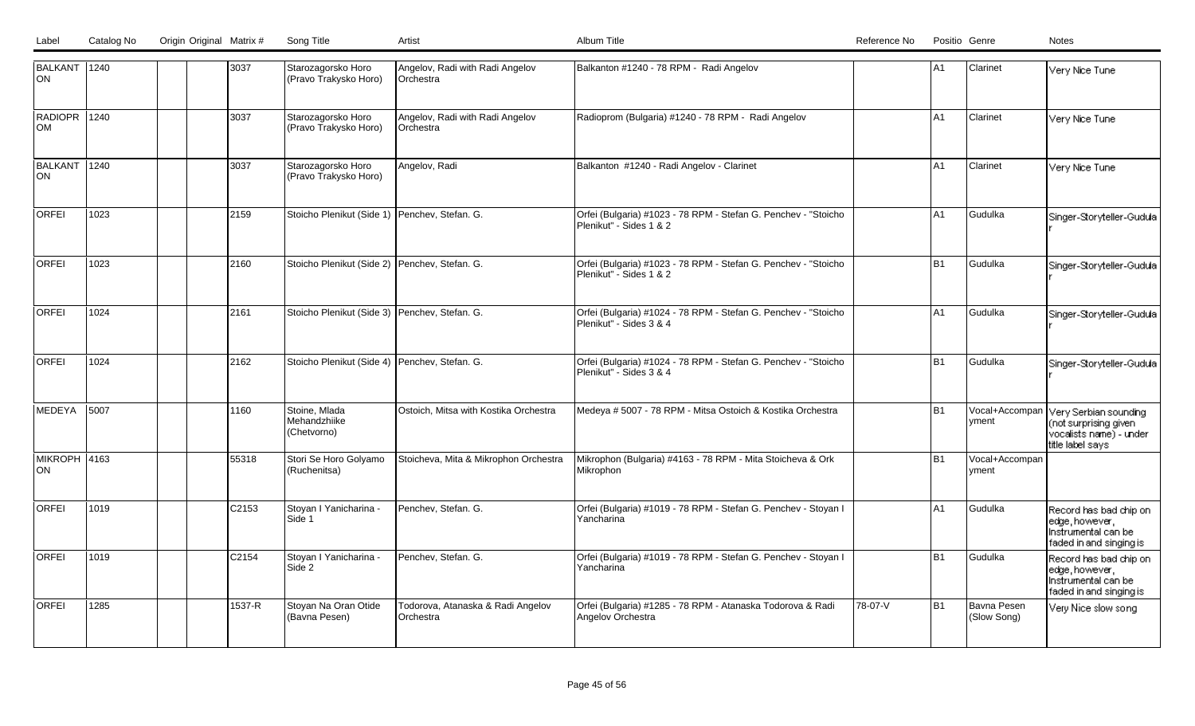| BALKANT 1240<br>ON        |      | 3037   | Starozagorsko Horo<br>(Pravo Trakysko Horo)     | Angelov, Radi with Radi Angelov<br>Orchestra   | Balkanton #1240 - 78 RPM - Radi Angelov                                                   |         | A <sub>1</sub> | Clarinet                   | Very Nice Tune                                                                                |
|---------------------------|------|--------|-------------------------------------------------|------------------------------------------------|-------------------------------------------------------------------------------------------|---------|----------------|----------------------------|-----------------------------------------------------------------------------------------------|
| RADIOPR 1240<br>Іом       |      | 3037   | Starozagorsko Horo<br>(Pravo Trakysko Horo)     | Angelov, Radi with Radi Angelov<br>Orchestra   | Radioprom (Bulgaria) #1240 - 78 RPM - Radi Angelov                                        |         | A1             | Clarinet                   | Very Nice Tune                                                                                |
| BALKANT 1240<br>lon       |      | 3037   | Starozagorsko Horo<br>(Pravo Trakysko Horo)     | Angelov, Radi                                  | Balkanton #1240 - Radi Angelov - Clarinet                                                 |         | A <sub>1</sub> | Clarinet                   | Very Nice Tune                                                                                |
| <b>ORFEI</b>              | 1023 | 2159   | Stoicho Plenikut (Side 1)   Penchev, Stefan. G. |                                                | Orfei (Bulgaria) #1023 - 78 RPM - Stefan G. Penchev - "Stoicho<br>Plenikut" - Sides 1 & 2 |         | A1             | Gudulka                    | Singer-Storyteller-Gudula                                                                     |
| <b>ORFEI</b>              | 1023 | 2160   | Stoicho Plenikut (Side 2) Penchev, Stefan. G.   |                                                | Orfei (Bulgaria) #1023 - 78 RPM - Stefan G. Penchev - "Stoicho<br>Plenikut" - Sides 1 & 2 |         | B <sub>1</sub> | Gudulka                    | Singer-Storyteller-Gudula                                                                     |
| <b>ORFEI</b>              | 1024 | 2161   | Stoicho Plenikut (Side 3) Penchev, Stefan. G.   |                                                | Orfei (Bulgaria) #1024 - 78 RPM - Stefan G. Penchev - "Stoicho<br>Plenikut" - Sides 3 & 4 |         | A <sub>1</sub> | Gudulka                    | Singer-Storyteller-Gudula                                                                     |
| <b>ORFEI</b>              | 1024 | 2162   | Stoicho Plenikut (Side 4) Penchev, Stefan. G.   |                                                | Orfei (Bulgaria) #1024 - 78 RPM - Stefan G. Penchev - "Stoicho<br>Plenikut" - Sides 3 & 4 |         | <b>B1</b>      | Gudulka                    | Singer-Storyteller-Gudula                                                                     |
| MEDEYA                    | 5007 | 1160   | Stoine, Mlada<br>Mehandzhiike<br>(Chetvorno)    | Ostoich, Mitsa with Kostika Orchestra          | Medeya # 5007 - 78 RPM - Mitsa Ostoich & Kostika Orchestra                                |         | <b>B1</b>      | Vocal+Accompan<br>yment    | Very Serbian sounding<br>(not surprising given<br>vocalists name) - under<br>title label says |
| <b>MIKROPH 4163</b><br>ON |      | 55318  | Stori Se Horo Golyamo<br>(Ruchenitsa)           | Stoicheva, Mita & Mikrophon Orchestra          | Mikrophon (Bulgaria) #4163 - 78 RPM - Mita Stoicheva & Ork<br>Mikrophon                   |         | B1             | Vocal+Accompan<br>yment    |                                                                                               |
| <b>ORFEI</b>              | 1019 | C2153  | Stoyan I Yanicharina -<br>Side 1                | Penchev, Stefan. G.                            | Orfei (Bulgaria) #1019 - 78 RPM - Stefan G. Penchev - Stoyan I<br>Yancharina              |         | A1             | Gudulka                    | Record has bad chip on<br>edge, however,<br>Instrumental can be<br>faded in and singing is    |
| <b>ORFEI</b>              | 1019 | C2154  | Stoyan I Yanicharina -<br>Side 2                | Penchev, Stefan. G.                            | Orfei (Bulgaria) #1019 - 78 RPM - Stefan G. Penchev - Stoyan I<br>Yancharina              |         | B <sub>1</sub> | Gudulka                    | Record has bad chip on<br>edge, however,<br>Instrumental can be<br>faded in and singing is    |
| <b>ORFEI</b>              | 1285 | 1537-R | Stoyan Na Oran Otide<br>(Bavna Pesen)           | Todorova, Atanaska & Radi Angelov<br>Orchestra | Orfei (Bulgaria) #1285 - 78 RPM - Atanaska Todorova & Radi<br>Angelov Orchestra           | 78-07-V | B <sub>1</sub> | Bavna Pesen<br>(Slow Song) | Very Nice slow song                                                                           |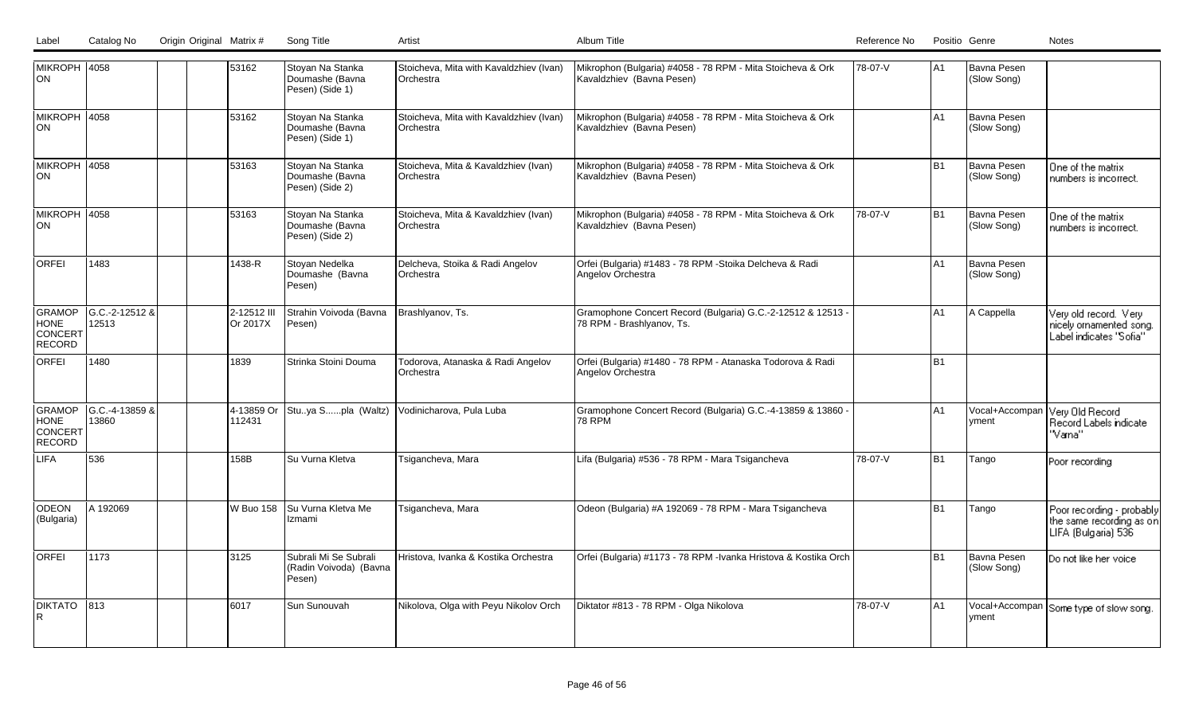LabelCatalog No Origin Original Matrix # Song Title Artist Artist Album Title Album Title Catalog No Positio Genre No Positio Genre Notes

| MIKROPH 4058<br>lon                        |                         |  | 53162                   | Stoyan Na Stanka<br>Doumashe (Bavna<br>Pesen) (Side 1)    | Stoicheva, Mita with Kavaldzhiev (Ivan)<br><b>IOrchestra</b> | Mikrophon (Bulgaria) #4058 - 78 RPM - Mita Stoicheva & Ork<br>Kavaldzhiev (Bavna Pesen)  | 78-07-V | IA1            | Bavna Pesen<br>(Slow Song)        |                                                                              |
|--------------------------------------------|-------------------------|--|-------------------------|-----------------------------------------------------------|--------------------------------------------------------------|------------------------------------------------------------------------------------------|---------|----------------|-----------------------------------|------------------------------------------------------------------------------|
| MIKROPH 4058<br> ON                        |                         |  | 53162                   | Stoyan Na Stanka<br>Doumashe (Bavna<br>Pesen) (Side 1)    | Stoicheva, Mita with Kavaldzhiev (Ivan)<br><b>Orchestra</b>  | Mikrophon (Bulgaria) #4058 - 78 RPM - Mita Stoicheva & Ork<br>Kavaldzhiev (Bavna Pesen)  |         | A1             | <b>Bavna Pesen</b><br>(Slow Song) |                                                                              |
| MIKROPH 4058<br>lon                        |                         |  | 53163                   | Stoyan Na Stanka<br>Doumashe (Bavna<br>Pesen) (Side 2)    | Stoicheva, Mita & Kavaldzhiev (Ivan)<br><b>IOrchestra</b>    | Mikrophon (Bulgaria) #4058 - 78 RPM - Mita Stoicheva & Ork<br>Kavaldzhiev (Bavna Pesen)  |         | B <sub>1</sub> | Bavna Pesen<br>(Slow Song)        | One of the matrix<br>numbers is incorrect.                                   |
| <b>MIKROPH 4058</b><br> ON                 |                         |  | 53163                   | Stoyan Na Stanka<br>Doumashe (Bavna<br>Pesen) (Side 2)    | Stoicheva, Mita & Kavaldzhiev (Ivan)<br><b>Orchestra</b>     | Mikrophon (Bulgaria) #4058 - 78 RPM - Mita Stoicheva & Ork<br>Kavaldzhiev (Bavna Pesen)  | 78-07-V | B <sub>1</sub> | Bavna Pesen<br>(Slow Song)        | One of the matrix<br>numbers is incorrect.                                   |
| <b>ORFEI</b>                               | 1483                    |  | 1438-R                  | Stoyan Nedelka<br>Doumashe (Bavna<br>Pesen)               | Delcheva, Stoika & Radi Angelov<br><b>IOrchestra</b>         | Orfei (Bulgaria) #1483 - 78 RPM -Stoika Delcheva & Radi<br>Angelov Orchestra             |         | A1             | <b>Bavna Pesen</b><br>(Slow Song) |                                                                              |
| GRAMOP<br>HONE<br>CONCERT<br>RECORD        | G.C.-2-12512 &<br>12513 |  | 2-12512 III<br>Or 2017X | Strahin Voivoda (Bavna<br>Pesen)                          | Brashlyanov, Ts.                                             | Gramophone Concert Record (Bulgaria) G.C.-2-12512 & 12513 -<br>78 RPM - Brashlyanov, Ts. |         | lA1            | A Cappella                        | Very old record. Very<br>nicely ornamented song.<br>Label indicates "Sofia"  |
| <b>ORFEI</b>                               | 1480                    |  | 1839                    | Strinka Stoini Douma                                      | Todorova, Atanaska & Radi Angelov<br><b>IOrchestra</b>       | Orfei (Bulgaria) #1480 - 78 RPM - Atanaska Todorova & Radi<br>Angelov Orchestra          |         | B1             |                                   |                                                                              |
| GRAMOP<br><b>HONE</b><br>CONCERT<br>RECORD | G.C.-4-13859 &<br>13860 |  | 4-13859 Or<br>112431    | Stuya Spla (Waltz)                                        | Vodinicharova, Pula Luba                                     | Gramophone Concert Record (Bulgaria) G.C.-4-13859 & 13860 -<br><b>78 RPM</b>             |         | A1             | Vocal+Accompar<br>vment           | Very Old Record<br>Record Labels indicate<br>"Varna"                         |
| <b>LIFA</b>                                | 536                     |  | 158B                    | Su Vurna Kletva                                           | Tsigancheva, Mara                                            | Lifa (Bulgaria) #536 - 78 RPM - Mara Tsigancheva                                         | 78-07-V | B <sub>1</sub> | Tango                             | Poor recording                                                               |
| ODEON<br>(Bulgaria)                        | A 192069                |  | W Buo 158               | Su Vurna Kletva Me<br>Izmami                              | Tsigancheva, Mara                                            | Odeon (Bulgaria) #A 192069 - 78 RPM - Mara Tsigancheva                                   |         | B <sub>1</sub> | Tango                             | Poor recording - probably<br>the same recording as on<br>LIFA (Bulgaria) 536 |
| <b>ORFEI</b>                               | 1173                    |  | 3125                    | Subrali Mi Se Subrali<br>(Radin Voivoda) (Bavna<br>Pesen) | Hristova, Ivanka & Kostika Orchestra                         | Orfei (Bulgaria) #1173 - 78 RPM -Ivanka Hristova & Kostika Orch                          |         | B <sub>1</sub> | Bavna Pesen<br>(Slow Song)        | Do not like her voice                                                        |
| DIKTATO                                    | $ 813\rangle$           |  | 6017                    | Sun Sunouvah                                              | Nikolova, Olga with Peyu Nikolov Orch                        | Diktator #813 - 78 RPM - Olga Nikolova                                                   | 78-07-V | IA1            | yment                             | Vocal+Accompan Some type of slow song.                                       |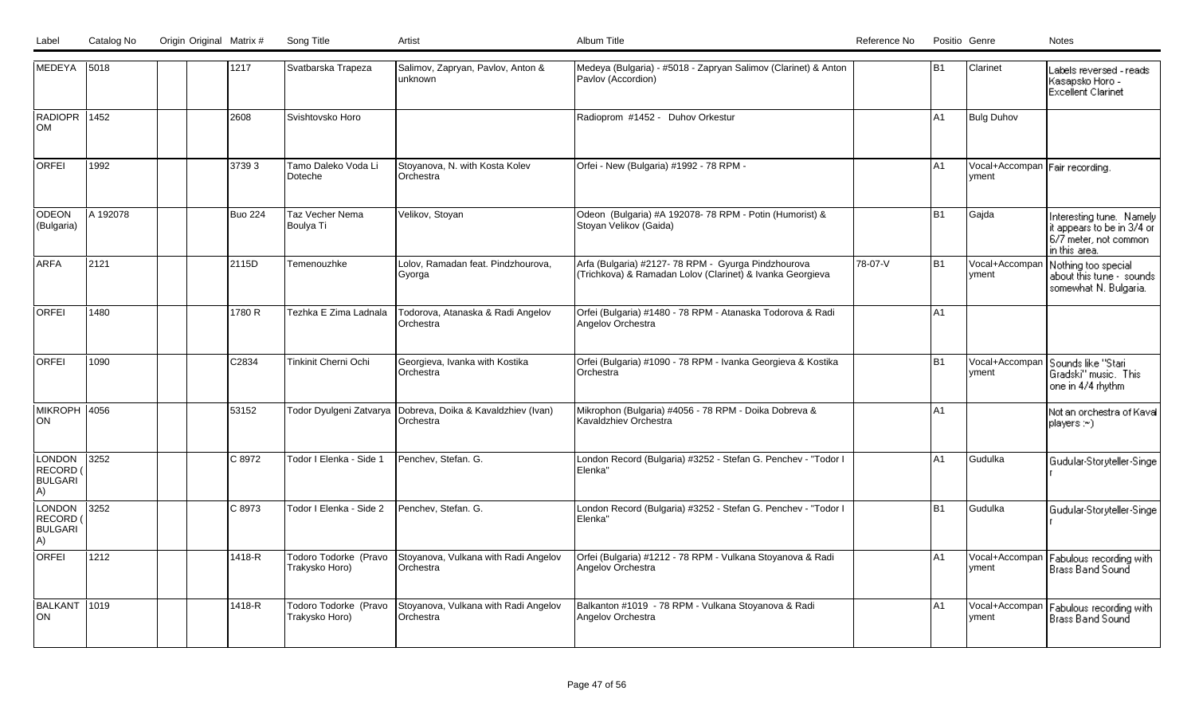| MEDEYA 5018                                       |          |  | 1217           | Svatbarska Trapeza                      | Salimov, Zapryan, Pavlov, Anton &<br>lunknown.                                   | Medeya (Bulgaria) - #5018 - Zapryan Salimov (Clarinet) & Anton<br>Pavlov (Accordion)                             |         | lB1 | Clarinet                                | Labels reversed - reads i<br>Kasapsko Horo -<br><b>Excellent Clarinet</b>                        |
|---------------------------------------------------|----------|--|----------------|-----------------------------------------|----------------------------------------------------------------------------------|------------------------------------------------------------------------------------------------------------------|---------|-----|-----------------------------------------|--------------------------------------------------------------------------------------------------|
| RADIOPR 1452<br>lom                               |          |  | 2608           | Svishtovsko Horo                        |                                                                                  | Radioprom #1452 - Duhov Orkestur                                                                                 |         | lA1 | <b>Bulg Duhov</b>                       |                                                                                                  |
| <b>ORFEI</b>                                      | 1992     |  | 37393          | Tamo Daleko Voda Li<br>Doteche          | Stoyanova, N. with Kosta Kolev<br><b>IOrchestra</b>                              | Orfei - New (Bulgaria) #1992 - 78 RPM -                                                                          |         | lA1 | Vocal+Accompan Fair recording.<br>yment |                                                                                                  |
| <b>ODEON</b><br>(Bulgaria)                        | A 192078 |  | <b>Buo 224</b> | Taz Vecher Nema<br>Boulya Ti            | Velikov, Stoyan                                                                  | Odeon (Bulgaria) #A 192078- 78 RPM - Potin (Humorist) &<br>Stoyan Velikov (Gaida)                                |         | B1  | Gajda                                   | Interesting tune. Namely<br>it appears to be in 3/4 or<br>6/7 meter, not common<br>in this area. |
| <b>ARFA</b>                                       | 2121     |  | 2115D          | Temenouzhke                             | Lolov, Ramadan feat. Pindzhourova,<br> Gyorga                                    | Arfa (Bulgaria) #2127- 78 RPM - Gyurga Pindzhourova<br>(Trichkova) & Ramadan Lolov (Clarinet) & Ivanka Georgieva | 78-07-V | B1  | Vocal+Accompan<br>vment                 | Nothing too special<br>about this tune - sounds<br>somewhat N. Bulgaria.                         |
| <b>ORFEI</b>                                      | 1480     |  | 1780 R         | Tezhka E Zima Ladnala                   | Todorova, Atanaska & Radi Angelov<br>Orchestra                                   | Orfei (Bulgaria) #1480 - 78 RPM - Atanaska Todorova & Radi<br>Angelov Orchestra                                  |         | lA1 |                                         |                                                                                                  |
| <b>ORFEI</b>                                      | 1090     |  | C2834          | Tinkinit Cherni Ochi                    | Georgieva, Ivanka with Kostika<br>Orchestra                                      | Orfei (Bulgaria) #1090 - 78 RPM - Ivanka Georgieva & Kostika<br>Orchestra                                        |         | lB1 | Vocal+Accompan<br>yment                 | Sounds like "Stari<br>Gradski" music. This<br>one in 4/4 rhythm                                  |
| MIKROPH 4056<br>lon                               |          |  | 53152          |                                         | Todor Dyulgeni Zatvarya  Dobreva, Doika & Kavaldzhiev (Ivan)<br><b>Orchestra</b> | Mikrophon (Bulgaria) #4056 - 78 RPM - Doika Dobreva &<br>Kavaldzhiev Orchestra                                   |         | lA1 |                                         | Not an orchestra of Kaval<br>players :∾).                                                        |
| <b>LONDON</b><br>RECORD (<br><b>BULGARI</b><br>A) | 3252     |  | C8972          | Todor I Elenka - Side 1                 | Penchev, Stefan. G.                                                              | London Record (Bulgaria) #3252 - Stefan G. Penchev - "Todor I<br>Elenka"                                         |         | lA1 | Gudulka                                 | Gudular-Storyteller-Singe                                                                        |
| LONDON<br>RECORD (<br><b>BULGARI</b><br>A)        | 3252     |  | C8973          | Todor I Elenka - Side 2                 | Penchev, Stefan. G.                                                              | London Record (Bulgaria) #3252 - Stefan G. Penchev - "Todor I<br>Elenka"                                         |         | lB1 | Gudulka                                 | Gudular-Storyteller-Singe                                                                        |
| <b>ORFEI</b>                                      | 1212     |  | 1418-R         | Todoro Todorke (Pravo<br>Trakysko Horo) | Stoyanova, Vulkana with Radi Angelov<br><b>Orchestra</b>                         | Orfei (Bulgaria) #1212 - 78 RPM - Vulkana Stoyanova & Radi<br>Angelov Orchestra                                  |         | lA1 | Vocal+Accompan<br>yment                 | Fabulous recording with<br>Brass Band Sound                                                      |
| BALKANT 1019<br>lon                               |          |  | 1418-R         | Todoro Todorke (Pravo<br>Trakysko Horo) | Stoyanova, Vulkana with Radi Angelov<br>Orchestra                                | Balkanton #1019 - 78 RPM - Vulkana Stoyanova & Radi<br>Angelov Orchestra                                         |         | lA1 | Vocal+Accompan<br>yment                 | Fabulous recording with<br>Brass Band Sound                                                      |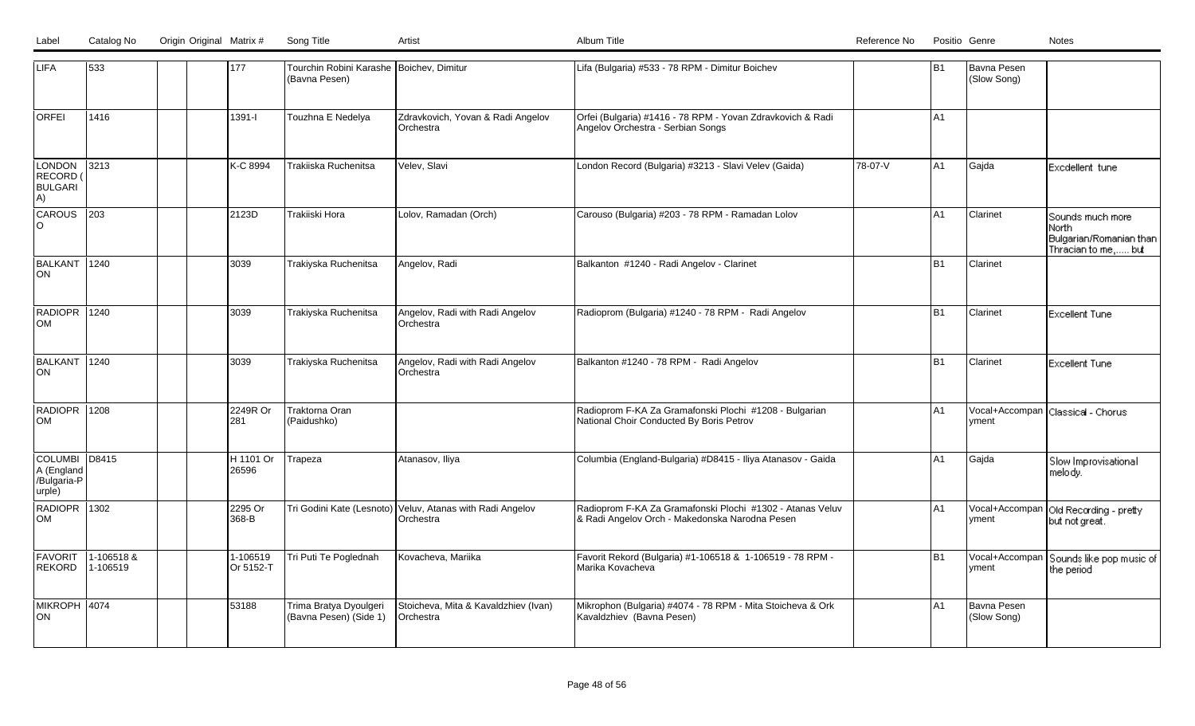| Label | Catalog No | Origin Original Matrix # | Song Title |  |
|-------|------------|--------------------------|------------|--|
|       |            |                          |            |  |

| <b>LIFA</b>                                          | 533                    |  | 177                   | Tourchin Robini Karashe Boichev, Dimitur<br>(Bavna Pesen) |                                                                        | Lifa (Bulgaria) #533 - 78 RPM - Dimitur Boichev                                                             |         | B1             | Bavna Pesen<br>(Slow Song) |                                                                                 |
|------------------------------------------------------|------------------------|--|-----------------------|-----------------------------------------------------------|------------------------------------------------------------------------|-------------------------------------------------------------------------------------------------------------|---------|----------------|----------------------------|---------------------------------------------------------------------------------|
| <b>ORFEI</b>                                         | 1416                   |  | $1391 - 1$            | Touzhna E Nedelya                                         | Zdravkovich, Yovan & Radi Angelov<br>Orchestra                         | Orfei (Bulgaria) #1416 - 78 RPM - Yovan Zdravkovich & Radi<br>Angelov Orchestra - Serbian Songs             |         | lA1            |                            |                                                                                 |
| <b>LONDON</b><br>RECORD (<br><b>BULGARI</b><br>A)    | $3213$                 |  | K-C 8994              | Trakiiska Ruchenitsa                                      | Velev, Slavi                                                           | London Record (Bulgaria) #3213 - Slavi Velev (Gaida)                                                        | 78-07-V | A1             | Gajda                      | Excdellent tune                                                                 |
| <b>CAROUS</b><br>lo                                  | $\overline{203}$       |  | 2123D                 | Trakiiski Hora                                            | Lolov, Ramadan (Orch)                                                  | Carouso (Bulgaria) #203 - 78 RPM - Ramadan Lolov                                                            |         | lA1            | Clarinet                   | Sounds much more<br>l North -<br>Bulgarian/Romanian than<br>Thracian to me, but |
| BALKANT 1240<br>lon                                  |                        |  | 3039                  | Trakiyska Ruchenitsa                                      | Angelov, Radi                                                          | Balkanton #1240 - Radi Angelov - Clarinet                                                                   |         | B1             | Clarinet                   |                                                                                 |
| RADIOPR 1240<br>lом                                  |                        |  | 3039                  | Trakiyska Ruchenitsa                                      | Angelov, Radi with Radi Angelov<br>Orchestra                           | Radioprom (Bulgaria) #1240 - 78 RPM - Radi Angelov                                                          |         | lB1            | Clarinet                   | <b>Excellent Tune</b>                                                           |
| BALKANT 1240<br>ON                                   |                        |  | 3039                  | Trakiyska Ruchenitsa                                      | Angelov, Radi with Radi Angelov<br>Orchestra                           | Balkanton #1240 - 78 RPM - Radi Angelov                                                                     |         | lB1            | Clarinet                   | <b>Excellent Tune</b>                                                           |
| RADIOPR 1208<br><b>OM</b>                            |                        |  | 2249R Or<br>281       | Traktorna Oran<br>(Paidushko)                             |                                                                        | Radioprom F-KA Za Gramafonski Plochi #1208 - Bulgarian<br>National Choir Conducted By Boris Petrov          |         | l A1           | yment                      | Vocal+Accompan Classical - Chorus                                               |
| COLUMBI D8415<br>A (England<br>/Bulgaria-P<br>urple) |                        |  | H 1101 Or<br>26596    | Trapeza                                                   | Atanasov, Iliya                                                        | Columbia (England-Bulgaria) #D8415 - Iliya Atanasov - Gaida                                                 |         | lA1            | Gajda                      | Slow Improvisational<br>melody.                                                 |
| RADIOPR 1302<br>lом                                  |                        |  | 2295 Or<br>368-B      |                                                           | Tri Godini Kate (Lesnoto) Veluv, Atanas with Radi Angelov<br>Orchestra | Radioprom F-KA Za Gramafonski Plochi #1302 - Atanas Veluv<br>& Radi Angelov Orch - Makedonska Narodna Pesen |         | l A1           | yment                      | Vocal+Accompan   Old Recording - pretty<br>but not great.                       |
| FAVORIT<br><b>REKORD</b>                             | 1-106518 &<br>1-106519 |  | 1-106519<br>Or 5152-T | Tri Puti Te Poglednah                                     | Kovacheva, Mariika                                                     | Favorit Rekord (Bulgaria) #1-106518 & 1-106519 - 78 RPM -<br>Marika Kovacheva                               |         | B <sub>1</sub> | Vocal+Accompan<br>yment    | Sounds like pop music of<br>the period                                          |
| MIKROPH 4074<br>ON.                                  |                        |  | 53188                 | Trima Bratya Dyoulgeri<br>(Bavna Pesen) (Side 1)          | Stoicheva, Mita & Kavaldzhiev (Ivan)<br>Orchestra                      | Mikrophon (Bulgaria) #4074 - 78 RPM - Mita Stoicheva & Ork<br>Kavaldzhiev (Bavna Pesen)                     |         | lA1            | Bavna Pesen<br>(Slow Song) |                                                                                 |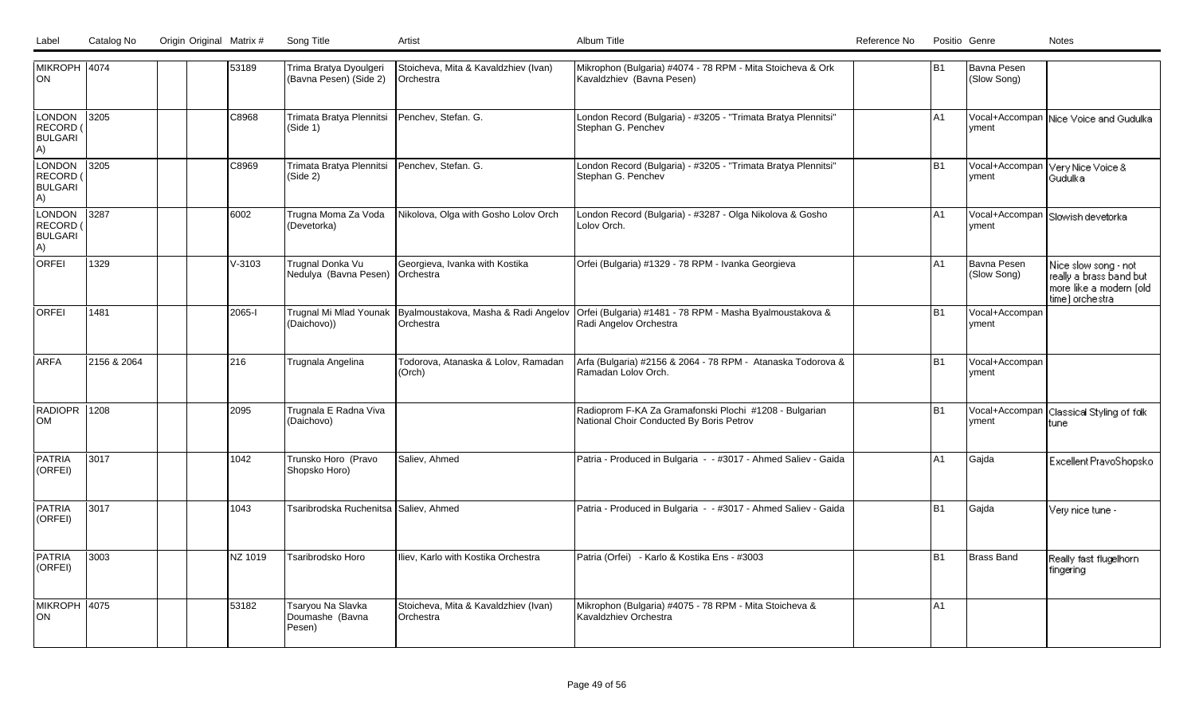|  | Label Catalog No Origin Original Matrix # Song Title | Artis | Album Title | Positio Genre<br>Reference No<br>Notes |
|--|------------------------------------------------------|-------|-------------|----------------------------------------|
|  |                                                      |       |             |                                        |

| MIKROPH 4074<br>ION.                       |             | 53189      | Trima Bratya Dyoulgeri<br>(Bavna Pesen) (Side 2)    | Stoicheva, Mita & Kavaldzhiev (Ivan)<br><b>IOrchestra</b>                | Mikrophon (Bulgaria) #4074 - 78 RPM - Mita Stoicheva & Ork<br>Kavaldzhiev (Bavna Pesen)            | lB1            | Bavna Pesen<br>(Slow Song)        |                                                                                               |
|--------------------------------------------|-------------|------------|-----------------------------------------------------|--------------------------------------------------------------------------|----------------------------------------------------------------------------------------------------|----------------|-----------------------------------|-----------------------------------------------------------------------------------------------|
| LONDON<br>RECORD (<br><b>BULGARI</b><br>A) | 3205        | C8968      | Trimata Bratya Plennitsi<br>(Side 1)                | Penchev, Stefan. G.                                                      | London Record (Bulgaria) - #3205 - "Trimata Bratya Plennitsi"<br>Stephan G. Penchev                | A1             | yment                             | Vocal+Accompan Nice Voice and Gudulka                                                         |
| LONDON<br>RECORD (<br><b>BULGARI</b><br>A) | 3205        | C8969      | Trimata Bratya Plennitsi<br>(Side 2)                | Penchev, Stefan. G.                                                      | London Record (Bulgaria) - #3205 - "Trimata Bratya Plennitsi"<br>Stephan G. Penchev                | B <sub>1</sub> | vment                             | Vocal+Accompan Very Nice Voice &<br>Gudulkal                                                  |
| LONDON<br>RECORD (<br><b>BULGARI</b><br>A) | 3287        | 6002       | Trugna Moma Za Voda<br>(Devetorka)                  | Nikolova, Olga with Gosho Lolov Orch                                     | London Record (Bulgaria) - #3287 - Olga Nikolova & Gosho<br>Lolov Orch.                            | A <sub>1</sub> | yment                             | Vocal+Accompan Slowish devetorka                                                              |
| <b>ORFEI</b>                               | 1329        | $V - 3103$ | Trugnal Donka Vu<br>Nedulya (Bavna Pesen) Orchestra | Georgieva, Ivanka with Kostika                                           | Orfei (Bulgaria) #1329 - 78 RPM - Ivanka Georgieva                                                 | A1             | <b>Bavna Pesen</b><br>(Slow Song) | Nice slow song - not<br>really a brass band but<br>more like a modern (old<br>time) orchestra |
| <b>ORFEI</b>                               | 1481        | 2065-l     | (Daichovo))                                         | Trugnal Mi Mlad Younak Byalmoustakova, Masha & Radi Angelov<br>Orchestra | Orfei (Bulgaria) #1481 - 78 RPM - Masha Byalmoustakova &<br>Radi Angelov Orchestra                 | B <sub>1</sub> | Vocal+Accompan<br>vment           |                                                                                               |
| larfa                                      | 2156 & 2064 | 216        | Trugnala Angelina                                   | Todorova, Atanaska & Lolov, Ramadan<br>(Orch)                            | Arfa (Bulgaria) #2156 & 2064 - 78 RPM - Atanaska Todorova &<br>Ramadan Lolov Orch.                 | B <sub>1</sub> | Vocal+Accompan<br>yment           |                                                                                               |
| RADIOPR 1208<br>lOM                        |             | 2095       | Trugnala E Radna Viva<br>(Daichovo)                 |                                                                          | Radioprom F-KA Za Gramafonski Plochi #1208 - Bulgarian<br>National Choir Conducted By Boris Petrov | B <sub>1</sub> | Vocal+Accompan<br>vment           | Classical Styling of folk<br>tune                                                             |
| <b>PATRIA</b><br>(ORFEI)                   | 3017        | 1042       | Trunsko Horo (Pravo<br>Shopsko Horo)                | Saliev, Ahmed                                                            | Patria - Produced in Bulgaria - - #3017 - Ahmed Saliev - Gaida                                     | A <sub>1</sub> | Gajda                             | Excellent PravoShopsko                                                                        |
| PATRIA<br>(ORFEI)                          | 3017        | 1043       | Tsaribrodska Ruchenitsa SSaliev, Ahmed              |                                                                          | Patria - Produced in Bulgaria - - #3017 - Ahmed Saliev - Gaida                                     | B <sub>1</sub> | Gajda                             | Very nice tune -                                                                              |
| <b>PATRIA</b><br>(ORFEI)                   | 3003        | NZ 1019    | Tsaribrodsko Horo                                   | Iliev, Karlo with Kostika Orchestra                                      | Patria (Orfei) - Karlo & Kostika Ens - #3003                                                       | B <sub>1</sub> | Brass Band                        | Really fast flugelhorn<br>fingering                                                           |
| MIKROPH 4075<br>ON.                        |             | 53182      | Tsaryou Na Slavka<br>Doumashe (Bavna<br>Pesen)      | Stoicheva, Mita & Kavaldzhiev (Ivan)<br>Orchestra                        | Mikrophon (Bulgaria) #4075 - 78 RPM - Mita Stoicheva &<br>Kavaldzhiev Orchestra                    | A1             |                                   |                                                                                               |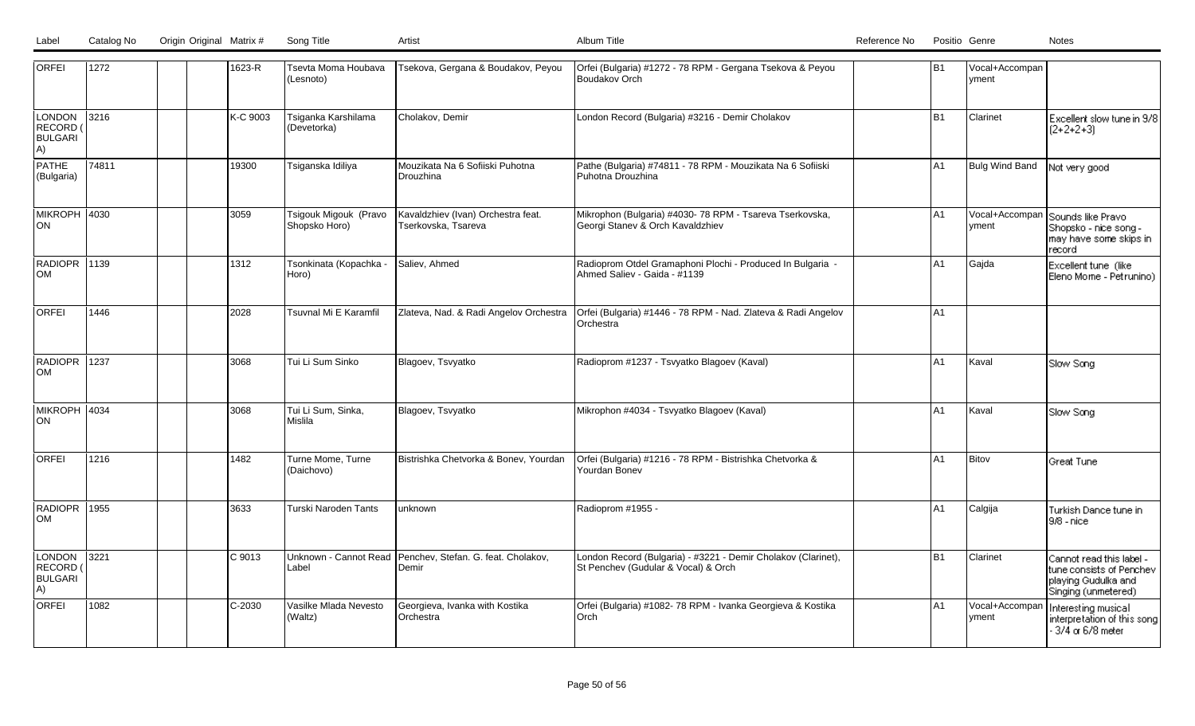| <b>ORFEI</b>                               | 1272  | 1623-R   | Tsevta Moma Houbava<br>(Lesnoto)       | Tsekova, Gergana & Boudakov, Peyou                                  | Orfei (Bulgaria) #1272 - 78 RPM - Gergana Tsekova & Peyou<br>Boudakov Orch                           | B1             | Vocal+Accompan<br>yment |                                                                                                    |
|--------------------------------------------|-------|----------|----------------------------------------|---------------------------------------------------------------------|------------------------------------------------------------------------------------------------------|----------------|-------------------------|----------------------------------------------------------------------------------------------------|
| LONDON<br>RECORD (<br><b>BULGARI</b><br>A) | 3216  | K-C 9003 | Tsiganka Karshilama<br>(Devetorka)     | Cholakov, Demir                                                     | London Record (Bulgaria) #3216 - Demir Cholakov                                                      | lB1            | Clarinet                | Excellent slow tune in 9/8<br>$(2+2+2+3)$                                                          |
| PATHE<br>(Bulgaria)                        | 74811 | 19300    | Tsiganska Idiliya                      | Mouzikata Na 6 Sofiiski Puhotna<br><b>IDrouzhina</b>                | Pathe (Bulgaria) #74811 - 78 RPM - Mouzikata Na 6 Sofiiski<br>Puhotna Drouzhina                      | IA1            | Bulg Wind Band          | Not very good                                                                                      |
| MIKROPH 4030<br>ION.                       |       | 3059     | Tsigouk Migouk (Pravo<br>Shopsko Horo) | Kavaldzhiev (Ivan) Orchestra feat.<br>Tserkovska, Tsareva           | Mikrophon (Bulgaria) #4030- 78 RPM - Tsareva Tserkovska,<br>Georgi Stanev & Orch Kavaldzhiev         | A <sub>1</sub> | yment                   | Vocal+Accompan Sounds like Pravo<br> Shopsko - nice song -<br>may have some skips in<br>record     |
| RADIOPR 1139<br>lом                        |       | 1312     | Tsonkinata (Kopachka -<br>Horo)        | Saliev, Ahmed                                                       | Radioprom Otdel Gramaphoni Plochi - Produced In Bulgaria -<br>Ahmed Saliev - Gaida - #1139           | A <sub>1</sub> | Gajda                   | Excellent tune (like<br>Eleno Mome - Petrunino)                                                    |
| lorfei                                     | 1446  | 2028     | Tsuvnal Mi E Karamfil                  | Zlateva, Nad. & Radi Angelov Orchestra                              | Orfei (Bulgaria) #1446 - 78 RPM - Nad. Zlateva & Radi Angelov<br>Orchestra                           | A <sub>1</sub> |                         |                                                                                                    |
| RADIOPR 1237<br><b>OM</b>                  |       | 3068     | Tui Li Sum Sinko                       | Blagoev, Tsvyatko                                                   | Radioprom #1237 - Tsvyatko Blagoev (Kaval)                                                           | A1             | Kaval                   | Slow Song                                                                                          |
| MIKROPH 4034<br>ION.                       |       | 3068     | Tui Li Sum, Sinka,<br>Mislila          | Blagoev, Tsvyatko                                                   | Mikrophon #4034 - Tsvyatko Blagoev (Kaval)                                                           | IA1            | Kaval                   | Slow Song                                                                                          |
| lorfei                                     | 1216  | 1482     | Turne Mome, Turne<br>(Daichovo)        | Bistrishka Chetvorka & Bonev, Yourdan                               | Orfei (Bulgaria) #1216 - 78 RPM - Bistrishka Chetvorka &<br>Yourdan Bonev                            | A1             | <b>Bitov</b>            | l Great Tune i                                                                                     |
| RADIOPR 1955<br>lom                        |       | 3633     | Turski Naroden Tants                   | unknown                                                             | Radioprom #1955 -                                                                                    | A <sub>1</sub> | Calgija                 | Turkish Dance tune in<br>19/8 - nicel                                                              |
| LONDON<br>RECORD (<br><b>BULGARI</b><br>A) | 3221  | C 9013   | Label                                  | Unknown - Cannot Read Penchev, Stefan. G. feat. Cholakov,<br> Demir | London Record (Bulgaria) - #3221 - Demir Cholakov (Clarinet),<br>St Penchev (Gudular & Vocal) & Orch | lB1            | Clarinet                | Cannot read this label -<br>tune consists of Penchev<br>playing Gudulka and<br>Singing (unmetered) |
| <b>ORFEI</b>                               | 1082  | C-2030   | Vasilke Mlada Nevesto<br>(Waltz)       | Georgieva, Ivanka with Kostika<br>lOrchestra                        | Orfei (Bulgaria) #1082- 78 RPM - Ivanka Georgieva & Kostika<br>lOrch                                 | A1             | Vocal+Accompai<br>yment | Interesting musical<br>interpretation of this song<br>$-3/4$ or 6/8 meter                          |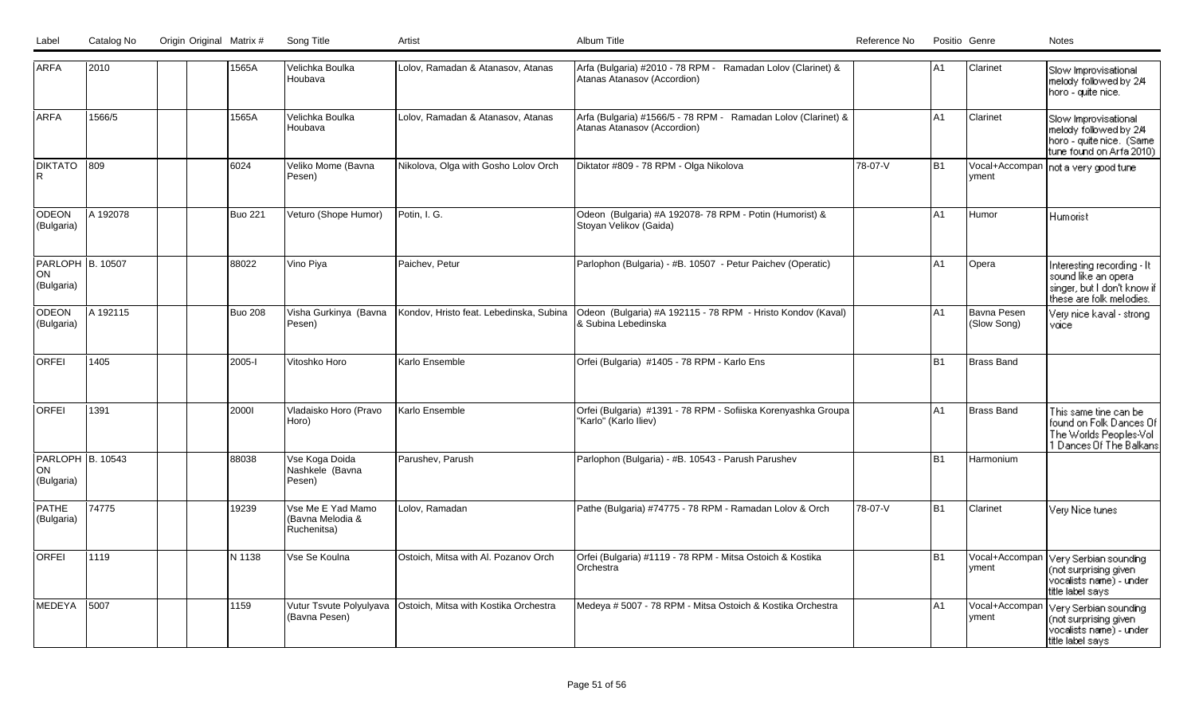| Label |  | Sona Title | Artist | Album Title | Reference No | Positio Genre | Notes |
|-------|--|------------|--------|-------------|--------------|---------------|-------|
|       |  |            |        |             |              |               |       |

| <b>ARFA</b>                                 | 2010          | 1565A          | Velichka Boulka<br>Houbava                           | Lolov, Ramadan & Atanasov, Atanas       | Arfa (Bulgaria) #2010 - 78 RPM - Ramadan Lolov (Clarinet) &<br>Atanas Atanasov (Accordion)   |         | lA1            | Clarinet                          | Slow Improvisational<br>melody followed by 2/4<br>horo - quite nice.                                         |
|---------------------------------------------|---------------|----------------|------------------------------------------------------|-----------------------------------------|----------------------------------------------------------------------------------------------|---------|----------------|-----------------------------------|--------------------------------------------------------------------------------------------------------------|
| <b>ARFA</b>                                 | 1566/5        | 1565A          | Velichka Boulka<br>Houbava                           | Lolov, Ramadan & Atanasov, Atanas       | Arfa (Bulgaria) #1566/5 - 78 RPM - Ramadan Lolov (Clarinet) &<br>Atanas Atanasov (Accordion) |         | A1             | Clarinet                          | Slow Improvisational<br>melody followed by 2/4<br>horo - quite nice. (Same<br>tune found on Arfa 2010)       |
| <b>DIKTATO</b><br>l R                       | $ 809\rangle$ | 6024           | Veliko Mome (Bavna<br>Pesen)                         | Nikolova, Olga with Gosho Lolov Orch    | Diktator #809 - 78 RPM - Olga Nikolova                                                       | 78-07-V | B1             | vment                             | Vocal+Accompan   not a very good tune                                                                        |
| ODEON<br>(Bulgaria)                         | A 192078      | <b>Buo 221</b> | Veturo (Shope Humor)                                 | Potin, I. G.                            | Odeon (Bulgaria) #A 192078-78 RPM - Potin (Humorist) &<br>Stoyan Velikov (Gaida)             |         | A1             | Humor                             | Humorist                                                                                                     |
| PARLOPH B. 10507<br><b>ON</b><br>(Bulgaria) |               | 88022          | Vino Piya                                            | Paichev, Petur                          | Parlophon (Bulgaria) - #B. 10507 - Petur Paichev (Operatic)                                  |         | lA1            | Opera                             | Interesting recording - It<br>sound like an opera<br>singer, but I don't know if<br>these are folk melodies. |
| <b>ODEON</b><br>(Bulgaria)                  | IA 192115     | <b>Buo 208</b> | Visha Gurkinya (Bavna<br>Pesen)                      | Kondov. Hristo feat. Lebedinska. Subina | Odeon (Bulgaria) #A 192115 - 78 RPM - Hristo Kondov (Kaval)<br>& Subina Lebedinska           |         | IA1            | <b>Bavna Pesen</b><br>(Slow Song) | Very nice kaval - strong<br>voice                                                                            |
| <b>ORFEI</b>                                | 1405          | 2005-1         | Vitoshko Horo                                        | Karlo Ensemble                          | Orfei (Bulgaria) #1405 - 78 RPM - Karlo Ens                                                  |         | <b>B1</b>      | <b>Brass Band</b>                 |                                                                                                              |
| <b>ORFEI</b>                                | 1391          | 20001          | Vladaisko Horo (Pravo<br>Horo)                       | Karlo Ensemble                          | Orfei (Bulgaria) #1391 - 78 RPM - Sofiiska Korenyashka Groupa<br>'Karlo" (Karlo Iliev)       |         | A <sub>1</sub> | Brass Band                        | This same tine can be<br>found on Folk Dances Of<br>The Worlds Peoples-Vol<br>1 Dances Of The Balkans        |
| PARLOPH B. 10543<br>ON<br>(Bulgaria)        |               | 88038          | Vse Koga Doida<br>Nashkele (Bavna<br>Pesen)          | Parushev, Parush                        | Parlophon (Bulgaria) - #B. 10543 - Parush Parushev                                           |         | B <sub>1</sub> | Harmonium                         |                                                                                                              |
| <b>PATHE</b><br>(Bulgaria)                  | 74775         | 19239          | Vse Me E Yad Mamo<br>(Bavna Melodia &<br>Ruchenitsa) | Lolov, Ramadan                          | Pathe (Bulgaria) #74775 - 78 RPM - Ramadan Lolov & Orch                                      | 78-07-V | lB1            | Clarinet                          | Very Nice tunes                                                                                              |
| <b>ORFEI</b>                                | 1119          | N 1138         | Vse Se Koulna                                        | Ostoich, Mitsa with Al. Pozanov Orch    | Orfei (Bulgaria) #1119 - 78 RPM - Mitsa Ostoich & Kostika<br><b>Orchestra</b>                |         | B1             | vment                             | Vocal+Accompan Very Serbian sounding<br>(not surprising given<br>vocalists name) - under<br>title label says |
| MEDEYA                                      | 5007          | 1159           | Vutur Tsvute Polyulyava<br>(Bavna Pesen)             | Ostoich, Mitsa with Kostika Orchestra   | Medeya # 5007 - 78 RPM - Mitsa Ostoich & Kostika Orchestra                                   |         | A1             | Vocal+Accompan<br>yment           | Very Serbian sounding<br>(not surprising given<br>vocalists name) - under<br>title label says                |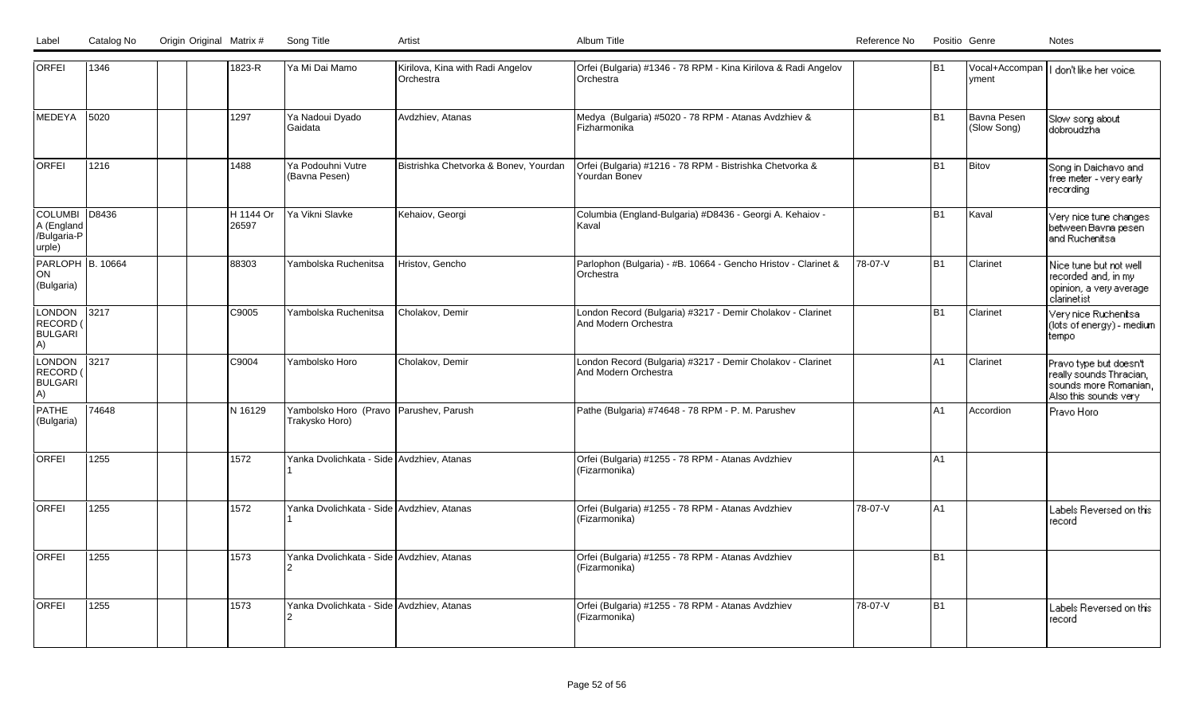| <b>ORFEI</b>                                         | 1346  |  | 1823-R              | Ya Mi Dai Mamo                                           | Kirilova, Kina with Radi Angelov<br>Orchestra | Orfei (Bulgaria) #1346 - 78 RPM - Kina Kirilova & Radi Angelov<br>Orchestra        |         | B <sub>1</sub> | vment                      | Vocal+Accompan     don't like her voice.                                                            |
|------------------------------------------------------|-------|--|---------------------|----------------------------------------------------------|-----------------------------------------------|------------------------------------------------------------------------------------|---------|----------------|----------------------------|-----------------------------------------------------------------------------------------------------|
| MEDEYA                                               | 5020  |  | 1297                | Ya Nadoui Dyado<br>l Gaidata                             | Avdzhiev, Atanas                              | Medya (Bulgaria) #5020 - 78 RPM - Atanas Avdzhiev &<br>Fizharmonika                |         | B <sub>1</sub> | Bavna Pesen<br>(Slow Song) | Slow song about<br>dobroudzha                                                                       |
| <b>ORFEI</b>                                         | 1216  |  | 1488                | Ya Podouhni Vutre<br>(Bavna Pesen)                       | Bistrishka Chetvorka & Bonev, Yourdan         | Orfei (Bulgaria) #1216 - 78 RPM - Bistrishka Chetvorka &<br>Yourdan Bonev          |         | B <sub>1</sub> | Bitov                      | Song in Daichavo and<br>free meter - very early<br>recording                                        |
| COLUMBI D8436<br>A (England<br>/Bulgaria-P<br>urple) |       |  | IH 1144 Or<br>26597 | Ya Vikni Slavke                                          | Kehaiov, Georgi                               | Columbia (England-Bulgaria) #D8436 - Georgi A. Kehaiov -<br>Kaval                  |         | B <sub>1</sub> | Kaval                      | Very nice tune changes<br>between Bavna pesen<br>and Ruchenitsal                                    |
| <b>PARLOPH B. 10664</b><br>ON <br>(Bulgaria)         |       |  | 88303               | Yambolska Ruchenitsa                                     | Hristov, Gencho                               | Parlophon (Bulgaria) - #B. 10664 - Gencho Hristov - Clarinet &<br>Orchestra        | 78-07-V | B <sub>1</sub> | Clarinet                   | Nice tune but not well<br>recorded and, in my<br>opinion, a very average<br>clarinetist             |
| LONDON<br>RECORD (<br><b>BULGARI</b><br>A)           | 3217  |  | C9005               | Yambolska Ruchenitsa                                     | Cholakov, Demir                               | London Record (Bulgaria) #3217 - Demir Cholakov - Clarinet<br>And Modern Orchestra |         | B <sub>1</sub> | <b>Clarinet</b>            | Very nice Ruchenitsal<br>(lots of energy) - medium<br>tempo                                         |
| LONDON<br><b>RECORD</b><br><b>BULGARI</b><br>A)      | 3217  |  | C9004               | Yambolsko Horo                                           | Cholakov, Demir                               | London Record (Bulgaria) #3217 - Demir Cholakov - Clarinet<br>And Modern Orchestra |         | A <sub>1</sub> | Clarinet                   | Pravo type but doesn't<br>really sounds Thracian,<br>sounds more Romanian,<br>Also this sounds very |
| PATHE<br>(Bulgaria)                                  | 74648 |  | N 16129             | Yambolsko Horo (Pravo Parushev, Parush<br>Trakysko Horo) |                                               | Pathe (Bulgaria) #74648 - 78 RPM - P. M. Parushev                                  |         | A <sub>1</sub> | Accordion                  | Pravo Horo                                                                                          |
| <b>ORFEI</b>                                         | 1255  |  | 1572                | Yanka Dvolichkata - Side Avdzhiev, Atanas                |                                               | Orfei (Bulgaria) #1255 - 78 RPM - Atanas Avdzhiev<br>(Fizarmonika)                 |         | A <sub>1</sub> |                            |                                                                                                     |
| <b>ORFEI</b>                                         | 1255  |  | 1572                | Yanka Dvolichkata - Side Avdzhiev, Atanas                |                                               | Orfei (Bulgaria) #1255 - 78 RPM - Atanas Avdzhiev<br>(Fizarmonika)                 | 78-07-V | A <sub>1</sub> |                            | Labels Reversed on this<br>record                                                                   |
| <b>ORFEI</b>                                         | 1255  |  | 1573                | Yanka Dvolichkata - Side Avdzhiev, Atanas                |                                               | Orfei (Bulgaria) #1255 - 78 RPM - Atanas Avdzhiev<br>(Fizarmonika)                 |         | B <sub>1</sub> |                            |                                                                                                     |
| <b>ORFEI</b>                                         | 1255  |  | 1573                | Yanka Dvolichkata - Side Avdzhiev, Atanas                |                                               | Orfei (Bulgaria) #1255 - 78 RPM - Atanas Avdzhiev<br>(Fizarmonika)                 | 78-07-V | B <sub>1</sub> |                            | Labels Reversed on this<br>record                                                                   |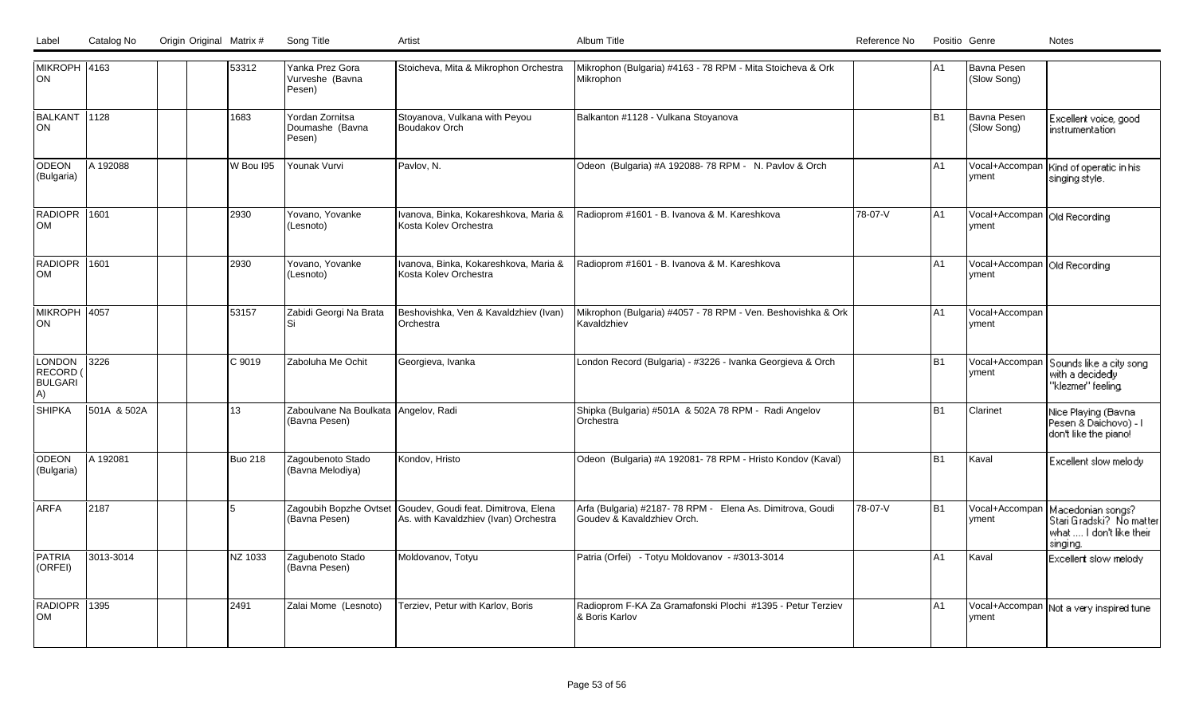| Label<br>Catalog No | Origin Original Matrix #<br>Song Title |  |
|---------------------|----------------------------------------|--|

| <b>MIKROPH 4163</b><br>ON                       |             |  | 53312          | Yanka Prez Gora<br>Vurveshe (Bavna<br>Pesen)          | Stoicheva, Mita & Mikrophon Orchestra                                                                | Mikrophon (Bulgaria) #4163 - 78 RPM - Mita Stoicheva & Ork<br>Mikrophon                 |         | A1             | Bavna Pesen<br>(Slow Song)              |                                                                                       |
|-------------------------------------------------|-------------|--|----------------|-------------------------------------------------------|------------------------------------------------------------------------------------------------------|-----------------------------------------------------------------------------------------|---------|----------------|-----------------------------------------|---------------------------------------------------------------------------------------|
| BALKANT 1128<br><b>ON</b>                       |             |  | 1683           | Yordan Zornitsa<br>Doumashe (Bayna<br>Pesen)          | Stoyanova, Vulkana with Peyou<br><b>Boudakov Orch</b>                                                | Balkanton #1128 - Vulkana Stoyanova                                                     |         | B <sub>1</sub> | Bavna Pesen<br>(Slow Song)              | Excellent voice, good<br>instrumentation                                              |
| <b>ODEON</b><br>(Bulgaria)                      | A 192088    |  | W Bou I95      | Younak Vurvi                                          | Pavlov, N.                                                                                           | Odeon (Bulgaria) #A 192088-78 RPM - N. Pavlov & Orch                                    |         | A1             | yment                                   | Vocal+Accompan   Kind of operatic in his<br>singing style.                            |
| <b>RADIOPR 1601</b><br><b>OM</b>                |             |  | 2930           | Yovano, Yovanke<br>(Lesnoto)                          | Ivanova, Binka, Kokareshkova, Maria &<br>Kosta Kolev Orchestra                                       | Radioprom #1601 - B. Ivanova & M. Kareshkova                                            | 78-07-V | lA1            | Vocal+Accompan   Old Recording<br>yment |                                                                                       |
| RADIOPR 1601<br>lom                             |             |  | 2930           | Yovano, Yovanke<br>(Lesnoto)                          | Ivanova, Binka, Kokareshkova, Maria &<br>Kosta Kolev Orchestra                                       | Radioprom #1601 - B. Ivanova & M. Kareshkova                                            |         | lA1            | Vocal+Accompan Old Recording<br>vment   |                                                                                       |
| MIKROPH 4057<br>ON                              |             |  | 53157          | Zabidi Georgi Na Brata<br>Si                          | Beshovishka, Ven & Kavaldzhiev (Ivan)<br>Orchestra                                                   | Mikrophon (Bulgaria) #4057 - 78 RPM - Ven. Beshovishka & Ork<br>Kavaldzhiev             |         | IA1            | Vocal+Accompan<br>yment                 |                                                                                       |
| <b>LONDON</b><br>RECORD<br><b>BULGARI</b><br>A) | 3226        |  | C 9019         | Zaboluha Me Ochit                                     | Georgieva, Ivanka                                                                                    | London Record (Bulgaria) - #3226 - Ivanka Georgieva & Orch                              |         | B <sub>1</sub> | Vocal+Accompar<br>yment                 | Sounds like a city song<br>with a decidedy<br>"klezmer" feeling                       |
| <b>SHIPKA</b>                                   | 501A & 502A |  | 13             | Zaboulvane Na Boulkata Angelov, Radi<br>(Bavna Pesen) |                                                                                                      | Shipka (Bulgaria) #501A & 502A 78 RPM - Radi Angelov<br>Orchestra                       |         | B <sub>1</sub> | Clarinet                                | Nice Playing (Bavna<br>Pesen & Daichovo) - I<br>don't like the piano!                 |
| ODEON<br>(Bulgaria)                             | A 192081    |  | <b>Buo 218</b> | Zagoubenoto Stado<br>(Bavna Melodiya)                 | Kondov, Hristo                                                                                       | Odeon (Bulgaria) #A 192081-78 RPM - Hristo Kondov (Kaval)                               |         | B <sub>1</sub> | Kaval                                   | Excellent slow melody                                                                 |
| <b>ARFA</b>                                     | 2187        |  |                | (Bavna Pesen)                                         | Zagoubih Bopzhe Ovtset Goudev, Goudi feat. Dimitrova, Elena<br>As. with Kavaldzhiev (Ivan) Orchestra | Arfa (Bulgaria) #2187-78 RPM - Elena As. Dimitrova, Goudi<br>Goudev & Kavaldzhiev Orch. | 78-07-V | B1             | Vocal+Accompan<br>vment                 | Macedonian songs?<br>Stari Gradski? No matter<br>what  I don't like their<br>singing. |
| PATRIA<br>(ORFEI)                               | 3013-3014   |  | NZ 1033        | Zagubenoto Stado<br>(Bavna Pesen)                     | Moldovanov, Totyu                                                                                    | Patria (Orfei) - Totyu Moldovanov - #3013-3014                                          |         | A <sub>1</sub> | Kaval                                   | Excellent slow melody                                                                 |
| RADIOPR 1395<br><b>OM</b>                       |             |  | 2491           | Zalai Mome (Lesnoto)                                  | Terziev, Petur with Karlov, Boris                                                                    | Radioprom F-KA Za Gramafonski Plochi #1395 - Petur Terziev<br>& Boris Karlov            |         | A1             | yment                                   | Vocal+Accompan   Not a very inspired tune                                             |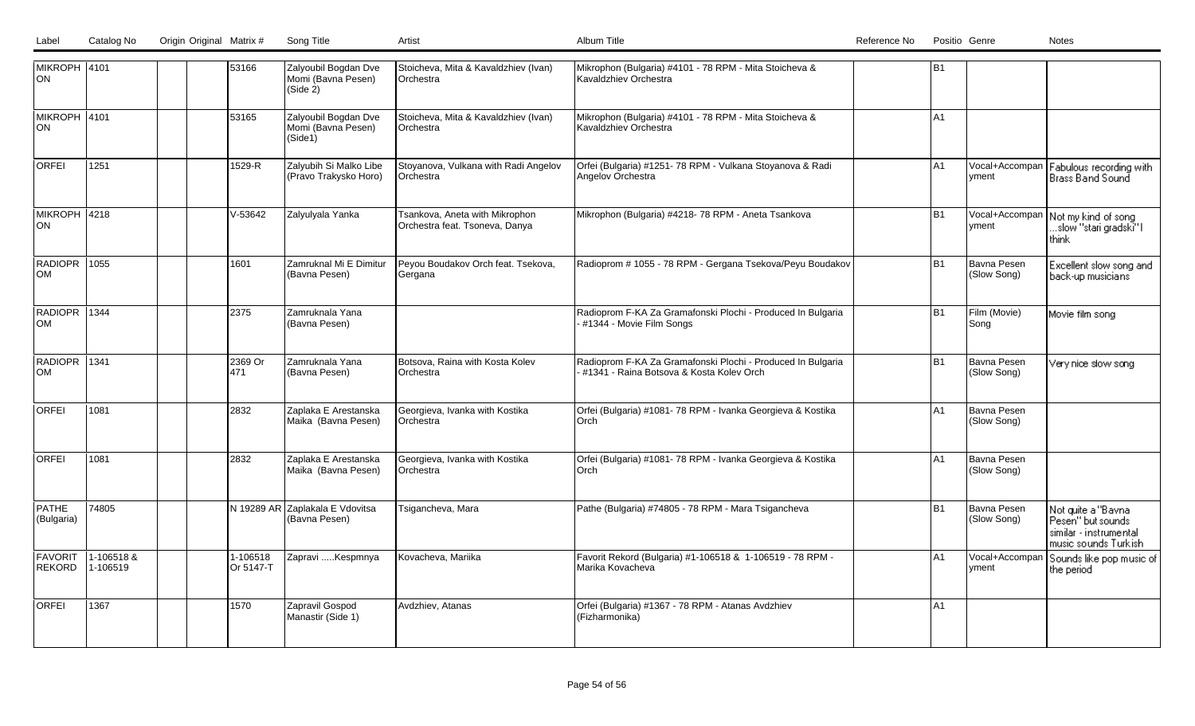LabelCatalog No Origin Original Matrix # Song Title Artist Artist Album Title Album Title Catalog No Positio Genre No Positio Genre Notes

| MIKROPH 4101<br> ON        |                        | 53166                 | Zalyoubil Bogdan Dve<br>Momi (Bavna Pesen)<br>(Side 2) | Stoicheva, Mita & Kavaldzhiev (Ivan)<br>Orchestra                | Mikrophon (Bulgaria) #4101 - 78 RPM - Mita Stoicheva &<br>Kavaldzhiev Orchestra                         | <b>B1</b>      |                            |                                                                                            |
|----------------------------|------------------------|-----------------------|--------------------------------------------------------|------------------------------------------------------------------|---------------------------------------------------------------------------------------------------------|----------------|----------------------------|--------------------------------------------------------------------------------------------|
| MIKROPH 4101<br>lon        |                        | 53165                 | Zalyoubil Bogdan Dve<br>Momi (Bavna Pesen)<br>(Side1)  | Stoicheva, Mita & Kavaldzhiev (Ivan)<br>Orchestra                | Mikrophon (Bulgaria) #4101 - 78 RPM - Mita Stoicheva &<br>Kavaldzhiev Orchestra                         | A <sub>1</sub> |                            |                                                                                            |
| <b>ORFEI</b>               | 1251                   | 1529-R                | Zalyubih Si Malko Libe<br>(Pravo Trakysko Horo)        | Stoyanova, Vulkana with Radi Angelov<br><b>IOrchestra</b>        | Orfei (Bulgaria) #1251-78 RPM - Vulkana Stoyanova & Radi<br>Angelov Orchestra                           | A1             | Vocal+Accompan<br>yment    | Fabulous recording with<br> Brass Band Sound                                               |
| MIKROPH 4218<br> ON        |                        | V-53642               | Zalyulyala Yanka                                       | Tsankova, Aneta with Mikrophon<br>Orchestra feat. Tsoneva, Danya | Mikrophon (Bulgaria) #4218-78 RPM - Aneta Tsankova                                                      | B <sub>1</sub> | Vocal+Accompan<br>yment    | Not my kind of song<br>…slow "stari gradski̇̃" l<br>think                                  |
| RADIOPR 1055<br>lom        |                        | 1601                  | Zamruknal Mi E Dimitur<br>(Bavna Pesen)                | Peyou Boudakov Orch feat. Tsekova,<br>Gergana                    | Radioprom # 1055 - 78 RPM - Gergana Tsekova/Peyu Boudakov                                               | <b>B1</b>      | Bavna Pesen<br>(Slow Song) | Excellent slow song and<br>back-up musicians                                               |
| RADIOPR 1344<br>Іом        |                        | 2375                  | IZamruknala Yana<br>(Bavna Pesen)                      |                                                                  | Radioprom F-KA Za Gramafonski Plochi - Produced In Bulgaria<br>#1344 - Movie Film Songs                 | <b>B1</b>      | Film (Movie)<br>Song       | Movie film song                                                                            |
| RADIOPR 1341<br><b>OM</b>  |                        | 2369 Or<br>1471       | Zamruknala Yana<br>(Bavna Pesen)                       | Botsova, Raina with Kosta Kolev<br>Orchestra                     | Radioprom F-KA Za Gramafonski Plochi - Produced In Bulgaria<br>#1341 - Raina Botsova & Kosta Koley Orch | <b>B1</b>      | Bavna Pesen<br>(Slow Song) | Very nice slow song                                                                        |
| <b>ORFEI</b>               | 1081                   | 2832                  | Zaplaka E Arestanska<br>Maika (Bavna Pesen)            | Georgieva, Ivanka with Kostika<br>Orchestra                      | Orfei (Bulgaria) #1081-78 RPM - Ivanka Georgieva & Kostika<br>Orch                                      | A1             | Bavna Pesen<br>(Slow Song) |                                                                                            |
| lorfei                     | 1081                   | 2832                  | Zaplaka E Arestanska<br>Maika (Bavna Pesen)            | Georgieva, Ivanka with Kostika<br>Orchestra                      | Orfei (Bulgaria) #1081-78 RPM - Ivanka Georgieva & Kostika<br>Orch                                      | A1             | Bavna Pesen<br>(Slow Song) |                                                                                            |
| <b>PATHE</b><br>(Bulgaria) | 74805                  |                       | N 19289 AR Zaplakala E Vdovitsa<br>(Bavna Pesen)       | Tsigancheva, Mara                                                | Pathe (Bulgaria) #74805 - 78 RPM - Mara Tsigancheva                                                     | <b>B1</b>      | Bavna Pesen<br>(Slow Song) | Not quite a "Bavna<br>Pesen'' but sounds<br>similar - instrumental<br>music sounds Turkish |
| FAVORIT<br>REKORD          | 1-106518 &<br>1-106519 | 1-106518<br>Or 5147-T | Zapravi Kespmnya                                       | Kovacheva, Mariika                                               | Favorit Rekord (Bulgaria) #1-106518 & 1-106519 - 78 RPM -<br>Marika Kovacheva                           | A <sub>1</sub> | Vocal+Accompar<br>yment    | Sounds like pop music of<br>the period                                                     |
| <b>ORFEI</b>               | 1367                   | 1570                  | Zapravil Gospod<br>Manastir (Side 1)                   | Avdzhiev, Atanas                                                 | Orfei (Bulgaria) #1367 - 78 RPM - Atanas Avdzhiev<br>(Fizharmonika)                                     | A <sub>1</sub> |                            |                                                                                            |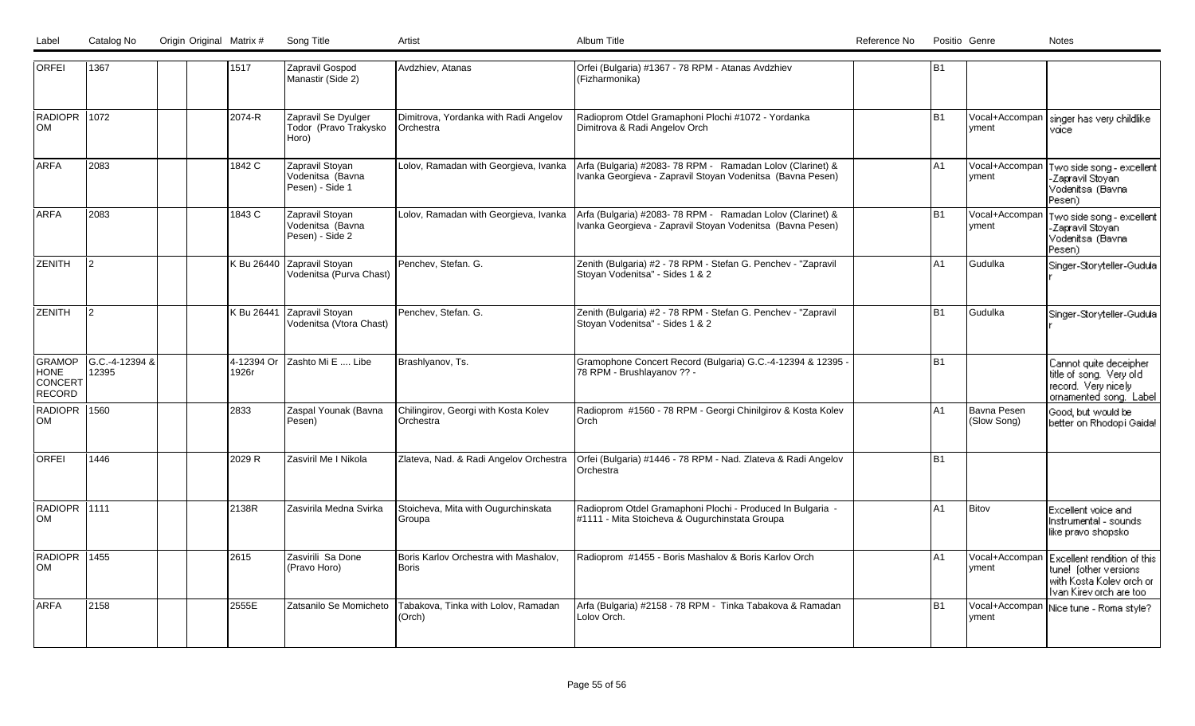|  | Label Catalog No Origin Original Matrix # | Song Title |          | Album Title | Reference No<br>Notes<br>Positio Genre |
|--|-------------------------------------------|------------|----------|-------------|----------------------------------------|
|  |                                           |            | ี Artisั |             |                                        |

| <b>ORFEI</b>                               | 1367                    | 1517                | Zapravil Gospod<br>Manastir (Side 2)                   | Avdzhiev, Atanas                                          | Orfei (Bulgaria) #1367 - 78 RPM - Atanas Avdzhiev<br>(Fizharmonika)                                                     | B <sub>1</sub> |                            |                                                                                                             |
|--------------------------------------------|-------------------------|---------------------|--------------------------------------------------------|-----------------------------------------------------------|-------------------------------------------------------------------------------------------------------------------------|----------------|----------------------------|-------------------------------------------------------------------------------------------------------------|
| RADIOPR 1072<br><b>OM</b>                  |                         | 2074-R              | Zapravil Se Dyulger<br>Todor (Pravo Trakysko<br>Horo)  | Dimitrova, Yordanka with Radi Angelov<br><b>Orchestra</b> | Radioprom Otdel Gramaphoni Plochi #1072 - Yordanka<br>Dimitrova & Radi Angelov Orch                                     | <b>B1</b>      | yment                      | Vocal+Accompan   singer has very childlike<br>voice                                                         |
| <b>ARFA</b>                                | 2083                    | 1842 C              | Zapravil Stoyan<br>Vodenitsa (Bavna<br>Pesen) - Side 1 | Lolov, Ramadan with Georgieva, Ivanka                     | Arfa (Bulgaria) #2083-78 RPM - Ramadan Lolov (Clarinet) &<br>Ivanka Georgieva - Zapravil Stoyan Vodenitsa (Bavna Pesen) | A <sub>1</sub> | Vocal+Accompan<br>yment    | Two side song - excellent<br>-Zapravil Stovani<br>Vodenitsa (Bavna<br>Pesen)                                |
| <b>ARFA</b>                                | 2083                    | 1843 C              | Zapravil Stoyan<br>Vodenitsa (Bavna<br>Pesen) - Side 2 | Lolov, Ramadan with Georgieva, Ivanka                     | Arfa (Bulgaria) #2083-78 RPM - Ramadan Lolov (Clarinet) &<br>Ivanka Georgieva - Zapravil Stoyan Vodenitsa (Bavna Pesen) | B <sub>1</sub> | Vocal+Accompar<br>yment    | Two side song - excellent<br>-Zapravil Stoyani<br>Vodenitsa (Bavna<br>Pesen).                               |
| <b>ZENITH</b>                              | 12.                     | K Bu 26440          | Zapravil Stoyan<br>Vodenitsa (Purva Chast)             | Penchev, Stefan. G.                                       | Zenith (Bulgaria) #2 - 78 RPM - Stefan G. Penchev - "Zapravil<br>Stoyan Vodenitsa" - Sides 1 & 2                        | A <sub>1</sub> | Gudulka                    | Singer-Storyteller-Gudula                                                                                   |
| ZENITH                                     | l2.                     | K Bu 26441          | Zapravil Stoyan<br>Vodenitsa (Vtora Chast)             | Penchev, Stefan. G.                                       | Zenith (Bulgaria) #2 - 78 RPM - Stefan G. Penchev - "Zapravil<br>Stoyan Vodenitsa" - Sides 1 & 2                        | B1             | Gudulka                    | Singer-Storyteller-Gudula                                                                                   |
| <b>GRAMOP</b><br>HONE<br>CONCERT<br>RECORD | G.C.-4-12394 &<br>12395 | 4-12394 Or<br>1926r | Zashto Mi E  Libe                                      | Brashlyanov, Ts.                                          | Gramophone Concert Record (Bulgaria) G.C.-4-12394 & 12395 -<br>78 RPM - Brushlayanov ?? -                               | IB1            |                            | Cannot quite deceipher<br>title of song. Very old<br>record. Very nicely<br>ornamented song. Label          |
| RADIOPR 1560<br>lom                        |                         | 2833                | Zaspal Younak (Bavna<br>Pesen)                         | Chilingirov, Georgi with Kosta Kolev<br>Orchestra         | Radioprom #1560 - 78 RPM - Georgi Chinilgirov & Kosta Kolev<br>lOrch                                                    | A <sub>1</sub> | Bavna Pesen<br>(Slow Song) | Good, but would be<br>better on Rhodopi Gaida!                                                              |
| <b>ORFEI</b>                               | 1446                    | 2029 R              | Zasviril Me I Nikola                                   | Zlateva, Nad. & Radi Angelov Orchestra                    | Orfei (Bulgaria) #1446 - 78 RPM - Nad. Zlateva & Radi Angelov<br>Orchestra                                              | B <sub>1</sub> |                            |                                                                                                             |
| RADIOPR 1111<br>lom                        |                         | 2138R               | Zasvirila Medna Svirka                                 | Stoicheva, Mita with Ougurchinskata<br>Groupa             | Radioprom Otdel Gramaphoni Plochi - Produced In Bulgaria -<br>#1111 - Mita Stoicheva & Ougurchinstata Groupa            | A1             | Bitov                      | Excellent voice and<br>Instrumental - sounds<br>like pravo shopsko                                          |
| RADIOPR<br><b>OM</b>                       | 1455                    | 2615                | Zasvirili Sa Done<br>(Pravo Horo)                      | Boris Karlov Orchestra with Mashalov,<br><b>Boris</b>     | Radioprom #1455 - Boris Mashalov & Boris Karlov Orch                                                                    | A <sub>1</sub> | Vocal+Accompar<br>yment    | Excellent rendition of this<br>tune! (other versions<br>with Kosta Kolev orch or<br>Ivan Kirev orch are too |
| <b>ARFA</b>                                | 2158                    | 2555E               | Zatsanilo Se Momicheto                                 | Tabakova, Tinka with Lolov, Ramadan<br>(Orch)             | Arfa (Bulgaria) #2158 - 78 RPM - Tinka Tabakova & Ramadan<br>Lolov Orch.                                                | B <sub>1</sub> | Vocal+Accompan<br>yment    | Nice tune - Roma style?                                                                                     |